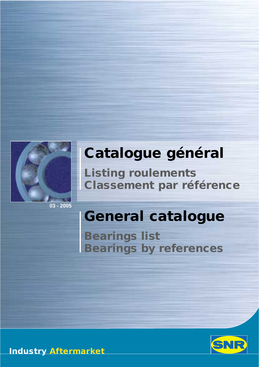

**03 - 2005**

# **Catalogue général**

**Listing roulements Classement par référence**

# *General catalogue*

*Bearings list Bearings by references*



**Industry** *Aftermarket*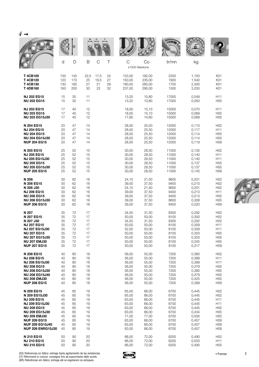| $4 \rightarrow$                                                                                                                                                                                                        |                                                          |                                                          |                                                          |                          |                      |                                                                                        |                                                                                        |                                                                              |                                                                                        |                                                                                                                                                                                |
|------------------------------------------------------------------------------------------------------------------------------------------------------------------------------------------------------------------------|----------------------------------------------------------|----------------------------------------------------------|----------------------------------------------------------|--------------------------|----------------------|----------------------------------------------------------------------------------------|----------------------------------------------------------------------------------------|------------------------------------------------------------------------------|----------------------------------------------------------------------------------------|--------------------------------------------------------------------------------------------------------------------------------------------------------------------------------|
|                                                                                                                                                                                                                        |                                                          |                                                          |                                                          |                          |                      |                                                                                        |                                                                                        | <b>MALLE</b>                                                                 |                                                                                        |                                                                                                                                                                                |
|                                                                                                                                                                                                                        | d                                                        | D                                                        | B                                                        | $\mathcal{C}$            | Τ                    | $\mathsf C$                                                                            | Co<br>x1000 Newtons                                                                    | tr/mn                                                                        | kg                                                                                     |                                                                                                                                                                                |
| <b>T4CB100</b><br><b>T4CB120</b><br>T4CB130<br>T4DB160                                                                                                                                                                 | 100<br>120<br>130<br>160                                 | 145<br>170<br>185<br>200                                 | 22,5<br>25<br>27<br>30                                   | 17,5<br>19,5<br>21<br>23 | 24<br>27<br>29<br>32 | 123,00<br>150,00<br>180,00<br>237,00                                                   | 182,00<br>235,00<br>280,00<br>290,00                                                   | 2200<br>1900<br>1700<br>1500                                                 | 1,150<br>1,540<br>2,300<br>3,200                                                       | K01<br>K01<br>K01<br>K01                                                                                                                                                       |
| <b>NJ 202 EG15</b><br><b>NU 202 EG15</b>                                                                                                                                                                               | 15<br>15                                                 | 35<br>35                                                 | 11<br>11                                                 |                          |                      | 13,20<br>13,20                                                                         | 10,80<br>10,80                                                                         | 17000<br>17000                                                               | 0,049<br>0,050                                                                         | H11<br>H <sub>05</sub>                                                                                                                                                         |
| <b>NJ 203 EG15</b><br><b>NU 203 EG15</b><br><b>NU 203 EG15J30</b>                                                                                                                                                      | 17<br>17<br>17                                           | 40<br>40<br>40                                           | 12<br>12<br>12                                           |                          |                      | 18,00<br>18,00<br>17,60                                                                | 15,10<br>15,10<br>14,60                                                                | 15000<br>15000<br>15000                                                      | 0,070<br>0,069<br>0,069                                                                | H <sub>11</sub><br>H <sub>05</sub><br>H <sub>05</sub>                                                                                                                          |
| N 204 EG15<br><b>NJ 204 EG15</b><br><b>NU 204 EG15</b><br><b>NU 204 EG15J30</b><br><b>NUP 204 EG15</b>                                                                                                                 | 20<br>20<br>20<br>20<br>20                               | 47<br>47<br>47<br>47<br>47                               | 14<br>14<br>14<br>14<br>14                               |                          |                      | 28,00<br>28,00<br>28,00<br>28,00<br>28,00                                              | 25,50<br>25,50<br>25,50<br>25,50<br>25,50                                              | 12000<br>12000<br>12000<br>12000<br>12000                                    | 0,110<br>0,117<br>0,114<br>0,114<br>0,119                                              | H <sub>02</sub><br>H <sub>11</sub><br>H <sub>05</sub><br>H <sub>05</sub><br>H <sub>09</sub>                                                                                    |
| N 205 EG15<br><b>NJ 205 EG15</b><br><b>NJ 205 EG15J30</b><br><b>NU 205 EG15</b><br><b>NU 205 EG15J30</b><br><b>NUP 205 EG15</b>                                                                                        | 25<br>25<br>25<br>25<br>25<br>25                         | 52<br>52<br>52<br>52<br>52<br>52                         | 15<br>15<br>15<br>15<br>15<br>15                         |                          |                      | 30,00<br>30,00<br>30,00<br>30,00<br>30,00<br>30,00                                     | 28,50<br>28,50<br>28,50<br>28,50<br>28,50<br>28,50                                     | 11000<br>11000<br>11000<br>11000<br>11000<br>11000                           | 0,135<br>0,140<br>0,140<br>0,137<br>0,137<br>0,145                                     | H <sub>02</sub><br>H <sub>11</sub><br>H <sub>11</sub><br>H <sub>05</sub><br>H <sub>05</sub><br>H <sub>09</sub>                                                                 |
| N 206<br>N 206 EG15<br>N 206 J30<br><b>NJ 206 EG15</b><br><b>NU 206 EG15</b><br><b>NU 206 EG15J30</b><br><b>NUP 206 EG15</b>                                                                                           | 30<br>30<br>30<br>30<br>30<br>30<br>30                   | 62<br>62<br>62<br>62<br>62<br>62<br>62                   | 16<br>16<br>16<br>16<br>16<br>16<br>16                   |                          |                      | 24,10<br>39,00<br>24,10<br>39,00<br>39,00<br>39,00<br>39,00                            | 21,50<br>37,50<br>21,50<br>37,50<br>37,50<br>37,50<br>37,50                            | 9600<br>9400<br>9600<br>9400<br>9400<br>8600<br>9400                         | 0,201<br>0,210<br>0,201<br>0,213<br>0,213<br>0,308<br>0,220                            | H <sub>02</sub><br>H <sub>02</sub><br>H <sub>02</sub><br>H <sub>11</sub><br>H <sub>05</sub><br>H <sub>05</sub><br>H <sub>09</sub>                                              |
| N 207<br>N 207 EG15<br>N 207 J30<br><b>NJ 207 EG15</b><br><b>NJ 207 EG15J30</b><br><b>NU 207 EG15</b><br><b>NU 207 EG15J30</b><br><b>NU 207 EMJ30</b><br><b>NUP 207 EG15</b>                                           | 35<br>35<br>35<br>35<br>35<br>35<br>35<br>35<br>35       | 72<br>72<br>72<br>72<br>72<br>72<br>72<br>72<br>72       | 17<br>17<br>17<br>17<br>17<br>17<br>17<br>17<br>17       |                          |                      | 34,50<br>50,00<br>34,50<br>50,00<br>52,00<br>50,00<br>50,00<br>50,00<br>50,00          | 31,50<br>50,00<br>31,50<br>50,00<br>50,00<br>50,00<br>50,00<br>50,00<br>50,00          | 8300<br>8100<br>8300<br>8100<br>8100<br>8100<br>8100<br>8100<br>8100         | 0,292<br>0,300<br>0,292<br>0,309<br>0,309<br>0,303<br>0,303<br>0,345<br>0,317          | H <sub>02</sub><br>H <sub>02</sub><br>H <sub>02</sub><br>H <sub>11</sub><br>H11<br>H <sub>05</sub><br>H <sub>05</sub><br>H <sub>05</sub><br>H <sub>09</sub>                    |
| N 208 EG15<br><b>NJ 208 EG15</b><br>NJ 208 EG15J30<br><b>NU 208 EG15</b><br><b>NU 208 EG15J30</b><br><b>NU 208 EG15J40</b><br><b>NU 208 EMJ30</b><br><b>NUP 208 EG15</b>                                               | 40<br>40<br>40<br>40<br>40<br>40<br>40<br>40             | 80<br>80<br>80<br>80<br>80<br>80<br>80<br>80             | 18<br>18<br>18<br>18<br>18<br>18<br>18<br>18             |                          |                      | 56,00<br>56,00<br>56,00<br>56,00<br>56,00<br>56,00<br>56,00<br>56,00                   | 55,00<br>55,00<br>55,00<br>55,00<br>55,00<br>55,00<br>55,00<br>55,00                   | 7200<br>7200<br>7200<br>7200<br>7200<br>7200<br>7200<br>7200                 | 0,380<br>0,389<br>0,389<br>0,379<br>0,380<br>0,379<br>0,425<br>0,399                   | H <sub>02</sub><br>H <sub>11</sub><br>H11<br>H <sub>05</sub><br>H <sub>05</sub><br>H <sub>05</sub><br>H <sub>05</sub><br>H <sub>09</sub>                                       |
| N 209 EG15<br>N 209 EG15J30<br><b>NJ 209 EG15</b><br>NJ 209 EG15J30<br><b>NU 209 EG15</b><br><b>NU 209 EG15J30</b><br><b>NU 209 EMJ30</b><br><b>NUP 209 EG15</b><br><b>NUP 209 EG15J40</b><br><b>NUP 209 ENRG15J30</b> | 45<br>45<br>45<br>45<br>45<br>45<br>45<br>45<br>45<br>45 | 85<br>85<br>85<br>85<br>85<br>85<br>85<br>85<br>85<br>85 | 19<br>19<br>19<br>19<br>19<br>19<br>19<br>19<br>19<br>19 |                          |                      | 65,00<br>65,00<br>63,00<br>63,00<br>63,00<br>63,00<br>71,00<br>63,00<br>63,00<br>63,00 | 66,00<br>66,00<br>66,00<br>66,00<br>66,00<br>66,00<br>77,00<br>66,00<br>66,00<br>66,00 | 6700<br>6700<br>6700<br>6700<br>6700<br>6700<br>6700<br>6700<br>6700<br>6700 | 0,445<br>0,445<br>0,445<br>0,445<br>0,445<br>0,434<br>0,500<br>0,457<br>0,457<br>0,457 | H <sub>02</sub><br>H <sub>02</sub><br>H11<br>H <sub>11</sub><br>H <sub>05</sub><br>H <sub>05</sub><br>H <sub>05</sub><br>H <sub>09</sub><br>H <sub>09</sub><br>H <sub>09</sub> |
| N 210 EG15<br><b>NJ 210 EG15</b><br><b>NU 210 EG15</b>                                                                                                                                                                 | 50<br>50<br>50                                           | 90<br>90<br>90                                           | 20<br>20<br>20                                           |                          |                      | 68,00<br>66,00<br>66,00                                                                | 72,00<br>72,00<br>72,00                                                                | 6200<br>6200<br>6200                                                         | 0,490<br>0,503<br>0,490                                                                | H <sub>02</sub><br>H11<br>H <sub>05</sub>                                                                                                                                      |



(ES) Referencias en itálica: entrega hasta agotamiento de las existencias.<br>(IT) Riferimenti in corsivo: consegna fino ad esaurimento delle scorte.<br>(BR) Referências em itálico: entrega até se esgotarem os estoques.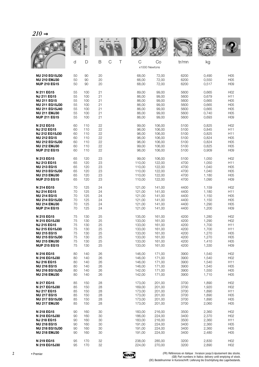|                       |    |     |    |                  |                    |        | WALL  |       |                 |
|-----------------------|----|-----|----|------------------|--------------------|--------|-------|-------|-----------------|
|                       | d  | D   | B  | $\mathsf C$<br>Τ | C<br>x1000 Newtons | Co     | tr/mn | kg    |                 |
| <b>NU 210 EG15J30</b> | 50 | 90  | 20 |                  | 68,00              | 72,00  | 6200  | 0,490 | H05             |
| <b>NU 210 EMJ30</b>   | 50 | 90  | 20 |                  | 66,00              | 72,00  | 6200  | 0,550 | H <sub>05</sub> |
| <b>NUP 210 EG15</b>   | 50 | 90  | 20 |                  | 68,00              | 72,00  | 6200  | 0,517 | H <sub>09</sub> |
| N 211 EG15            | 55 | 100 | 21 |                  | 89,00              | 99,00  | 5600  | 0,665 | H <sub>02</sub> |
| <b>NJ 211 EG15</b>    | 55 | 100 | 21 |                  | 86,00              | 99,00  | 5600  | 0,679 | H11             |
| <b>NU 211 EG15</b>    | 55 | 100 | 21 |                  | 86,00              | 99,00  | 5600  | 0,665 | H05             |
| <b>NU 211 EG15J30</b> | 55 | 100 | 21 |                  | 86,00              | 99,00  | 5600  | 0,665 | H <sub>05</sub> |
| <b>NU 211 EG15J40</b> | 55 | 100 | 21 |                  | 86,00              | 99,00  | 5600  | 0,665 | H <sub>05</sub> |
| <b>NU 211 EMJ30</b>   | 55 | 100 | 21 |                  | 86,00              | 99,00  | 5600  | 0,740 | H <sub>05</sub> |
| <b>NUP 211 EG15</b>   | 55 | 100 | 21 |                  | 86,00              | 99,00  | 5600  | 0,693 | H <sub>09</sub> |
| N 212 EG15            | 60 | 110 | 22 |                  | 99,00              | 106,00 | 5100  | 0,825 | H <sub>02</sub> |
| <b>NJ 212 EG15</b>    | 60 | 110 | 22 |                  | 96,00              | 106,00 | 5100  | 0,845 | H11             |
| <b>NJ 212 EG15J30</b> | 60 | 110 | 22 |                  | 96,00              | 106,00 | 5100  | 0,825 | H <sub>11</sub> |
| <b>NU 212 EG15</b>    | 60 | 110 | 22 |                  | 96,00              | 106,00 | 5100  | 0,824 | H <sub>05</sub> |
| <b>NU 212 EG15J30</b> | 60 | 110 | 22 |                  | 96,00              | 106,00 | 5100  | 0,824 | H05             |
| <b>NU 212 EMJ30</b>   | 60 | 110 | 22 |                  | 99,00              | 106,00 | 5100  | 0,825 | H <sub>05</sub> |
| <b>NUP 212 EG15</b>   | 60 | 110 | 22 |                  | 96,00              | 106,00 | 5100  | 0,909 | H <sub>09</sub> |
| N 213 EG15            | 65 | 120 | 23 |                  | 99,00              | 106,00 | 5100  | 1,050 | H <sub>02</sub> |
| <b>NJ 213 EG15</b>    | 65 | 120 | 23 |                  | 110,00             | 122,00 | 4700  | 1,050 | H <sub>11</sub> |
| <b>NU 213 EG15</b>    | 65 | 120 | 23 |                  | 110,00             | 122,00 | 4700  | 1,040 | H <sub>05</sub> |
| <b>NU 213 EG15J30</b> | 65 | 120 | 23 |                  | 110,00             | 122,00 | 4700  | 1,040 | H <sub>05</sub> |
| <b>NU 213 EMJ30</b>   | 65 | 120 | 23 |                  | 110,00             | 122,00 | 4700  | 1,180 | H <sub>05</sub> |
| <b>NUP 213 EG15</b>   | 65 | 120 | 23 |                  | 110,00             | 122,00 | 4700  | 1,090 | H <sub>09</sub> |
| N 214 EG15            | 70 | 125 | 24 |                  | 121,00             | 141,00 | 4400  | 1,159 | H <sub>02</sub> |
| <b>NJ 214 EG15</b>    | 70 | 125 | 24 |                  | 121,00             | 141,00 | 4400  | 1,180 | H11             |
| <b>NU 214 EG15</b>    | 70 | 125 | 24 |                  | 121,00             | 141,00 | 4400  | 1,150 | H <sub>05</sub> |
| <b>NU 214 EG15J30</b> | 70 | 125 | 24 |                  | 121,00             | 141,00 | 4400  | 1,150 | H <sub>05</sub> |
| <b>NU 214 EMJ30</b>   | 70 | 125 | 24 |                  | 121,00             | 141,00 | 4400  | 1,290 | H <sub>05</sub> |
| <b>NUP 214 EG15</b>   | 70 | 125 | 24 |                  | 121,00             | 141,00 | 4400  | 1,200 | H <sub>09</sub> |
| N 215 EG15            | 75 | 130 | 25 |                  | 135,00             | 161,00 | 4200  | 1,280 | H <sub>02</sub> |
| N 215 EG15J30         | 75 | 130 | 25 |                  | 133,00             | 161,00 | 4200  | 1,290 | H <sub>02</sub> |
| <b>NJ 215 EG15</b>    | 75 | 130 | 25 |                  | 133,00             | 161,00 | 4200  | 1,700 | H11             |
| <b>NJ 215 EG15J30</b> | 75 | 130 | 25 |                  | 133,00             | 161,00 | 4200  | 1,700 | H11             |
| <b>NU 215 EG15</b>    | 75 | 130 | 25 |                  | 133,00             | 161,00 | 4200  | 1,270 | H <sub>05</sub> |
| <b>NU 215 EG15J30</b> | 75 | 130 | 25 |                  | 133,00             | 161,00 | 4200  | 1,270 | H05             |
| <b>NU 215 EMJ30</b>   | 75 | 130 | 25 |                  | 133,00             | 161,00 | 4200  | 1,410 | H05             |
| <b>NUP 215 EG15</b>   | 75 | 130 | 25 |                  | 133,00             | 161,00 | 4200  | 1,330 | H09             |
| N 216 EG15            | 80 | 140 | 26 |                  | 146,00             | 171,00 | 3900  | 1,540 | H <sub>02</sub> |
| N 216 EG15J30         | 80 | 140 | 26 |                  | 146,00             | 171,00 | 3900  | 1,540 | H <sub>02</sub> |
| <b>NJ 216 EG15</b>    | 80 | 140 | 26 |                  | 146,00             | 171,00 | 3900  | 1,540 | H11             |
| <b>NU 216 EG15</b>    | 80 | 140 | 26 |                  | 146,00             | 171,00 | 3900  | 1,540 | H05             |
| <b>NU 216 EG15J30</b> | 80 | 140 | 26 |                  | 142,00             | 171,00 | 3900  | 1,550 | H <sub>05</sub> |
| <b>NU 216 EMJ30</b>   | 80 | 140 | 26 |                  | 142,00             | 171,00 | 3900  | 1,710 | H05             |
| N 217 EG15            | 85 | 150 | 28 |                  | 173,00             | 201,00 | 3700  | 1,890 | H <sub>02</sub> |
| N 217 EG15J30         | 85 | 150 | 28 |                  | 169,00             | 201,00 | 3700  | 1,920 | H <sub>02</sub> |
| <b>NJ 217 EG15</b>    | 85 | 150 | 28 |                  | 173,00             | 201,00 | 3700  | 1,890 | H11             |
| <b>NU 217 EG15</b>    | 85 | 150 | 28 |                  | 173,00             | 201,00 | 3700  | 1,890 | H <sub>05</sub> |
| <b>NU 217 EG15J30</b> | 85 | 150 | 28 |                  | 173,00             | 201,00 | 3700  | 1,890 | H05             |
| <b>NU 217 EMJ30</b>   | 85 | 150 | 28 |                  | 173,00             | 201,00 | 3700  | 2,060 | H05             |
| N 218 EG15            | 90 | 160 | 30 |                  | 183,00             | 216,00 | 3500  | 2,360 | H <sub>02</sub> |
| N 218 EG15J30         | 90 | 160 | 30 |                  | 186,00             | 224,00 | 3400  | 2,370 | H <sub>02</sub> |
| <b>NJ 218 EG15</b>    | 90 | 160 | 30 |                  | 183,00             | 216,00 | 3500  | 2,360 | H11             |
| <b>NU 218 EG15</b>    | 90 | 160 | 30 |                  | 191,00             | 224,00 | 3400  | 2,360 | H <sub>05</sub> |
| <b>NU 218 EG15J30</b> | 90 | 160 | 30 |                  | 191,00             | 224,00 | 3400  | 2,360 | H05             |
| <b>NU 218 EMJ30</b>   | 90 | 160 | 30 |                  | 191,00             | 224,00 | 3400  | 2,480 | H05             |
| N 219 EG15            | 95 | 170 | 32 |                  | 238,00             | 285,00 | 3200  | 2,830 | H <sub>02</sub> |
| N 219 EG15J30         | 95 | 170 | 32 |                  | 224,00             | 270,00 | 3200  | 2,890 | H <sub>02</sub> |

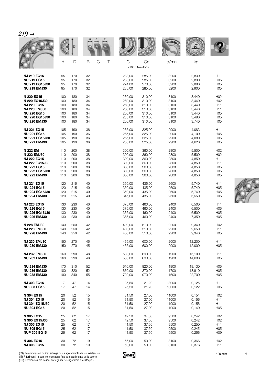|--|

|                       |     |     |                                 |        |                     | WALE  |        |                 |
|-----------------------|-----|-----|---------------------------------|--------|---------------------|-------|--------|-----------------|
|                       | d   | D   | $\mathsf B$<br>$\mathsf C$<br>Τ | C      | Co<br>x1000 Newtons | tr/mn | kg     |                 |
| <b>NJ 219 EG15</b>    | 95  | 170 | 32                              | 238,00 | 285,00              | 3200  | 2,830  | H11             |
| <b>NU 219 EG15</b>    | 95  | 170 | 32                              | 238,00 | 285,00              | 3200  | 2,830  | H05             |
| <b>NU 219 EG15J30</b> | 95  | 170 | 32                              | 224,00 | 270,00              | 3200  | 2,880  | H <sub>05</sub> |
| <b>NU 219 EMJ30</b>   | 95  | 170 | 32                              | 238,00 | 285,00              | 3200  | 2,900  | H <sub>05</sub> |
| N 220 EG15            | 100 | 180 | 34                              | 260.00 | 310,00              | 3100  | 3,440  | H <sub>02</sub> |
| N 220 EG15J30         | 100 | 180 | 34                              | 260,00 | 310,00              | 3100  | 3,440  | H <sub>02</sub> |
| <b>NJ 220 EG15</b>    | 100 | 180 | 34                              | 260,00 | 310,00              | 3100  | 3,440  | H <sub>11</sub> |
| <b>NJ 220 EMJ30</b>   | 100 | 180 | 34                              | 260,00 | 310,00              | 3100  | 3,440  | H11             |
| <b>NU 220 EG15</b>    | 100 | 180 | 34                              | 260,00 | 310,00              | 3100  | 3,440  | H <sub>05</sub> |
| <b>NU 220 EG15J30</b> | 100 | 180 | 34                              | 255,00 | 310,00              | 3100  | 3,490  | H05             |
| <b>NU 220 EMJ30</b>   | 100 | 180 | 34                              | 260,00 | 310,00              | 3100  | 3,740  | H <sub>05</sub> |
| <b>NJ 221 EG15</b>    | 105 | 190 | 36                              | 265,00 | 325,00              | 2900  | 4,083  | H11             |
| <b>NU 221 EG15</b>    | 105 | 190 | 36                              | 265,00 | 325,00              | 2900  | 4,100  | H <sub>05</sub> |
| <b>NU 221 EG15J30</b> | 105 | 190 | 36                              | 265,00 | 325,00              | 2900  | 4,080  | H <sub>05</sub> |
| <b>NU 221 EMJ30</b>   | 105 | 190 | 36                              | 265,00 | 325,00              | 2900  | 4,620  | H <sub>05</sub> |
| N 222 EM              | 110 | 200 | 38                              | 300,00 | 360,00              | 2800  | 5,500  | H <sub>02</sub> |
| N 222 EMJ30           | 110 | 200 | 38                              | 300,00 | 360,00              | 2800  | 5,500  | H <sub>02</sub> |
| <b>NJ 222 EG15</b>    | 110 | 200 | 38                              | 300.00 | 360,00              | 2800  | 4,850  | H <sub>11</sub> |
| <b>NJ 222 EG15J30</b> | 110 | 200 | 38                              | 300,00 | 360,00              | 2800  | 4,850  | H11             |
| <b>NU 222 EG15</b>    | 110 | 200 | 38                              | 300,00 | 360,00              | 2800  | 4,850  | H05             |
| <b>NU 222 EG15J30</b> | 110 | 200 | 38                              | 300,00 | 360,00              | 2800  | 4,850  | H <sub>05</sub> |
| <b>NU 222 EMJ30</b>   | 110 | 200 | 38                              | 300,00 | 360,00              | 2800  | 4,850  | H <sub>05</sub> |
| <b>NJ 224 EG15</b>    | 120 | 215 | 40                              | 350,00 | 435,00              | 2600  | 5,740  | H <sub>11</sub> |
| <b>NU 224 EG15</b>    | 120 | 215 | 40                              | 350,00 | 435,00              | 2600  | 5,740  | H <sub>05</sub> |
| <b>NU 224 EG15J30</b> | 120 | 215 | 40                              | 350,00 | 435,00              | 2600  | 5,740  | H05             |
| <b>NU 224 EMJ30</b>   | 120 | 215 | 40                              | 345,00 | 435,00              | 2500  | 6,550  | H <sub>05</sub> |
| <b>NJ 226 EG15</b>    | 130 | 230 | 40                              | 375,00 | 460,00              | 2400  | 6,500  | H11             |
| <b>NU 226 EG15</b>    | 130 | 230 | 40                              | 375,00 | 460,00              | 2400  | 6,500  | H <sub>05</sub> |
| <b>NU 226 EG15J30</b> | 130 | 230 | 40                              | 365,00 | 460,00              | 2400  | 6,500  | H <sub>05</sub> |
| <b>NU 226 EMJ30</b>   | 130 | 230 | 40                              | 365,00 | 460,00              | 2400  | 7,350  | H05             |
| N 228 EMJ30           | 140 | 250 | 42                              | 400,00 | 510,00              | 2200  | 9,340  | H <sub>02</sub> |
| <b>NJ 228 EMJ30</b>   | 140 | 250 | 42                              | 400,00 | 510,00              | 2200  | 9,650  | H11             |
| <b>NU 228 EMJ30</b>   | 140 | 250 | 42                              | 400,00 | 510,00              | 2200  | 9,340  | H <sub>05</sub> |
| <b>NJ 230 EMJ30</b>   | 150 | 270 | 45                              | 465,00 | 600,00              | 2000  | 12,200 | H <sub>11</sub> |
| <b>NU 230 EMJ30</b>   | 150 | 270 | 45                              | 465,00 | 600,00              | 2000  | 12,000 | H <sub>05</sub> |
| <b>NJ 232 EMJ30</b>   | 160 | 290 | 48                              | 530,00 | 690,00              | 1900  | 15,100 | H11             |
| <b>NU 232 EMJ30</b>   | 160 | 290 | 48                              | 530,00 | 690,00              | 1900  | 14,600 | H <sub>05</sub> |
| <b>NU 234 EMJ30</b>   | 170 | 310 | 52                              | 610,00 | 820,00              | 1800  | 18,130 | H <sub>05</sub> |
| <b>NU 236 EMJ30</b>   | 180 | 320 | 52                              | 630,00 | 870,00              | 1700  | 18,910 | H05             |
| <b>NU 238 EMJ30</b>   | 190 | 340 | 55                              | 720,00 | 970,00              | 1600  | 22,700 | H05             |
| <b>NJ 303 EG15</b>    | 17  | 47  | 14                              | 25,50  | 21,20               | 13000 | 0,125  | H11             |
| <b>NU 303 EG15</b>    | 17  | 47  | 14                              | 25,50  | 21,20               | 13000 | 0,122  | H <sub>05</sub> |
| N 304 EG15            | 20  | 52  | 15                              | 31,50  | 27,00               | 11000 | 0,151  | H <sub>02</sub> |
| <b>NJ 304 EG15</b>    | 20  | 52  | 15                              | 31,50  | 27,00               | 11000 | 0,156  | H11             |
| <b>NJ 304 EG15J30</b> | 20  | 52  | 15                              | 31,50  | 27,00               | 11000 | 0,156  | H11             |
| <b>NU 304 EG15</b>    | 20  | 52  | 15                              | 31,50  | 27,00               | 11000 | 0,140  | H <sub>05</sub> |
| N 305 EG15            | 25  | 62  | 17                              | 42,50  | 37,50               | 9500  | 0,242  | H <sub>02</sub> |
| N 305 EG15J30         | 25  | 62  | 17                              | 42,50  | 37,50               | 9500  | 0,242  | H <sub>02</sub> |
| <b>NJ 305 EG15</b>    | 25  | 62  | 17                              | 41,50  | 37,50               | 9500  | 0,250  | H11             |
| <b>NU 305 EG15</b>    | 25  | 62  | 17                              | 41,50  | 37,50               | 9500  | 0,245  | H <sub>05</sub> |
| <b>NUP 305 EG15</b>   | 25  | 62  | 17                              | 41,50  | 37,50               | 9500  | 0,256  | H <sub>09</sub> |
| N 306 EG15            | 30  | 72  | 19                              | 55,00  | 50,00               | 8100  | 0,366  | H <sub>02</sub> |
| <b>NJ 306 EG15</b>    | 30  | 72  | 19                              | 53,00  | 50,00               | 8100  | 0,376  | H <sub>11</sub> |

**CONTRACTOR** 

(ES) Referencias en itálica: entrega hasta agotamiento de las existencias.<br>(IT) Riferimenti in corsivo: consegna fino ad esaurimento delle scorte.<br>(BR) Referências em itálico: entrega até se esgotarem os estoques.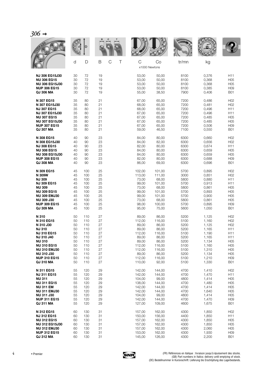| 306 |  |
|-----|--|
|     |  |

|                       | d  | D   | B<br>C | Τ | C<br>x1000 Newtons | Co     | tr/mn | kg    |                 |
|-----------------------|----|-----|--------|---|--------------------|--------|-------|-------|-----------------|
| <b>NJ 306 EG15J30</b> | 30 | 72  | 19     |   | 53,00              | 50,00  | 8100  | 0,376 | H11             |
| <b>NU 306 EG15</b>    | 30 | 72  | 19     |   | 53,00              | 50,00  | 8100  | 0,368 | H <sub>05</sub> |
| <b>NU 306 EG15J30</b> | 30 | 72  | 19     |   | 53,00              | 50,00  | 8100  | 0,368 | H05             |
| <b>NUP 306 EG15</b>   | 30 | 72  | 19     |   | 53,00              | 50,00  | 8100  | 0,385 | H <sub>09</sub> |
| QJ 306 MA             | 30 | 72  | 19     |   | 55,00              | 38,50  | 7900  | 0,406 | <b>B01</b>      |
| N 307 EG15            | 35 | 80  | 21     |   | 67,00              | 65,00  | 7200  | 0,486 | H <sub>02</sub> |
| N 307 EG15J30         | 35 | 80  | 21     |   | 68,00              | 65,00  | 7200  | 0,481 | H <sub>02</sub> |
| <b>NJ 307 EG15</b>    | 35 | 80  | 21     |   | 68,00              | 65,00  | 7200  | 0,496 | H11             |
| <b>NJ 307 EG15J30</b> | 35 | 80  | 21     |   | 67,00              | 65,00  | 7200  | 0,496 | H11             |
| <b>NU 307 EG15</b>    | 35 | 80  | 21     |   | 67,00              | 65,00  | 7200  | 0,485 | H <sub>05</sub> |
| <b>NU 307 EG15J30</b> | 35 | 80  | 21     |   | 67,00              | 65,00  | 7200  | 0,485 | H <sub>05</sub> |
| <b>NUP 307 EG15</b>   | 35 | 80  | 21     |   | 67,00              | 65,00  | 7200  | 0,506 | H <sub>09</sub> |
| <b>QJ 307 MA</b>      | 35 | 80  | 21     |   | 59,00              | 46,50  | 7100  | 0,550 | <b>B01</b>      |
| N 308 EG15            | 40 | 90  | 23     |   | 84,00              | 80,00  | 6300  | 0,660 | H <sub>02</sub> |
| N 308 EG15J30         | 40 | 90  | 23     |   | 84,00              | 82,00  | 6300  | 0,656 | H <sub>02</sub> |
| <b>NJ 308 EG15</b>    | 40 | 90  | 23     |   | 82,00              | 80,00  | 6300  | 0,674 | H11             |
| <b>NU 308 EG15</b>    | 40 | 90  | 23     |   | 84,00              | 80,00  | 6300  | 0,659 | H <sub>05</sub> |
| <b>NU 308 EG15J30</b> | 40 | 90  | 23     |   | 84,00              | 80,00  | 6300  | 0,659 | H <sub>05</sub> |
| <b>NUP 308 EG15</b>   | 40 | 90  | 23     |   | 82,00              | 80,00  | 6300  | 0,688 | H <sub>09</sub> |
| <b>QJ 308 MA</b>      | 40 | 90  | 23     |   | 86,00              | 69,00  | 6300  | 0,696 | <b>B01</b>      |
| N 309 EG15            | 45 | 100 | 25     |   | 102,00             | 101,00 | 5700  | 0,895 | H <sub>02</sub> |
| N 309W                | 45 | 100 | 25     |   | 113,00             | 111,00 | 3000  | 0,851 | H <sub>02</sub> |
| <b>NJ 309</b>         | 45 | 100 | 25     |   | 73,00              | 68,00  | 5800  | 0,880 | H11             |
| <b>NJ 309 EG15</b>    | 45 | 100 | 25     |   | 99,00              | 101,00 | 5700  | 0,913 | H11             |
| <b>NU 309</b>         | 45 | 100 | 25     |   | 73,00              | 68,00  | 5800  | 0,861 | H <sub>05</sub> |
| <b>NU 309 EG15</b>    | 45 | 100 | 25     |   | 99,00              | 101,00 | 5700  | 0,893 | H <sub>05</sub> |
| <b>NU 309 EMJ30</b>   | 45 | 100 | 25     |   | 99,00              | 101,00 | 5700  | 0,900 | H <sub>05</sub> |
| <b>NU 309 J30</b>     | 45 | 100 | 25     |   | 73,00              | 68,00  | 5800  | 0,861 | H05             |
| <b>NUP 309 EG15</b>   | 45 | 100 | 25     |   | 98,00              | 100,00 | 5700  | 0,895 | H <sub>09</sub> |
| <b>QJ 309 MA</b>      | 45 | 100 | 25     |   | 95,00              | 75,00  | 5600  | 1,050 | <b>B01</b>      |
| N 310                 | 50 | 110 | 27     |   | 89,00              | 86,00  | 5200  | 1,125 | H <sub>02</sub> |
| N 310 EG15            | 50 | 110 | 27     |   | 112,00             | 116,00 | 5100  | 1,160 | H <sub>02</sub> |
| N 310 J30             | 50 | 110 | 27     |   | 89,00              | 86,00  | 5200  | 1,125 | H <sub>02</sub> |
| <b>NJ 310</b>         | 50 | 110 | 27     |   | 89,00              | 86,00  | 5200  | 1,165 | H11             |
| <b>NJ 310 EG15</b>    | 50 | 110 | 27     |   | 112,00             | 116,00 | 5100  | 1,190 | H11             |
| <b>NJ 310 J40</b>     | 50 | 110 | 27     |   | 89,00              | 86,00  | 5200  | 1,165 | H11             |
| <b>NU 310</b>         | 50 | 110 | 27     |   | 89,00              | 86,00  | 5200  | 1,134 | H <sub>05</sub> |
| <b>NU 310 EG15</b>    | 50 | 110 | 27     |   | 112,00             | 116,00 | 5100  | 1,160 | H <sub>05</sub> |
| <b>NU 310 EMJ30</b>   | 50 | 110 | 27     |   | 112,00             | 116,00 | 5100  | 1,310 | H <sub>05</sub> |
| <b>NU 310 J30</b>     | 50 | 110 | 27     |   | 89,00              | 86,00  | 5200  | 1,134 | H <sub>05</sub> |
| <b>NUP 310 EG15</b>   | 50 | 110 | 27     |   | 112,00             | 116,00 | 5100  | 1,210 | H <sub>09</sub> |
| QJ 310 MA             | 50 | 110 | 27     |   | 110,00             | 92,00  | 5100  | 1,330 | <b>B01</b>      |
| N 311 EG15            | 55 | 120 | 29     |   | 142,00             | 144.00 | 4700  | 1,410 | H <sub>02</sub> |
| <b>NJ 311 EG15</b>    | 55 | 120 | 29     |   | 142,00             | 144,00 | 4700  | 1,470 | H11             |
| <b>NU 311</b>         | 55 | 120 | 29     |   | 104,00             | 99,00  | 4800  | 1,414 | H <sub>05</sub> |
| <b>NU 311 EG15</b>    | 55 | 120 | 29     |   | 138,00             | 144,00 | 4700  | 1,480 | H <sub>05</sub> |
| <b>NU 311 EM</b>      | 55 | 120 | 29     |   | 142,00             | 144,00 | 4700  | 1,414 | H <sub>05</sub> |
| <b>NU 311 EMJ30</b>   | 55 | 120 | 29     |   | 142,00             | 144,00 | 4700  | 1,640 | H <sub>05</sub> |
| <b>NU 311 J30</b>     | 55 | 120 | 29     |   | 104,00             | 99,00  | 4800  | 1,414 | H <sub>05</sub> |
| <b>NUP 311 EG15</b>   | 55 | 120 | 29     |   | 142,00             | 144,00 | 4700  | 1,470 | H <sub>09</sub> |
| <b>QJ 311 MA</b>      | 55 | 120 | 29     |   | 127,00             | 109,00 | 4600  | 1,675 | <b>B01</b>      |
| N 312 EG15            | 60 | 130 | 31     |   | 157,00             | 162,00 | 4300  | 1,850 | H <sub>02</sub> |
| <b>NJ 312 EG15</b>    | 60 | 130 | 31     |   | 150,00             | 156,00 | 4400  | 1,850 | H11             |
| <b>NU 312 EG15</b>    | 60 | 130 | 31     |   | 157,00             | 162,00 | 4300  | 1,850 | H <sub>05</sub> |
| <b>NU 312 EG15J30</b> | 60 | 130 | 31     |   | 157,00             | 162,00 | 4300  | 1,850 | H <sub>05</sub> |
| <b>NU 312 EMJ30</b>   | 60 | 130 | 31     |   | 157,00             | 162,00 | 4300  | 2,060 | H <sub>05</sub> |
| <b>NUP 312 EG15</b>   | 60 | 130 | 31     |   | 153,00             | 162,00 | 4300  | 1,930 | H <sub>09</sub> |
| QJ 312 MA             | 60 | 130 | 31     |   | 145,00             | 126,00 | 4300  | 2,200 | <b>B01</b>      |

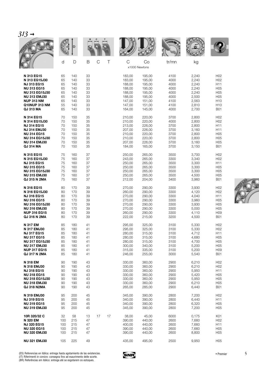| $313 \rightarrow$                                                                           |                                |                                |                            |          |                                               |                                               |                                      |                                           |                                             |
|---------------------------------------------------------------------------------------------|--------------------------------|--------------------------------|----------------------------|----------|-----------------------------------------------|-----------------------------------------------|--------------------------------------|-------------------------------------------|---------------------------------------------|
|                                                                                             |                                | D                              |                            |          |                                               |                                               | <b>WALLE</b>                         |                                           |                                             |
|                                                                                             | d                              | D                              | B                          | C<br>Τ   | C                                             | Co<br>x1000 Newtons                           | tr/mn                                | kg                                        |                                             |
| N 313 EG15                                                                                  | 65                             | 140                            | 33                         |          | 183,00                                        | 195,00                                        | 4100                                 | 2,240                                     | H02                                         |
| N 313 EG15J30                                                                               | 65                             | 140                            | 33                         |          | 183,00                                        | 195,00                                        | 4000                                 | 2,240                                     | H <sub>02</sub>                             |
| <b>NJ 313 EG15</b>                                                                          | 65                             | 140                            | 33                         |          | 188,00                                        | 195,00                                        | 4000                                 | 2,240                                     | H11                                         |
| <b>NU 313 EG15</b>                                                                          | 65                             | 140                            | 33                         |          | 188,00                                        | 195.00                                        | 4000                                 | 2,240                                     | H <sub>05</sub>                             |
| <b>NU 313 EG15J30</b>                                                                       | 65                             | 140                            | 33                         |          | 188,00                                        | 195,00                                        | 4000                                 | 2,240                                     | H <sub>05</sub>                             |
| <b>NU 313 EMJ30</b>                                                                         | 65                             | 140                            | 33                         |          | 188,00                                        | 195,00                                        | 4000                                 | 2,500                                     | H <sub>05</sub>                             |
| <b>NUP 313 NM</b>                                                                           | 65                             | 140                            | 33                         |          | 147,00                                        | 151,00                                        | 4100                                 | 2,563                                     | H <sub>10</sub>                             |
| <b>Q10NUP 313 NM</b>                                                                        | 55                             | 140                            | 33                         |          | 147,00                                        | 151,00                                        | 4100                                 | 2,810                                     | H <sub>10</sub>                             |
| <b>QJ 313 MA</b>                                                                            | 65                             | 140                            | 33                         |          | 164,00                                        | 145,00                                        | 4000                                 | 2,700                                     | <b>B01</b>                                  |
| N 314 EG15                                                                                  | 70                             | 150                            | 35                         |          | 210,00                                        | 220,00                                        | 3700                                 | 2,800                                     | H <sub>02</sub>                             |
| N 314 EG15J30                                                                               | 70                             | 150                            | 35                         |          | 210,00                                        | 220,00                                        | 4000                                 | 2,800                                     | H <sub>02</sub>                             |
| <b>NJ 314 EG15</b>                                                                          | 70                             | 150                            | 35                         |          | 213,00                                        | 226,00                                        | 3700                                 | 2,800                                     | H11                                         |
| <b>NJ 314 EMJ30</b>                                                                         | 70                             | 150                            | 35                         |          | 207,00                                        | 226.00                                        | 3700                                 | 3,160                                     | H11                                         |
| <b>NU 314 EG15</b>                                                                          | 70                             | 150                            | 35                         |          | 210,00                                        | 220,00                                        | 3700                                 | 2,800                                     | H05                                         |
| <b>NU 314 EG15J30</b>                                                                       | 70                             | 150                            | 35                         |          | 210,00                                        | 220,00                                        | 3700                                 | 2,800                                     | H <sub>05</sub>                             |
| <b>NU 314 EMJ30</b>                                                                         | 70                             | 150                            | 35                         |          | 207,00                                        | 226,00                                        | 3700                                 | 3,160                                     | H <sub>05</sub>                             |
| <b>QJ 314 MA</b>                                                                            | 70                             | 150                            | 35                         |          | 184,00                                        | 165,00                                        | 3700                                 | 3,150                                     | <b>B01</b>                                  |
| N 315 EG15                                                                                  | 75                             | 160                            | 37                         |          | 250,00                                        | 265,00                                        | 3500                                 | 3,700                                     | H <sub>02</sub>                             |
| N 315 EG15J30                                                                               | 75                             | 160                            | 37                         |          | 243,00                                        | 265,00                                        | 3300                                 | 3,340                                     | H02                                         |
| <b>NJ 315 EG15</b>                                                                          | 75                             | 160                            | 37                         |          | 250,00                                        | 265,00                                        | 3500                                 | 3,300                                     | H11                                         |
| <b>NU 315 EG15</b>                                                                          | 75                             | 160                            | 37                         |          | 250,00                                        | 265,00                                        | 3500                                 | 3,300                                     | H <sub>05</sub>                             |
| <b>NU 315 EG15J30</b>                                                                       | 75                             | 160                            | 37                         |          | 250,00                                        | 265,00                                        | 3500                                 | 3,300                                     | H <sub>05</sub>                             |
| <b>NU 315 EMJ30</b>                                                                         | 75                             | 160                            | 37                         |          | 250,00                                        | 265,00                                        | 3500                                 | 4,500                                     | H <sub>05</sub>                             |
| <b>QJ 315 N 2MA</b>                                                                         | 75                             | 160                            | 37                         |          | 212,00                                        | 204,00                                        | 3400                                 | 3,960                                     | <b>B01</b>                                  |
| N 316 EG15                                                                                  | 80                             | 170                            | 39                         |          | 270,00                                        | 290,00                                        | 3300                                 | 3,930                                     | H <sub>02</sub>                             |
| N 316 EG15J30                                                                               | 80                             | 170                            | 39                         |          | 260,00                                        | 290,00                                        | 3300                                 | 4,120                                     | H <sub>02</sub>                             |
| <b>NJ 316 EG15</b>                                                                          | 80                             | 170                            | 39                         |          | 270,00                                        | 290,00                                        | 3300                                 | 4,040                                     | H11                                         |
| <b>NU 316 EG15</b>                                                                          | 80                             | 170                            | 39                         |          | 270,00                                        | 290,00                                        | 3300                                 | 3,960                                     | H <sub>05</sub>                             |
| <b>NU 316 EG15J30</b>                                                                       | 80                             | 170                            | 39                         |          | 270,00                                        | 290,00                                        | 3300                                 | 3,930                                     | H <sub>05</sub>                             |
| <b>NU 316 EMJ30</b>                                                                         | 80                             | 170                            | 39                         |          | 270,00                                        | 290,00                                        | 3300                                 | 5,000                                     | H <sub>05</sub>                             |
| <b>NUP 316 EG15</b>                                                                         | 80                             | 170                            | 39                         |          | 260,00                                        | 290,00                                        | 3300                                 | 4,110                                     | H <sub>09</sub>                             |
| <b>QJ 316 N 2MA</b>                                                                         | 80                             | 170                            | 39                         |          | 222,00                                        | 215,00                                        | 3200                                 | 4,500                                     | <b>B01</b>                                  |
| N 317 EM                                                                                    | 85                             | 180                            | 41                         |          | 295,00                                        | 325,00                                        | 3100                                 | 5,330                                     | H02                                         |
| N 317 EMJ30                                                                                 | 85                             | 180                            | 41                         |          | 295,00                                        | 325,00                                        | 3100                                 | 5,330                                     | H <sub>02</sub>                             |
| <b>NJ 317 EG15</b>                                                                          | 85                             | 180                            | 41                         |          | 280,00                                        | 315,00                                        | 3100                                 | 4,712                                     | H11                                         |
| <b>NU 317 EG15</b>                                                                          | 85                             | 180                            | 41                         |          | 280,00                                        | 315,00                                        | 3100                                 | 4,680                                     | H <sub>05</sub>                             |
| <b>NU 317 EG15J30</b>                                                                       | 85                             | 180                            | 41                         |          | 280,00                                        | 315,00                                        | 3100                                 | 4,700                                     | H <sub>05</sub>                             |
| <b>NU 317 EMJ30</b>                                                                         | 85                             | 180                            | 41                         |          | 300,00                                        | 340,00                                        | 3100                                 | 5,200                                     | H <sub>05</sub>                             |
| <b>NUP 317 EG15</b>                                                                         | 85                             | 180                            | 41                         |          | 315,00                                        | 335,00                                        | 3100                                 | 5,200                                     | H <sub>09</sub>                             |
| QJ 317 N 2MA                                                                                | 85                             | 180                            | 41                         |          | 246,00                                        | 255,00                                        | 3000                                 | 5,540                                     | <b>B01</b>                                  |
| <b>N 318 EM</b>                                                                             | 90                             | 190                            | 43                         |          | 330,00                                        | 360,00                                        | 2900                                 | 6,210                                     | H <sub>02</sub>                             |
| N 318 EMJ30                                                                                 | 90                             | 190                            | 43                         |          | 330,00                                        | 360,00                                        | 2900                                 | 6,210                                     | H <sub>02</sub>                             |
| <b>NJ 318 EG15</b>                                                                          | 90                             | 190                            | 43                         |          | 330,00                                        | 360,00                                        | 2900                                 | 5,950                                     | H11                                         |
| <b>NU 318 EG15</b>                                                                          | 90                             | 190                            | 43                         |          | 330,00                                        | 360,00                                        | 2900                                 | 5,420                                     | H <sub>05</sub>                             |
| <b>NU 318 EG15J30</b>                                                                       | 90                             | 190                            | 43                         |          | 330,00                                        | 360,00                                        | 2900                                 | 5,950                                     | H05                                         |
| <b>NU 318 EMJ30</b>                                                                         | 90                             | 190                            | 43                         |          | 330,00                                        | 360,00                                        | 2900                                 | 6,210                                     | H05                                         |
| <b>QJ 318 N2MA</b>                                                                          | 90                             | 190                            | 43                         |          | 265,00                                        | 285,00                                        | 2900                                 | 6,440                                     | <b>B01</b>                                  |
| N 319 EMJ30                                                                                 | 95                             | 200                            | 45                         |          | 345,00                                        | 390,00                                        | 2800                                 | 7,200                                     | H <sub>02</sub>                             |
| <b>NJ 319 EG15</b>                                                                          | 95                             | 200                            | 45                         |          | 340,00                                        | 390,00                                        | 2800                                 | 6,440                                     | H11                                         |
| <b>NU 319 EG15</b>                                                                          | 95                             | 200                            | 45                         |          | 340,00                                        | 390,00                                        | 2800                                 | 6,320                                     | H05                                         |
| <b>NU 319 EMJ30</b>                                                                         | 95                             | 200                            | 45                         |          | 345,00                                        | 390,00                                        | 2800                                 | 7,200                                     | H05                                         |
| 10R 320/32 C<br>N 320 EM<br><b>NJ 320 EG15</b><br><b>NU 320 EG15</b><br><b>NU 320 EMJ30</b> | 32<br>100<br>100<br>100<br>100 | 58<br>215<br>215<br>215<br>215 | 13<br>47<br>47<br>47<br>47 | 17<br>17 | 38,00<br>390,00<br>400,00<br>390,00<br>390,00 | 45,00<br>440,00<br>440,00<br>440,00<br>440,00 | 6000<br>2600<br>2600<br>2600<br>2600 | 0,175<br>7,660<br>7,660<br>7,660<br>8,800 | K01<br>H <sub>02</sub><br>H11<br>H05<br>H05 |
| <b>NU 321 EMJ30</b>                                                                         | 105                            | 225                            | 49                         |          | 435,00                                        | 495,00                                        | 2500                                 | 9,950                                     | H05                                         |



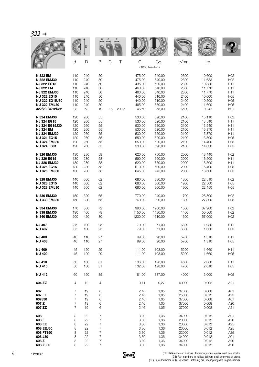|                                                                                                                                         |                                               |                                               |                                        |        |                                                                    |                                                                                     | <b>WALL</b>                                          |                                                                    |                                                                                               |
|-----------------------------------------------------------------------------------------------------------------------------------------|-----------------------------------------------|-----------------------------------------------|----------------------------------------|--------|--------------------------------------------------------------------|-------------------------------------------------------------------------------------|------------------------------------------------------|--------------------------------------------------------------------|-----------------------------------------------------------------------------------------------|
|                                                                                                                                         | d                                             | D                                             | B                                      | C<br>Τ | $\mathsf{C}$                                                       | Co                                                                                  | tr/mn                                                | kg                                                                 |                                                                                               |
| N 322 EM<br>N 322 EMJ30<br><b>NJ 322 EG15</b><br><b>NJ 322 EM</b><br><b>NJ 322 EMJ30</b><br><b>NU 322 EG15</b><br><b>NU 322 EG15J30</b> | 110<br>110<br>110<br>110<br>110<br>110<br>110 | 240<br>240<br>240<br>240<br>240<br>240<br>240 | 50<br>50<br>50<br>50<br>50<br>50<br>50 |        | 475,00<br>475,00<br>435,00<br>460,00<br>460,00<br>440,00<br>440,00 | x1000 Newtons<br>540,00<br>540,00<br>500,00<br>540,00<br>540,00<br>510,00<br>510,00 | 2300<br>2300<br>2300<br>2300<br>2300<br>2400<br>2400 | 10,600<br>11,633<br>10,330<br>11,770<br>11,770<br>10,600<br>10,500 | H <sub>02</sub><br>H <sub>02</sub><br>H11<br>H11<br>H11<br>H <sub>05</sub><br>H <sub>05</sub> |
| <b>NU 322 EMJ30</b>                                                                                                                     | 110                                           | 240                                           | 50                                     | 16     | 465,00                                                             | 550,00                                                                              | 2400                                                 | 11,600                                                             | H <sub>05</sub>                                                                               |
| 322/28 BC12D82                                                                                                                          | 28                                            | 58                                            | 19                                     | 20,25  | 46,50                                                              | 55,00                                                                               | 6500                                                 | 0,247                                                              | K01                                                                                           |
| N 324 EMJ30                                                                                                                             | 120                                           | 260                                           | 55                                     |        | 530,00                                                             | 620,00                                                                              | 2100                                                 | 15,110                                                             | H <sub>02</sub>                                                                               |
| <b>NJ 324 EG15</b>                                                                                                                      | 120                                           | 260                                           | 55                                     |        | 530,00                                                             | 620,00                                                                              | 2100                                                 | 13,540                                                             | H11                                                                                           |
| <b>NJ 324 EG15J30</b>                                                                                                                   | 120                                           | 260                                           | 55                                     |        | 530,00                                                             | 620,00                                                                              | 2100                                                 | 13,540                                                             | H <sub>11</sub>                                                                               |
| <b>NJ 324 EM</b>                                                                                                                        | 120                                           | 260                                           | 55                                     |        | 530,00                                                             | 620,00                                                                              | 2100                                                 | 15,370                                                             | H11                                                                                           |
| <b>NJ 324 EMJ30</b>                                                                                                                     | 120                                           | 260                                           | 55                                     |        | 530,00                                                             | 620,00                                                                              | 2100                                                 | 15,370                                                             | H11                                                                                           |
| <b>NU 324 EG15</b>                                                                                                                      | 120                                           | 260                                           | 55                                     |        | 550,00                                                             | 620,00                                                                              | 2100                                                 | 13,300                                                             | H <sub>05</sub>                                                                               |
| <b>NU 324 EMJ30</b>                                                                                                                     | 120                                           | 260                                           | 55                                     |        | 550,00                                                             | 620,00                                                                              | 2100                                                 | 14,400                                                             | H <sub>05</sub>                                                                               |
| <b>NU 324 ES01</b>                                                                                                                      | 120                                           | 260                                           | 55                                     |        | 530,00                                                             | 590,00                                                                              | 2100                                                 | 14,030                                                             | H <sub>05</sub>                                                                               |
| N 326 EMJ30                                                                                                                             | 130                                           | 280                                           | 58                                     |        | 620,00                                                             | 750,00                                                                              | 2000                                                 | 18,440                                                             | H <sub>02</sub>                                                                               |
| <b>NJ 326 EG15</b>                                                                                                                      | 130                                           | 280                                           | 58                                     |        | 590,00                                                             | 690,00                                                                              | 2000                                                 | 16,500                                                             | H11                                                                                           |
| <b>NJ 326 EMJ30</b>                                                                                                                     | 130                                           | 280                                           | 58                                     |        | 620,00                                                             | 750,00                                                                              | 2000                                                 | 16,500                                                             | H <sub>11</sub>                                                                               |
| <b>NU 326 EG15</b>                                                                                                                      | 130                                           | 280                                           | 58                                     |        | 610,00                                                             | 690,00                                                                              | 2000                                                 | 16,400                                                             | H <sub>05</sub>                                                                               |
| <b>NU 326 EMJ30</b>                                                                                                                     | 130                                           | 280                                           | 58                                     |        | 645,00                                                             | 745,00                                                                              | 2000                                                 | 18,600                                                             | H <sub>05</sub>                                                                               |
| N 328 EMJ30                                                                                                                             | 140                                           | 300                                           | 62                                     |        | 680,00                                                             | 830,00                                                                              | 1800                                                 | 22,510                                                             | H <sub>02</sub>                                                                               |
| <b>NU 328 EG15</b>                                                                                                                      | 140                                           | 300                                           | 62                                     |        | 680,00                                                             | 800,00                                                                              | 1900                                                 | 22,500                                                             | H <sub>05</sub>                                                                               |
| <b>NU 328 EMJ30</b>                                                                                                                     | 140                                           | 300                                           | 62                                     |        | 680,00                                                             | 800,00                                                                              | 1900                                                 | 22,450                                                             | H <sub>05</sub>                                                                               |
| N 330 EMJ30                                                                                                                             | 150                                           | 320                                           | 65                                     |        | 770,00                                                             | 940,00                                                                              | 1700                                                 | 26,800                                                             | H <sub>02</sub>                                                                               |
| <b>NU 330 EMJ30</b>                                                                                                                     | 150                                           | 320                                           | 65                                     |        | 760,00                                                             | 890,00                                                                              | 1800                                                 | 27,300                                                             | H <sub>05</sub>                                                                               |
| N 334 EMJ30                                                                                                                             | 170                                           | 360                                           | 72                                     |        | 990,00                                                             | 1260,00                                                                             | 1500                                                 | 37,900                                                             | H <sub>02</sub>                                                                               |
| N 338 EMJ30                                                                                                                             | 190                                           | 400                                           | 78                                     |        | 1150,00                                                            | 1490,00                                                                             | 1400                                                 | 50.500                                                             | H <sub>02</sub>                                                                               |
| <b>N 340 EMJ30</b>                                                                                                                      | 200                                           | 420                                           | 80                                     |        | 1230,00                                                            | 1610,00                                                                             | 1300                                                 | 57,000                                                             | H <sub>02</sub>                                                                               |
| <b>NJ 407</b>                                                                                                                           | 35                                            | 100                                           | 25                                     |        | 79,00                                                              | 71,00                                                                               | 6300                                                 | 1,030                                                              | H11                                                                                           |
| <b>NU 407</b>                                                                                                                           | 35                                            | 100                                           | 25                                     |        | 79,00                                                              | 71,00                                                                               | 6300                                                 | 1,030                                                              | H05                                                                                           |
| <b>NJ 408</b>                                                                                                                           | 40                                            | 110                                           | 27                                     |        | 99,00                                                              | 90,00                                                                               | 5700                                                 | 1,310                                                              | H <sub>11</sub>                                                                               |
| <b>NU 408</b>                                                                                                                           | 40                                            | 110                                           | 27                                     |        | 99,00                                                              | 90,00                                                                               | 5700                                                 | 1,310                                                              | H <sub>05</sub>                                                                               |
| <b>NJ 409</b>                                                                                                                           | 45                                            | 120                                           | 29                                     |        | 111,00                                                             | 103,00                                                                              | 5200                                                 | 1,660                                                              | H <sub>11</sub>                                                                               |
| <b>NU 409</b>                                                                                                                           | 45                                            | 120                                           | 29                                     |        | 111,00                                                             | 103,00                                                                              | 5200                                                 | 1,660                                                              | H <sub>05</sub>                                                                               |
| <b>NJ 410</b>                                                                                                                           | 50                                            | 130                                           | 31                                     |        | 136,00                                                             | 128,00                                                                              | 4600                                                 | 2,080                                                              | H <sub>11</sub>                                                                               |
| <b>NU 410</b>                                                                                                                           | 50                                            | 130                                           | 31                                     |        | 132,00                                                             | 128,00                                                                              | 4700                                                 | 2,010                                                              | H <sub>05</sub>                                                                               |
| <b>NU 412</b>                                                                                                                           | 60                                            | 150                                           | 35                                     |        | 181,00                                                             | 187,00                                                                              | 4000                                                 | 3,000                                                              | H <sub>05</sub>                                                                               |
| 604 ZZ                                                                                                                                  | $\overline{4}$                                | 12                                            | 4                                      |        | 0,71                                                               | 0,27                                                                                | 60000                                                | 0,002                                                              | A21                                                                                           |
| 607                                                                                                                                     | $\overline{7}$                                | 19                                            | 6                                      |        | 2,46                                                               | 1,05                                                                                | 37000                                                | 0,008                                                              | A01                                                                                           |
| 607 EE                                                                                                                                  | 7                                             | 19                                            | 6                                      |        | 2,46                                                               | 1,05                                                                                | 25000                                                | 0,012                                                              | A <sub>25</sub>                                                                               |
| 607J30                                                                                                                                  | $\overline{7}$                                | 19                                            | 6                                      |        | 2,46                                                               | 1,05                                                                                | 37000                                                | 0,008                                                              | A01                                                                                           |
| 607 Z                                                                                                                                   | $\overline{7}$                                | 19                                            | 6                                      |        | 2,46                                                               | 1,05                                                                                | 37000                                                | 0,008                                                              | A20                                                                                           |
| 607 ZZ                                                                                                                                  | $\overline{7}$                                | 19                                            | 6                                      |        | 2,46                                                               | 1,05                                                                                | 37000                                                | 0,008                                                              | A21                                                                                           |
| 608                                                                                                                                     | 8                                             | 22                                            | $\overline{7}$                         |        | 3,30                                                               | 1,36                                                                                | 34000                                                | 0,012                                                              | A01                                                                                           |
| 608 E                                                                                                                                   | 8                                             | 22                                            | $\boldsymbol{7}$                       |        | 3,30                                                               | 1,36                                                                                | 23000                                                | 0,012                                                              | A20                                                                                           |
| 608 EE                                                                                                                                  | 8                                             | 22                                            | 7                                      |        | 3,30                                                               | 1,36                                                                                | 23000                                                | 0,012                                                              | A <sub>25</sub>                                                                               |
| 608 EEJ30                                                                                                                               | 8                                             | 22                                            | $\overline{\mathcal{I}}$               |        | 3,30                                                               | 1,36                                                                                | 23000                                                | 0,012                                                              | A25                                                                                           |
| 608 FT150                                                                                                                               | 8                                             | 22                                            | $\overline{7}$                         |        | 3,30                                                               | 1,36                                                                                | 22000                                                | 0,012                                                              | A25                                                                                           |
| 608 J30                                                                                                                                 | 8                                             | 22                                            | 7                                      |        | 3,30                                                               | 1,36                                                                                | 34000                                                | 0,012                                                              | A01                                                                                           |
| 608 Z                                                                                                                                   | 8                                             | 22                                            | $\overline{7}$                         |        | 3,30                                                               | 1,36                                                                                | 34000                                                | 0,012                                                              | A20                                                                                           |
| 608 ZJ30                                                                                                                                | 8                                             | 22                                            | $\overline{7}$                         |        | 3,30                                                               | 1,36                                                                                | 34000                                                | 0,012                                                              | A20                                                                                           |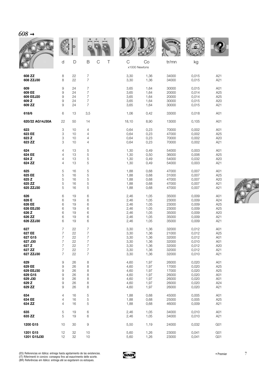| $608 \rightarrow$ |                |    |                  |                  |                    |      |               |       |                 |
|-------------------|----------------|----|------------------|------------------|--------------------|------|---------------|-------|-----------------|
|                   |                | D  |                  |                  |                    |      | <b>KOMMER</b> |       |                 |
|                   | d              | D  | B                | $\mathsf C$<br>Τ | C<br>x1000 Newtons | Co   | tr/mn         | kg    |                 |
| 608 ZZ            | 8              | 22 | $\overline{7}$   |                  | 3,30               | 1,36 | 34000         | 0,015 | A21             |
| 608 ZZJ30         | 8              | 22 | $\overline{7}$   |                  | 3,30               | 1,36 | 34000         | 0,015 | A21             |
| 609               | 9              | 24 | 7                |                  | 3,65               | 1,64 | 30000         | 0,015 | A01             |
| 609 EE            | 9              | 24 | $\boldsymbol{7}$ |                  | 3,65               | 1,64 | 20000         | 0,014 | A25             |
| 609 EEJ20         | 9              | 24 | $\boldsymbol{7}$ |                  | 3,65               | 1,64 | 20000         | 0,014 | A25             |
| 609 Z             | 9              | 24 | 7                |                  | 3,65               | 1,64 | 30000         | 0,015 | A20             |
| 609 ZZ            | 9              | 24 | $\overline{7}$   |                  | 3,65               | 1,64 | 30000         | 0,015 | A21             |
| 618/6             | 6              | 13 | 3,5              |                  | 1,06               | 0,42 | 33000         | 0,018 | A01             |
| 620/22 AG14J30A   | 22             | 50 | 14               |                  | 18,10              | 8,90 | 13000         | 0,105 | A01             |
| 623               | 3              | 10 | 4                |                  | 0,64               | 0,23 | 70000         | 0,002 | A01             |
| 623 EE            | 3              | 10 | $\overline{4}$   |                  | 0,64               | 0,23 | 47000         | 0,002 | A25             |
| 623 Z             | 3              | 10 | 4                |                  | 0,64               | 0,23 | 70000         | 0,002 | A20             |
| 623 ZZ            | 3              | 10 | 4                |                  | 0,64               | 0,23 | 70000         | 0,002 | A21             |
| 624               | 4              | 13 | 5                |                  | 1,30               | 0,49 | 54000         | 0,003 | A01             |
| 624 EE            | 4              | 13 | $\,$ 5 $\,$      |                  | 1,30               | 0,50 | 36000         | 0,006 | A25             |
| 624 Z             | 4              | 13 | 5                |                  | 1,30               | 0,49 | 54000         | 0,032 | A20             |
| 624 ZZ            | 4              | 13 | 5                |                  | 1,30               | 0,49 | 54000         | 0,003 | A21             |
| 625               | 5              | 16 | 5                |                  | 1,88               | 0,68 | 47000         | 0,007 | A01             |
| 625 EE            | 5              | 16 | $\mathbf 5$      |                  | 1,88               | 0,68 | 31000         | 0,007 | A25             |
| 625 Z             | 5              | 16 | 5                |                  | 1,88               | 0,68 | 47000         | 0,007 | A20             |
| 625 ZZ            | 5              | 16 | 5                |                  | 1,88               | 0,68 | 47000         | 0,007 | A21             |
| 625 ZZJ30         | 5              | 16 | 5                |                  | 1,88               | 0,68 | 47000         | 0,007 | A21             |
| 626               | 6              | 19 | 6                |                  | 2,46               | 1,05 | 35000         | 0,009 | A01             |
| 626 E             | 6              | 19 | 6                |                  | 2,46               | 1,05 | 23000         | 0,009 | A24             |
| 626 EE            | 6              | 19 | 6                |                  | 2,46               | 1,05 | 23000         | 0,009 | A25             |
| 626 EEJ30         | 6              | 19 | 6                |                  | 2,46               | 1,05 | 23000         | 0,009 | A25             |
| 626 Z             | 6              | 19 | 6                |                  | 2,46               | 1,05 | 35000         | 0,009 | A20             |
| 626 ZZ            | 6              | 19 | 6                |                  | 2,46               | 1,05 | 35000         | 0,009 | A21             |
| 626 ZZJ30         | 6              | 19 | 6                |                  | 2,46               | 1,05 | 35000         | 0,009 | A21             |
| 627               | 7              | 22 | 7                |                  | 3,30               | 1,36 | 32000         | 0,012 | A01             |
| 627 EE            | 7              | 22 | $\boldsymbol{7}$ |                  | 3,30               | 1,36 | 21000         | 0,012 | A25             |
| 627 G15           | 7              | 22 | $\overline{7}$   |                  | 3,30               | 1,36 | 32000         | 0,012 | A01             |
| 627 J30           | 7              | 22 | $\overline{7}$   |                  | 3,30               | 1,36 | 32000         | 0,010 | A01             |
| 627 Z             | $\overline{7}$ | 22 | $\boldsymbol{7}$ |                  | 3,30               | 1,36 | 32000         | 0,012 | A20             |
| 627 ZZ            | 7              | 22 | $\overline{7}$   |                  | 3,30               | 1,36 | 32000         | 0,012 | A21             |
| 627 ZZJ30         | $\overline{7}$ | 22 | $\overline{7}$   |                  | 3,30               | 1,36 | 32000         | 0,010 | A21             |
| 629               | 9              | 26 | 8                |                  | 4,60               | 1,97 | 26000         | 0,020 | A01             |
| 629 EE            | 9              | 26 | 8                |                  | 4,60               | 1,97 | 17000         | 0,020 | A25             |
| 629 EEJ30         | 9              | 26 | 8                |                  | 4,60               | 1,97 | 17000         | 0,020 | A25             |
| 629 G15           | 9              | 26 | 8                |                  | 4,60               | 1,97 | 26000         | 0,020 | A01             |
| 629 J30           | 9              | 26 | 8                |                  | 4,60               | 1,97 | 26000         | 0,020 | A01             |
| 629 Z             | 9              | 26 | 8                |                  | 4,60               | 1,97 | 26000         | 0,020 | A24             |
| 629 ZZ            | 9              | 26 | 8                |                  | 4,60               | 1,97 | 26000         | 0,020 | A21             |
| 634               | 4              | 16 | $\,$ 5 $\,$      |                  | 1,88               | 0,68 | 45000         | 0,005 | A01             |
| 634 EE            | 4              | 16 | 5                |                  | 1,88               | 0,68 | 25000         | 0,005 | A25             |
| 634 ZZ            | 4              | 16 | 5                |                  | 1,88               | 0,68 | 46000         | 0,009 | A21             |
| 635               | 5              | 19 | 6                |                  | 2,46               | 1,05 | 34000         | 0,010 | A01             |
| 635 ZZ            | 5              | 19 | 6                |                  | 2,46               | 1,05 | 34000         | 0,010 | A21             |
| 1200 G15          | 10             | 30 | $\hbox{9}$       |                  | 5,50               | 1,19 | 24000         | 0,032 | G <sub>01</sub> |
| 1201 G15          | 12             | 32 | 10               |                  | 5,60               | 1,26 | 23000         | 0,041 | G <sub>01</sub> |
| 1201 G15J30       | 12             | 32 | 10               |                  | 5,60               | 1,26 | 23000         | 0,041 | G <sub>01</sub> |



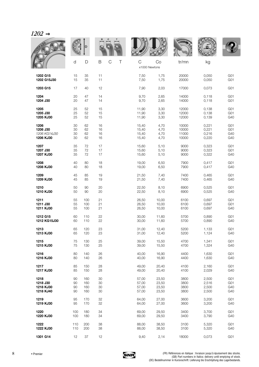|              |     | D   |    |                  |                                |       | <b>MALLE</b> |       |                 |
|--------------|-----|-----|----|------------------|--------------------------------|-------|--------------|-------|-----------------|
|              | d   | D   | B  | $\mathsf C$<br>Τ | $\mathcal{C}$<br>x1000 Newtons | Co    | tr/mn        | kg    |                 |
| 1202 G15     | 15  | 35  | 11 |                  | 7,50                           | 1,75  | 20000        | 0,050 | G <sub>01</sub> |
| 1202 G15J30  | 15  | 35  | 11 |                  | 7,50                           | 1,75  | 20000        | 0,050 | G <sub>01</sub> |
| 1203 G15     | 17  | 40  | 12 |                  | 7,90                           | 2,03  | 17000        | 0,073 | G <sub>01</sub> |
| 1204         | 20  | 47  | 14 |                  | 9,70                           | 2,65  | 14000        | 0,118 | G <sub>01</sub> |
| 1204 J30     | 20  | 47  | 14 |                  | 9,70                           | 2,65  | 14000        | 0,118 | G <sub>01</sub> |
| 1205         | 25  | 52  | 15 |                  | 11,90                          | 3,30  | 12000        | 0,138 | G <sub>01</sub> |
| 1205 J30     | 25  | 52  | 15 |                  | 11,90                          | 3,30  | 12000        | 0,138 | G <sub>01</sub> |
| 1205 KJ30    | 25  | 52  | 15 |                  | 11,90                          | 3,30  | 12000        | 0,139 | G40             |
| 1206         | 30  | 62  | 16 |                  | 15,40                          | 4,70  | 10000        | 0,221 | G01             |
| 1206 J30     | 30  | 62  | 16 |                  | 15,40                          | 4,70  | 10000        | 0,221 | G <sub>01</sub> |
| 1206 KG14J30 | 30  | 62  | 16 |                  | 15,40                          | 4,70  | 11000        | 0,216 | G40             |
| 1206 KJ30    | 30  | 62  | 16 |                  | 15,40                          | 4,70  | 10000        | 0,220 | G40             |
| 1207         | 35  | 72  | 17 |                  | 15,60                          | 5,10  | 9000         | 0,323 | G <sub>01</sub> |
| 1207 J30     | 35  | 72  | 17 |                  | 15,60                          | 5,10  | 9000         | 0,323 | G <sub>01</sub> |
| 1207 KJ30    | 35  | 72  | 17 |                  | 15,60                          | 5,10  | 9000         | 0,322 | G40             |
| 1208         | 40  | 80  | 18 |                  | 19,00                          | 6,50  | 7900         | 0,417 | G <sub>01</sub> |
| 1208 KJ30    | 40  | 80  | 18 |                  | 19,00                          | 6,50  | 7900         | 0,417 | G40             |
| 1209         | 45  | 85  | 19 |                  | 21,50                          | 7,40  | 7400         | 0,465 | G <sub>01</sub> |
| 1209 KJ30    | 45  | 85  | 19 |                  | 21,50                          | 7,40  | 7400         | 0,465 | G40             |
| 1210         | 50  | 90  | 20 |                  | 22,50                          | 8,10  | 6900         | 0,525 | G <sub>01</sub> |
| 1210 KJ30    | 50  | 90  | 20 |                  | 22,50                          | 8,10  | 6900         | 0,525 | G40             |
| 1211         | 55  | 100 | 21 |                  | 26,50                          | 10,00 | 6100         | 0,697 | G01             |
| 1211 J30     | 55  | 100 | 21 |                  | 26,50                          | 10,00 | 6100         | 0,697 | G <sub>01</sub> |
| 1211 KJ30    | 55  | 100 | 21 |                  | 26,50                          | 10,00 | 6100         | 0,697 | G40             |
| 1212 G15     | 60  | 110 | 22 |                  | 30,00                          | 11,60 | 5700         | 0,890 | G <sub>01</sub> |
| 1212 KG15J30 | 60  | 110 | 22 |                  | 30,00                          | 11,60 | 5700         | 0,890 | G40             |
| 1213         | 65  | 120 | 23 |                  | 31.00                          | 12,40 | 5200         | 1,133 | G01             |
| 1213 KJ30    | 65  | 120 | 23 |                  | 31,00                          | 12,40 | 5200         | 1,124 | G40             |
| 1215         | 75  | 130 | 25 |                  | 39,00                          | 15,50 | 4700         | 1,341 | G <sub>01</sub> |
| 1215 KJ30    | 75  | 130 | 25 |                  | 39,00                          | 15,50 | 4700         | 1,324 | G40             |
| 1216         | 80  | 140 | 26 |                  | 40,00                          | 16,90 | 4400         | 1,630 | G <sub>01</sub> |
| 1216 KJ30    | 80  | 140 | 26 |                  | 40,00                          | 16,90 | 4400         | 1,630 | G40             |
| 1217         | 85  | 150 | 28 |                  | 49,00                          | 20,40 | 4100         | 2,160 | G <sub>01</sub> |
| 1217 KJ30    | 85  | 150 | 28 |                  | 49,00                          | 20,40 | 4100         | 2,029 | G40             |
| 1218         | 90  | 160 | 30 |                  | 57,00                          | 23,50 | 3800         | 2,500 | G <sub>01</sub> |
| 1218 J30     | 90  | 160 | 30 |                  | 57,00                          | 23,50 | 3800         | 2,516 | G <sub>01</sub> |
| 1218 KJ30    | 90  | 160 | 30 |                  | 57,00                          | 23,50 | 3800         | 2,500 | G40             |
| 1218 KJ40    | 90  | 160 | 30 |                  | 57,00                          | 23,50 | 3800         | 2,500 | G40             |
| 1219         | 95  | 170 | 32 |                  | 64,00                          | 27,00 | 3600         | 3,200 | G <sub>01</sub> |
| 1219 KJ30    | 95  | 170 | 32 |                  | 64,00                          | 27,00 | 3600         | 3,200 | G40             |
| 1220         | 100 | 180 | 34 |                  | 69,00                          | 29,50 | 3400         | 3,700 | G <sub>01</sub> |
| 1220 KJ30    | 100 | 180 | 34 |                  | 69,00                          | 29,50 | 3400         | 3,790 | G40             |
| 1222         | 110 | 200 | 38 |                  | 88,00                          | 38,50 | 3100         | 5,320 | G <sub>01</sub> |
| 1222 KJ30    | 110 | 200 | 38 |                  | 88,00                          | 38,50 | 3100         | 5,320 | G40             |
| 1301 G14     | 12  | 37  | 12 |                  | 9,40                           | 2,14  | 18000        | 0,073 | G <sub>01</sub> |

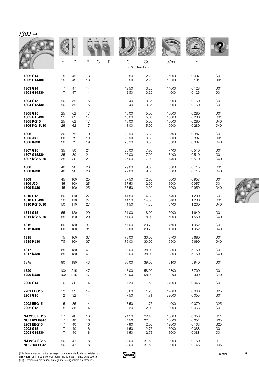| $1302 \rightarrow$  |     |     |             |        |                    |       |              |       |                 |
|---------------------|-----|-----|-------------|--------|--------------------|-------|--------------|-------|-----------------|
|                     |     |     |             |        |                    |       | <b>MALLE</b> |       |                 |
|                     | d   | D   | $\mathsf B$ | C<br>Τ | C<br>x1000 Newtons | Co    | tr/mn        | kg    |                 |
| 1302 G14            | 15  | 42  | 13          |        | 9,50               | 2,28  | 16000        | 0,097 | G <sub>01</sub> |
| 1302 G14J30         | 15  | 42  | 13          |        | 9,50               | 2,28  | 16000        | 0,101 | G <sub>01</sub> |
| 1303 G14            | 17  | 47  | 14          |        | 12,50              | 3,20  | 14000        | 0,128 | G <sub>01</sub> |
| 1303 G14J30         | 17  | 47  | 14          |        | 12,50              | 3,20  | 14000        | 0,128 | G <sub>01</sub> |
| 1304 G15            | 20  | 52  | 15          |        | 12,40              | 3,35  | 12000        | 0,160 | G <sub>01</sub> |
| 1304 G15J30         | 20  | 52  | 15          |        | 12,40              | 3,35  | 12000        | 0,160 | G <sub>01</sub> |
| 1305 G15            | 25  | 62  | 17          |        | 18,00              | 5,00  | 10000        | 0,280 | G <sub>01</sub> |
| 1305 G15J30         | 25  | 62  | 17          |        | 18,00              | 5,00  | 10000        | 0,280 | G <sub>01</sub> |
| 1305 KG15           | 25  | 62  | 17          |        | 18,00              | 5,00  | 10000        | 0,280 | G40             |
| 1305 KG15J30        | 25  | 62  | 17          |        | 18,00              | 5,00  | 10000        | 0,280 | G40             |
| 1306                | 30  | 72  | 19          |        | 20,90              | 6,30  | 8500         | 0,387 | G <sub>01</sub> |
| 1306 J30            | 30  | 72  | 19          |        | 20,90              | 6,30  | 8500         | 0,387 | G <sub>01</sub> |
| 1306 KJ30           | 30  | 72  | 19          |        | 20,90              | 6,30  | 8500         | 0,387 | G40             |
| 1307 G15            | 35  | 80  | 21          |        | 25,00              | 7,90  | 7400         | 0,510 | G <sub>01</sub> |
| 1307 G15J30         | 35  | 80  | 21          |        | 25,00              | 7,90  | 7400         | 0,510 | G <sub>01</sub> |
| 1307 KG15J30        | 35  | 80  | 21          |        | 25,00              | 7,90  | 7400         | 0,510 | G40             |
| 1308                | 40  | 90  | 23          |        | 29,00              | 9,80  | 6600         | 0,715 | G <sub>01</sub> |
| 1308 KJ30           | 40  | 90  | 23          |        | 29,00              | 9,80  | 6600         | 0,715 | G40             |
| 1309                | 45  | 100 | 25          |        | 37,50              | 12,90 | 6000         | 0,957 | G <sub>01</sub> |
| 1309 J30            | 45  | 100 | 25          |        | 37,50              | 12,90 | 6000         | 0,957 | G <sub>01</sub> |
| 1309 KJ30           | 45  | 100 | 25          |        | 37,50              | 12,90 | 6000         | 0,959 | G40             |
| 1310 G15            | 50  | 110 | 27          |        | 41,50              | 14,30 | 5400         | 1,200 | G <sub>01</sub> |
| 1310 G15J30         | 50  | 110 | 27          |        | 41,50              | 14,30 | 5400         | 1,200 | G <sub>01</sub> |
| 1310 KG15J30        | 50  | 110 | 27          |        | 41,50              | 14,30 | 5400         | 1,200 | G40             |
| 1311 G15            | 55  | 120 | 29          |        | 51,00              | 18,00 | 5000         | 1,640 | G <sub>01</sub> |
| 1311 KG15J30        | 55  | 120 | 29          |        | 51,00              | 18,00 | 5000         | 1,550 | G40             |
| 1312                | 60  | 130 | 31          |        | 57,00              | 20,70 | 4600         | 1,952 | G <sub>01</sub> |
| 1312 KJ30           | 60  | 130 | 31          |        | 57,00              | 20,70 | 4600         | 1,952 | G40             |
| 1315                | 75  | 160 | 37          |        | 79,00              | 30,00 | 3700         | 3,680 | G <sub>01</sub> |
| 1315 KJ30           | 75  | 160 | 37          |        | 79,00              | 30,00 | 3800         | 3,690 | G40             |
| 1317                | 85  | 180 | 41          |        | 98,00              | 38,00 | 3300         | 5,150 | G <sub>01</sub> |
| 1317 KJ30           | 85  | 180 | 41          |        | 98,00              | 38,00 | 3300         | 5,150 | G40             |
| 1318                | 90  | 190 | 43          |        | 95,00              | 39,00 | 3100         | 5,940 | G <sub>01</sub> |
| 1320                | 100 | 215 | 47          |        | 143,00             | 58,00 | 2800         | 8,700 | G <sub>01</sub> |
| 1320 KJ30           | 100 | 215 | 47          |        | 143,00             | 58,00 | 2800         | 8,300 | G40             |
| 2200 G14            | 10  | 30  | 14          |        | 7,30               | 1,58  | 24000        | 0,048 | G <sub>01</sub> |
| 2201 EEG15          | 12  | 32  | 14          |        | 5,60               | 1,26  | 17000        | 0,060 | G <sub>25</sub> |
| 2201 G15            | 12  | 32  | 14          |        | 7,50               | 1,71  | 22000        | 0,055 | G <sub>01</sub> |
| 2202 EEG15          | 15  | 35  | 14          |        | 7,50               | 1,75  | 14000        | 0,070 | G25             |
| 2202 G15            | 15  | 35  | 14          |        | 9,20               | 2,08  | 19000        | 0,063 | G <sub>01</sub> |
| NJ 2203 EG15        | 17  | 40  | 16          |        | 24,50              | 22,40 | 15000        | 0,053 | H11             |
| <b>NU 2203 EG15</b> | 17  | 40  | 16          |        | 24,50              | 22,40 | 15000        | 0,051 | H05             |
| 2203 EEG15          | 17  | 40  | 16          |        | 7,90               | 2,00  | 12000        | 0,103 | G25             |
| 2203 G15            | 17  | 40  | 16          |        | 11,50              | 2,75  | 16000        | 0,088 | G <sub>01</sub> |
| 2203 G15J30         | 17  | 40  | 16          |        | 11,50              | 2,75  | 16000        | 0,088 | G <sub>01</sub> |
| NJ 2204 EG15        | 20  | 47  | 18          |        | 33,00              | 31,50 | 12000        | 0,150 | H11             |
| <b>NU 2204 EG15</b> | 20  | 47  | 18          |        | 33,00              | 31,50 | 12000        | 0,146 | H <sub>05</sub> |



<sup>(</sup>ES) Referencias en itálica: entrega hasta agotamiento de las existencias.<br>(IT) Riferimenti in corsivo: consegna fino ad esaurimento delle scorte.<br>(BR) Referências em itálico: entrega até se esgotarem os estoques.

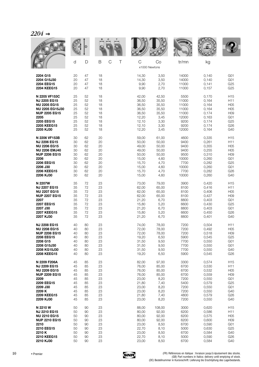| $2204\,$ . |  |
|------------|--|
|------------|--|

|                        |    |    |             |       |                     | <b>WALL</b> |       |                  |
|------------------------|----|----|-------------|-------|---------------------|-------------|-------|------------------|
|                        | d  | D  | B<br>C<br>Τ | C     | Co<br>x1000 Newtons | tr/mn       | kg    |                  |
| 2204 G15               | 20 | 47 | 18          | 14,30 | 3,50                | 14000       | 0,140 | G <sub>01</sub>  |
| 2204 G15J30            | 20 | 47 | 18          | 14,30 | 3,50                | 14000       | 0,140 | G <sub>01</sub>  |
| 2204 EEG15             | 20 | 47 | 18          | 9,90  | 2,70                | 11000       | 0,141 | G25              |
| 2204 KEEG15            | 20 | 47 | 18          | 9,90  | 2,70                | 11000       | 0,157 | G25              |
| N 2205 VF153C          | 25 | 52 | 18          | 42,00 | 42,50               | 5500        | 0,170 | H <sub>15</sub>  |
| NJ 2205 EG15           | 25 | 52 | 18          | 36,50 | 35,50               | 11000       | 0,164 | H <sub>11</sub>  |
| <b>NU 2205 EG15</b>    | 25 | 52 | 18          | 36,50 | 35,50               | 11000       | 0,164 | H <sub>05</sub>  |
| <b>NU 2205 EG15J30</b> | 25 | 52 | 18          | 36,50 | 35,50               | 11000       | 0,164 | H05              |
| <b>NUP 2205 EG15</b>   | 25 | 52 | 18          | 36,50 | 35,50               | 11000       | 0,174 | H <sub>09</sub>  |
| 2205                   | 25 | 52 | 18          | 12,20 | 3,45                | 12000       | 0,163 | G <sub>01</sub>  |
| 2205 EEG15             | 25 | 52 | 18          | 12,10 | 3,30                | 9200        | 0,174 | G25              |
| 2205 KEEG15            | 25 | 52 | 18          | 12,10 | 3,30                | 9200        | 0,174 | G26              |
| 2205 KJ30              | 25 | 52 | 18          | 12,20 | 3,45                | 12000       | 0,164 | G40              |
| N 2206 VF153B          | 30 | 62 | 20          | 59,00 | 61,00               | 4600        | 0,335 | H <sub>15</sub>  |
| <b>NJ 2206 EG15</b>    | 30 | 62 | 20          | 50,00 | 50,00               | 9400        | 0,261 | H11              |
| <b>NU 2206 EG15</b>    | 30 | 62 | 20          | 49,00 | 50,00               | 9400        | 0,355 | H05              |
| <b>NU 2206 EMJ40</b>   | 30 | 62 | 20          | 49,00 | 50,00               | 9400        | 0,255 | H05              |
| <b>NUP 2206 EG15</b>   | 30 | 62 | 20          | 50,00 | 50,00               | 9500        | 0,310 | H <sub>09</sub>  |
| 2206                   | 30 | 62 | 20          | 15,00 | 4,60                | 10000       | 0,260 | G <sub>0</sub> 1 |
| 2206 EEG15             | 30 | 62 | 20          | 15,70 | 4,70                | 7700        | 0,282 | G <sub>25</sub>  |
| 2206 J30               | 30 | 62 | 20          | 15,00 | 4,60                | 10000       | 0,260 | G <sub>01</sub>  |
| 2206 KEEG15            | 30 | 62 | 20          | 15,70 | 4,70                | 7700        | 0,282 | G26              |
| 2206 KJ30              | 30 | 62 | 20          | 15,00 | 4,60                | 10000       | 0,260 | G40              |
| N 2207W                | 35 | 72 | 23          | 73,00 | 79,00               | 3900        | 0,420 | H <sub>15</sub>  |
| <b>NJ 2207 EG15</b>    | 35 | 72 | 23          | 62,00 | 65,00               | 8100        | 0,416 | H11              |
| <b>NU 2207 EG15</b>    | 35 | 72 | 23          | 62,00 | 65,00               | 8100        | 0,406 | H <sub>05</sub>  |
| <b>NUP 2207 EG15</b>   | 35 | 72 | 23          | 62,00 | 65,00               | 8100        | 0,427 | H <sub>09</sub>  |
| 2207                   | 35 | 72 | 23          | 21,20 | 6,70                | 8800        | 0,403 | G <sub>01</sub>  |
| 2207 EEG15             | 35 | 72 | 23          | 15,80 | 5,20                | 6600        | 0,430 | G <sub>25</sub>  |
| 2207 J30               | 35 | 72 | 23          | 21,20 | 6,70                | 8800        | 0,403 | G <sub>0</sub> 1 |
| 2207 KEEG15            | 35 | 72 | 23          | 15,80 | 5,20                | 6600        | 0,450 | G <sub>26</sub>  |
| 2207 KJ30              | 35 | 72 | 23          | 21,20 | 6,70                | 8800        | 0,401 | G40              |
| <b>NJ 2208 EG15</b>    | 40 | 80 | 23          | 74,00 | 78,00               | 7200        | 0,504 | H11              |
| <b>NU 2208 EG15</b>    | 40 | 80 | 23          | 72,00 | 78,00               | 7200        | 0,492 | H05              |
| <b>NUP 2208 EG15</b>   | 40 | 80 | 23          | 72,00 | 78,00               | 7200        | 0,518 | H <sub>09</sub>  |
| 2208 EEG15             | 40 | 80 | 23          | 19,20 | 6,50                | 5900        | 0,545 | G25              |
| 2208 G15               | 40 | 80 | 23          | 31,50 | 9,50                | 7700        | 0,550 | G <sub>01</sub>  |
| 2208 G15J30            | 40 | 80 | 23          | 31,50 | 9,50                | 7700        | 0,550 | G <sub>01</sub>  |
| 2208 KG15J30           | 40 | 80 | 23          | 31,50 | 9,50                | 7700        | 0,550 | G40              |
| 2208 KEEG15            | 40 | 80 | 23          | 19,20 | 6,50                | 5900        | 0,545 | G26              |
| N 2209 F206A           | 45 | 85 | 23          | 82,00 | 97,00               | 3300        | 0,574 | H <sub>15</sub>  |
| NJ 2209 EG15           | 45 | 85 | 23          | 76,00 | 85,00               | 6700        | 0,530 | H11              |
| <b>NU 2209 EG15</b>    | 45 | 85 | 23          | 76,00 | 85,00               | 6700        | 0,532 | H05              |
| <b>NUP 2209 EG15</b>   | 45 | 85 | 23          | 76,00 | 85,00               | 6700        | 0,559 | H <sub>09</sub>  |
| 2209                   | 45 | 85 | 23          | 23,00 | 8,20                | 7200        | 0,550 | G <sub>0</sub> 1 |
| 2209 EEG15             | 45 | 85 | 23          | 21,80 | 7,40                | 5400        | 0,579 | G25              |
| 2209 J30               | 45 | 85 | 23          | 23,00 | 8,20                | 7200        | 0,550 | G <sub>01</sub>  |
| 2209 K                 | 45 | 85 | 23          | 23,00 | 8,20                | 7200        | 0,550 | G40              |
| 2209 KEEG15            | 45 | 85 | 23          | 21,80 | 7,40                | 4800        | 0,579 | G26              |
| 2209 KJ30              | 45 | 85 | 23          | 23,00 | 8,20                | 7200        | 0,550 | G40              |
| N 2210 W               | 50 | 90 | 23          | 88,00 | 108,00              | 3000        | 0,620 | H <sub>15</sub>  |
| NJ 2210 EG15           | 50 | 90 | 23          | 80,00 | 92,00               | 6200        | 0,586 | H11              |
| <b>NU 2210 EG15</b>    | 50 | 90 | 23          | 80,00 | 92,00               | 6200        | 0,575 | H <sub>05</sub>  |
| <b>NUP 2210 EG15</b>   | 50 | 90 | 23          | 80,00 | 92,00               | 6200        | 0,600 | H <sub>09</sub>  |
| 2210                   | 50 | 90 | 23          | 23,00 | 8,50                | 6700        | 0,590 | G <sub>01</sub>  |
| 2210 EEG15             | 50 | 90 | 23          | 22,70 | 8,10                | 5000        | 0,630 | G25              |
| 2210K                  | 50 | 90 | 23          | 23,00 | 8,50                | 6700        | 0,584 | G40              |
| 2210 KEEG15            | 50 | 90 | 23          | 22,70 | 8,10                | 5000        | 0,590 | G26              |
| 2210 KJ30              | 50 | 90 | 23          | 23,00 | 8,50                | 6700        | 0,584 | G40              |

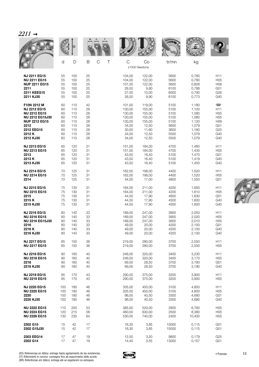|                        |     |     |                         |        |                     | <b>VOLUE</b> |        |                          |
|------------------------|-----|-----|-------------------------|--------|---------------------|--------------|--------|--------------------------|
|                        | d   | D   | $\mathcal{C}$<br>Τ<br>B | C      | Co<br>x1000 Newtons | tr/mn        | kg     |                          |
| <b>NJ 2211 EG15</b>    | 55  | 100 | 25                      | 104,00 | 122,00              | 5600         | 0,780  | H <sub>11</sub>          |
| <b>NU 2211 EG15</b>    | 55  | 100 | 25                      | 104,00 | 122,00              | 5600         | 0,780  | H <sub>05</sub>          |
| <b>NUP 2211 EG15</b>   | 55  | 100 | 25                      | 101,00 | 122,00              | 5600         | 0,828  | H <sub>09</sub>          |
| 2211                   | 55  | 100 | 25                      | 26,50  | 9,90                | 6100         | 0,788  | G <sub>01</sub>          |
| 2211 KEEG15            | 55  | 100 | 25                      | 27,00  | 10,00               | 6000         | 0,790  | G26                      |
| 2211 KJ30              | 55  | 100 | 25                      | 26,50  | 9,90                | 6100         | 0,773  | G40                      |
| F10N 2212 M            | 60  | 110 | 42                      | 101,00 | 119,00              | 5100         | 1,180  | $\overline{\phantom{1}}$ |
| <b>NJ 2212 EG15</b>    | 60  | 110 | 28                      | 130,00 | 155,00              | 5100         | 1,100  | H11                      |
| <b>NU 2212 EG15</b>    | 60  | 110 | 28                      | 130,00 | 155,00              | 5100         | 1,080  | H05                      |
| <b>NU 2212 EG15J30</b> | 60  | 110 | 28                      | 130,00 | 155,00              | 5100         | 1,080  | H <sub>05</sub>          |
| <b>NUP 2212 EG15</b>   | 60  | 110 | 28                      | 130,00 | 155,00              | 5100         | 1,120  | H <sub>09</sub>          |
| 2212                   | 60  | 110 | 28                      | 34,00  | 12,50               | 5600         | 1,079  | G <sub>01</sub>          |
| 2212 EEG15             | 60  | 110 | 28                      | 30,00  | 11,60               | 3600         | 1,160  | G25                      |
| 2212K                  | 60  | 110 | 28                      | 34,00  | 12,50               | 5500         | 1,079  | G40                      |
| 2212 KJ30              | 60  | 110 | 28                      | 34,00  | 12,50               | 5500         | 1,079  | G40                      |
| <b>NJ 2213 EG15</b>    | 65  | 120 | 31                      | 151,00 | 184,00              | 4700         | 1,460  | H11                      |
| <b>NU 2213 EG15</b>    | 65  | 120 | 31                      | 151,00 | 184,00              | 4700         | 1,430  | H05                      |
| 2213                   | 65  | 120 | 31                      | 43,50  | 16,40               | 5100         | 1,470  | G <sub>01</sub>          |
| 2213K                  | 65  | 120 | 31                      | 43,50  | 16,40               | 5100         | 1,419  | G40                      |
| 2213 KJ30              | 65  | 120 | 31                      | 43,50  | 16,40               | 5100         | 1,450  | G40                      |
| <b>NJ 2214 EG15</b>    | 70  | 125 | 31                      | 162,00 | 198,00              | 4400         | 1,520  | H11                      |
| <b>NU 2214 EG15</b>    | 70  | 125 | 31                      | 162,00 | 198,00              | 4400         | 1,520  | H05                      |
| 2214                   | 70  | 125 | 31                      | 44,00  | 17,00               | 4800         | 1,550  | G <sub>01</sub>          |
| <b>NJ 2215 EG15</b>    | 75  | 130 | 31                      | 164,00 | 211,00              | 4200         | 1,600  | H <sub>11</sub>          |
| <b>NU 2215 EG15</b>    | 75  | 130 | 31                      | 164,00 | 211,00              | 4200         | 1,610  | H05                      |
| 2215                   | 75  | 130 | 31                      | 44,50  | 17,90               | 4600         | 1,630  | G <sub>01</sub>          |
| 2215K                  | 75  | 130 | 31                      | 44,50  | 17,90               | 4500         | 1,600  | G40                      |
| 2215 KJ30              | 75  | 130 | 31                      | 44,50  | 17,90               | 4500         | 1,600  | G40                      |
| <b>NJ 2216 EG15</b>    | 80  | 140 | 33                      | 189,00 | 247,00              | 3900         | 2,050  | H <sub>11</sub>          |
| <b>NU 2216 EG15</b>    | 80  | 140 | 33                      | 189,00 | 247,00              | 3900         | 2,020  | H05                      |
| <b>NU 2216 EG15J30</b> | 80  | 140 | 33                      | 189,00 | 247,00              | 3900         | 2,010  | H05                      |
| 2216                   | 80  | 140 | 33                      | 49,00  | 20,00               | 4200         | 2,100  | G <sub>01</sub>          |
| 2216K                  | 80  | 140 | 33                      | 49,00  | 20,00               | 4200         | 2,100  | G40                      |
| 2216 KJ30              | 80  | 140 | 33                      | 49,00  | 20,00               | 4200         | 2,100  | G40                      |
| <b>NJ 2217 EG15</b>    | 85  | 150 | 36                      | 219,00 | 280,00              | 3700         | 2,550  | H11                      |
| <b>NU 2217 EG15</b>    | 85  | 150 | 36                      | 219,00 | 280,00              | 3700         | 2,500  | H05                      |
| NJ 2218 EG15           | 90  | 160 | 40                      | 246,00 | 320,00              | 3400         | 3,230  | H11                      |
| <b>NU 2218 EG15</b>    | 90  | 160 | 40                      | 246,00 | 320,00              | 3400         | 3,170  | H05                      |
| 2218                   | 90  | 160 | 40                      | 69,00  | 28,50               | 3700         | 3,190  | G <sub>01</sub>          |
| 2218 KJ30              | 90  | 160 | 40                      | 69,00  | 28,50               | 3700         | 3,190  | G40                      |
| NJ 2219 EG15           | 95  | 170 | 43                      | 290,00 | 375,00              | 3200         | 3,900  | H11                      |
| <b>NU 2219 EG15</b>    | 95  | 170 | 43                      | 290,00 | 375,00              | 3200         | 3,900  | H05                      |
| <b>NJ 2220 EG15</b>    | 100 | 180 | 46                      | 335.00 | 450.00              | 3100         | 4,850  | H <sub>11</sub>          |
| <b>NU 2220 EG15</b>    | 100 | 180 | 46                      | 335,00 | 450,00              | 3100         | 4,800  | H05                      |
| 2220                   | 100 | 180 | 46                      | 96,00  | 40,50               | 3300         | 4,680  | G <sub>01</sub>          |
| 2220 KJ30              | 100 | 180 | 46                      | 96,00  | 40,50               | 3300         | 4,680  | G40                      |
| <b>NU 2222 EG15</b>    | 110 | 200 | 53                      | 385,00 | 520,00              | 2800         | 6,760  | H05                      |
| <b>NU 2224 EG15</b>    | 120 | 215 | 58                      | 460,00 | 630,00              | 2500         | 8,380  | H05                      |
| <b>NU 2226 EG15</b>    | 130 | 230 | 64                      | 530,00 | 740,00              | 2400         | 10,400 | H05                      |
| 2302 G15               | 15  | 42  | 17                      | 16,30  | 3,85                | 15000        | 0,115  | G <sub>01</sub>          |
| 2302 G15J30            | 15  | 42  | 17                      | 16,30  | 3,85                | 15000        | 0,115  | G <sub>01</sub>          |
| 2303 EEG14             | 17  | 47  | 19                      | 12,50  | 3,20                | 9800         | 0,179  | G25                      |
| 2303 G14               | 17  | 47  | 19                      | 14,40  | 3,55                | 13000        | 0,157  | G <sub>01</sub>          |



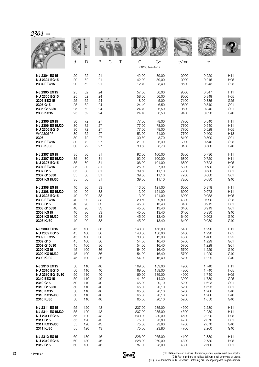|                        | d  | D   | B  | $\mathsf C$<br>Τ | C<br>x1000 Newtons | Co     | tr/mn | kg    |                  |
|------------------------|----|-----|----|------------------|--------------------|--------|-------|-------|------------------|
| <b>NJ 2304 EG15</b>    | 20 | 52  | 21 |                  | 42,00              | 39,00  | 10000 | 0,220 | H11              |
| <b>NU 2304 EG15</b>    | 20 | 52  | 21 |                  | 42,00              | 39,00  | 10000 | 0,215 | H05              |
| 2304 EEG15             | 20 | 52  | 21 |                  | 12,40              | 3,40   | 8500  | 0,243 | G <sub>25</sub>  |
| <b>NJ 2305 EG15</b>    | 25 | 62  | 24 |                  | 57,00              | 56,00  | 9000  | 0,347 | H11              |
| <b>NU 2305 EG15</b>    | 25 | 62  | 24 |                  | 58,00              | 56,00  | 9000  | 0,349 | H <sub>05</sub>  |
| 2305 EEG15             | 25 | 62  | 24 |                  | 18,00              | 5,00   | 7100  | 0,385 | G25              |
| 2305 G15               | 25 | 62  | 24 |                  | 24,40              | 6,50   | 9600  | 0,340 | G <sub>01</sub>  |
| 2305 G15J30            | 25 | 62  | 24 |                  | 24,40              | 6,50   | 9600  | 0,340 | G <sub>01</sub>  |
| 2305 KG15              | 25 | 62  | 24 |                  | 24,40              | 6,50   | 9400  | 0,328 | G40              |
| <b>NJ 2306 EG15</b>    | 30 | 72  | 27 |                  | 77,00              | 78,00  | 7700  | 0,540 | H11              |
| NJ 2306 EG15J30        | 30 | 72  | 27 |                  | 77,00              | 78,00  | 7700  | 0,540 | H11              |
| <b>NU 2306 EG15</b>    | 30 | 72  | 27 |                  | 77,00              | 78,00  | 7700  | 0,529 | H <sub>05</sub>  |
| RN 2306 M              | 30 | 62  | 27 |                  | 53,00              | 51,00  | 7700  | 0,400 | H <sub>18</sub>  |
| 2306                   | 30 | 72  | 27 |                  | 30,50              | 8,70   | 8100  | 0,500 | G <sub>0</sub> 1 |
| 2306 EEG15             | 30 | 72  | 27 |                  | 21,30              | 6,30   | 6000  | 0,540 | G25              |
| 2306 KJ30              | 30 | 72  | 27 |                  | 30,50              | 8,70   | 8100  | 0,500 | G40              |
| <b>NJ 2307 EG15</b>    | 35 | 80  | 31 |                  | 92,00              | 100,00 | 6800  | 0,736 | H11              |
| NJ 2307 EG15J30        | 35 | 80  | 31 |                  | 92,00              | 100,00 | 6800  | 0,720 | H11              |
| <b>NU 2307 EG15</b>    | 35 | 80  | 31 |                  | 96,00              | 101,00 | 6800  | 0,723 | H05              |
| 2307 EEG15             | 35 | 80  | 31 |                  | 25,00              | 7,90   | 5300  | 0,730 | G <sub>25</sub>  |
| 2307 G15               | 35 | 80  | 31 |                  | 39,50              | 11,10  | 7200  | 0,680 | G <sub>01</sub>  |
| 2307 G15J30            | 35 | 80  | 31 |                  | 39,50              | 11,10  | 7200  | 0,680 | G <sub>0</sub> 1 |
| 2307 KG15J30           | 35 | 80  | 31 |                  | 39,50              | 11,10  | 7200  | 0,680 | G40              |
| <b>NJ 2308 EG15</b>    | 40 | 90  | 33 |                  | 113,00             | 121,00 | 6000  | 0,978 | H11              |
| <b>NJ 2308 EG15J30</b> | 40 | 90  | 33 |                  | 113,00             | 121,00 | 6000  | 0,978 | H11              |
| <b>NU 2308 EG15</b>    | 40 | 90  | 33 |                  | 113,00             | 121,00 | 6000  | 0,958 | H <sub>05</sub>  |
| 2308 EEG15             | 40 | 90  | 33 |                  | 29,50              | 9,80   | 4800  | 0,990 | G25              |
| 2308 G15               | 40 | 90  | 33 |                  | 45,00              | 13,40  | 6400  | 0,919 | G <sub>01</sub>  |
| 2308 G15J30            | 40 | 90  | 33 |                  | 45,00              | 13,40  | 6400  | 0,919 | G <sub>01</sub>  |
| 2308 KG15              | 40 | 90  | 33 |                  | 45,00              | 13,40  | 6400  | 0,930 | G40              |
| 2308 KG15J30           | 40 | 90  | 33 |                  | 45,00              | 13,40  | 6400  | 0,903 | G40              |
| 2308 KJ30              | 40 | 90  | 33 |                  | 45,00              | 13,40  | 6400  | 0,930 | G40              |
| <b>NJ 2309 EG15</b>    | 45 | 100 | 36 |                  | 143,00             | 156,00 | 5400  | 1,290 | H11              |
| <b>NU 2309 EG15</b>    | 45 | 100 | 36 |                  | 143,00             | 156,00 | 5400  | 1,290 | H05              |
| 2309 EEG15             | 45 | 100 | 36 |                  | 38,00              | 12,90  | 4300  | 1,400 | G25              |
| 2309 G15               | 45 | 100 | 36 |                  | 54,00              | 16,40  | 5700  | 1,229 | G <sub>01</sub>  |
| 2309 G15J30            | 45 | 100 | 36 |                  | 54,00              | 16,40  | 5700  | 1,229 | G <sub>01</sub>  |
| 2309 KG15              | 45 | 100 | 36 |                  | 54,00              | 16,40  | 5700  | 1,229 | G40              |
| 2309 KG15J30           | 45 | 100 | 36 |                  | 54,00              | 16,40  | 5700  | 1,229 | G40              |
| 2309 KJ30              | 45 | 100 | 36 |                  | 54,00              | 16,40  | 5700  | 1,229 | G40              |
| <b>NJ 2310 EG15</b>    | 50 | 110 | 40 |                  | 169,00             | 189,00 | 4900  | 1,740 | H11              |
| <b>NU 2310 EG15</b>    | 50 | 110 | 40 |                  | 169,00             | 189,00 | 4900  | 1,740 | H <sub>05</sub>  |
| <b>NU 2310 EG15J30</b> | 50 | 110 | 40 |                  | 169,00             | 189,00 | 4900  | 1,740 | H05              |
| 2310 EEG15             | 50 | 110 | 40 |                  | 41,50              | 14,30  | 3900  | 1,780 | G25              |
| 2310 G15               | 50 | 110 | 40 |                  | 65,00              | 20,10  | 5200  | 1,623 | G <sub>01</sub>  |
| 2310 G15J30            | 50 | 110 | 40 |                  | 65,00              | 20,10  | 5200  | 1,623 | G <sub>01</sub>  |
| 2310 KG15              | 50 | 110 | 40 |                  | 65,00              | 20,10  | 5200  | 1,206 | G40              |
| 2310 KG15J30           | 50 | 110 | 40 |                  | 65,00              | 20,10  | 5200  | 1,206 | G40              |
| 2310 KJ30              | 50 | 110 | 40 |                  | 65,00              | 20,10  | 5200  | 1,650 | G40              |
| <b>NJ 2311 EG15</b>    | 55 | 120 | 43 |                  | 207,00             | 235,00 | 4500  | 2,230 | H11              |
| NJ 2311 EG15J30        | 55 | 120 | 43 |                  | 207,00             | 235,00 | 4500  | 2,230 | H11              |
| <b>NU 2311 EG15</b>    | 55 | 120 | 43 |                  | 200,00             | 230,00 | 4500  | 2,220 | H05              |
| 2311 G15               | 55 | 120 | 43 |                  | 75,00              | 23,80  | 4700  | 2,070 | G <sub>01</sub>  |
| 2311 KG15J30           | 55 | 120 | 43 |                  | 75,00              | 23,80  | 4700  | 2,070 | G40              |
| 2311 KJ30              | 55 | 120 | 43 |                  | 75,00              | 23,80  | 4700  | 2,260 | G40              |
| <b>NJ 2312 EG15</b>    | 60 | 130 | 46 |                  | 226,00             | 265,00 | 4100  | 2,830 | H11              |
| <b>NU 2312 EG15</b>    | 60 | 130 | 46 |                  | 228,00             | 260,00 | 4300  | 2,780 | H05              |
| 2312 G15               | 60 | 130 | 46 |                  | 87,00              | 28,00  | 4300  | 2,600 | G <sub>01</sub>  |

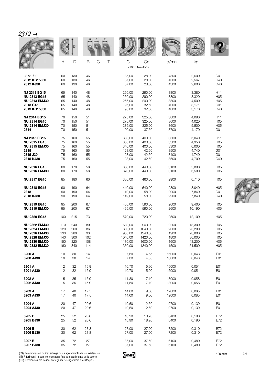|--|

|                      |     | D            |                    |   |         |                     |       |        |                  |
|----------------------|-----|--------------|--------------------|---|---------|---------------------|-------|--------|------------------|
|                      | d   | $\mathsf{D}$ | $\mathcal{C}$<br>B | Τ | C       | Co<br>x1000 Newtons | tr/mn | kg     |                  |
| 2312 J30             | 60  | 130          | 46                 |   | 87,00   | 28,00               | 4300  | 2,600  | G <sub>01</sub>  |
| 2312 KG15J30         | 60  | 130          | 46                 |   | 87,00   | 28,00               | 4300  | 2,567  | G40              |
| 2312 KJ30            | 60  | 130          | 46                 |   | 87,00   | 28,00               | 4300  | 2,600  | G40              |
| <b>NJ 2313 EG15</b>  | 65  | 140          | 48                 |   | 250,00  | 290,00              | 3800  | 3,380  | H11              |
| <b>NU 2313 EG15</b>  | 65  | 140          | 48                 |   | 250,00  | 290,00              | 3800  | 3,320  | H <sub>05</sub>  |
| <b>NU 2313 EMJ30</b> | 65  | 140          | 48                 |   | 255,00  | 290,00              | 3800  | 4,500  | H <sub>05</sub>  |
| 2313 G15             | 65  | 140          | 48                 |   | 96,00   | 32,50               | 4000  | 3,171  | G <sub>01</sub>  |
| 2313 KG15J30         | 65  | 140          | 48                 |   | 96,00   | 32,50               | 4000  | 3,170  | G40              |
| <b>NJ 2314 EG15</b>  | 70  | 150          | 51                 |   | 275,00  | 325,00              | 3600  | 4,090  | H11              |
| <b>NU 2314 EG15</b>  | 70  | 150          | 51                 |   | 275,00  | 325,00              | 3600  | 4,020  | H <sub>05</sub>  |
| <b>NU 2314 EMJ30</b> | 70  | 150          | 51                 |   | 285,00  | 325,00              | 3600  | 5,500  | H <sub>05</sub>  |
| 2314                 | 70  | 150          | 51                 |   | 109,00  | 37,50               | 3700  | 4,170  | G <sub>01</sub>  |
| <b>NJ 2315 EG15</b>  | 75  | 160          | 55                 |   | 330,00  | 400,00              | 3300  | 5,040  | H11              |
| <b>NU 2315 EG15</b>  | 75  | 160          | 55                 |   | 330,00  | 400,00              | 3300  | 4,950  | H <sub>05</sub>  |
| <b>NU 2315 EMJ30</b> | 75  | 160          | 55                 |   | 340,00  | 400,00              | 3300  | 6,000  | H <sub>05</sub>  |
| 2315                 | 75  | 160          | 55                 |   | 123,00  | 42,50               | 3500  | 4,740  | G <sub>01</sub>  |
| 2315 J30             | 75  | 160          | 55                 |   | 123,00  | 42,50               | 3400  | 4,740  | G <sub>01</sub>  |
| 2315 KJ30            | 75  | 160          | 55                 |   | 123,00  | 42,50               | 3500  | 4,700  | G40              |
| <b>NU 2316 EG15</b>  | 80  | 170          | 58                 |   | 360,00  | 440,00              | 3100  | 5,890  | H <sub>05</sub>  |
| <b>NU 2316 EMJ30</b> | 80  | 170          | 58                 |   | 370,00  | 440,00              | 3100  | 6,500  | H <sub>05</sub>  |
| <b>NU 2317 EG15</b>  | 85  | 180          | 60                 |   | 380,00  | 460,00              | 2900  | 6,710  | H <sub>05</sub>  |
| <b>NU 2318 EG15</b>  | 90  | 190          | 64                 |   | 440,00  | 540,00              | 2800  | 8,040  | H <sub>05</sub>  |
| 2318                 | 90  | 190          | 64                 |   | 149,00  | 58,00               | 2900  | 7,840  | G <sub>01</sub>  |
| 2318 KJ30            | 90  | 190          | 64                 |   | 149,00  | 58,00               | 2900  | 7,840  | G40              |
| <b>NU 2319 EG15</b>  | 95  | 200          | 67                 |   | 465,00  | 590,00              | 2600  | 9,400  | H <sub>05</sub>  |
| <b>NU 2319 EMJ30</b> | 95  | 200          | 67                 |   | 465,00  | 590,00              | 2600  | 10,190 | H <sub>05</sub>  |
| <b>NU 2320 EG15</b>  | 100 | 215          | 73                 |   | 570,00  | 720,00              | 2500  | 12,100 | H <sub>05</sub>  |
| <b>NU 2322 EMJ30</b> | 110 | 240          | 80                 |   | 680,00  | 900,00              | 2200  | 18,300 | H <sub>05</sub>  |
| <b>NU 2324 EMJ30</b> | 120 | 260          | 86                 |   | 800,00  | 1040,00             | 2000  | 23,200 | H <sub>05</sub>  |
| <b>NU 2326 EMJ30</b> | 130 | 280          | 93                 |   | 930,00  | 1240,00             | 1900  | 28,800 | H05              |
| <b>NU 2328 EMJ30</b> | 140 | 300          | 102                |   | 1040,00 | 1420,00             | 1800  | 36,000 | H <sub>05</sub>  |
| <b>NU 2330 EMJ30</b> | 150 | 320          | 108                |   | 1170,00 | 1600,00             | 1600  | 43,200 | H05              |
| <b>NU 2332 EMJ30</b> | 160 | 340          | 114                |   | 1330,00 | 1840,00             | 1500  | 51,500 | H05              |
| 3200 A               | 10  | 30           | 14                 |   | 7,80    | 4,55                | 16000 | 0,043  | E <sub>0</sub> 1 |
| 3200 AJ30            | 10  | 30           | 14                 |   | 7,80    | 4,55                | 16000 | 0,043  | E01              |
| 3201 A               | 12  | 32           | 15,9               |   | 10,70   | 5,90                | 15000 | 0,051  | E01              |
| 3201 AJ30            | 12  | 32           | 15,9               |   | 10,70   | 5,90                | 15000 | 0,051  | E01              |
| 3202 A               | 15  | 35           | 15,9               |   | 11,80   | 7,10                | 13000 | 0,058  | E01              |
| 3202 AJ30            | 15  | 35           | 15,9               |   | 11,80   | 7,10                | 13000 | 0,058  | E01              |
| 3203 A               | 17  | 40           | 17,5               |   | 14,60   | 9,00                | 12000 | 0,085  | E01              |
| 3203 AJ30            | 17  | 40           | 17,5               |   | 14,60   | 9,00                | 12000 | 0,085  | E01              |
| 3204 A               | 20  | 47           | 20,6               |   | 19,60   | 12,50               | 9700  | 0,139  | E01              |
| 3204 AJ30            | 20  | 47           | 20,6               |   | 19,60   | 12,50               | 9700  | 0,139  | E01              |
| 3205 B               | 25  | 52           | 20,6               |   | 18,90   | 18,20               | 8400  | 0,190  | E72              |
| 3205 BJ30            | 25  | 52           | 20,6               |   | 18,90   | 18,20               | 8400  | 0,190  | E72              |
| 3206 B               | 30  | 62           | 23,8               |   | 27,00   | 27,00               | 7200  | 0,310  | E72              |
| 3206 BJ30            | 30  | 62           | 23,8               |   | 27,00   | 27,00               | 7200  | 0,310  | E72              |
| 3207 B               | 35  | 72           | 27                 |   | 37,00   | 37,50               | 6100  | 0,480  | E72              |
| 3207 BJ30            | 35  | 72           | 27                 |   | 37,00   | 37,50               | 6100  | 0,480  | E72              |

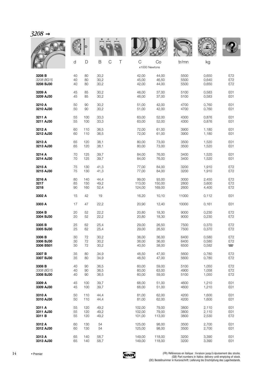| 3208 |  |
|------|--|
|------|--|

| סטבר      |    |     |      |                  |                    |        |       |       |                          |
|-----------|----|-----|------|------------------|--------------------|--------|-------|-------|--------------------------|
|           |    | D   |      |                  |                    |        | WALL  |       |                          |
|           | d  | D   | B    | $\mathsf C$<br>Τ | С<br>x1000 Newtons | Co     | tr/mn | kg    |                          |
| 3208 B    | 40 | 80  | 30,2 |                  | 42,00              | 44,00  | 5500  | 0,650 | E72                      |
| 3208 BG15 | 40 | 80  | 30,2 |                  | 45,00              | 46.50  | 5500  | 0,640 | E72                      |
| 3208 BJ30 | 40 | 80  | 30,2 |                  | 42,00              | 44,00  | 5500  | 0,650 | E72                      |
| 3209 A    | 45 | 85  | 30,2 |                  | 48,00              | 37,00  | 5100  | 0,583 | E01                      |
| 3209 AJ30 | 45 | 85  | 30,2 |                  | 48,00              | 37,00  | 5100  | 0,583 | E01                      |
| 3210 A    | 50 | 90  | 30,2 |                  | 51,00              | 42,00  | 4700  | 0,760 | E01                      |
| 3210 AJ30 | 50 | 90  | 30,2 |                  | 51,00              | 42,00  | 4700  | 0,760 | E01                      |
| 3211 A    | 55 | 100 | 33,3 |                  | 63,00              | 52,00  | 4300  | 0,876 | E01                      |
| 3211 AJ30 | 55 | 100 | 33,3 |                  | 63,00              | 52,00  | 4300  | 0,876 | E01                      |
| 3212 A    | 60 | 110 | 36,5 |                  | 72,00              | 61,00  | 3900  | 1,180 | E01                      |
| 3212 AJ30 | 60 | 110 | 36,5 |                  | 72,00              | 61,00  | 3900  | 1,180 | E01                      |
| 3213 A    | 65 | 120 | 38,1 |                  | 80,00              | 73,00  | 3500  | 1,520 | E01                      |
| 3213 AJ30 | 65 | 120 | 38,1 |                  | 80,00              | 73,00  | 3500  | 1,520 | E01                      |
| 3214 A    | 70 | 125 | 39,7 |                  | 84,00              | 76,00  | 3400  | 1,520 | E01                      |
| 3214 AJ30 | 70 | 125 | 39,7 |                  | 84,00              | 76,00  | 3400  | 1,520 | E01                      |
| 3215 A    | 75 | 130 | 41,3 |                  | 77,00              | 84,00  | 3200  | 1,910 | E72                      |
| 3215 AJ30 | 75 | 130 | 41,3 |                  | 77,00              | 84,00  | 3200  | 1,910 | E72                      |
| 3216 A    | 80 | 140 | 44,4 |                  | 99,00              | 93,00  | 3000  | 2,450 | E72                      |
| 3217      | 85 | 150 | 49,2 |                  | 113,00             | 150,00 | 2800  | 3,600 | E72                      |
| 3218      | 90 | 160 | 52,4 |                  | 124,00             | 169,00 | 2600  | 4,400 | E72                      |
| 3302 A    | 15 | 42  | 19   |                  | 16,20              | 10,10  | 11000 | 0,112 | E01                      |
| 3303 A    | 17 | 47  | 22,2 |                  | 20,90              | 12,40  | 10000 | 0,161 | E01                      |
| 3304 B    | 20 | 52  | 22,2 |                  | 20,80              | 18,30  | 9000  | 0,230 | E72                      |
| 3304 BJ30 | 20 | 52  | 22,2 |                  | 20,80              | 18,30  | 9000  | 0,230 | E72                      |
| 3305 B    | 25 | 62  | 25,4 |                  | 29,00              | 26,50  | 7500  | 0,370 | E72                      |
| 3305 BJ30 | 25 | 62  | 25,4 |                  | 29,00              | 26,50  | 7500  | 0,370 | E72                      |
| 3306 B    | 30 | 72  | 30,2 |                  | 38,00              | 36,00  | 6400  | 0,580 | E72                      |
| 3306 BJ30 | 30 | 72  | 30,2 |                  | 38,00              | 36,00  | 6400  | 0,580 | E72                      |
| 3306 BS01 | 30 | 72  | 30,2 |                  | 40,50              | 38,00  | 6500  | 0,582 | $\overline{\phantom{a}}$ |
| 3307 B    | 35 | 80  | 34,9 |                  | 48,50              | 47,00  | 5600  | 0,780 | E72                      |
| 3307 BJ30 | 35 | 80  | 34,9 |                  | 48,50              | 47,00  | 5600  | 0,780 | E72                      |
| 3308 B    | 40 | 90  | 36,5 |                  | 60,00              | 59,00  | 5100  | 1,050 | E72                      |
| 3308 BG15 | 40 | 90  | 36,5 |                  | 60,00              | 63,00  | 4900  | 1,058 | E72                      |
| 3308 BJ30 | 40 | 90  | 36,5 |                  | 60,00              | 59,00  | 5100  | 1,050 | E72                      |
| 3309 A    | 45 | 100 | 39,7 |                  | 68,00              | 51,00  | 4600  | 1,210 | E01                      |
| 3309 AJ30 | 45 | 100 | 39,7 |                  | 68,00              | 51,00  | 4600  | 1,210 | E01                      |
| 3310 A    | 50 | 110 | 44,4 |                  | 81,00              | 62,00  | 4200  | 1,600 | E01                      |
| 3310 AJ30 | 50 | 110 | 44,4 |                  | 81,00              | 62,00  | 4200  | 1,600 | E01                      |
| 3311 A    | 55 | 120 | 49,2 |                  | 102,00             | 79,00  | 3800  | 2,110 | E01                      |
| 3311 AJ30 | 55 | 120 | 49,2 |                  | 102,00             | 79,00  | 3800  | 2,110 | E01                      |
| 3311 B    | 55 | 120 | 49,2 |                  | 101,00             | 113,00 | 3800  | 2,530 | E72                      |
| 3312 A    | 60 | 130 | 54   |                  | 125,00             | 98,00  | 3500  | 2,700 | E01                      |
| 3312 AJ30 | 60 | 130 | 54   |                  | 125,00             | 98,00  | 3500  | 2,700 | E01                      |
| 3313 A    | 65 | 140 | 58,7 |                  | 149,00             | 118,00 | 3200  | 3,390 | E01                      |
| 3313 AJ30 | 65 | 140 | 58,7 |                  | 149,00             | 118,00 | 3200  | 3,390 | E01                      |

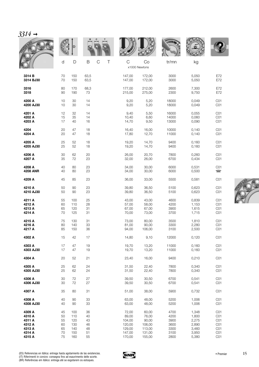| $3314 \rightarrow$ |    |     |      |                  |        |                     |              |       |                 |
|--------------------|----|-----|------|------------------|--------|---------------------|--------------|-------|-----------------|
|                    |    | D   |      |                  |        |                     | <b>WALLE</b> |       |                 |
|                    | d  | D   | B    | $\mathsf C$<br>Τ | C      | Co<br>x1000 Newtons | tr/mn        | kg    |                 |
| 3314 B             | 70 | 150 | 63,5 |                  | 147,00 | 172,00              | 3000         | 5,050 | E72             |
| 3314 BJ30          | 70 | 150 | 63,5 |                  | 147,00 | 172,00              | 3000         | 5,050 | E72             |
| 3316               | 80 | 170 | 68,3 |                  | 177,00 | 212,00              | 2600         | 7,300 | E72             |
| 3318               | 90 | 190 | 73   |                  | 215,00 | 275,00              | 2300         | 9,750 | E72             |
| 4200 A             | 10 | 30  | 14   |                  | 9,20   | 5,20                | 18000        | 0,049 | CO <sub>1</sub> |
| 4200 AJ30          | 10 | 30  | 14   |                  | 9,20   | 5,20                | 18000        | 0,049 | CO <sub>1</sub> |
| 4201 A             | 12 | 32  | 14   |                  | 9,40   | 5,50                | 16000        | 0,055 | CO <sub>1</sub> |
| 4202 A             | 15 | 35  | 14   |                  | 10,40  | 6,60                | 14000        | 0,060 | CO <sub>1</sub> |
| 4203 A             | 17 | 40  | 16   |                  | 14,70  | 9,50                | 13000        | 0,090 | CO <sub>1</sub> |
| 4204               | 20 | 47  | 18   |                  | 16,40  | 16,00               | 10000        | 0,140 | CO <sub>1</sub> |
| 4204 A             | 20 | 47  | 18   |                  | 17,80  | 12,70               | 11000        | 0,140 | CO <sub>1</sub> |
| 4205 A             | 25 | 52  | 18   |                  | 19,20  | 14,70               | 9400         | 0,160 | CO <sub>1</sub> |
| 4205 AJ30          | 25 | 52  | 18   |                  | 19,20  | 14,70               | 9400         | 0,160 | CO <sub>1</sub> |
| 4206 A             | 30 | 62  | 20   |                  | 26,00  | 20,70               | 7800         | 0,260 | CO <sub>1</sub> |
| 4207 A             | 35 | 72  | 23   |                  | 32,00  | 26,00               | 6700         | 0,434 | CO <sub>1</sub> |
| 4208 A             | 40 | 80  | 23   |                  | 34,00  | 30,00               | 6000         | 0,531 | CO <sub>1</sub> |
| <b>4208 ANR</b>    | 40 | 80  | 23   |                  | 34,00  | 30,00               | 6000         | 0,500 | $\Box$          |
| 4209 A             | 45 | 85  | 23   |                  | 36,00  | 33,00               | 5500         | 0,581 | CO <sub>1</sub> |
| 4210 A             | 50 | 90  | 23   |                  | 39,80  | 36,50               | 5100         | 0,623 | CO <sub>1</sub> |
| 4210 AJ30          | 50 | 90  | 23   |                  | 39,80  | 36,50               | 5100         | 0,623 | CO <sub>1</sub> |
| 4211 A             | 55 | 100 | 25   |                  | 43,00  | 43,00               | 4600         | 0,839 | CO <sub>1</sub> |
| 4212 A             | 60 | 110 | 28   |                  | 57,00  | 58,00               | 4200         | 1,153 | CO <sub>1</sub> |
| 4213 A             | 65 | 120 | 31   |                  | 67,00  | 67,00               | 3900         | 1,615 | CO <sub>1</sub> |
| 4214 A             | 70 | 125 | 31   |                  | 70,00  | 73,00               | 3700         | 1,715 | CO <sub>1</sub> |
| 4215 A             | 75 | 130 | 31   |                  | 73,00  | 80,00               | 3500         | 1,810 | CO <sub>1</sub> |
| 4216 A             | 80 | 140 | 33   |                  | 81,00  | 90,00               | 3300         | 2,280 | CO <sub>1</sub> |
| 4217 A             | 85 | 150 | 36   |                  | 94,00  | 106,00              | 3100         | 2,500 | CO <sub>1</sub> |
| 4302 A             | 15 | 42  | 17   |                  | 14,80  | 9,10                | 12000        | 0,120 | CO <sub>1</sub> |
| 4303 A             | 17 | 47  | 19   |                  | 19,70  | 13,20               | 11000        | 0,160 | CO <sub>1</sub> |
| 4303 AJ30          | 17 | 47  | 19   |                  | 19,70  | 13,20               | 11000        | 0,160 | CO <sub>1</sub> |
| 4304 A             | 20 | 52  | 21   |                  | 23,40  | 16,00               | 9400         | 0,210 | CO <sub>1</sub> |
| 4305 A             | 25 | 62  | 24   |                  | 31,50  | 22,40               | 7800         | 0,340 | CO <sub>1</sub> |
| 4305 AJ30          | 25 | 62  | 24   |                  | 31,50  | 22,40               | 7800         | 0,340 | CO <sub>1</sub> |
| 4306 A             | 30 | 72  | 27   |                  | 39,50  | 30,50               | 6700         | 0,541 | CO <sub>1</sub> |
| 4306 AJ30          | 30 | 72  | 27   |                  | 39,50  | 30,50               | 6700         | 0,541 | CO <sub>1</sub> |
| 4307 A             | 35 | 80  | 31   |                  | 51,00  | 38,00               | 5900         | 0,732 | CO <sub>1</sub> |
| 4308 A             | 40 | 90  | 33   |                  | 63,00  | 48,00               | 5200         | 1,006 | CO <sub>1</sub> |
| 4308 AJ30          | 40 | 90  | 33   |                  | 63,00  | 48,00               | 5200         | 1,006 | CO <sub>1</sub> |
| 4309 A             | 45 | 100 | 36   |                  | 72,00  | 60,00               | 4700         | 1,348 | CO <sub>1</sub> |
| 4310 A             | 50 | 110 | 40   |                  | 89,00  | 76,00               | 4200         | 1,800 | CO <sub>1</sub> |
| 4311 A             | 55 | 120 | 43   |                  | 104,00 | 90,00               | 3900         | 2,275 | CO <sub>1</sub> |
| 4312 A             | 60 | 130 | 46   |                  | 120,00 | 106,00              | 3600         | 2,890 | CO <sub>1</sub> |
| 4313 A             | 65 | 140 | 48   |                  | 129,00 | 113,00              | 3300         | 3,460 | CO <sub>1</sub> |
| 4314 A             | 70 | 150 | 51   |                  | 147,00 | 131,00              | 3100         | 3,950 | CO <sub>1</sub> |
| 4315 A             | 75 | 160 | 55   |                  | 170,00 | 155,00              | 2800         | 5,380 | CO <sub>1</sub> |



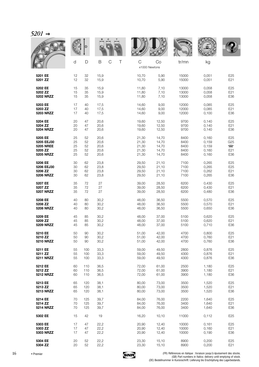|                  |    |     |                       |                              |       | <b>WALLE</b> |       |                |
|------------------|----|-----|-----------------------|------------------------------|-------|--------------|-------|----------------|
|                  | d  | D   | B<br>$\mathsf C$<br>Τ | $\mathsf C$<br>x1000 Newtons | Co    | tr/mn        | kg    |                |
| 5201 EE          | 12 | 32  | 15,9                  | 10,70                        | 5,90  | 15000        | 0,051 | E25            |
| 5201 ZZ          | 12 | 32  | 15,9                  | 10,70                        | 5,90  | 15000        | 0,051 | E21            |
| 5202 EE          | 15 | 35  | 15,9                  | 11,80                        | 7,10  | 13000        | 0,058 | E25            |
| 5202 ZZ          | 15 | 35  | 15,9                  | 11,80                        | 7,10  | 13000        | 0,058 | E21            |
| <b>5202 NRZZ</b> | 15 | 35  | 15,9                  | 11,80                        | 7,10  | 13000        | 0,058 | E36            |
| 5203 EE          | 17 | 40  | 17,5                  | 14,60                        | 9,00  | 12000        | 0,085 | E25            |
| 5203 ZZ          | 17 | 40  | 17,5                  | 14,60                        | 9,00  | 12000        | 0,085 | E21            |
| 5203 NRZZ        | 17 | 40  | 17,5                  | 14,60                        | 9,00  | 12000        | 0,100 | E36            |
| 5204 EE          | 20 | 47  | 20,6                  | 19,60                        | 12,50 | 9700         | 0,140 | E25            |
| 5204 ZZ          | 20 | 47  | 20,6                  | 19,60                        | 12,50 | 9700         | 0,140 | E21            |
| <b>5204 NRZZ</b> | 20 | 47  | 20,6                  | 19,60                        | 12,50 | 9700         | 0,140 | E36            |
| 5205 EE          | 25 | 52  | 20,6                  | 21,30                        | 14,70 | 8400         | 0,160 | E25            |
| 5205 EEJ30       | 25 | 52  | 20,6                  | 21,30                        | 14,70 | 8400         | 0,159 | G25            |
| <b>5205 NREE</b> | 25 | 52  | 20,6                  | 21,30                        | 14,70 | 8400         | 0,159 | $\blacksquare$ |
| 5205 ZZ          | 25 | 52  | 20,6                  | 21,30                        | 14,70 | 8400         | 0,160 | E21            |
| <b>5205 NRZZ</b> | 25 | 52  | 20,6                  | 21,30                        | 14,70 | 8400         | 0,160 | E36            |
| 5206 EE          | 30 | 62  | 23,8                  | 29,50                        | 21,10 | 7100         | 0,265 | E25            |
| 5206 EEJ30       | 30 | 62  | 23,8                  | 29,50                        | 21,10 | 7100         | 0,265 | E25            |
| 5206 ZZ          | 30 | 62  | 23,8                  | 29,50                        | 21,10 | 7100         | 0,262 | E21            |
| <b>5206 NRZZ</b> | 30 | 62  | 23,8                  | 29,50                        | 21,10 | 7100         | 0,265 | E36            |
| 5207 EE          | 35 | 72  | 27                    | 39,00                        | 28,50 | 6200         | 0,430 | E25            |
| 5207 ZZ          | 35 | 72  | 27                    | 39,00                        | 28,50 | 6200         | 0,430 | E21            |
| <b>5207 NRZZ</b> | 35 | 72  | 27                    | 39,00                        | 28,50 | 6200         | 0,480 | E36            |
| 5208 EE          | 40 | 80  | 30,2                  | 48,00                        | 36,50 | 5500         | 0,570 | E25            |
| 5208 ZZ          | 40 | 80  | 30,2                  | 48,00                        | 36,50 | 5500         | 0,570 | E21            |
| <b>5208 NRZZ</b> | 40 | 80  | 30,2                  | 48,00                        | 36,50 | 5500         | 0,650 | E36            |
| 5209 EE          | 45 | 85  | 30,2                  | 48,00                        | 37,00 | 5100         | 0,620 | E25            |
| 5209 ZZ          | 45 | 85  | 30,2                  | 48,00                        | 37,00 | 5100         | 0,620 | E21            |
| <b>5209 NRZZ</b> | 45 | 85  | 30,2                  | 48,00                        | 37,00 | 5100         | 0,710 | E36            |
| 5210 EE          | 50 | 90  | 30,2                  | 51,00                        | 42,00 | 4700         | 0,800 | E25            |
| 5210 ZZ          | 50 | 90  | 30,2                  | 51,00                        | 42,00 | 4700         | 0,760 | E21            |
| <b>5210 NRZZ</b> | 50 | 90  | 30,2                  | 51,00                        | 42,00 | 4700         | 0,760 | E36            |
| 5211 EE          | 55 | 100 | 33,3                  | 59,00                        | 49.50 | 2800         | 0,876 | E25            |
| 5211 ZZ          | 55 | 100 | 33,3                  | 59,00                        | 49,50 | 4300         | 0,876 | E21            |
| <b>5211 NRZZ</b> | 55 | 100 | 33,3                  | 59,00                        | 49,50 | 4300         | 0,876 | E36            |
| 5212 EE          | 60 | 110 | 36,5                  | 72,00                        | 61,00 | 2500         | 1,180 | E25            |
| 5212 ZZ          | 60 | 110 | 36,5                  | 72,00                        | 61,00 | 3900         | 1,180 | E21            |
| <b>5212 NRZZ</b> | 60 | 110 | 36,5                  | 72,00                        | 61,00 | 3900         | 1,180 | E36            |
| 5213 EE          | 65 | 120 | 38,1                  | 80,00                        | 73,00 | 3500         | 1,520 | E25            |
| 5213 ZZ          | 65 | 120 | 38,1                  | 80,00                        | 73,00 | 3500         | 1,520 | E21            |
| <b>5213 NRZZ</b> | 65 | 120 | 38,1                  | 80,00                        | 73,00 | 3500         | 1,520 | E36            |
| 5214 EE          | 70 | 125 | 39,7                  | 84,00                        | 76,00 | 2200         | 1,640 | E25            |
| 5214 ZZ          | 70 | 125 | 39,7                  | 84,00                        | 76,00 | 3400         | 1,640 | E21            |
| <b>5214 NRZZ</b> | 70 | 125 | 39,7                  | 84,00                        | 76,00 | 3400         | 1,640 | E36            |
| 5302 EE          | 15 | 42  | 19                    | 16,20                        | 10,10 | 11000        | 0,112 | E25            |
| 5303 EE          | 17 | 47  | 22,2                  | 20,90                        | 12,40 | 10000        | 0,161 | E25            |
| 5303 ZZ          | 17 | 47  | 22,2                  | 20,90                        | 12,40 | 10000        | 0,160 | E21            |
| 5303 NRZZ        | 17 | 47  | 22,2                  | 20,90                        | 12,40 | 10000        | 0,190 | E36            |



**5304 EE** 20 52 22,2 23,30 15,10 8900 0,200 E25 **5304 ZZ** 20 52 22,2 23,30 15,10 8900 0,200 E21

FR) Références en italique : livraison jusqu'à épuisement des stocks.<br>GB) Part numbers in Italics: delivery until emptying of stock.<br>(DE) Bestellnummer in Kursivschrift: Lieferung bis Erschöpfung des Lagerbestands.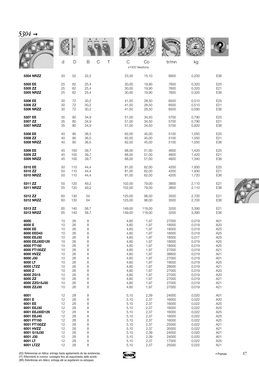|                  |    |     |                       |                               |        | <b>WALLE</b> |       |                 |
|------------------|----|-----|-----------------------|-------------------------------|--------|--------------|-------|-----------------|
|                  | d  | D   | $\mathsf C$<br>Τ<br>B | $\mathsf{C}$<br>x1000 Newtons | Co     | tr/mn        | kg    |                 |
| <b>5304 NRZZ</b> | 20 | 52  | 22,2                  | 23,30                         | 15,10  | 8900         | 0,200 | E36             |
| 5305 EE          | 25 | 62  | 25,4                  | 30,00                         | 19,90  | 7600         | 0,320 | E25             |
| 5305 ZZ          | 25 | 62  | 25,4                  | 30,00                         | 19.90  | 7600         | 0,320 | E21             |
| <b>5305 NRZZ</b> | 25 | 62  | 25,4                  | 30,00                         | 19,90  | 7600         | 0,320 | E36             |
| 5306 EE          | 30 | 72  | 30,2                  | 41,50                         | 28,50  | 6500         | 0.510 | E <sub>25</sub> |
| 5306 ZZ          | 30 | 72  | 30,2                  | 41,50                         | 28,50  | 6500         | 0,510 | E21             |
| <b>5306 NRZZ</b> | 30 | 72  | 30,2                  | 41,50                         | 28,50  | 6500         | 0,590 | E36             |
| 5307 EE          | 35 | 80  | 34,9                  | 51,00                         | 34,50  | 5700         | 0,790 | E <sub>25</sub> |
| 5307 ZZ          | 35 | 80  | 34,9                  | 51,00                         | 34,50  | 5700         | 0,790 | E21             |
| <b>5307 NRZZ</b> | 35 | 80  | 34,9                  | 51,00                         | 34,50  | 5700         | 0,820 | E36             |
| 5308 EE          | 40 | 90  | 36,5                  | 62,00                         | 45,00  | 5100         | 1,050 | E25             |
| 5308 ZZ          | 40 | 90  | 36,5                  | 62,00                         | 45,00  | 5100         | 1,050 | E21             |
| <b>5308 NRZZ</b> | 40 | 90  | 36,5                  | 62,00                         | 45,00  | 5100         | 1,050 | E36             |
| 5309 EE          | 45 | 100 | 39,7                  | 68,00                         | 51,00  | 4600         | 1,420 | E25             |
| 5309 ZZ          | 45 | 100 | 39,7                  | 68,00                         | 51,00  | 4600         | 1,420 | E21             |
| 5309 NRZZ        | 45 | 100 | 39,7                  | 68,00                         | 51,00  | 4600         | 1,340 | E36             |
| 5310 EE          | 50 | 110 | 44,4                  | 81,00                         | 62,00  | 4200         | 1,930 | E25             |
| 5310 ZZ          | 50 | 110 | 44,4                  | 81,00                         | 62,00  | 4200         | 1,930 | E21             |
| <b>5310 NRZZ</b> | 50 | 110 | 44,4                  | 81,00                         | 62,00  | 4200         | 1,720 | E36             |
| 5311 ZZ          | 55 | 120 | 49,2                  | 102,00                        | 79,00  | 3800         | 2,110 | E21             |
| <b>5311 NRZZ</b> | 55 | 120 | 49,2                  | 102,00                        | 79,00  | 3800         | 2,110 | E36             |
| 5312 ZZ          | 60 | 130 | 54                    | 125,00                        | 98,00  | 3500         | 2,700 | E21             |
| <b>5312 NRZZ</b> | 60 | 130 | 54                    | 125,00                        | 98,00  | 3500         | 2,700 | E36             |
| 5313 ZZ          | 65 | 140 | 58,7                  | 149,00                        | 118,00 | 3200         | 3,390 | E21             |
| 5313 NRZZ        | 65 | 140 | 58,7                  | 149,00                        | 118,00 | 3200         | 3,390 | E36             |
| 6000             | 10 | 26  | 8                     | 4,60                          | 1,97   | 27000        | 0,019 | A01             |
| 6000 E           | 10 | 26  | 8                     | 4,60                          | 1,97   | 18000        | 0,019 | A20             |
| 6000 EE          | 10 | 26  | 8                     | 4,60                          | 1,97   | 18000        | 0,019 | A <sub>25</sub> |
| 6000 EED43       | 10 | 26  | 8                     | 4,60                          | 1,97   | 18000        | 0,019 | A25             |
| 6000 EEJ30       | 10 | 26  | 8                     | 4,60                          | 1,97   | 18000        | 0,017 | A25             |
| 6000 EEJ30D129   | 10 | 26  | 8                     | 4,60                          | 1,97   | 18000        | 0,019 | A25             |
| 6000 FT150       | 10 | 26  | 8                     | 4,60                          | 1,97   | 18000        | 0,019 | A25             |
| 6000 FT150ZZ     | 10 | 26  | 8                     | 4,60                          | 1,97   | 27000        | 0,019 | A21             |
| 6000 HVZZ        | 10 | 26  | 8                     | 4,60                          | 1,97   | 38800        | 0,019 | A21             |
| 6000 J30         | 10 | 26  | 8                     | 4,60                          | 1,97   | 27000        | 0,019 | A01             |
| 6000 LT          | 10 | 26  | 8                     | 4,60                          | 1,97   | 19000        | 0,019 | A25             |
| 6000 LTZZ        | 10 | 26  | 8                     | 4,60                          | 1,97   | 28000        | 0,019 | A21             |
| 6000 Z           | 10 | 26  | 8                     | 4,60                          | 1,97   | 27000        | 0,019 | A20             |
| 6000 ZG15        | 10 | 26  | 8                     | 4,60                          | 1,97   | 27000        | 0,019 | A20             |
| 6000 ZZ          | 10 | 26  | 8                     | 4,60                          | 1,97   | 27000        | 0,019 | A21             |
| 6000 ZZG15J30    | 10 | 26  | 8                     | 4,60                          | 1,97   | 27000        | 0,019 | A21             |
| 6000 ZZJ30       | 10 | 26  | 8                     | 4,60                          | 1,97   | 27000        | 0,019 | A21             |
| 6001             | 12 | 28  | 8                     | 5,10                          | 2,39   | 24000        | 0,020 | A01             |
| 6001 E           | 12 | 28  | 8                     | 5,10                          | 2,37   | 16000        | 0,022 | A20             |
| 6001 EE          | 12 | 28  | 8                     | 5,10                          | 2,37   | 16000        | 0,022 | A25             |
| 6001 EEJ30       | 12 | 28  | 8                     | 5,10                          | 2,37   | 16000        | 0,022 | A25             |
| 6001 EEJ30D129   | 12 | 28  | 8                     | 5,10                          | 2,37   | 16000        | 0,022 | A25             |
| 6001 EEJ40       | 12 | 28  | 8                     | 5,10                          | 2,37   | 16000        | 0,022 | A25             |
| 6001 FT150       | 12 | 28  | 8                     | 5,10                          | 2,37   | 16000        | 0,022 | A25             |
| 6001 FT150ZZ     | 12 | 28  | 8                     | 5,10                          | 2,37   | 25000        | 0,022 | A21             |
| 6001 HVZZ        | 12 | 28  | 8                     | 5,10                          | 2,37   | 35000        | 0,022 | A21             |
| 6001 G15J30      | 12 | 28  | 8                     | 5,10                          | 2,39   | 24000        | 0,020 | A01             |
| 6001 J30         | 12 | 28  | 8                     | 5,10                          | 2,39   | 24000        | 0,020 | A01             |
| 6001 LT          | 12 | 28  | 8                     | 5,10                          | 2,37   | 17000        | 0,022 | A25             |
| 6001 LTZZ        | 12 | 28  | 8                     | 5,10                          | 2,37   | 25000        | 0,022 | A21             |



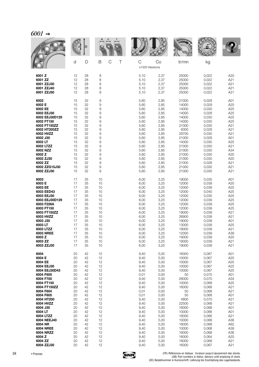|                          |          | D        |          |                  |              |                     | <b>WALL</b>    |                |                        |
|--------------------------|----------|----------|----------|------------------|--------------|---------------------|----------------|----------------|------------------------|
|                          | d        | D        | B        | $\mathsf C$<br>Τ | C            | Co<br>x1000 Newtons | tr/mn          | kg             |                        |
| 6001 Z                   | 12       | 28       | 8        |                  | 5,10         | 2,37                | 25000          | 0,022          | A20                    |
| 6001 ZZ                  | 12       | 28       | 8        |                  | 5,10         | 2,37                | 25000          | 0,022          | A21                    |
| 6001 ZZJ30<br>6001 ZZJ40 | 12<br>12 | 28<br>28 | 8<br>8   |                  | 5,10<br>5,10 | 2,37<br>2,37        | 25000<br>25000 | 0,022<br>0,022 | A21<br>A21             |
| 6001 ZZJ50               | 12       | 28       | 8        |                  | 5,10         | 2,37                | 25000          | 0,022          | A21                    |
| 6002                     | 15       | 32       | 9        |                  | 5,60         | 2,85                | 21000          | 0,028          | A01                    |
| 6002 E                   | 15       | 32       | 9        |                  | 5,60         | 2,85                | 14000          | 0,029          | A20                    |
| 6002 EE<br>6002 EEJ30    | 15<br>15 | 32<br>32 | 9<br>9   |                  | 5,60<br>5,60 | 2,85<br>2,85        | 14000<br>14000 | 0,030<br>0,028 | A <sub>25</sub><br>A25 |
| 6002 EEJ30D129           | 15       | 32       | 9        |                  | 5,60         | 2,85                | 14000          | 0,030          | A25                    |
| 6002 FT150               | 15       | 32       | 9        |                  | 5,60         | 2,85                | 14000          | 0,030          | A25                    |
| 6002 FT150ZZ             | 15       | 32       | 9        |                  | 5,60         | 2,85                | 21000          | 0,030          | A21                    |
| 6002 HT200ZZ             | 15       | 32       | 9        |                  | 5,60         | 2,85                | 6300           | 0,029          | A21                    |
| 6002 HVZZ<br>6002 J30    | 15<br>15 | 32<br>32 | 9<br>9   |                  | 5,60<br>5,60 | 2,85<br>2,85        | 29700<br>21000 | 0,030<br>0,028 | A21<br>A01             |
| 6002 LT                  | 15       | 32       | 9        |                  | 5,60         | 2,85                | 14000          | 0,030          | A25                    |
| 6002 LTZZ                | 15       | 32       | 9        |                  | 5,60         | 2,85                | 21000          | 0,030          | A21                    |
| 6002 NZZ                 | 15       | 32       | 9        |                  | 5,60         | 2,85                | 21000          | 0,030          | A34                    |
| 6002 Z<br>6002 ZJ30      | 15<br>15 | 32<br>32 | 9<br>9   |                  | 5,60<br>5,60 | 2,85<br>2,85        | 21000<br>21000 | 0,030<br>0,030 | A20<br>A20             |
| 6002 ZZ                  | 15       | 32       | 9        |                  | 5,60         | 2,85                | 21000          | 0,028          | A21                    |
| 6002 ZZG15J30            | 15       | 32       | 9        |                  | 5,60         | 2,85                | 21000          | 0,030          | A21                    |
| 6002 ZZJ30               | 15       | 32       | 9        |                  | 5,60         | 2,85                | 21000          | 0,030          | A21                    |
| 6003                     | 17       | 35       | 10       |                  | 6,00         | 3,25                | 19000          | 0,035          | A01                    |
| 6003 E<br>6003 EE        | 17       | 35       | 10<br>10 |                  | 6,00         | 3,25                | 12000          | 0,039          | A20<br>A25             |
| 6003 EED43               | 17<br>17 | 35<br>35 | 10       |                  | 6,00<br>6,00 | 3,25<br>3,25        | 12000<br>12000 | 0,039<br>0,040 | A25                    |
| 6003 EEJ30               | 17       | 35       | 10       |                  | 6,00         | 3,25                | 12000          | 0,035          | A <sub>25</sub>        |
| 6003 EEJ30D129           | 17       | 35       | 10       |                  | 6,00         | 3,25                | 12000          | 0,039          | A25                    |
| 6003 F226A<br>6003 FT150 | 17<br>17 | 35<br>35 | 10<br>10 |                  | 6,00<br>6,00 | 3,25<br>3,25        | 12000<br>12000 | 0,039<br>0,039 | A25<br>A <sub>25</sub> |
| 6003 FT150ZZ             | 17       | 35       | 10       |                  | 6,00         | 3,25                | 19000          | 0,039          | A21                    |
| 6003 HVZZ                | 17       | 35       | 10       |                  | 6,00         | 3,25                | 26900          | 0,039          | A21                    |
| 6003 J30                 | 17       | 35       | 10       |                  | 6,00         | 3,25                | 19000          | 0,039          | A01                    |
| 6003 LT<br>6003 LTZZ     | 17<br>17 | 35<br>35 | 10<br>10 |                  | 6,00<br>6,00 | 3,25<br>3,25        | 13000<br>19000 | 0,039<br>0,039 | A25<br>A21             |
| <b>6003 NREE</b>         | 17       | 35       | 10       |                  | 6,00         | 3,25                | 12000          | 0,039          | A39                    |
| 6003 Z                   | 17       | 35       | 10       |                  | 6,00         | 3,25                | 19000          | 0,039          | A20                    |
| 6003 ZZ<br>6003 ZZJ30    | 17<br>17 | 35<br>35 | 10<br>10 |                  | 6,00<br>6,00 | 3,25<br>3,25        | 19000<br>19000 | 0,039<br>0,039 | A21<br>A21             |
|                          |          |          |          |                  |              |                     |                |                |                        |
| 6004<br>6004 E           | 20<br>20 | 42<br>42 | 12<br>12 |                  | 9,40<br>9,40 | 5,00<br>5,00        | 16000<br>10000 | 0,067<br>0,067 | A01<br>A20             |
| 6004 EE                  | 20       | 42       | 12       |                  | 9,40         | 5,00                | 10000          | 0,067          | A <sub>25</sub>        |
| 6004 EEJ30               | 20       | 42       | 12       |                  | 9,40         | 5,00                | 10000          | 0,067          | A25                    |
| 6004 EEJ30D43            | 20       | 42       | 12       |                  | 9,40         | 5,00                | 10000          | 0,067          | A25                    |
| 6004 F600<br>6004 F700   | 20<br>20 | 42<br>42 | 12<br>12 |                  | 0,01<br>9,40 | 0,00<br>5,00        | 50<br>26000    | 0,070<br>0,070 | A01<br>A34             |
| 6004 FT150               | 20       | 42       | 12       |                  | 9,40         | 5,00                | 10000          | 0,068          | A25                    |
| 6004 FT150ZZ             | 20       | 42       | 12       |                  | 9,40         | 5,00                | 16000          | 0,068          | A21                    |
| 6004 F604                | 20       | 42       | 12       |                  | 0,01         | 0,00                | 50             | 0,068          | A21                    |
| 6004 F605                | 20       | 42       | 12       |                  | 0,01         | 0,00                | 50             | 0,068          | A01                    |
| 6004 HT200<br>6004 HVZZ  | 20<br>20 | 42<br>42 | 12<br>12 |                  | 9,40<br>9,40 | 5,00<br>5,00        | 4800<br>22500  | 0,070<br>0,068 | A21<br>A21             |
| 6004 J30                 | 20       | 42       | 12       |                  | 9,40         | 5,00                | 16000          | 0,068          | A01                    |
| 6004 LT                  | 20       | 42       | 12       |                  | 9,40         | 5,00                | 10000          | 0,066          | A01                    |
| 6004 LTZZ                | 20<br>20 | 42       | 12       |                  | 9,40         | 5,00                | 16000          | 0,066          | A21                    |
| 6004 NEEJ40<br>6004 NR   | 20       | 42<br>42 | 12<br>12 |                  | 9,40<br>9,40 | 5,00<br>5,00        | 10000<br>16000 | 0,068<br>0,068 | A38<br>A62             |
| <b>6004 NREE</b>         | 20       | 42       | 12       |                  | 9,40         | 5,00                | 10000          | 0,068          | A39                    |
| 6004 NRZZ                | 20       | 42       | 12       |                  | 9,40         | 5,00                | 16000          | 0,068          | A36                    |
| 6004 Z                   | 20       | 42       | 12       |                  | 9,40         | 5,00                | 16000          | 0,064          | A20                    |
| 6004 ZZ<br>6004 ZZJ30    | 20<br>20 | 42<br>42 | 12<br>12 |                  | 9,40<br>9,40 | 5,00<br>5,00        | 16000<br>16000 | 0,068<br>0,067 | A21<br>A21             |
|                          |          |          |          |                  |              |                     |                |                |                        |

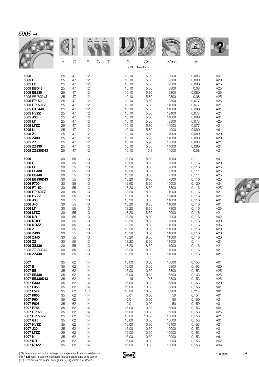|                               | d              | D              | B<br>C<br>Τ    | $\mathsf C$<br>x1000 Newtons | Co             | tr/mn                   | kg                      |                          |
|-------------------------------|----------------|----------------|----------------|------------------------------|----------------|-------------------------|-------------------------|--------------------------|
| 6005                          | 25             | 47             | 12             | 10,10                        | 5,90           | 13000                   | 0,083                   | A01                      |
| 6005 E                        | 25             | 47             | 12             | 10, 10                       | 5,80           | 9300                    | 0,080                   | A20                      |
| 6005 EE                       | 25             | 47             | 12             | 10,10                        | 5,80           | 9300                    | 0,080                   | A25                      |
| 6005 EED43                    | 25             | 47             | 12             | 10,10                        | 5,80           | 9300                    | 0,08                    | A25                      |
| 6005 EEJ30                    | 25             | 47             | 12             | 10,10                        | 5,80           | 9300                    | 0,080                   | A25                      |
| 6005 EEJ30D43                 | 25             | 47             | 12             | 10, 10                       | 5,80           | 9300                    | 0,08                    | A25                      |
| 6005 FT150                    | 25             | 47             | 12             | 10, 10                       | 5,80           | 9300                    | 0,077                   | A25                      |
| 6005 FT150ZZ                  | 25             | 47             | 12             | 10, 10                       | 5,80           | 14000                   | 0,077                   | A21                      |
| 6005 G15J40                   | 25             | 47             | 12             | 10, 10                       | 5,80           | 14000                   | 0,080                   | A01                      |
| 6005 HVZZ                     | 25             | 47             | 12             | 10,10                        | 5,80           | 19400                   | 0,077                   | A21                      |
| 6005 J30                      | 25             | 47             | 12             | 10, 10                       | 5,80           | 14000                   | 0,080                   | A01                      |
| 6005 LT                       | 25             | 47             | 12             | 10, 10                       | 5,80           | 9300                    | 0,077                   | A25                      |
| 6005 LTZZ                     | 25             | 47             | 12             | 10, 10                       | 5,80           | 14000                   | 0,077                   | A21                      |
| 6005N                         | 25             | 47             | 12             | 10, 10                       | 5,80           | 14000                   | 0,080                   | A61                      |
| 6005 Z                        | 25             | 47             | 12             | 10, 10                       | 5,80           | 14000                   | 0,080                   | A20                      |
| 6005 ZJ30                     | 25             | 47             | 12             | 10, 10                       | 5,80           | 14000                   | 0,080                   | A20                      |
| 6005 ZZ                       | 25             | 47             | 12             | 10,10                        | 5,90           | 13000                   | 0,083                   | A21                      |
| 6005 ZZJ30                    | 25             | 47             | 12             | 10, 10                       | 5,80           | 14000                   | 0,080                   | A21                      |
| 6005 ZZJ30D43                 | 25             | 47             | 12             | 10, 10                       | 5,8            | 14000                   | 0,08                    | A21                      |
| 6006                          | 30             | 55             | 13             | 13,20                        | 8,30           | 11000                   | 0,111                   | A01                      |
| 6006 E                        | 30             | 55             | 13             | 13,20                        | 8,30           | 7800                    | 0,116                   | A20                      |
| 6006 EE                       | 30             | 55             | 13             | 13,20                        | 8,30           | 7800                    | 0,116                   | A25                      |
| 6006 EEJ30                    | 30             | 55             | 13             | 13,20                        | 8,30           | 7700                    | 0,111                   | A25                      |
| 6006 EEJ40                    | 30             | 55             | 13             | 13,20                        | 8,30           | 7700                    | 0,111                   | A25                      |
| 6006 EEJ30D43                 | 30             | 55             | 13             | 13,20                        | 8,30           | 7800                    | 0,116                   | A25                      |
| 6006 F700                     | 30             | 55             | 13             | 12,60                        | 8,20           | 19000                   | 0,120                   | A34                      |
| 6006 FT150                    | 30             | 55             | 13             | 13,20                        | 8,30           | 7800                    | 0,116                   | A25                      |
| 6006 FT150ZZ                  | 30             | 55             | 13             | 13,20                        | 8,30           | 11000                   | 0,116                   | A21                      |
| 6006 HVZZ                     | 30             | 55             | 13             | 13,20                        | 8,30           | 16400                   | 0,116                   | A21                      |
| 6006 J30                      | 30             | 55             | 13             | 13,20                        | 8,30           | 11000                   | 0,116                   | A01                      |
| 6006 J40                      | 30             | 55             | 13             | 13,20                        | 8,30           | 11000                   | 0,116                   | A01                      |
| 6006 LT                       | 30             | 55             | 13             | 13,20                        | 8,30           | 7800                    | 0,116                   | A25                      |
| 6006 LTZZ                     | 30             | 55             | 13             | 13,20                        | 8,30           | 12000                   | 0,116                   | A21                      |
| 6006 NR                       | 30             | 55             | 13             | 13,20                        | 8,30           | 12000                   | 0,116                   | A62                      |
| <b>6006 NREE</b>              | 30             | 55             | 13             | 13,20                        | 8,30           | 7800                    | 0,116                   | A39                      |
| 6006 NRZZ                     | 30             | 55             | 13             | 13,20                        | 8,30           | 11000                   | 0,116                   | A36                      |
| 6006 Z                        | 30             | 55             | 13             | 13,20                        | 8,30           | 11000                   | 0,116                   | A20                      |
| 6006 ZJ30                     | 30             | 55             | 13             | 13,20                        | 8,30           | 11000                   | 0,116                   | A20                      |
| 6006 ZJ40                     | 30             | 55             | 13             | 13,20                        | 8,30           | 11000                   | 0,116                   | A20                      |
| 6006 ZZ                       | 30             | 55             | 13             | 13,20                        | 8,30           | 11000                   | 0,111                   | A21                      |
| 6006 ZZJ30                    | 30             | 55             | 13             | 13,20                        | 8,30           | 11000                   | 0,116                   | A21                      |
| 6006 ZZJ30D43                 | 30             | 55             | 13             | 13,20                        | 8,30           | 11000                   | 0,116                   | A21                      |
| 6006 ZZJ40                    | 30             | 55             | 13             | 13,20                        | 8,30           | 11000                   | 0,116                   | A21                      |
| 6007                          | 35             | 62             | 14             | 16,00                        | 10,30          | 10000                   | 0,153                   | A01                      |
| 6007 E                        | 35             | 62             | 14             | 16,00                        | 10,30          | 6800                    | 0,153                   | A20                      |
| 6007 EE                       | 35             | 62             | 14             | 16,00                        | 10,30          | 6800                    | 0,153                   | A25                      |
| 6007 EEJ30                    | 35             | 62             | 14             | 16,00                        | 10,30          | 6800                    | 0,133                   | A25                      |
| 6007 EEJ30D43                 | 35             | 62             | 14             | 16                           | 10,3           | 6800                    | 0,153                   | A25                      |
| 6007 EJ30                     | 35             | 62             | 14             | 16,00                        | 10,30          | 6800                    | 0,153                   | A20                      |
| 6007 F355                     | 35             | 62             | 14             | 16,00                        | 10,30          | 6800                    | 0,153                   | $\overline{\phantom{0}}$ |
| 6007 F572                     | 35             | 62             | 18,2           | 16,00                        | 10,30          | 6900                    | 0,214                   | $\Box$                   |
| 6007 F600                     | 35             | 62             | 14             | 0,01                         | 0,00           | 50                      | 0,151                   | A01                      |
| 6007 F604                     | 35             | 62             | 14             | 0,01                         | 0,00           | 50                      | 0,159                   | A21                      |
| 6007 F605                     | 35             | 62             | 14             | 0,01                         | 0,00           | 50                      | 0,159                   | A01                      |
| 6007 F785                     | 35             | 62             | 14             | 16,00                        | 10,30          | 6800                    | 0,153                   | $\Box$                   |
| 6007 FT150                    | 35             | 62             | 14             | 16,00                        | 10,30          | 6800                    | 0,153                   | A25                      |
| 6007 FT150ZZ                  | 35             | 62             | 14             | 16,00                        | 10,30          | 10000                   | 0,153                   | A21                      |
| 6007 G15                      | 35             | 62             | 14             | 16,00                        | 10,30          | 10000                   | 0,153                   | A01                      |
| 6007 HVZZ                     | 35             | 62             | 14             | 16,00                        | 10,30          | 16400                   | 0,153                   | A21                      |
| 6007 J30                      | 35             | 62             | 14             | 16,00                        | 10,30          | 10000                   | 0,153                   | A01                      |
| 6007 LTZZ<br>6007N<br>6007 NR | 35<br>35<br>35 | 62<br>62<br>62 | 14<br>14<br>14 | 16,00<br>16,00<br>16,00      | 10,30<br>10,30 | 10000<br>10000<br>10000 | 0,153<br>0,153<br>0,153 | A21<br>A61<br>A62        |
| <b>6007 NRZZ</b>              | 35             | 62             | 14             | 16,00                        | 10,30<br>10,30 | 10000                   | 0,153                   | A36                      |



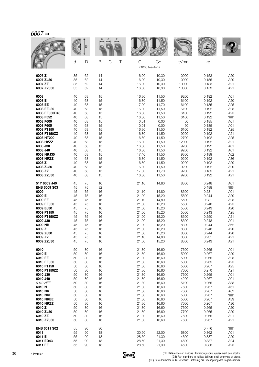| <i>6007</i> |
|-------------|
|-------------|

|                               |          |          |                  |   |                    |                | <b>MAN</b>     |                |                          |
|-------------------------------|----------|----------|------------------|---|--------------------|----------------|----------------|----------------|--------------------------|
|                               | d        | D        | B<br>$\mathsf C$ | Τ | C<br>x1000 Newtons | Co             | tr/mn          | kg             |                          |
| 6007 Z                        | 35       | 62       | 14               |   | 16,00              | 10,30          | 10000          | 0,153          | A20                      |
| 6007 ZJ30                     | 35       | 62       | 14               |   | 16,00              | 10,30          | 10000          | 0,155          | A20                      |
| 6007 ZZ<br>6007 ZZJ30         | 35<br>35 | 62<br>62 | 14<br>14         |   | 16,00<br>16,00     | 10,30<br>10,30 | 10000<br>10000 | 0,133<br>0,153 | A21<br>A21               |
|                               |          |          |                  |   |                    |                |                |                |                          |
| 6008<br>6008 E                | 40<br>40 | 68<br>68 | 15<br>15         |   | 16,80<br>16,80     | 11,50<br>11,50 | 9200<br>6100   | 0,192<br>0,192 | A01<br>A20               |
| 6008 EE                       | 40       | 68       | 15               |   | 17,00              | 11,70          | 6100           | 0,185          | A <sub>25</sub>          |
| 6008 EEJ30<br>6008 EEJ30D43   | 40<br>40 | 68<br>68 | 15<br>15         |   | 16,80<br>16,80     | 11,50<br>11,50 | 6100<br>6100   | 0,192<br>0,192 | A25<br>A25               |
| 6008 F552                     | 40       | 68       | 15               |   | 16,80              | 11,50          | 6100           | 0,192          | $\overline{\phantom{a}}$ |
| 6008 F600                     | 40       | 68       | 15               |   | 0,01               | 0,00           | 50             | 0,185          | A01                      |
| 6008 F605<br>6008 FT150       | 40<br>40 | 68<br>68 | 15<br>15         |   | 0,01<br>16,80      | 0,00<br>11,50  | 50<br>6100     | 0,185<br>0,192 | A01<br>A25               |
| 6008 FT150ZZ                  | 40       | 68       | 15               |   | 16,80              | 11,50          | 9200           | 0,192          | A21                      |
| 6008 HT200                    | 40       | 68       | 15               |   | 16,80              | 11,50          | 2700           | 0,192          | A25                      |
| 6008 HVZZ<br>6008 J30         | 40<br>40 | 68<br>68 | 15<br>15         |   | 16,80<br>16,80     | 11,50<br>11,50 | 12000<br>9200  | 0,192<br>0,192 | A21<br>A01               |
| 6008 J40                      | 40       | 68       | 15               |   | 16,80              | 11,50          | 9200           | 0,192          | A01                      |
| 6008 NRJ30                    | 40       | 68       | 15               |   | 17,40              | 11,50          | 9300           | 0,189          | A62                      |
| 6008 NRZZ<br>6008 Z           | 40<br>40 | 68<br>68 | 15<br>15         |   | 16,80<br>16,80     | 11,50<br>11,50 | 9200<br>9200   | 0,192<br>0,192 | A36<br>A20               |
| 6008 ZJ30                     | 40       | 68       | 15               |   | 16,80              | 11,50          | 9200           | 0,192          | A20                      |
| 6008 ZZ                       | 40       | 68       | 15               |   | 17,00              | 11,70          | 9200           | 0,185          | A21                      |
| 6008 ZZJ30                    | 40       | 68       | 15               |   | 16,80              | 11,50          | 9200           | 0,192          | A21                      |
| 51Y 6009 J40                  | 45       | 75       | 16               |   | 21,10              | 14,80          | 8300           | 0,248          | A01                      |
| <b>ENS 6009 S03</b>           | 45       | 75<br>75 | 32<br>16         |   |                    |                |                | 0,488          | $\blacksquare$           |
| 6009<br>6009 E                | 45<br>45 | 75       | 16               |   | 21,10<br>21,00     | 14,80<br>15,20 | 8300<br>5600   | 0,231<br>0,244 | A01<br>A20               |
| 6009 EE                       | 45       | 75       | 16               |   | 21,10              | 14,80          | 5500           | 0,231          | A25                      |
| 6009 EEJ30<br>6009 EJ30       | 45<br>45 | 75<br>75 | 16<br>16         |   | 21,00<br>21,00     | 15,20<br>15,20 | 5500<br>5500   | 0,248<br>0,243 | A <sub>25</sub><br>A20   |
| 6009 FT150                    | 45       | 75       | 16               |   | 21,00              | 15,20          | 5500           | 0,243          | A25                      |
| 6009 FT150ZZ                  | 45       | 75       | 16               |   | 21,00              | 15,20          | 8300           | 0,250          | A21                      |
| 6009 J30<br>6009 NR           | 45<br>45 | 75<br>75 | 16<br>16         |   | 21,00<br>21,00     | 15,20<br>15,20 | 8300<br>8300   | 0,248<br>0,244 | A01<br>A62               |
| 6009 Z                        | 45       | 75       | 16               |   | 21,00              | 15,20          | 8300           | 0,248          | A20                      |
| 6009 ZJ30                     | 45       | 75       | 16               |   | 21,00              | 15,20          | 8300           | 0,244          | A20                      |
| 6009 ZZ<br>6009 ZZJ30         | 45<br>45 | 75<br>75 | 16<br>16         |   | 21,10<br>21,00     | 14,80<br>15,20 | 8300<br>8300   | 0,231<br>0,243 | A21<br>A21               |
|                               |          |          |                  |   |                    |                |                |                |                          |
| 6010<br>6010 E                | 50<br>50 | 80<br>80 | 16<br>16         |   | 21,80<br>21,80     | 16,60<br>16,60 | 7600<br>5000   | 0,265<br>0,267 | A01<br>A20               |
| 6010 EE                       | 50       | 80       | 16               |   | 21,80              | 16,60          | 5000           | 0,265          | A25                      |
| 6010 EEJ30                    | 50       | 80       | 16               |   | 21,80              | 16,60          | 5000           | 0,265          | A25                      |
| 6010 FT150<br>6010 FT150ZZ    | 50<br>50 | 80<br>80 | 16<br>16         |   | 21,80<br>21,80     | 16,60<br>16,60 | 5000<br>7600   | 0,267<br>0,270 | A25<br>A21               |
| 6010 J30                      | 50       | 80       | 16               |   | 21,80              | 16,60          | 7600           | 0,265          | A01                      |
| 6010 J40                      | 50       | 80       | 16               |   | 21,80              | 16,60          | 4200           | 0,267          | A01                      |
| 6010 NEE<br>6010 N            | 50<br>50 | 80<br>80 | 16<br>16         |   | 21,80<br>21,80     | 16,60<br>16,60 | 5100<br>7600   | 0,265<br>0,267 | A38<br>A61               |
| 6010 NR                       | 50       | 80       | 16               |   | 21,80              | 16,60          | 7600           | 0,267          | A62                      |
| 6010 NRE                      | 50       | 80       | 16               |   | 21,80              | 16,60          | 5000           | 0,267          | $\overline{\phantom{a}}$ |
| <b>6010 NREE</b><br>6010 NRZZ | 50<br>50 | 80<br>80 | 16<br>16         |   | 21,80<br>21,80     | 16,60<br>16,60 | 5000<br>7600   | 0,267<br>0,267 | A39<br>A36               |
| 6010Z                         | 50       | 80       | 16               |   | 21,80              | 16,60          | 7600           | 0,265          | A20                      |
| 6010 ZJ30                     | 50       | 80       | 16               |   | 21,80              | 16,60          | 7700           | 0,265          | A20                      |
| 6010 ZZ<br>6010 ZZJ30         | 50<br>50 | 80<br>80 | 16<br>16         |   | 21,80<br>21,80     | 16,60<br>16,60 | 7600<br>7600   | 0,265<br>0,267 | A21<br>A21               |
|                               |          |          |                  |   |                    |                |                |                |                          |
| <b>ENS 6011 S02</b><br>6011   | 55<br>55 | 90<br>90 | 36<br>18         |   | 30,50              | 22,00          | 6800           | 0,776<br>0,362 | $\equiv$<br>A01          |
| 6011 E                        | 55       | 90       | 18               |   | 28,50              | 21,30          | 4600           | 0,387          | A20                      |
| 6011 ED43                     | 55       | 90       | 18               |   | 28,50              | 21,30          | 4600           | 0,387          | A24                      |
| 6011 EE                       | 55       | 90       | 18               |   | 28,50              | 21,30          | 4500           | 0,388          | A <sub>25</sub>          |

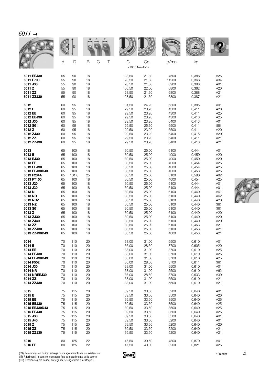|               | d  | D     | B  | C<br>Τ | $\mathsf C$   | Co    | tr/mn | kg    |                          |
|---------------|----|-------|----|--------|---------------|-------|-------|-------|--------------------------|
|               |    |       |    |        | x1000 Newtons |       |       |       |                          |
| 6011 EEJ30    | 55 | 90    | 18 |        | 28,50         | 21,30 | 4500  | 0,388 | A25                      |
| 6011 F700     | 55 | 90    | 18 |        | 28,50         | 21,30 | 11200 | 0,368 | A34                      |
| 6011 J30      | 55 | 90    | 18 |        | 28,50         | 21,30 | 6900  | 0,388 | A01                      |
| 6011 Z        | 55 | 90    | 18 |        | 30,50         | 22,00 | 6800  | 0,362 | A20                      |
| 6011 ZZ       | 55 | 90    | 18 |        | 28,50         | 21,30 | 6800  | 0,388 | A21                      |
| 6011 ZZJ30    | 55 | 90    | 18 |        | 28,50         | 21,30 | 6800  | 0,387 | A21                      |
| 6012          | 60 | 95    | 18 |        | 31,50         | 24,20 | 6300  | 0,385 | A01                      |
| 6012 E        | 60 | 95    | 18 |        | 29,50         | 23,20 | 4300  | 0,411 | A20                      |
| 6012 EE       | 60 | 95    | 18 |        | 29,50         | 23,20 | 4300  | 0,411 | A25                      |
| 6012 EEJ30    | 60 | 95    | 18 |        | 29,50         | 23,20 | 4300  | 0,413 | A25                      |
| 6012 J30      | 60 | 95    | 18 |        | 29,50         | 23,20 | 6400  | 0,413 | A01                      |
| 6012 S01      | 60 | 95    | 18 |        | 29,50         | 25,30 | 6500  | 0,411 | $\overline{\phantom{1}}$ |
| 6012 Z        | 60 | 95    | 18 |        | 29,50         | 23,20 | 6500  | 0,411 | A20                      |
| 6012 ZJ30     | 60 | 95    | 18 |        | 29,50         | 23,20 | 6400  | 0,415 | A20                      |
| 6012 ZZ       | 60 | 95    | 18 |        | 29,50         | 23,20 | 6400  | 0,411 | A21                      |
| 6012 ZZJ30    | 60 | 95    | 18 |        | 29,50         | 23,20 | 6400  | 0,413 | A21                      |
| 6013          | 65 | 100   | 18 |        | 30,50         | 25,00 | 6100  | 0,444 | A01                      |
| 6013 E        | 65 | 100   | 18 |        | 30,50         | 25,00 | 4000  | 0,450 | A20                      |
| 6013 EJ30     | 65 | 100   | 18 |        | 30,50         | 25,00 | 4000  | 0,450 | A20                      |
| 6013 EE       | 65 | 100   | 18 |        | 30,50         | 25,00 | 4000  | 0,454 | A25                      |
| 6013 EEJ30    | 65 | 100   | 18 |        | 30,50         | 25,00 | 4000  | 0,454 | A25                      |
| 6013 EEJ30D43 | 65 | 100   | 18 |        | 30,50         | 25,00 | 4000  | 0,453 | A25                      |
| 6013 F204A    | 65 | 101,6 | 25 |        | 30,50         | 25,00 | 6100  | 0,580 | A82                      |
| 6013 FT150    | 65 | 100   | 18 |        | 30,50         | 25,00 | 4000  | 0,454 | A25                      |
| 6013 J20      | 65 | 100   | 18 |        | 30,50         | 25,00 | 6100  | 0,444 | A01                      |
| 6013 J30      | 65 | 100   | 18 |        | 30,50         | 25,00 | 6100  | 0,444 | A01                      |
| 6013N         | 65 | 100   | 18 |        | 30,50         | 25,00 | 6100  | 0,440 | A61                      |
| 6013 NR       | 65 | 100   | 18 |        | 30,50         | 25,00 | 6100  | 0,440 | A62                      |
| 6013 NRZ      | 65 | 100   | 18 |        | 30,50         | 25,00 | 6100  | 0,440 | A20                      |
| 6013 NZ       | 65 | 100   | 18 |        | 30,50         | 25,00 | 6100  | 0,440 | $\Box$                   |
| 6013 S01      | 65 | 100   | 18 |        | 30,50         | 25,00 | 6100  | 0,440 | $\overline{\phantom{1}}$ |
| 6013 Z        | 65 | 100   | 18 |        | 30,50         | 25,00 | 6100  | 0,440 | A20                      |
| 6013 ZJ30     | 65 | 100   | 18 |        | 30,50         | 25,00 | 6100  | 0,440 | A20                      |
| 6013 ZJ40     | 65 | 100   | 18 |        | 30,50         | 25,00 | 6100  | 0,440 | A20                      |
| 6013 ZZ       | 65 | 100   | 18 |        | 30,50         | 25,00 | 6100  | 0,453 | A21                      |
| 6013 ZZJ30    | 65 | 100   | 18 |        | 30,50         | 25,00 | 6100  | 0,453 | A21                      |
| 6013 ZZJ30D43 | 65 | 100   | 18 |        | 30,50         | 25,00 | 4000  | 0,453 | A21                      |
| 6014          | 70 | 110   | 20 |        | 38,00         | 31,00 | 5500  | 0,610 | A01                      |
| 6014 E        | 70 | 110   | 20 |        | 36,00         | 28,50 | 3700  | 0,605 | A20                      |
| 6014 EE       | 70 | 110   | 20 |        | 38,00         | 31,00 | 3700  | 0,610 | A25                      |
| 6014 EEJ30    | 70 | 110   | 20 |        | 38,00         | 31,00 | 3700  | 0,610 | A25                      |
| 6014 EEJ30D43 | 70 | 110   | 20 |        | 38,00         | 31,00 | 3700  | 0,610 | A25                      |
| 6014 F552     | 70 | 110   | 20 |        | 36,00         | 28,50 | 3700  | 0,611 | $\overline{\phantom{0}}$ |
| 6014 J30      | 70 | 110   | 20 |        | 38,00         | 31,00 | 5500  | 0,610 | A01                      |
| 6014 NR       | 70 | 110   | 20 |        | 38,00         | 31,00 | 5500  | 0,610 | A62                      |
| 6014 NREEJ30  | 70 | 110   | 20 |        | 36,00         | 28,50 | 3700  | 0,633 | A39                      |
| 6014 ZZ       | 70 | 110   | 20 |        | 38,00         | 31,00 | 5500  | 0,610 | A21                      |
| 6014 ZZJ30    | 70 | 110   | 20 |        | 38,00         | 31,00 | 5500  | 0,610 | A21                      |
| 6015          | 75 | 115   | 20 |        | 39,50         | 33,50 | 5200  | 0,640 | A01                      |
| 6015 E        | 75 | 115   | 20 |        | 39,50         | 33,50 | 3500  | 0,640 | A20                      |
| 6015 EE       | 75 | 115   | 20 |        | 39,50         | 33,50 | 3500  | 0,640 | A25                      |
| 6015 EEJ30    | 75 | 115   | 20 |        | 39,50         | 33,50 | 3500  | 0,640 | A25                      |
| 6015 EEJ30D43 | 75 | 115   | 20 |        | 39,50         | 33,50 | 3500  | 0,640 | A25                      |
| 6015 EEJ40    | 75 | 115   | 20 |        | 39,50         | 33,50 | 3500  | 0,640 | A25                      |
| 6015 J30      | 75 | 115   | 20 |        | 39,50         | 33,50 | 6500  | 0,640 | A01                      |
| 6015 J40      | 75 | 115   | 20 |        | 39,50         | 33,50 | 5200  | 0,640 | A01                      |
| 6015 Z        | 75 | 115   | 20 |        | 39,50         | 33,50 | 5200  | 0,640 | A20                      |
| 6015 ZZ       | 75 | 115   | 20 |        | 39,50         | 33,50 | 5200  | 0,640 | A21                      |
| 6015 ZZJ30    | 75 | 115   | 20 |        | 39,50         | 33,50 | 5200  | 0,640 | A21                      |
| 6016          | 80 | 125   | 22 |        | 47,50         | 39,50 | 4800  | 0,870 | A01                      |
| 6016 EE       | 80 | 125   | 22 |        | 47,50         | 40,00 | 3200  | 0,821 | A25                      |



(ES) Referencias en itálica: entrega hasta agotamiento de las existencias.<br>(IT) Riferimenti in corsivo: consegna fino ad esaurimento delle scorte.<br>(BR) Referências em itálico: entrega até se esgotarem os estoques.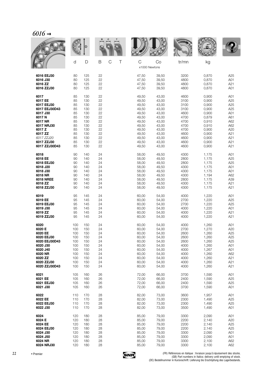| $6016 -$ |
|----------|
|----------|

|                             |            |            |          |                  |                    |                | <b>MALLE</b> |                |                 |
|-----------------------------|------------|------------|----------|------------------|--------------------|----------------|--------------|----------------|-----------------|
|                             | d          | D          | B        | $\mathsf C$<br>Τ | C<br>x1000 Newtons | Co             | tr/mn        | kg             |                 |
|                             |            |            |          |                  |                    |                |              |                |                 |
| 6016 EEJ30                  | 80         | 125        | 22       |                  | 47,50              | 39,50          | 3200         | 0,870          | A25             |
| 6016 J30                    | 80         | 125        | 22       |                  | 47,50              | 39,50          | 4800         | 0,870          | A01             |
| 6016 ZZ                     | 80         | 125        | 22       |                  | 47,50              | 39,50          | 4800         | 0,870          | A21             |
| 6016 ZZJ30                  | 80         | 125        | 22       |                  | 47,50              | 39,50          | 4800         | 0,870          | A01             |
| 6017                        | 85         | 130        | 22       |                  | 49,50              | 43,00          | 4600         | 0,900          | A01             |
| 6017 EE                     | 85         | 130        | 22       |                  | 49,50              | 43,00          | 3100         | 0,900          | A25             |
| 6017 EEJ30                  | 85         | 130        | 22       |                  | 49,50              | 43,00          | 3100         | 0,900          | A25             |
| 6017 EEJ30D43               | 85         | 130        | 22       |                  | 49,50              | 43,00          | 3100         | 0,900          | A25             |
| 6017 J30                    | 85         | 130        | 22       |                  | 49,50              | 43,00          | 4600         | 0,900          | A01             |
| 6017N                       | 85         | 130        | 22       |                  | 49,50              | 43,00          | 4700         | 0,879          | A61             |
| 6017 NR                     | 85         | 130        | 22       |                  | 49,50              | 43,00          | 4700         | 0,910          | A62             |
| 6017 NRJ30                  | 85         | 130        | 22       |                  | 49,50              | 43,00          | 4700         | 0,910          | A62             |
| 6017 Z                      | 85         | 130        | 22       |                  | 49,50              | 43,00          | 4700         | 0,900          | A20             |
| 6017 ZZ                     | 85         | 130        | 22       |                  | 49,50              | 43,00          | 4600         | 0,900          | A21             |
| 6017 ZZJ20                  | 85<br>85   | 130        | 22<br>22 |                  | 49,50              | 43,00          | 4600         | 0,900          | A21<br>A21      |
| 6017 ZZJ30<br>6017 ZZJ30D43 | 85         | 130<br>130 | 22       |                  | 49,50<br>49,50     | 43,00<br>43,00 | 4600<br>4600 | 0,900<br>0,900 | A21             |
|                             |            |            |          |                  |                    |                |              |                |                 |
| 6018                        | 90         | 140        | 24       |                  | 58,00              | 49,50          | 4300         | 1,175          | A01             |
| 6018 EE                     | 90         | 140        | 24       |                  | 58,00              | 49,50          | 2800         | 1,175          | A25             |
| 6018 EEJ30                  | 90         | 140        | 24       |                  | 58,00              | 49,50          | 2800         | 1,175          | A25             |
| 6018 J20                    | 90         | 140        | 24       |                  | 58,00              | 49,50          | 4300         | 1,175          | A01             |
| 6018 J30                    | 90         | 140        | 24       |                  | 58,00              | 49,50          | 4300         | 1,175          | A01             |
| 6018 NR                     | 90         | 140        | 24       |                  | 58,00              | 49,50          | 4300         | 1,194          | A62             |
| <b>6018 NREE</b><br>6018 ZZ | 90<br>90   | 140<br>140 | 24<br>24 |                  | 58,00<br>58,00     | 49,50<br>49,50 | 2800<br>4300 | 1,175<br>1,175 | A39<br>A21      |
| 6018 ZZJ30                  | 90         | 140        | 24       |                  | 58,00              | 49,50          | 4300         | 1,175          | A21             |
|                             |            |            |          |                  |                    |                |              |                |                 |
| 6019                        | 95         | 145        | 24       |                  | 60,00              | 54,00          | 4000         | 1,220          | A01             |
| 6019 EE                     | 95         | 145        | 24       |                  | 60,00              | 54,00          | 2700         | 1,220          | A25             |
| 6019 EEJ30<br>6019 J30      | 95<br>95   | 145<br>145 | 24<br>24 |                  | 60,00<br>60,00     | 54,00<br>54,00 | 2700<br>4000 | 1,220<br>1,220 | A25<br>A01      |
| 6019 ZZ                     | 95         | 145        | 24       |                  | 60,00              | 54,00          | 4000         | 1,220          | A21             |
| 6019 ZZJ30                  | 95         | 145        | 24       |                  | 60,00              | 54,00          | 4000         | 1,220          | A21             |
|                             |            |            |          |                  |                    |                |              |                |                 |
| 6020                        | 100        | 150        | 24       |                  | 60,00              | 54,00          | 4000         | 1,260          | A01             |
| 6020 E                      | 100        | 150        | 24       |                  | 60,00              | 54,00          | 2700         | 1,270          | A20             |
| 6020 EE<br>6020 EEJ30       | 100<br>100 | 150<br>150 | 24<br>24 |                  | 60,00<br>60,00     | 54,00<br>54,00 | 2600<br>2600 | 1,260<br>1,260 | A25<br>A25      |
| 6020 EEJ30D43               | 100        | 150        | 24       |                  | 60,00              | 54,00          | 2600         | 1,260          | A25             |
| 6020 J30                    | 100        | 150        | 24       |                  | 60,00              | 54,00          | 4000         | 1,260          | A01             |
| 6020 J40                    | 100        | 150        | 24       |                  | 60,00              | 54,00          | 4000         | 1,267          | A01             |
| 6020 NR                     | 100        | 150        | 24       |                  | 60,00              | 54,00          | 4000         | 1,260          | A62             |
| 6020 ZZ                     | 100        | 150        | 24       |                  | 60,00              | 54,00          | 4000         | 1,260          | A21             |
| 6020 ZZJ30                  | 100        | 150        | 24       |                  | 60,00              | 54,00          | 4000         | 1,260          | A21             |
| 6020 ZZJ30D43               | 100        | 150        | 24       |                  | 60,00              | 54,00          | 4000         | 1,260          | A21             |
| 6021                        | 105        | 160        | 26       |                  | 72,00              | 66,00          | 3700         | 1,590          | A01             |
| 6021 EE                     | 105        | 160        | 26       |                  | 72,00              | 66,00          | 2400         | 1,590          | A25             |
| 6021 EEJ30                  | 105        | 160        | 26       |                  | 72,00              | 66,00          | 2400         | 1,590          | A <sub>25</sub> |
| 6021 J30                    | 105        | 160        | 26       |                  | 72,00              | 66,00          | 3700         | 1,590          | A01             |
|                             |            |            |          |                  |                    |                |              |                |                 |
| 6022                        | 110        | 170        | 28       |                  | 82,00              | 73,00          | 3600         | 1,957          | A01             |
| 6022 EE                     | 110        | 170        | 28       |                  | 82,00              | 73,00          | 2300         | 1,490          | A25             |
| 6022 EEJ30<br>6022 J30      | 110<br>110 | 170<br>170 | 28<br>28 |                  | 82,00<br>82,00     | 73,00<br>73,00 | 2300<br>3500 | 1,490<br>1,490 | A25<br>A01      |
|                             |            |            |          |                  |                    |                |              |                |                 |
| 6024                        | 120        | 180        | 28       |                  | 85,00              | 79,00          | 3300         | 2,090          | A01             |
| 6024 E                      | 120        | 180        | 28       |                  | 85,00              | 79,00          | 2200         | 2,140          | A20             |
| 6024 EE                     | 120        | 180        | 28       |                  | 85,00              | 79,00          | 2200         | 2,140          | A25             |
| 6024 EEJ30                  | 120        | 180        | 28       |                  | 85,00              | 79,00          | 2200         | 2,140          | A25             |
| 6024 J30                    | 120        | 180        | 28       |                  | 85,00              | 79,00          | 3300         | 2,090          | A01             |
| 6024 J50                    | 120        | 180        | 28       |                  | 85,00              | 79,00          | 3300         | 2,090          | A01             |
| 6024 NR<br>6024 NRJ30       | 120<br>120 | 180<br>180 | 28<br>28 |                  | 85,00              | 79,00          | 3300<br>3300 | 2,100<br>2,100 | A62<br>A62      |
|                             |            |            |          |                  | 85,00              | 79,00          |              |                |                 |

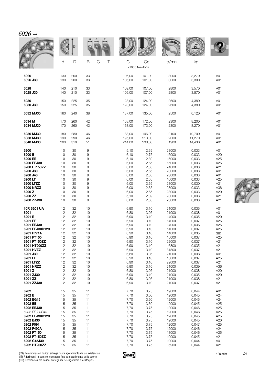| $6026 \rightarrow$ |     |     |        |        |                     |                |        |                 |
|--------------------|-----|-----|--------|--------|---------------------|----------------|--------|-----------------|
|                    |     | D   |        |        |                     | <b>NOTAL A</b> |        |                 |
|                    | d   | D   | B<br>C | Τ<br>C | Co<br>x1000 Newtons | tr/mn          | kg     |                 |
| 6026               | 130 | 200 | 33     | 106,00 | 101,00              | 3000           | 3,270  | A01             |
| 6026 J30           | 130 | 200 | 33     | 106,00 | 101,00              | 3000           | 3,300  | A01             |
| 6028               | 140 | 210 | 33     | 109.00 | 107,00              | 2800           | 3,570  | A01             |
| 6028 J30           | 140 | 210 | 33     | 109,00 | 107,00              | 2800           | 3,570  | A01             |
| 6030               | 150 | 225 | 35     | 123,00 | 124,00              | 2600           | 4,380  | A01             |
| 6030 J30           | 150 | 225 | 35     | 123,00 | 124,00              | 2600           | 4,380  | A01             |
| 6032 MJ30          | 160 | 240 | 38     | 137,00 | 135,00              | 2500           | 6,120  | A01             |
| 6034 M             | 170 | 260 | 42     | 168,00 | 172,00              | 2300           | 8,200  | A01             |
| 6034 MJ30          | 170 | 260 | 42     | 168,00 | 172,00              | 2300           | 8,270  | A01             |
| 6036 MJ30          | 180 | 280 | 46     | 188,00 | 196,00              | 2100           | 10,700 | A01             |
| 6038 MJ30          | 190 | 290 | 46     | 195,00 | 213,00              | 2000           | 11,270 | A01             |
| 6040 MJ30          | 200 | 310 | 51     | 214,00 | 238,00              | 1900           | 14,430 | A01             |
| 6200               | 10  | 30  | 9      | 5,10   | 2,39                | 23000          | 0,033  | A01             |
| 6200 E             | 10  | 30  | 9      | 6,10   | 2,75                | 15000          | 0,033  | A20             |
| 6200 EE            | 10  | 30  | 9      | 5,10   | 2,39                | 15000          | 0,033  | A <sub>25</sub> |
| 6200 EEJ30         | 10  | 30  | 9      | 6,00   | 2,65                | 15000          | 0,033  | A25             |
| 6200 FT150ZZ       | 10  | 30  | 9      | 6,00   | 2,65                | 24000          | 0,033  | A21             |
| 6200 J30           | 10  | 30  | 9      | 6,00   | 2,65                | 23000          | 0,033  | A01             |
| 6200 J40           | 10  | 30  | 9      | 6,00   | 2,65                | 23000          | 0,033  | A01             |
| 6200 LT            | 10  | 30  | 9      | 6,00   | 2,65                | 16000          | 0,033  | A25             |
| 6200 LTZZ          | 10  | 30  | 9      | 6,00   | 2,65                | 23000          | 0,030  | A21             |
| <b>6200 NRZZ</b>   | 10  | 30  | 9      | 6,00   | 2,65                | 23000          | 0,033  | A36             |
| 6200 Z             | 10  | 30  | 9      | 6,00   | 2,65                | 23000          | 0,033  | A20             |
| 6200 ZZ            | 10  | 30  | 9      | 5,10   | 2,39                | 23000          | 0,033  | A21             |
| 6200 ZZJ30         | 10  | 30  | 9      | 6,00   | 2,65                | 23000          | 0,033  | A21             |
| 10R 6201 UA        | 12  | 32  | 10     | 6,90   | 3,10                | 21000          | 0,035  | A01             |
| 6201               | 12  | 32  | 10     | 6,80   | 3,05                | 21000          | 0,038  | A01             |
| 6201 E             | 12  | 32  | 10     | 6,90   | 3,10                | 14000          | 0,035  | A20             |
| 6201 EE            | 12  | 32  | 10     | 6,90   | 3,10                | 14000          | 0,037  | A25             |
| 6201 EEJ30         | 12  | 32  | 10     | 6,90   | 3,10                | 14000          | 0,036  | A25             |
| 6201 EEJ30D129     | 12  | 32  | 10     | 6,90   | 3,10                | 14000          | 0,037  | A25             |
| 6201 F771A         | 12  | 32  | 10     | 6,90   | 3,10                | 14000          | 0,035  | $\Box$          |
| 6201 FT150         | 12  | 32  | 10     | 6,90   | 3,10                | 15000          | 0,037  | A25             |
| 6201 FT150ZZ       | 12  | 32  | 10     | 6,90   | 3,10                | 22000          | 0,037  | A21             |
| 6201 HT200ZZ       | 12  | 32  | 10     | 6,90   | 3,10                | 6800           | 0,035  | A21             |
| 6201 HVZZ          | 12  | 32  | 10     | 6,90   | 3,10                | 31800          | 0,037  | A21             |
| 6201 J30           | 12  | 32  | 10     | 6,80   | 3,05                | 21000          | 0,038  | A01             |
| 6201 LT            | 12  | 32  | 10     | 6,90   | 3,10                | 15000          | 0,037  | A25             |
| 6201 LTZZ          | 12  | 32  | 10     | 6,90   | 3,10                | 22000          | 0,037  | A21             |
| 6201 NRZZ          | 12  | 32  | 10     | 6,90   | 3,10                | 21000          | 0,039  | A36             |
| 6201 Z             | 12  | 32  | 10     | 6,80   | 3,05                | 21000          | 0,038  | A20             |
| 6201 ZJ30          | 12  | 32  | 10     | 6,90   | 3,10                | 21000          | 0,035  | A20             |
| 6201 ZZ            | 12  | 32  | 10     | 6,80   | 3,05                | 21000          | 0,038  | A21             |
| 6201 ZZJ30         | 12  | 32  | 10     | 6,90   | 3,10                | 21000          | 0,037  | A21             |
| 6202               | 15  | 35  | 11     | 7,70   | 3,75                | 19000          | 0,044  | A01             |
| 6202 E             | 15  | 35  | 11     | 7,70   | 3,60                | 12000          | 0,045  | A24             |
| 6202 EG15          | 15  | 35  | 11     | 7,70   | 3,60                | 12000          | 0,045  | A24             |
| 6202 EE            | 15  | 35  | 11     | 7,70   | 3,60                | 12000          | 0,045  | A25             |
| 6202 EEJ30         | 15  | 35  | 11     | 7,70   | 3,75                | 12000          | 0,046  | A25             |
| 6202 EEJ30D43      | 15  | 35  | 11     | 7,70   | 3,75                | 12000          | 0,046  | A25             |
| 6202 EEJ30D129     | 15  | 35  | 11     | 7,70   | 3,75                | 12000          | 0,045  | A25             |
| 6202 EJ30          | 15  | 35  | 11     | 7,70   | 3,75                | 12000          | 0,045  | A20             |
| 6202 F091          | 15  | 35  | 11     | 7,70   | 3,75                | 12000          | 0,047  | A25             |
| 6202 F492A         | 15  | 35  | 11     | 7,70   | 3,75                | 12000          | 0,046  | A24             |
| 6202 FT150         | 15  | 35  | 11     | 7,70   | 3,75                | 13000          | 0,046  | A25             |
| 6202 FT150ZZ       | 15  | 35  | 11     | 7,70   | 3,75                | 19000          | 0,045  | A21             |
| 6202 G15J30        | 15  | 35  | 11     | 7,70   | 3,75                | 19000          | 0,044  | A01             |
| 6202 HT200ZZ       | 15  | 35  | 11     | 7,70   | 3,75                | 5900           | 0,044  | A21             |



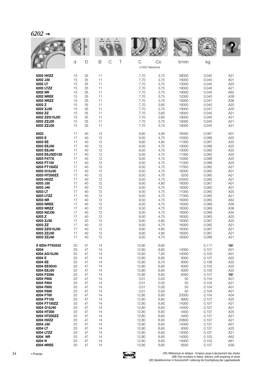|                                                                                                                                                                                                                                                                                                                                                            |                                                                                                                                                          |                                                                                                                                                          |                                                                                                                                                          |                                                                                                                                                                                                                                   |                                                                                                                                                                                                              | <b>MALLE</b>                                                                                                                                                                                                                 |                                                                                                                                                                                                                                        |                                                                                                                                                                                                                    |
|------------------------------------------------------------------------------------------------------------------------------------------------------------------------------------------------------------------------------------------------------------------------------------------------------------------------------------------------------------|----------------------------------------------------------------------------------------------------------------------------------------------------------|----------------------------------------------------------------------------------------------------------------------------------------------------------|----------------------------------------------------------------------------------------------------------------------------------------------------------|-----------------------------------------------------------------------------------------------------------------------------------------------------------------------------------------------------------------------------------|--------------------------------------------------------------------------------------------------------------------------------------------------------------------------------------------------------------|------------------------------------------------------------------------------------------------------------------------------------------------------------------------------------------------------------------------------|----------------------------------------------------------------------------------------------------------------------------------------------------------------------------------------------------------------------------------------|--------------------------------------------------------------------------------------------------------------------------------------------------------------------------------------------------------------------|
|                                                                                                                                                                                                                                                                                                                                                            | d                                                                                                                                                        | D                                                                                                                                                        | B<br>$\mathcal{C}$<br>Τ                                                                                                                                  | $\mathsf{C}$                                                                                                                                                                                                                      | Co<br>x1000 Newtons                                                                                                                                                                                          | tr/mn                                                                                                                                                                                                                        | kg                                                                                                                                                                                                                                     |                                                                                                                                                                                                                    |
| 6202 HVZZ<br>6202 J30<br>6202 LT<br>6202 LTZZ<br>6202 NR<br><b>6202 NREE</b><br><b>6202 NRZZ</b><br>6202 Z<br>6202 ZJ30<br>6202 ZZ<br>6202 ZZG15J20<br>6202 ZZJ20<br>6202 ZZJ30                                                                                                                                                                            | 15<br>15<br>15<br>15<br>15<br>15<br>15<br>15<br>15<br>15<br>15<br>15<br>15                                                                               | 35<br>35<br>35<br>35<br>35<br>35<br>35<br>35<br>35<br>35<br>35<br>35<br>35                                                                               | 11<br>11<br>11<br>11<br>11<br>11<br>11<br>11<br>11<br>11<br>11<br>11<br>11                                                                               | 7,70<br>7,70<br>7,70<br>7,70<br>7,70<br>7,70<br>7,70<br>7,70<br>7,70<br>7,70<br>7,70<br>7,70<br>7,70                                                                                                                              | 3,75<br>3,75<br>3,75<br>3,75<br>3,75<br>3,75<br>3,75<br>3,60<br>3,75<br>3,60<br>3,60<br>3,75<br>3,75                                                                                                         | 28000<br>19000<br>13000<br>19000<br>19000<br>12000<br>19000<br>19000<br>19000<br>19000<br>19000<br>19000<br>19000                                                                                                            | 0,045<br>0,045<br>0,045<br>0,046<br>0,045<br>0,045<br>0,047<br>0,045<br>0,047<br>0,045<br>0,045<br>0,045<br>0,045                                                                                                                      | A21<br>A01<br>A25<br>A21<br>A62<br>A39<br>A36<br>A20<br>A20<br>A21<br>A21<br>A21<br>A21                                                                                                                            |
| 6203<br>6203 E<br>6203 EE<br>6203 EEJ30<br>6203 EEJ40<br>6203 EEJ30D129<br>6203 F477A<br>6203 FT150<br>6203 FT150ZZ<br>6203 G15J30<br>6203 HT200ZZ<br>6203 HVZZ<br>6203 J30<br>6203 J40<br>6203 LT<br>6203 LTZZ<br>6203 NR<br><b>6203 NREE</b><br>6203 NRZZ<br>6203 NZJ30<br>6203 Z<br>6203 ZJ30<br>6203 ZZ<br>6203 ZZG15J30<br>6203 ZZJ30                 | 17<br>17<br>17<br>17<br>17<br>17<br>17<br>17<br>17<br>17<br>17<br>17<br>17<br>17<br>17<br>17<br>17<br>17<br>17<br>17<br>17<br>17<br>17<br>17<br>17       | 40<br>40<br>40<br>40<br>40<br>40<br>40<br>40<br>40<br>40<br>40<br>40<br>40<br>40<br>40<br>40<br>40<br>40<br>40<br>40<br>40<br>40<br>40<br>40<br>40       | 12<br>12<br>12<br>12<br>12<br>12<br>12<br>12<br>12<br>12<br>12<br>12<br>12<br>12<br>12<br>12<br>12<br>12<br>12<br>12<br>12<br>12<br>12<br>12<br>12       | 9,60<br>9,50<br>9,60<br>9,50<br>9,50<br>9,50<br>9,50<br>9,50<br>9,50<br>9,50<br>9,50<br>9,50<br>9,60<br>9,50<br>9,50<br>9,50<br>9,50<br>9,50<br>9,50<br>9,50<br>9,50<br>9,60<br>9,50<br>9,60<br>9,60                              | 4,80<br>4,75<br>4,80<br>4,75<br>4,75<br>4,75<br>4,75<br>4,75<br>4,75<br>4,75<br>4,75<br>4,75<br>4,80<br>4,75<br>4,75<br>4,75<br>4,75<br>4,75<br>4,75<br>4,75<br>4,75<br>4,80<br>4,75<br>4,80<br>4,80         | 16000<br>10000<br>11000<br>10000<br>10000<br>11000<br>10000<br>11000<br>17000<br>16000<br>5200<br>24500<br>16000<br>16000<br>11000<br>17000<br>16000<br>10000<br>16000<br>16000<br>16000<br>16000<br>16000<br>16000<br>16000 | 0,067<br>0,066<br>0,067<br>0,068<br>0,060<br>0,065<br>0,068<br>0,068<br>0,065<br>0,065<br>0,065<br>0,065<br>0,067<br>0,065<br>0,065<br>0,065<br>0,065<br>0,069<br>0,069<br>0,069<br>0,065<br>0,067<br>0,065<br>0,067<br>0,067          | A01<br>A20<br>A25<br>A <sub>25</sub><br>A25<br>A25<br>A25<br>A25<br>A21<br>A01<br>A21<br>A21<br>A01<br>A01<br>A25<br>A21<br>A62<br>A39<br>A36<br>A34<br>A20<br>A20<br>A21<br>A21<br>A21                            |
| 6203 ZZJ40<br>X 6204 F755X32<br>6204<br>6204 AG15J30<br>6204 E<br>6204 EE<br>6204 EE3D43<br>6204 EEJ30<br>6204 F339A<br>6204 F600<br>6204 F604<br>6204 F605<br>6204 F606<br>6204 F700<br>6204 FT150<br>6204 FT150ZZ<br>6204 G15J40<br>6204 HT200<br>6204 HT200ZZ<br>6204 HVZZ<br>6204 J30<br>6204 LT<br>6204 LTZZ<br>6204 NR<br>6204 N<br><b>6204 NREE</b> | 17<br>20<br>20<br>20<br>20<br>20<br>20<br>20<br>20<br>20<br>20<br>20<br>20<br>20<br>20<br>20<br>20<br>20<br>20<br>20<br>20<br>20<br>20<br>20<br>20<br>20 | 40<br>47<br>47<br>47<br>47<br>47<br>47<br>47<br>47<br>47<br>47<br>47<br>47<br>47<br>47<br>47<br>47<br>47<br>47<br>47<br>47<br>47<br>47<br>47<br>47<br>47 | 12<br>14<br>14<br>14<br>14<br>14<br>14<br>14<br>14<br>14<br>14<br>14<br>14<br>14<br>14<br>14<br>14<br>14<br>14<br>14<br>14<br>14<br>14<br>14<br>14<br>14 | 9,50<br>12,80<br>12,80<br>15,60<br>12,80<br>12,80<br>12,80<br>12,80<br>12,80<br>0,01<br>0,01<br>0,01<br>0,01<br>12,80<br>12,80<br>12,80<br>12,80<br>12,80<br>12,80<br>12,80<br>12,80<br>12,80<br>12,80<br>12,80<br>12,80<br>12,80 | 4,75<br>6,60<br>6,60<br>7,60<br>6,60<br>6,70<br>6,60<br>6,60<br>6,60<br>0,00<br>0,00<br>0,00<br>0,00<br>6,60<br>6,60<br>6,60<br>6,60<br>6,60<br>6,60<br>6,60<br>6,60<br>6,60<br>6,60<br>6,60<br>6,60<br>6,60 | 16000<br>14000<br>14000<br>9300<br>9000<br>9300<br>9300<br>9300<br>50<br>50<br>50<br>50<br>23000<br>9900<br>14000<br>14000<br>4400<br>4400<br>20800<br>14000<br>9300<br>14000<br>14000<br>14000<br>9500                      | 0,068<br>0,117<br>0,107<br>0,100<br>0,107<br>0,108<br>0,103<br>0,100<br>0,107<br>0,104<br>0,104<br>0,104<br>0,104<br>0,104<br>0,107<br>0,107<br>0,107<br>0,107<br>0,107<br>0,107<br>0,107<br>0,107<br>0,107<br>0,103<br>0,103<br>0,107 | A21<br>$\blacksquare$<br>A01<br>A01<br>A20<br>A25<br>A25<br>A25<br>$\overline{\phantom{0}}$<br>A01<br>A21<br>A01<br>A01<br>A34<br>A25<br>A21<br>A01<br>A25<br>A21<br>A21<br>A01<br>A25<br>A21<br>A62<br>A61<br>A39 |

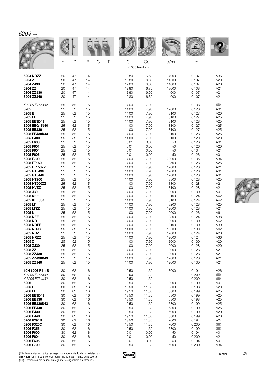| 6204 |  |
|------|--|
|      |  |

|                                                                                                  | d                                      | D                                      | B<br>$\mathcal{C}$<br>Τ                | C<br>x1000 Newtons                                          | Co                                                          | tr/mn                                                | kg                                                          |                                                                    |
|--------------------------------------------------------------------------------------------------|----------------------------------------|----------------------------------------|----------------------------------------|-------------------------------------------------------------|-------------------------------------------------------------|------------------------------------------------------|-------------------------------------------------------------|--------------------------------------------------------------------|
| 6204 NRZZ                                                                                        | 20                                     | 47                                     | 14                                     | 12,80                                                       | 6,60                                                        | 14000                                                | 0,107                                                       | A36                                                                |
| 6204 Z                                                                                           | 20                                     | 47                                     | 14                                     | 12,80                                                       | 6,60                                                        | 14000                                                | 0,107                                                       | A20                                                                |
| 6204 ZJ30                                                                                        | 20                                     | 47                                     | 14                                     | 12,80                                                       | 6,60                                                        | 14000                                                | 0,107                                                       | A20                                                                |
| 6204 ZZ                                                                                          | 20                                     | 47                                     | 14                                     | 12,80                                                       | 6,70                                                        | 13000                                                | 0,108                                                       | A21                                                                |
| 6204 ZZJ30                                                                                       | 20                                     | 47                                     | 14                                     | 12,80                                                       | 6,60                                                        | 14000                                                | 0,107                                                       | A21                                                                |
| 6204 ZZJ40                                                                                       | 20                                     | 47                                     | 14                                     | 12,80                                                       | 6,60                                                        | 14000                                                | 0,107                                                       | A21                                                                |
| X 6205 F755X32<br>6205<br>6205 E<br>6205 EE<br>6205 EE3D43<br>6205 EEG15J40<br>6205 EEJ30        | 25<br>25<br>25<br>25<br>25<br>25<br>25 | 52<br>52<br>52<br>52<br>52<br>52<br>52 | 15<br>15<br>15<br>15<br>15<br>15<br>15 | 14,00<br>14,00<br>14,00<br>14,00<br>14,00<br>14,00<br>14,00 | 7,90<br>7,90<br>7,90<br>7,90<br>7,90<br>7,90<br>7,90        | 12000<br>8100<br>8100<br>8100<br>8100<br>8100        | 0,138<br>0,128<br>0,127<br>0,127<br>0,128<br>0,127<br>0,127 | $\overline{\phantom{a}}$<br>A01<br>A20<br>A25<br>A25<br>A25<br>A25 |
| 6205 EEJ30D43                                                                                    | 25                                     | 52                                     | 15                                     | 14,00                                                       | 7,90                                                        | 8100                                                 | 0,128                                                       | A25                                                                |
| 6205 EJ30                                                                                        | 25                                     | 52                                     | 15                                     | 14,00                                                       | 7,90                                                        | 8100                                                 | 0,120                                                       | A20                                                                |
| 6205 F600                                                                                        | 25                                     | 52                                     | 15                                     | 0,01                                                        | 0,00                                                        | 50                                                   | 0,126                                                       | A01                                                                |
| 6205 F601                                                                                        | 25                                     | 52                                     | 15                                     | 0,01                                                        | 0,00                                                        | 50                                                   | 0,126                                                       | A20                                                                |
| 6205 F604                                                                                        | 25                                     | 52                                     | 15                                     | 0,01                                                        | 0,00                                                        | 50                                                   | 0,134                                                       | A21                                                                |
| 6205 F605                                                                                        | 25                                     | 52                                     | 15                                     | 0,01                                                        | 0,00                                                        | 50                                                   | 0,126                                                       | A01                                                                |
| 6205 F700                                                                                        | 25                                     | 52                                     | 15                                     | 14,00                                                       | 7,90                                                        | 20000                                                | 0,135                                                       | A34                                                                |
| 6205 FT150                                                                                       | 25                                     | 52                                     | 15                                     | 14,00                                                       | 7,90                                                        | 8500                                                 | 0,128                                                       | A25                                                                |
| 6205 FT150ZZ                                                                                     | 25                                     | 52                                     | 15                                     | 14,00                                                       | 7,90                                                        | 12000                                                | 0,128                                                       | A21                                                                |
| 6205 G15J30                                                                                      | 25                                     | 52                                     | 15                                     | 14,00                                                       | 7,90                                                        | 12000                                                | 0,128                                                       | A01                                                                |
| 6205 G15J40                                                                                      | 25                                     | 52                                     | 15                                     | 14,00                                                       | 7,90                                                        | 12000                                                | 0,128                                                       | A01                                                                |
| 6205 HT200                                                                                       | 25                                     | 52                                     | 15                                     | 14,00                                                       | 7,90                                                        | 3800                                                 | 0,128                                                       | A25                                                                |
| 6205 HT200ZZ                                                                                     | 25                                     | 52                                     | 15                                     | 14,00                                                       | 7,90                                                        | 3800                                                 | 0,128                                                       | A21                                                                |
| 6205 HVZZ                                                                                        | 25                                     | 52                                     | 15                                     | 14,00                                                       | 7,90                                                        | 18100                                                | 0,128                                                       | A21                                                                |
| 6205 J30                                                                                         | 25                                     | 52                                     | 15                                     | 14,00                                                       | 7,90                                                        | 12000                                                | 0,130                                                       | A01                                                                |
| 6205 KEE                                                                                         | 25                                     | 52                                     | 15                                     | 14,00                                                       | 7,90                                                        | 8100                                                 | 0,124                                                       | A42                                                                |
| 6205 KEEJ30                                                                                      | 25                                     | 52                                     | 15                                     | 14,00                                                       | 7,90                                                        | 8100                                                 | 0,124                                                       | A42                                                                |
| 6205 LT                                                                                          | 25                                     | 52                                     | 15                                     | 14,00                                                       | 7,90                                                        | 8200                                                 | 0,128                                                       | A25                                                                |
| 6205 LTZZ                                                                                        | 25                                     | 52                                     | 15                                     | 14,00                                                       | 7,90                                                        | 12000                                                | 0,128                                                       | A21                                                                |
| 6205N                                                                                            | 25                                     | 52                                     | 15                                     | 14,00                                                       | 7,90                                                        | 12000                                                | 0,126                                                       | A61                                                                |
| 6205 NEE                                                                                         | 25                                     | 52                                     | 15                                     | 14,00                                                       | 7,90                                                        | 8300                                                 | 0,124                                                       | A38                                                                |
| 6205 NR                                                                                          | 25                                     | 52                                     | 15                                     | 14,00                                                       | 7,90                                                        | 12000                                                | 0,130                                                       | A62                                                                |
| 6205 NREE                                                                                        | 25                                     | 52                                     | 15                                     | 14,00                                                       | 7,90                                                        | 8100                                                 | 0,130                                                       | A39                                                                |
| 6205 NRJ30                                                                                       | 25                                     | 52                                     | 15                                     | 14,00                                                       | 7,90                                                        | 12000                                                | 0,130                                                       | A62                                                                |
| 6205 NRZ                                                                                         | 25                                     | 52                                     | 15                                     | 14,00                                                       | 7,90                                                        | 12000                                                | 0,124                                                       | A20                                                                |
| <b>6205 NRZZ</b>                                                                                 | 25                                     | 52                                     | 15                                     | 14,00                                                       | 7,90                                                        | 12000                                                | 0,124                                                       | A36                                                                |
| 6205 Z                                                                                           | 25                                     | 52                                     | 15                                     | 14,00                                                       | 7,90                                                        | 12000                                                | 0,130                                                       | A20                                                                |
| 6205 ZJ30                                                                                        | 25                                     | 52                                     | 15                                     | 14,00                                                       | 7,90                                                        | 12000                                                | 0,128                                                       | A20                                                                |
| 6205 ZZ                                                                                          | 25                                     | 52                                     | 15                                     | 14,00                                                       | 7,90                                                        | 12000                                                | 0,128                                                       | A21                                                                |
| 6205 ZZJ30                                                                                       | 25                                     | 52                                     | 15                                     | 14,00                                                       | 7,90                                                        | 12000                                                | 0,128                                                       | A21                                                                |
| 6205 ZZJ30D43                                                                                    | 25                                     | 52                                     | 15                                     | 14,00                                                       | 7,90                                                        | 12000                                                | 0,128                                                       | A21                                                                |
| 6205 ZZJ40                                                                                       | 25                                     | 52                                     | 15                                     | 14,00                                                       | 7,90                                                        | 12000                                                | 0,130                                                       | A21                                                                |
| 10N 6206 F111B<br>X 6206 F755X32<br>X 6206 F754X32<br>6206<br>6206 E<br>6206 EE                  | 30<br>30<br>30<br>30<br>30<br>30       | 62<br>62<br>62<br>62<br>62<br>62       | 16<br>16<br>16<br>16<br>16<br>16       | 19,50<br>19,50<br>19,50<br>19,50<br>19,50<br>19,50          | 11,30<br>11,30<br>11,30<br>11,30<br>11,30<br>11,30          | 7000<br>10000<br>6800<br>6800                        | 0,191<br>0,209<br>0,209<br>0,199<br>0,198<br>0,199          | A26<br>$\overline{\phantom{0}}$<br>$\Box$<br>A01<br>A20<br>A25     |
| 6206 EE3D43<br>6206 EEJ30<br>6206 EEJ30D43<br>6206 EEJ40<br>6206 EJ30<br>6206 EJ40<br>6206 F294B | 30<br>30<br>30<br>30<br>30<br>30<br>30 | 62<br>62<br>62<br>62<br>62<br>62<br>62 | 16<br>16<br>16<br>16<br>16<br>16<br>16 | 19,50<br>19,50<br>19,50<br>19,50<br>19,50<br>19,50          | 11,30<br>11,30<br>11,30<br>11,30<br>11,30<br>11,30<br>11,30 | 6800<br>6800<br>6800<br>6800<br>6900<br>6800<br>7000 | 0,199<br>0,198<br>0,199<br>0,199<br>0,199<br>0,199<br>0,194 | A25<br>A25<br>A25<br>A25<br>A20<br>A20<br>A24                      |
| 6206 F320C<br>6206 F355<br>6206 F600<br>6206 F604<br>6206 F605<br>6206 F700                      | 30<br>30<br>30<br>30<br>30<br>30       | 62<br>62<br>62<br>62<br>62<br>62       | 16<br>16<br>16<br>16<br>16<br>16       | 19,50<br>19,50<br>19,50<br>0,01<br>0,01<br>0,01<br>19,50    | 11,30<br>11,30<br>0,00<br>0,00<br>0,00<br>11,30             | 7000<br>6800<br>50<br>50<br>50<br>16000              | 0,200<br>0,199<br>0,194<br>0,200<br>0,194<br>0,200          | $\blacksquare$<br>$\Box$<br>A01<br>A21<br>A01<br>A34               |



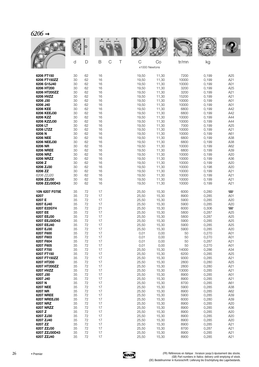| 6206 |  |
|------|--|
|------|--|

|                             |          |          |          |        |                    |                | <b>WALLE</b>   |                |                          |
|-----------------------------|----------|----------|----------|--------|--------------------|----------------|----------------|----------------|--------------------------|
|                             | d        | D        | B        | C<br>Τ | C<br>x1000 Newtons | Co             | tr/mn          | kg             |                          |
| 6206 FT150                  | 30       | 62       | 16       |        | 19,50              | 11,30          | 7200           | 0,199          | A25                      |
| 6206 FT150ZZ<br>6206 G15J40 | 30<br>30 | 62<br>62 | 16<br>16 |        | 19,50<br>19,50     | 11,30<br>11,30 | 10000<br>10000 | 0,199<br>0,199 | A21<br>A01               |
| 6206 HT200                  | 30       | 62       | 16       |        | 19,50              | 11,30          | 3200           | 0,199          | A25                      |
| 6206 HT200ZZ<br>6206 HVZZ   | 30<br>30 | 62<br>62 | 16<br>16 |        | 19,50              | 11,30          | 3200<br>15200  | 0,199<br>0,199 | A21<br>A21               |
| 6206 J30                    | 30       | 62       | 16       |        | 19,50<br>19,50     | 11,30<br>11,30 | 10000          | 0,199          | A01                      |
| 6206 J40                    | 30       | 62       | 16       |        | 19,50              | 11,30          | 10000          | 0,199          | A01                      |
| 6206 KEE<br>6206 KEEJ30     | 30<br>30 | 62<br>62 | 16<br>16 |        | 19,50<br>19,50     | 11,30<br>11,30 | 6800<br>6800   | 0,199<br>0,199 | A42<br>A42               |
| 6206 KZZ                    | 30       | 62       | 16       |        | 19,50              | 11,30          | 10000          | 0,199          | A44                      |
| 6206 KZZJ30                 | 30       | 62       | 16       |        | 19,50              | 11,30          | 10000          | 0,199          | A44                      |
| 6206 LT<br>6206 LTZZ        | 30<br>30 | 62<br>62 | 16<br>16 |        | 19,50<br>19,50     | 11,30<br>11,30 | 7000<br>10000  | 0,199<br>0,199 | A25<br>A21               |
| 6206 N                      | 30       | 62       | 16       |        | 19,50              | 11,30          | 10000          | 0,199          | A61                      |
| 6206 NEE                    | 30       | 62       | 16       |        | 19,50              | 11,30          | 6800           | 0,199          | A38                      |
| 6206 NEEJ30<br>6206 NR      | 30<br>30 | 62<br>62 | 16<br>16 |        | 19,50<br>19,50     | 11,30<br>11,30 | 6800<br>10000  | 0,199<br>0,199 | A38<br>A62               |
| <b>6206 NREE</b>            | 30       | 62       | 16       |        | 19,50              | 11,30          | 6800           | 0,199          | A39                      |
| 6206 NRZ                    | 30       | 62       | 16       |        | 19,50              | 11,30          | 10000          | 0,199          | A20                      |
| <b>6206 NRZZ</b><br>6206 Z  | 30<br>30 | 62<br>62 | 16<br>16 |        | 19,50<br>19,50     | 11,30<br>11,30 | 10000<br>10000 | 0,199<br>0,199 | A36<br>A20               |
| 6206 ZJ30                   | 30       | 62       | 16       |        | 19,50              | 11,30          | 10000          | 0,198          | A20                      |
| 6206 ZZ                     | 30       | 62       | 16       |        | 19,50              | 11,30          | 10000          | 0,199          | A21                      |
| 6206 ZZJ20<br>6206 ZZJ30    | 30<br>30 | 62<br>62 | 16<br>16 |        | 19,50<br>19,50     | 11,30<br>11,30 | 10000<br>10000 | 0,199<br>0,199 | A21<br>A21               |
| 6206 ZZJ30D43               | 30       | 62       | 16       |        | 19,50              | 11,30          | 10000          | 0,199          | A21                      |
| 10N 6207 F075E              | 35       | 72       | 17       |        | 25,50              | 15,30          | 6000           | 0,280          | $\overline{\phantom{0}}$ |
| 6207<br>6207 E              | 35<br>35 | 72<br>72 | 17<br>17 |        | 25,50<br>25,50     | 15,30<br>15,30 | 8900<br>5900   | 0,285<br>0,285 | A01<br>A20               |
| 6207 EJ40                   | 35       | 72       | 17       |        | 25,50              | 15,30          | 5900           | 0,285          | A20                      |
| 6207 E22GY4                 | 35       | 72       | 21       |        | 25,50              | 15,30          | 6000           | 0,306          | $\overline{\phantom{a}}$ |
| 6207 EE<br>6207 EEJ30       | 35<br>35 | 72<br>72 | 17<br>17 |        | 25,50<br>25,50     | 15,30<br>15,30 | 5800<br>5800   | 0,287<br>0,287 | A25<br>A25               |
| 6207 EEJ30D43               | 35       | 72       | 17       |        | 25,50              | 15,30          | 5900           | 0,285          | A25                      |
| 6207 EEJ40                  | 35       | 72       | 17       |        | 25,50              | 15,30          | 5900           | 0,285          | A25                      |
| 6207 EJ30<br>6207 F600      | 35<br>35 | 72<br>72 | 17<br>17 |        | 25,50<br>0,01      | 15,30<br>0,00  | 5900<br>50     | 0,285<br>0,270 | A20<br>A01               |
| 6207 F603                   | 35       | 72       | 17       |        | 0,01               | 0,00           | 50             | 0,270          | A01                      |
| 6207 F604                   | 35       | 72       | 17       |        | 0,01               | 0,00           | 50             | 0,287          | A21                      |
| 6207 F605<br>6207 F700      | 35<br>35 | 72<br>72 | 17<br>17 |        | 0,01<br>25,50      | 0,00<br>15,30  | 50<br>14000    | 0,270<br>0,286 | A01<br>A34               |
| 6207 FT150                  | 35       | 72       | 17       |        | 25,50              | 15,30          | 6200           | 0,285          | A25                      |
| 6207 FT150ZZ<br>6207 HT200  | 35<br>35 | 72<br>72 | 17<br>17 |        | 25,50<br>25,50     | 15,30<br>15,30 | 9300<br>2800   | 0,285<br>0,280 | A21<br>A25               |
| 6207 HT200ZZ                | 35       | 72       | 17       |        | 25,50              | 15,30          | 2800           | 0,280          | A21                      |
| 6207 HVZZ                   | 35       | 72       | 17       |        | 25,50              | 15,30          | 13000          | 0,285          | A21                      |
| 6207 J30<br>6207 J40        | 35<br>35 | 72<br>72 | 17<br>17 |        | 25,50<br>25,50     | 15,30<br>15,30 | 8900<br>8900   | 0,285<br>0,285 | A01<br>A21               |
| 6207 N                      | 35       | 72       | 17       |        | 25,50              | 15,30          | 8700           | 0,285          | A61                      |
| <b>6207 NEE</b>             | 35       | 72       | 17       |        | 25,50              | 15,30          | 5900           | 0,285          | A38                      |
| 6207 NR<br><b>6207 NREE</b> | 35<br>35 | 72<br>72 | 17<br>17 |        | 25,50<br>25,50     | 15,30<br>15,30 | 8900<br>5900   | 0,285<br>0,285 | A62<br>A39               |
| 6207 NREEJ30                | 35       | 72       | 17       |        | 25,50              | 15,30          | 6000           | 0,280          | A39                      |
| 6207 NRZ                    | 35       | 72       | 17       |        | 25,50              | 15,30          | 8900           | 0,285          | A20                      |
| 6207 NRZZ<br>6207 Z         | 35<br>35 | 72<br>72 | 17<br>17 |        | 25,50<br>25,50     | 15,30<br>15,30 | 8900<br>8900   | 0,285<br>0,285 | A36<br>A20               |
| 6207 ZJ30                   | 35       | 72       | 17       |        | 25,50              | 15,30          | 8900           | 0,285          | A20                      |
| 6207 ZJ40                   | 35       | 72       | 17       |        | 25,50              | 15,30          | 8900           | 0,285          | A20                      |
| 6207 ZZ<br>6207 ZZJ30       | 35<br>35 | 72<br>72 | 17<br>17 |        | 25,50<br>25,50     | 15,30<br>15,30 | 8900<br>8700   | 0,285<br>0,287 | A21<br>A21               |
| 6207 ZZJ30D43               | 35       | 72       | 17       |        | 25,50              | 15,30          | 8900           | 0,285          | A21                      |
| 6207 ZZJ40                  | 35       | 72       | 17       |        | 25,50              | 15,30          | 8900           | 0,285          | A21                      |

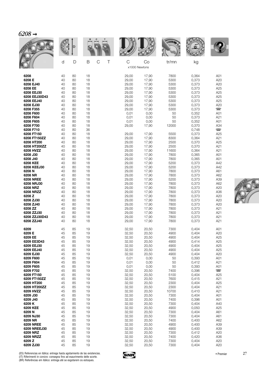| $2^{\prime}$<br>ı<br>Ι. |  |
|-------------------------|--|
|                         |  |

|                              | d        | D        | B<br>C<br>Τ | C              | Co<br>x1000 Newtons | tr/mn         | kg             |                          |
|------------------------------|----------|----------|-------------|----------------|---------------------|---------------|----------------|--------------------------|
| 6208<br>6208 E               | 40<br>40 | 80<br>80 | 18<br>18    | 29,00<br>29,00 | 17,90<br>17,90      | 7800<br>5300  | 0,364<br>0,373 | A01<br>A20               |
| 6208 EJ40                    | 40       | 80       | 18          | 29,00          | 17,90               | 5300          | 0,373          | A20                      |
| 6208 EE                      | 40       | 80       | 18          | 29,00          | 17,90               | 5300          | 0,373          | A25                      |
| 6208 EEJ30<br>6208 EEJ30D43  | 40<br>40 | 80<br>80 | 18<br>18    | 29,00<br>29,00 | 17,90<br>17,90      | 5300<br>5300  | 0,373<br>0,373 | A25<br>A25               |
| 6208 EEJ40                   | 40       | 80       | 18          | 29,00          | 17,90               | 5300          | 0,373          | A25                      |
| 6208 EJ30<br>6208 F355       | 40<br>40 | 80<br>80 | 18<br>18    | 29,00<br>29,00 | 17,90<br>17,90      | 5300<br>5300  | 0,373<br>0,373 | A20<br>$\Box$            |
| 6208 F600                    | 40       | 80       | 18          | 0,01           | 0,00                | 50            | 0,352          | A01                      |
| 6208 F604<br>6208 F605       | 40<br>40 | 80<br>80 | 18<br>18    | 0,01<br>0,01   | 0,00<br>0,00        | 50<br>50      | 0,373<br>0,352 | A21<br>A01               |
| 6208 F700                    | 40       | 80       | 18          | 29,00          | 17,90               | 12000         | 0,370          | A34                      |
| 6208 F710                    | 40       | 80       | 36          |                |                     |               | 0,748          | $\overline{\phantom{0}}$ |
| 6208 FT150<br>6208 FT150ZZ   | 40<br>40 | 80<br>80 | 18<br>18    | 29,00<br>29,00 | 17,90<br>17,90      | 5500<br>8300  | 0,373<br>0,364 | A25<br>A21               |
| 6208 HT200                   | 40       | 80       | 18          | 29,00          | 17,90               | 2500          | 0,370          | A25                      |
| 6208 HT200ZZ<br>6208 HVZZ    | 40<br>40 | 80<br>80 | 18<br>18    | 29,00<br>29,00 | 17,90<br>17,90      | 2500<br>11600 | 0,370<br>0,364 | A21<br>A21               |
| 6208 J30                     | 40       | 80       | 18          | 29,00          | 17,90               | 7800          | 0,365          | A01                      |
| 6208 J40<br>6208 KEE         | 40<br>40 | 80<br>80 | 18<br>18    | 29,00<br>29,00 | 17,90<br>17,90      | 7800<br>5200  | 0,365<br>0,373 | A01<br>A42               |
| 6208 KEEJ30                  | 40       | 80       | 18          | 29,00          | 17,90               | 5200          | 0,373          | A42                      |
| 6208 N                       | 40       | 80       | 18          | 29,00          | 17,90               | 7800          | 0,373          | A61                      |
| 6208 NR<br><b>6208 NREE</b>  | 40<br>40 | 80<br>80 | 18<br>18    | 29,00<br>29,00 | 17,90<br>17,90      | 7800<br>5200  | 0,373<br>0,373 | A62<br>A39               |
| 6208 NRJ30                   | 40       | 80       | 18          | 29,00          | 17,90               | 7800          | 0,373          | A62                      |
| 6208 NRZ<br><b>6208 NRZZ</b> | 40<br>40 | 80<br>80 | 18<br>18    | 29,00<br>29,00 | 17,90<br>17,90      | 7800<br>7800  | 0,373<br>0,373 | A20<br>A36               |
| 6208 Z                       | 40       | 80       | 18          | 29,00          | 17,90               | 7800          | 0,373          | A20                      |
| 6208 ZJ30                    | 40       | 80       | 18          | 29,00          | 17,90               | 7800          | 0,373          | A20                      |
| 6208 ZJ40<br>6208 ZZ         | 40<br>40 | 80<br>80 | 18<br>18    | 29,00<br>29,00 | 17,90<br>17,90      | 7800<br>7800  | 0,373<br>0,373 | A20<br>A21               |
| 6208 ZZJ30                   | 40       | 80       | 18          | 29,00          | 17,90               | 7800          | 0,373          | A21                      |
| 6208 ZZJ30D43<br>6208 ZZJ40  | 40<br>40 | 80<br>80 | 18<br>18    | 29,00<br>29,00 | 17,90<br>17,90      | 7800<br>7800  | 0,373<br>0,373 | A21<br>A21               |
| 6209                         | 45       | 85       | 19          | 32,50          | 20,50               | 7300          | 0,404          | A01                      |
| 6209 E<br>6209 EE            | 45<br>45 | 85<br>85 | 19<br>19    | 32,50<br>32,50 | 20,50<br>20,50      | 4900<br>4900  | 0,404<br>0,404 | A20<br>A25               |
| 6209 EE3D43                  | 45       | 85       | 19          | 32,50          | 20,50               | 4900          | 0,414          | A25                      |
| 6209 EEJ30<br>6209 EEJ40     | 45<br>45 | 85<br>85 | 19<br>19    | 32,50<br>32,50 | 20,50<br>20,50      | 4900<br>4900  | 0,404<br>0,404 | A25<br>A25               |
| 6209 EJ30                    | 45       | 85       | 19          | 32,50          | 20,50               | 4900          | 0,404          | A20                      |
| 6209 F600                    | 45       | 85       | 19          | 0,01           | 0,00                | 50            | 0,393          | A01                      |
| 6209 F604<br>6209 F605       | 45<br>45 | 85<br>85 | 19<br>19    | 0,01<br>0,01   | 0,00<br>0,00        | 50<br>50      | 0,412<br>0,393 | A21<br>A01               |
| 6209 F702                    | 45       | 85       | 19          | 32,50          | 20,50               | 7400          | 0,396          | $\overline{\phantom{0}}$ |
| 6209 FT150<br>6209 FT150ZZ   | 45<br>45 | 85<br>85 | 19<br>19    | 32,50<br>32,50 | 20,50<br>20,50      | 5100<br>7600  | 0,404<br>0,415 | A25<br>A21               |
| 6209 HT200                   | 45       | 85       | 19          | 32,50          | 20,50               | 2300          | 0,404          | A25                      |
| 6209 HT200ZZ<br>6209 HVZZ    | 45<br>45 | 85<br>85 | 19<br>19    | 32,50<br>32,50 | 20,50<br>20,50      | 2300<br>10700 | 0,404<br>0,410 | A21<br>A21               |
| 6209 J30                     | 45       | 85       | 19          | 32,50          | 20,50               | 7300          | 0,404          | A01                      |
| 6209 J40                     | 45       | 85       | 19          | 32,50          | 20,50               | 7400          | 0,396          | A01                      |
| 6209K<br>6209 KEE            | 45<br>45 | 85<br>85 | 19<br>19    | 32,50<br>32,50 | 20,50<br>20,50      | 7300<br>4900  | 0,404<br>0,050 | A40<br>A25               |
| 6209 N                       | 45       | 85       | 19          | 32,50          | 20,50               | 7300          | 0,404          | A61                      |
| 6209 NJ30                    | 45       | 85       | 19          | 32,50          | 20,50               | 7300          | 0,404          | A61<br>A62               |
| 6209 NR<br><b>6209 NREE</b>  | 45<br>45 | 85<br>85 | 19<br>19    | 32,50<br>32,50 | 20,50<br>20,50      | 7400<br>4900  | 0,400<br>0,400 | A39                      |
| 6209 NREEJ30                 | 45       | 85       | 19          | 32,50          | 20,50               | 4900          | 0,400          | A39                      |
| 6209 NRZ<br>6209 NRZZ        | 45<br>45 | 85<br>85 | 19<br>19    | 32,50<br>32,50 | 20,50<br>20,50      | 7300<br>7400  | 0,412<br>0,420 | A20<br>A36               |
| 6209 Z                       | 45       | 85       | 19          | 32,50          | 20,50               | 7300          | 0,404          | A20                      |
| 6209 ZJ30                    | 45       | 85       | 19          | 32,50          | 20,50               | 7300          | 0,404          | A20                      |



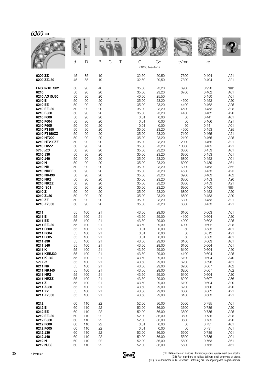| 6209 |  |
|------|--|
|------|--|

|                                                                                                                                                                                                                                                                                                                                                                                            |                                                                                                                                                                            |                                                                                                                                                                            |                                                                                                                                                                            |        |                                                                                                                                                                                                                                                                |                                                                                                                                                                                                                                                                | <b>MALLE</b>                                                                                                                                                                                                            |                                                                                                                                                                                                                                                                   |                                                                                                                                                                                                                                                   |
|--------------------------------------------------------------------------------------------------------------------------------------------------------------------------------------------------------------------------------------------------------------------------------------------------------------------------------------------------------------------------------------------|----------------------------------------------------------------------------------------------------------------------------------------------------------------------------|----------------------------------------------------------------------------------------------------------------------------------------------------------------------------|----------------------------------------------------------------------------------------------------------------------------------------------------------------------------|--------|----------------------------------------------------------------------------------------------------------------------------------------------------------------------------------------------------------------------------------------------------------------|----------------------------------------------------------------------------------------------------------------------------------------------------------------------------------------------------------------------------------------------------------------|-------------------------------------------------------------------------------------------------------------------------------------------------------------------------------------------------------------------------|-------------------------------------------------------------------------------------------------------------------------------------------------------------------------------------------------------------------------------------------------------------------|---------------------------------------------------------------------------------------------------------------------------------------------------------------------------------------------------------------------------------------------------|
|                                                                                                                                                                                                                                                                                                                                                                                            | d                                                                                                                                                                          | D                                                                                                                                                                          | B                                                                                                                                                                          | C<br>Τ | $\mathsf C$<br>x1000 Newtons                                                                                                                                                                                                                                   | Co                                                                                                                                                                                                                                                             | tr/mn                                                                                                                                                                                                                   | kg                                                                                                                                                                                                                                                                |                                                                                                                                                                                                                                                   |
| 6209 ZZ                                                                                                                                                                                                                                                                                                                                                                                    | 45                                                                                                                                                                         | 85                                                                                                                                                                         | 19                                                                                                                                                                         |        | 32,50                                                                                                                                                                                                                                                          | 20,50                                                                                                                                                                                                                                                          | 7300                                                                                                                                                                                                                    | 0,404                                                                                                                                                                                                                                                             | A21                                                                                                                                                                                                                                               |
| 6209 ZZJ30                                                                                                                                                                                                                                                                                                                                                                                 | 45                                                                                                                                                                         | 85                                                                                                                                                                         | 19                                                                                                                                                                         |        | 32,50                                                                                                                                                                                                                                                          | 20,50                                                                                                                                                                                                                                                          | 7300                                                                                                                                                                                                                    | 0,404                                                                                                                                                                                                                                                             | A21                                                                                                                                                                                                                                               |
| <b>ENS 6210 S02</b><br>6210<br>6210 AG15J30<br>6210 E<br>6210 EE<br>6210 EEJ30<br>6210 EJ30<br>6210 F600<br>6210 F604<br>6210 F605<br>6210 FT150<br>6210 FT150ZZ<br>6210 HT200<br>6210 HT200ZZ<br>6210 HVZZ<br>6210 J20<br>6210 J30<br>6210 J40<br>6210N<br>6210 NR<br><b>6210 NREE</b><br>6210 NRJ30<br>6210 NRZ<br>6210 NRZZ<br>6210 S01<br>6210 Z<br>6210 ZJ30<br>6210 ZZ<br>6210 ZZJ30 | 50<br>50<br>50<br>50<br>50<br>50<br>50<br>50<br>50<br>50<br>50<br>50<br>50<br>50<br>50<br>50<br>50<br>50<br>50<br>50<br>50<br>50<br>50<br>50<br>50<br>50<br>50<br>50<br>50 | 90<br>90<br>90<br>90<br>90<br>90<br>90<br>90<br>90<br>90<br>90<br>90<br>90<br>90<br>90<br>90<br>90<br>90<br>90<br>90<br>90<br>90<br>90<br>90<br>90<br>90<br>90<br>90<br>90 | 40<br>20<br>20<br>20<br>20<br>20<br>20<br>20<br>20<br>20<br>20<br>20<br>20<br>20<br>20<br>20<br>20<br>20<br>20<br>20<br>20<br>20<br>20<br>20<br>20<br>20<br>20<br>20<br>20 |        | 35,00<br>35,00<br>40,50<br>35,00<br>35,00<br>35,00<br>35,00<br>0,01<br>0,01<br>0,01<br>35,00<br>35,00<br>35,00<br>35,00<br>35,00<br>35,00<br>35,00<br>35,00<br>35,00<br>35,00<br>35,00<br>35,00<br>35,00<br>35,00<br>35,00<br>35,00<br>35,00<br>35,00<br>35,00 | 23,20<br>23,20<br>25,50<br>23,20<br>23,20<br>23,20<br>23,20<br>0,00<br>0,00<br>0,00<br>23,20<br>23,20<br>23,20<br>23,20<br>23,20<br>23,20<br>23,20<br>23,20<br>23,20<br>23,20<br>23,20<br>23,20<br>23,20<br>23,20<br>23,20<br>23,20<br>23,20<br>23,20<br>23,20 | 6900<br>6700<br>4500<br>4400<br>4500<br>4400<br>50<br>50<br>50<br>4500<br>7100<br>2100<br>2000<br>10000<br>6800<br>6800<br>6800<br>6900<br>6900<br>4500<br>6900<br>6800<br>6800<br>6900<br>6800<br>6800<br>6800<br>6800 | 0,920<br>0,462<br>0,450<br>0,453<br>0,462<br>0,453<br>0,462<br>0,441<br>0,466<br>0,441<br>0,453<br>0,465<br>0,465<br>0,465<br>0,465<br>0,453<br>0,453<br>0,453<br>0,439<br>0,463<br>0,453<br>0,463<br>0,453<br>0,453<br>0,460<br>0,453<br>0,453<br>0,453<br>0,453 | $\overline{\phantom{a}}$<br>A01<br>A01<br>A20<br>A25<br>A25<br>A20<br>A01<br>A21<br>A01<br>A25<br>A21<br>A25<br>A21<br>A21<br>A01<br>A01<br>A01<br>A61<br>A62<br>A25<br>A62<br>A20<br>A21<br>$\overline{\phantom{0}}$<br>A20<br>A20<br>A21<br>A21 |
| 6211                                                                                                                                                                                                                                                                                                                                                                                       | 55                                                                                                                                                                         | 100                                                                                                                                                                        | 21                                                                                                                                                                         |        | 43,50                                                                                                                                                                                                                                                          | 29,00                                                                                                                                                                                                                                                          | 6100                                                                                                                                                                                                                    | 0,603                                                                                                                                                                                                                                                             | A01                                                                                                                                                                                                                                               |
| 6211 E                                                                                                                                                                                                                                                                                                                                                                                     | 55                                                                                                                                                                         | 100                                                                                                                                                                        | 21                                                                                                                                                                         |        | 43,50                                                                                                                                                                                                                                                          | 29,00                                                                                                                                                                                                                                                          | 4100                                                                                                                                                                                                                    | 0,604                                                                                                                                                                                                                                                             | A20                                                                                                                                                                                                                                               |
| 6211 EE                                                                                                                                                                                                                                                                                                                                                                                    | 55                                                                                                                                                                         | 100                                                                                                                                                                        | 21                                                                                                                                                                         |        | 43,50                                                                                                                                                                                                                                                          | 29,00                                                                                                                                                                                                                                                          | 4000                                                                                                                                                                                                                    | 0,602                                                                                                                                                                                                                                                             | A25                                                                                                                                                                                                                                               |
| 6211 EEJ30                                                                                                                                                                                                                                                                                                                                                                                 | 55                                                                                                                                                                         | 100                                                                                                                                                                        | 21                                                                                                                                                                         |        | 43,50                                                                                                                                                                                                                                                          | 29,00                                                                                                                                                                                                                                                          | 4000                                                                                                                                                                                                                    | 0,602                                                                                                                                                                                                                                                             | A25                                                                                                                                                                                                                                               |
| 6211 F600                                                                                                                                                                                                                                                                                                                                                                                  | 55                                                                                                                                                                         | 100                                                                                                                                                                        | 21                                                                                                                                                                         |        | 0,01                                                                                                                                                                                                                                                           | 0,00                                                                                                                                                                                                                                                           | 50                                                                                                                                                                                                                      | 0,583                                                                                                                                                                                                                                                             | A01                                                                                                                                                                                                                                               |
| 6211 F604                                                                                                                                                                                                                                                                                                                                                                                  | 55                                                                                                                                                                         | 100                                                                                                                                                                        | 21                                                                                                                                                                         |        | 0,01                                                                                                                                                                                                                                                           | 0,00                                                                                                                                                                                                                                                           | 50                                                                                                                                                                                                                      | 0,612                                                                                                                                                                                                                                                             | A21                                                                                                                                                                                                                                               |
| 6211 F605                                                                                                                                                                                                                                                                                                                                                                                  | 55                                                                                                                                                                         | 100                                                                                                                                                                        | 21                                                                                                                                                                         |        | 0,01                                                                                                                                                                                                                                                           | 0,00                                                                                                                                                                                                                                                           | 50                                                                                                                                                                                                                      | 0,583                                                                                                                                                                                                                                                             | A01                                                                                                                                                                                                                                               |
| 6211 J30                                                                                                                                                                                                                                                                                                                                                                                   | 55                                                                                                                                                                         | 100                                                                                                                                                                        | 21                                                                                                                                                                         |        | 43,50                                                                                                                                                                                                                                                          | 29,00                                                                                                                                                                                                                                                          | 6100                                                                                                                                                                                                                    | 0,603                                                                                                                                                                                                                                                             | A01                                                                                                                                                                                                                                               |
| 6211 J40                                                                                                                                                                                                                                                                                                                                                                                   | 55                                                                                                                                                                         | 100                                                                                                                                                                        | 21                                                                                                                                                                         |        | 43,50                                                                                                                                                                                                                                                          | 29,00                                                                                                                                                                                                                                                          | 6100                                                                                                                                                                                                                    | 0,604                                                                                                                                                                                                                                                             | A01                                                                                                                                                                                                                                               |
| 6211K                                                                                                                                                                                                                                                                                                                                                                                      | 55                                                                                                                                                                         | 100                                                                                                                                                                        | 21                                                                                                                                                                         |        | 43,50                                                                                                                                                                                                                                                          | 29,00                                                                                                                                                                                                                                                          | 6100                                                                                                                                                                                                                    | 0,604                                                                                                                                                                                                                                                             | A40                                                                                                                                                                                                                                               |
| 6211 KEEJ30                                                                                                                                                                                                                                                                                                                                                                                | 55                                                                                                                                                                         | 100                                                                                                                                                                        | 21                                                                                                                                                                         |        | 43,50                                                                                                                                                                                                                                                          | 29,00                                                                                                                                                                                                                                                          | 4100                                                                                                                                                                                                                    | 0,604                                                                                                                                                                                                                                                             | A25                                                                                                                                                                                                                                               |
| 6211 K J40                                                                                                                                                                                                                                                                                                                                                                                 | 55                                                                                                                                                                         | 100                                                                                                                                                                        | 21                                                                                                                                                                         |        | 43,50                                                                                                                                                                                                                                                          | 29,00                                                                                                                                                                                                                                                          | 6100                                                                                                                                                                                                                    | 0,604                                                                                                                                                                                                                                                             | A40                                                                                                                                                                                                                                               |
| 6211 N                                                                                                                                                                                                                                                                                                                                                                                     | 55                                                                                                                                                                         | 100                                                                                                                                                                        | 21                                                                                                                                                                         |        | 43,50                                                                                                                                                                                                                                                          | 29,00                                                                                                                                                                                                                                                          | 6200                                                                                                                                                                                                                    | 0,598                                                                                                                                                                                                                                                             | A61                                                                                                                                                                                                                                               |
| 6211 NR                                                                                                                                                                                                                                                                                                                                                                                    | 55                                                                                                                                                                         | 100                                                                                                                                                                        | 21                                                                                                                                                                         |        | 43,50                                                                                                                                                                                                                                                          | 29,00                                                                                                                                                                                                                                                          | 6200                                                                                                                                                                                                                    | 0,607                                                                                                                                                                                                                                                             | A62                                                                                                                                                                                                                                               |
| 6211 NRJ40                                                                                                                                                                                                                                                                                                                                                                                 | 55                                                                                                                                                                         | 100                                                                                                                                                                        | 21                                                                                                                                                                         |        | 43,50                                                                                                                                                                                                                                                          | 29,00                                                                                                                                                                                                                                                          | 6200                                                                                                                                                                                                                    | 0,607                                                                                                                                                                                                                                                             | A62                                                                                                                                                                                                                                               |
| 6211 NRZ                                                                                                                                                                                                                                                                                                                                                                                   | 55                                                                                                                                                                         | 100                                                                                                                                                                        | 21                                                                                                                                                                         |        | 43,50                                                                                                                                                                                                                                                          | 29,00                                                                                                                                                                                                                                                          | 6100                                                                                                                                                                                                                    | 0,604                                                                                                                                                                                                                                                             | A20                                                                                                                                                                                                                                               |
| 6211 NRZZ                                                                                                                                                                                                                                                                                                                                                                                  | 55                                                                                                                                                                         | 100                                                                                                                                                                        | 21                                                                                                                                                                         |        | 43,50                                                                                                                                                                                                                                                          | 29,00                                                                                                                                                                                                                                                          | 6200                                                                                                                                                                                                                    | 0,607                                                                                                                                                                                                                                                             | A36                                                                                                                                                                                                                                               |
| 6211 Z                                                                                                                                                                                                                                                                                                                                                                                     | 55                                                                                                                                                                         | 100                                                                                                                                                                        | 21                                                                                                                                                                         |        | 43,50                                                                                                                                                                                                                                                          | 29,00                                                                                                                                                                                                                                                          | 6100                                                                                                                                                                                                                    | 0,604                                                                                                                                                                                                                                                             | A20                                                                                                                                                                                                                                               |
| 6211 ZJ30                                                                                                                                                                                                                                                                                                                                                                                  | 55                                                                                                                                                                         | 100                                                                                                                                                                        | 21                                                                                                                                                                         |        | 43,50                                                                                                                                                                                                                                                          | 29,00                                                                                                                                                                                                                                                          | 6200                                                                                                                                                                                                                    | 0,606                                                                                                                                                                                                                                                             | A20                                                                                                                                                                                                                                               |
| 6211 ZZ                                                                                                                                                                                                                                                                                                                                                                                    | 55                                                                                                                                                                         | 100                                                                                                                                                                        | 21                                                                                                                                                                         |        | 43,50                                                                                                                                                                                                                                                          | 29,00                                                                                                                                                                                                                                                          | 6000                                                                                                                                                                                                                    | 0,602                                                                                                                                                                                                                                                             | A21                                                                                                                                                                                                                                               |
| 6211 ZZJ30                                                                                                                                                                                                                                                                                                                                                                                 | 55                                                                                                                                                                         | 100                                                                                                                                                                        | 21                                                                                                                                                                         |        | 43,50                                                                                                                                                                                                                                                          | 29,00                                                                                                                                                                                                                                                          | 6100                                                                                                                                                                                                                    | 0,603                                                                                                                                                                                                                                                             | A21                                                                                                                                                                                                                                               |
| 6212                                                                                                                                                                                                                                                                                                                                                                                       | 60                                                                                                                                                                         | 110                                                                                                                                                                        | 22                                                                                                                                                                         |        | 52,00                                                                                                                                                                                                                                                          | 36,00                                                                                                                                                                                                                                                          | 5500                                                                                                                                                                                                                    | 0,785                                                                                                                                                                                                                                                             | A01                                                                                                                                                                                                                                               |
| 6212 E                                                                                                                                                                                                                                                                                                                                                                                     | 60                                                                                                                                                                         | 110                                                                                                                                                                        | 22                                                                                                                                                                         |        | 52,00                                                                                                                                                                                                                                                          | 36,00                                                                                                                                                                                                                                                          | 3600                                                                                                                                                                                                                    | 0,785                                                                                                                                                                                                                                                             | A20                                                                                                                                                                                                                                               |
| 6212 EE                                                                                                                                                                                                                                                                                                                                                                                    | 60                                                                                                                                                                         | 110                                                                                                                                                                        | 22                                                                                                                                                                         |        | 52,00                                                                                                                                                                                                                                                          | 36,00                                                                                                                                                                                                                                                          | 3600                                                                                                                                                                                                                    | 0,785                                                                                                                                                                                                                                                             | A25                                                                                                                                                                                                                                               |
| 6212 EEJ30                                                                                                                                                                                                                                                                                                                                                                                 | 60                                                                                                                                                                         | 110                                                                                                                                                                        | 22                                                                                                                                                                         |        | 52,00                                                                                                                                                                                                                                                          | 36,00                                                                                                                                                                                                                                                          | 3600                                                                                                                                                                                                                    | 0,785                                                                                                                                                                                                                                                             | A25                                                                                                                                                                                                                                               |
| 6212 EJ30                                                                                                                                                                                                                                                                                                                                                                                  | 60                                                                                                                                                                         | 110                                                                                                                                                                        | 22                                                                                                                                                                         |        | 52,00                                                                                                                                                                                                                                                          | 36,00                                                                                                                                                                                                                                                          | 3600                                                                                                                                                                                                                    | 0,785                                                                                                                                                                                                                                                             | A20                                                                                                                                                                                                                                               |
| 6212 F600                                                                                                                                                                                                                                                                                                                                                                                  | 60                                                                                                                                                                         | 110                                                                                                                                                                        | 22                                                                                                                                                                         |        | 0,01                                                                                                                                                                                                                                                           | 0,00                                                                                                                                                                                                                                                           | 50                                                                                                                                                                                                                      | 0,731                                                                                                                                                                                                                                                             | A01                                                                                                                                                                                                                                               |
| 6212 F605                                                                                                                                                                                                                                                                                                                                                                                  | 60                                                                                                                                                                         | 110                                                                                                                                                                        | 22                                                                                                                                                                         |        | 0,01                                                                                                                                                                                                                                                           | 0,00                                                                                                                                                                                                                                                           | 50                                                                                                                                                                                                                      | 0,731                                                                                                                                                                                                                                                             | A01                                                                                                                                                                                                                                               |
| 6212 J30                                                                                                                                                                                                                                                                                                                                                                                   | 60                                                                                                                                                                         | 110                                                                                                                                                                        | 22                                                                                                                                                                         |        | 52,00                                                                                                                                                                                                                                                          | 36,00                                                                                                                                                                                                                                                          | 5500                                                                                                                                                                                                                    | 0,785                                                                                                                                                                                                                                                             | A01                                                                                                                                                                                                                                               |
| 6212 J40                                                                                                                                                                                                                                                                                                                                                                                   | 60                                                                                                                                                                         | 110                                                                                                                                                                        | 22                                                                                                                                                                         |        | 52,00                                                                                                                                                                                                                                                          | 36,00                                                                                                                                                                                                                                                          | 5500                                                                                                                                                                                                                    | 0,785                                                                                                                                                                                                                                                             | A01                                                                                                                                                                                                                                               |
| 6212N                                                                                                                                                                                                                                                                                                                                                                                      | 60                                                                                                                                                                         | 110                                                                                                                                                                        | 22                                                                                                                                                                         |        | 52,00                                                                                                                                                                                                                                                          | 36,00                                                                                                                                                                                                                                                          | 5600                                                                                                                                                                                                                    | 0,763                                                                                                                                                                                                                                                             | A61                                                                                                                                                                                                                                               |
| 6212 NJ30                                                                                                                                                                                                                                                                                                                                                                                  | 60                                                                                                                                                                         | 110                                                                                                                                                                        | 22                                                                                                                                                                         |        | 52,00                                                                                                                                                                                                                                                          | 36,00                                                                                                                                                                                                                                                          | 5600                                                                                                                                                                                                                    | 0,763                                                                                                                                                                                                                                                             | A61                                                                                                                                                                                                                                               |

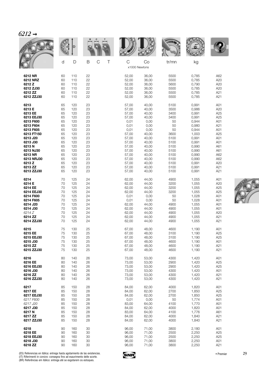|            |    | D   |                       |       |                     | <b>WALLE</b> |       |     |
|------------|----|-----|-----------------------|-------|---------------------|--------------|-------|-----|
|            | d  | D   | $\mathsf C$<br>Τ<br>B | C     | Co<br>x1000 Newtons | tr/mn        | kg    |     |
| 6212 NR    | 60 | 110 | 22                    | 52,00 | 36,00               | 5500         | 0,785 | A62 |
| 6212 NRZ   | 60 | 110 | 22                    | 52,00 | 36,00               | 5500         | 0,785 | A20 |
| 6212 Z     | 60 | 110 | 22                    | 52,00 | 36,00               | 5600         | 0,790 | A20 |
| 6212 ZJ30  | 60 | 110 | 22                    | 52,00 | 36.00               | 5500         | 0,785 | A20 |
| 6212 ZZ    | 60 | 110 | 22                    | 52,00 | 36,00               | 5500         | 0,785 | A21 |
| 6212 ZZJ30 | 60 | 110 | 22                    | 52,00 | 36,00               | 5500         | 0,785 | A21 |
| 6213       | 65 | 120 | 23                    | 57,00 | 40,00               | 5100         | 0,991 | A01 |
| 6213 E     | 65 | 120 | 23                    | 57,00 | 40,00               | 3500         | 0,986 | A20 |
| 6213 EE    | 65 | 120 | 23                    | 57,00 | 40,00               | 3400         | 0,991 | A25 |
| 6213 EEJ30 | 65 | 120 | 23                    | 57,00 | 40,00               | 3400         | 0,991 | A25 |
| 6213 F600  | 65 | 120 | 23                    | 0,01  | 0,00                | 50           | 0,944 | A01 |
| 6213 F604  | 65 | 120 | 23                    | 0,01  | 0,00                | 50           | 0,980 | A21 |
| 6213 F605  | 65 | 120 | 23                    | 0,01  | 0,00                | 50           | 0,944 | A01 |
| 6213 FT150 | 65 | 120 | 23                    | 57,00 | 40,00               | 3600         | 1,003 | A25 |
| 6213 J20   | 65 | 120 | 23                    | 57,00 | 40,00               | 5100         | 0,991 | A01 |
| 6213 J30   | 65 | 120 | 23                    | 57,00 | 40,00               | 5100         | 0,991 | A01 |
| 6213N      | 65 | 120 | 23                    | 57,00 | 40,00               | 5100         | 0,990 | A61 |
| 6213 NJ30  | 65 | 120 | 23                    | 57,00 | 40,00               | 5100         | 0,990 | A61 |
| 6213 NR    | 65 | 120 | 23                    | 57,00 | 40,00               | 5100         | 0,990 | A62 |
| 6213 NRJ30 | 65 | 120 | 23                    | 57,00 | 40,00               | 5100         | 0,990 | A62 |
| 6213 Z     | 65 | 120 | 23                    | 57,00 | 40,00               | 5100         | 0,991 | A20 |
| 6213 ZZ    | 65 | 120 | 23                    | 57,00 | 40,00               | 5100         | 0,991 | A21 |
| 6213 ZZJ30 | 65 | 120 | 23                    | 57,00 | 40,00               | 5100         | 0,991 | A21 |
| 6214       | 70 | 125 | 24                    | 62,00 | 44,00               | 4900         | 1,055 | A01 |
| 6214 E     | 70 | 125 | 24                    | 62,00 | 44,00               | 3200         | 1,055 | A20 |
| 6214 EE    | 70 | 125 | 24                    | 62,00 | 44,00               | 3200         | 1,055 | A25 |
| 6214 EEJ30 | 70 | 125 | 24                    | 62,00 | 44,00               | 3200         | 1,055 | A25 |
| 6214 F600  | 70 | 125 | 24                    | 0,01  | 0,00                | 50           | 1,028 | A01 |
| 6214 F605  | 70 | 125 | 24                    | 0,01  | 0,00                | 50           | 1,028 | A01 |
| 6214 J20   | 70 | 125 | 24                    | 62,00 | 44,00               | 4900         | 1,055 | A01 |
| 6214 J30   | 70 | 125 | 24                    | 62,00 | 44,00               | 4900         | 1,055 | A01 |
| 6214 Z     | 70 | 125 | 24                    | 62,00 | 44,00               | 4900         | 1,055 | A20 |
| 6214 ZZ    | 70 | 125 | 24                    | 62,00 | 44,00               | 4900         | 1,055 | A21 |
| 6214 ZZJ30 | 70 | 125 | 24                    | 62,00 | 44,00               | 4900         | 1,055 | A21 |
| 6215       | 75 | 130 | 25                    | 67,00 | 48,00               | 4600         | 1,190 | A01 |
| 6215 EE    | 75 | 130 | 25                    | 67,00 | 48,00               | 3100         | 1,190 | A25 |
| 6215 EEJ30 | 75 | 130 | 25                    | 67,00 | 48,00               | 3100         | 1,190 | A25 |
| 6215 J30   | 75 | 130 | 25                    | 67,00 | 48,00               | 4600         | 1,190 | A01 |
| 6215 ZZ    | 75 | 130 | 25                    | 67,00 | 48,00               | 4600         | 1,190 | A21 |
| 6215 ZZJ30 | 75 | 130 | 25                    | 67,00 | 48,00               | 4600         | 1,190 | A21 |
| 6216       | 80 | 140 | 26                    | 73,00 | 53,00               | 4300         | 1,420 | A01 |
| 6216 EE    | 80 | 140 | 26                    | 73,00 | 53,00               | 2900         | 1,420 | A25 |
| 6216 EEJ30 | 80 | 140 | 26                    | 73,00 | 53,00               | 2900         | 1,420 | A25 |
| 6216 J30   | 80 | 140 | 26                    | 73,00 | 53,00               | 4300         | 1,420 | A01 |
| 6216 ZZ    | 80 | 140 | 26                    | 73,00 | 53,00               | 4300         | 1,420 | A21 |
| 6216 ZZJ30 | 80 | 140 | 26                    | 73,00 | 53,00               | 4300         | 1,420 | A21 |
| 6217       | 85 | 150 | 28                    | 84,00 | 62,00               | 4000         | 1,820 | A01 |
| 6217 EE    | 85 | 150 | 28                    | 84,00 | 62,00               | 2700         | 1,850 | A25 |
| 6217 EEJ30 | 85 | 150 | 28                    | 84,00 | 62,00               | 2700         | 1,850 | A25 |
| 6217 F600  | 85 | 150 | 28                    | 0,01  | 0,00                | 50           | 1,774 | A01 |
| 6217 J20   | 85 | 150 | 28                    | 83,00 | 64,00               | 4100         | 1,770 | A01 |
| 6217 J30   | 85 | 150 | 28                    | 84,00 | 62,00               | 4000         | 1,820 | A01 |
| 6217 N     | 85 | 150 | 28                    | 83,00 | 64,00               | 4100         | 1,776 | A61 |
| 6217 ZZ    | 85 | 150 | 28                    | 84,00 | 62,00               | 4000         | 1,840 | A21 |
| 6217 ZZJ30 | 85 | 150 | 28                    | 84,00 | 62,00               | 4000         | 1,840 | A21 |
| 6218       | 90 | 160 | 30                    | 96,00 | 71,00               | 3800         | 2,180 | A01 |
| 6218 EE    | 90 | 160 | 30                    | 96,00 | 71,00               | 2500         | 2,250 | A25 |
| 6218 EEJ30 | 90 | 160 | 30                    | 96,00 | 71,00               | 2500         | 2,250 | A25 |
| 6218 J30   | 90 | 160 | 30                    | 96,00 | 71,00               | 3800         | 2,250 | A01 |
| 6218 ZZ    | 90 | 160 | 30                    | 96,00 | 71,00               | 3800         | 2,250 | A21 |



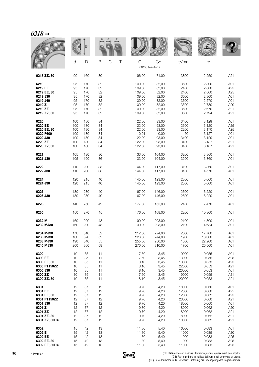|               |     |     |    |        |                    |        | xоми  |        |     |
|---------------|-----|-----|----|--------|--------------------|--------|-------|--------|-----|
|               | d   | D   | B  | C<br>Τ | C<br>x1000 Newtons | Co     | tr/mn | kg     |     |
| 6218 ZZJ30    | 90  | 160 | 30 |        | 96,00              | 71,00  | 3800  | 2,250  | A21 |
| 6219          | 95  | 170 | 32 |        | 109,00             | 82,00  | 3600  | 2,800  | A01 |
| 6219 EE       | 95  | 170 | 32 |        | 109,00             | 82,00  | 2400  | 2,800  | A25 |
| 6219 EEJ30    | 95  | 170 | 32 |        | 109,00             | 82,00  | 2400  | 2,800  | A25 |
| 6219 J30      | 95  | 170 | 32 |        | 109,00             | 82,00  | 3600  | 2,800  | A01 |
| 6219 J40      | 95  | 170 | 32 |        | 109,00             | 82,00  | 3600  | 2,570  | A01 |
| 6219 Z        | 95  | 170 | 32 |        | 109,00             | 82,00  | 3500  | 2,780  | A20 |
| 6219 ZZ       | 95  | 170 | 32 |        | 109,00             | 82,00  | 3600  | 2,670  | A21 |
| 6219 ZZJ30    | 95  | 170 | 32 |        | 109,00             | 82,00  | 3600  | 2,794  | A21 |
| 6220          | 100 | 180 | 34 |        | 122,00             | 93,00  | 3400  | 3,129  | A01 |
| 6220 EE       | 100 | 180 | 34 |        | 122,00             | 93,00  | 2300  | 3,120  | A25 |
| 6220 EEJ30    | 100 | 180 | 34 |        | 122,00             | 93,00  | 2200  | 3,170  | A25 |
| 6220 F600     | 100 | 180 | 34 |        | 0,01               | 0,00   | 50    | 3,127  | A01 |
| 6220 J30      | 100 | 180 | 34 |        | 122,00             | 93,00  | 3400  | 3,129  | A01 |
| 6220 ZZ       | 100 | 180 | 34 |        | 122,00             | 93,00  | 3400  | 3,187  | A21 |
| 6220 ZZJ30    | 100 | 180 | 34 |        | 122,00             | 93,00  | 3400  | 3,187  | A21 |
| 6221          | 105 | 190 | 36 |        | 133.00             | 104,00 | 3200  | 3,860  | A01 |
| 6221 J30      | 105 | 190 | 36 |        | 133,00             | 104,00 | 3200  | 3,860  | A01 |
| 6222          | 110 | 200 | 38 |        | 144,00             | 117,00 | 3100  | 3,860  | A01 |
| 6222 J30      | 110 | 200 | 38 |        | 144,00             | 117,00 | 3100  | 4,570  | A01 |
| 6224          | 120 | 215 | 40 |        | 145,00             | 123,00 | 2800  | 5,600  | A01 |
| 6224 J30      | 120 | 215 | 40 |        | 145,00             | 123,00 | 2800  | 5,600  | A01 |
| 6226          | 130 | 230 | 40 |        | 167,00             | 146,00 | 2600  | 6,220  | A01 |
| 6226 J30      | 130 | 230 | 40 |        | 167,00             | 146,00 | 2600  | 6,220  | A01 |
| 6228          | 140 | 250 | 42 |        | 177,00             | 165,00 | 2400  | 7,470  | A01 |
| 6230          | 150 | 270 | 45 |        | 176,00             | 168,00 | 2200  | 10,300 | A01 |
| 6232 M        | 160 | 290 | 48 |        | 199,00             | 203,00 | 2100  | 14,300 | A01 |
| 6232 MJ30     | 160 | 290 | 48 |        | 199,00             | 203,00 | 2100  | 14,684 | A01 |
| 6234 MJ30     | 170 | 310 | 52 |        | 212,00             | 224,00 | 2000  | 17,700 | A01 |
| 6236 MJ30     | 180 | 320 | 52 |        | 226,00             | 244,00 | 1900  | 18,300 | A01 |
| 6238 MJ30     | 190 | 340 | 55 |        | 255,00             | 280,00 | 1800  | 22,200 | A01 |
| 6240 MJ30     | 200 | 360 | 58 |        | 270,00             | 310,00 | 1700  | 26,500 | A01 |
| 6300          | 10  | 35  | 11 |        | 7,60               | 3,45   | 19000 | 0,055  | A01 |
| 6300 EE       | 10  | 35  | 11 |        | 7,60               | 3,45   | 13000 | 0,055  | A25 |
| 6300 EEJ30    | 10  | 35  | 11 |        | 8,10               | 3,45   | 13000 | 0,053  | A25 |
| 6300 FT150ZZ  | 10  | 35  | 11 |        | 8,10               | 3,45   | 22000 | 0,053  | A21 |
| 6300 J30      | 10  | 35  | 11 |        | 8,10               | 3,45   | 20000 | 0,053  | A01 |
| 6300 ZZ       | 10  | 35  | 11 |        | 7,60               | 3,45   | 19000 | 0,055  | A21 |
| 6300 ZZJ30    | 10  | 35  | 11 |        | 8,10               | 3,45   | 20000 | 0,053  | A21 |
| 6301          | 12  | 37  | 12 |        | 9,70               | 4,20   | 18000 | 0,060  | A01 |
| 6301 EE       | 12  | 37  | 12 |        | 9,70               | 4,20   | 12000 | 0,060  | A25 |
| 6301 EEJ30    | 12  | 37  | 12 |        | 9,70               | 4,20   | 12000 | 0,062  | A25 |
| 6301 FT150ZZ  | 12  | 37  | 12 |        | 9,70               | 4,20   | 20000 | 0,060  | A21 |
| 6301 J30      | 12  | 37  | 12 |        | 9,70               | 4,20   | 18000 | 0,060  | A01 |
| 6301 Z        | 12  | 37  | 12 |        | 9,70               | 4,20   | 18000 | 0,062  | A20 |
| 6301 ZZ       | 12  | 37  | 12 |        | 9,70               | 4,20   | 18000 | 0,062  | A21 |
| 6301 ZZJ30    | 12  | 37  | 12 |        | 9,70               | 4,20   | 18000 | 0,062  | A21 |
| 6301 ZZJ30D43 | 12  | 37  | 12 |        | 9,70               | 4,20   | 18000 | 0,062  | A21 |
| 6302          | 15  | 42  | 13 |        | 11,30              | 5,40   | 16000 | 0,083  | A01 |
| 6302 E        | 15  | 42  | 13 |        | 11,30              | 5,40   | 11000 | 0,085  | A20 |
| 6302 EE       | 15  | 42  | 13 |        | 11,30              | 5,40   | 11000 | 0,083  | A25 |
| 6302 EEJ30    | 15  | 42  | 13 |        | 11,30              | 5,40   | 11000 | 0,083  | A25 |
| 6302 EEJ30D43 | 15  | 42  | 13 |        | 11,30              | 5,40   | 11000 | 0,083  | A25 |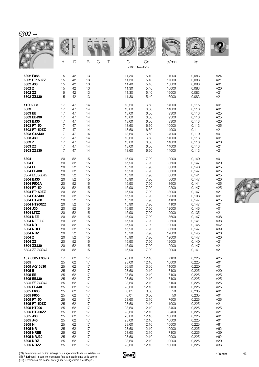| ٠ |  |
|---|--|
|   |  |

|                  |    |    |                       |                    |       | <b>WALLE</b> |       |     |
|------------------|----|----|-----------------------|--------------------|-------|--------------|-------|-----|
|                  | d  | D  | B<br>$\mathsf C$<br>Τ | C<br>x1000 Newtons | Co    | tr/mn        | kg    |     |
| 6302 F086        | 15 | 42 | 13                    | 11,30              | 5,40  | 11000        | 0,083 | A24 |
| 6302 FT150ZZ     | 15 | 42 | 13                    | 11,30              | 5,40  | 17000        | 0,083 | A21 |
| 6302 J30         | 15 | 42 | 13                    | 11,40              | 5,40  | 15000        | 0,083 | A01 |
| 6302 Z           | 15 | 42 | 13                    | 11,30              | 5,40  | 16000        | 0,083 | A20 |
| 6302 ZZ          | 15 | 42 | 13                    | 11,30              | 5,40  | 16000        | 0,083 | A21 |
| 6302 ZZJ30       | 15 | 42 | 13                    | 11,30              | 5,40  | 16000        | 0,083 | A21 |
| 11R 6303         | 17 | 47 | 14                    | 13,50              | 6,60  | 14000        | 0,115 | A01 |
| 6303             | 17 | 47 | 14                    | 13,60              | 6,60  | 14000        | 0,113 | A01 |
| 6303 EE          | 17 | 47 | 14                    | 13,60              | 6,60  | 9300         | 0,113 | A25 |
| 6303 EEJ30       | 17 | 47 | 14                    | 13,60              | 6,60  | 9300         | 0,113 | A25 |
| 6303 EJ30        | 17 | 47 | 14                    | 13,60              | 6,60  | 9300         | 0,113 | A20 |
| 6303 FT150       | 17 | 47 | 14                    | 13,60              | 6,60  | 10000        | 0,113 | A25 |
| 6303 FT150ZZ     | 17 | 47 | 14                    | 13,60              | 6,60  | 14000        | 0,111 | A21 |
| 6303 G15J30      | 17 | 47 | 14                    | 13,60              | 6,60  | 14000        | 0,110 | A01 |
| 6303 J30         | 17 | 47 | 14                    | 13,60              | 6,60  | 14000        | 0,113 | A01 |
| 6303 Z           | 17 | 47 | 14                    | 13,60              | 6,60  | 14000        | 0,113 | A20 |
| 6303 ZZ          | 17 | 47 | 14                    | 13,60              | 6,60  | 14000        | 0,113 | A21 |
| 6303 ZZJ30       | 17 | 47 | 14                    | 13,60              | 6,60  | 14000        | 0,113 | A21 |
| 6304             | 20 | 52 | 15                    | 15,90              | 7,90  | 12000        | 0,140 | A01 |
| 6304 E           | 20 | 52 | 15                    | 15,90              | 7,90  | 8600         | 0,147 | A20 |
| 6304 EE          | 20 | 52 | 15                    | 15,90              | 7,90  | 8600         | 0,140 | A25 |
| 6304 EEJ30       | 20 | 52 | 15                    | 15,90              | 7,90  | 8600         | 0,147 | A25 |
| 6304 EEJ30D43    | 20 | 52 | 15                    | 15,90              | 7,90  | 8600         | 0,141 | A25 |
| 6304 EJ30        | 20 | 52 | 15                    | 15,90              | 7,90  | 8600         | 0,147 | A20 |
| 6304 F502A       | 20 | 52 | 15                    | 15,90              | 7,90  | 8600         | 0,141 | A25 |
| 6304 FT150       | 20 | 52 | 15                    | 15,90              | 7,90  | 9200         | 0,147 | A25 |
| 6304 FT150ZZ     | 20 | 52 | 15                    | 15,90              | 7,90  | 13000        | 0,147 | A21 |
| 6304 G15J30      | 20 | 52 | 15                    | 15,90              | 7,90  | 12000        | 0,138 | A01 |
| 6304 HT200       | 20 | 52 | 15                    | 15,90              | 7,90  | 4100         | 0,147 | A25 |
| 6304 HT200ZZ     | 20 | 52 | 15                    | 15,90              | 7,90  | 4100         | 0,147 | A21 |
| 6304 J30         | 20 | 52 | 15                    | 15,90              | 7,90  | 12000        | 0,145 | A01 |
| 6304 LTZZ        | 20 | 52 | 15                    | 15,90              | 7,90  | 12000        | 0,135 | A21 |
| 6304 NEE         | 20 | 52 | 15                    | 15,90              | 7,90  | 8600         | 0,147 | A38 |
| 6304 NEEJ30      | 20 | 52 | 15                    | 15,90              | 7,90  | 8600         | 0,141 | A38 |
| 6304 NR          | 20 | 52 | 15                    | 15,90              | 7,90  | 12000        | 0,145 | A62 |
| <b>6304 NREE</b> | 20 | 52 | 15                    | 15,90              | 7,90  | 8600         | 0,147 | A39 |
| 6304 NRZ         | 20 | 52 | 15                    | 15,90              | 7,90  | 12000        | 0,145 | A20 |
| 6304 Z           | 20 | 52 | 15                    | 15,90              | 7,90  | 12000        | 0,147 | A20 |
| 6304 ZZ          | 20 | 52 | 15                    | 15,90              | 7,90  | 12000        | 0,140 | A21 |
| 6304 ZZJ30       | 20 | 52 | 15                    | 15,90              | 7,90  | 12000        | 0,147 | A21 |
| 6304 ZZJ30D43    | 20 | 52 | 15                    | 15,90              | 7,90  | 12000        | 0,141 | A21 |
| 10X 6305 F339B   | 17 | 62 | 17                    | 23,60              | 12,10 | 7100         | 0,225 | A25 |
| 6305             | 25 | 62 | 17                    | 23,60              | 12,10 | 10000        | 0,225 | A01 |
| 6305 AG15J30     | 25 | 62 | 17                    | 26,50              | 13,50 | 11000        | 0,220 | A01 |
| 6305 E           | 25 | 62 | 17                    | 23,60              | 12,10 | 7100         | 0,225 | A20 |
| 6305 EE          | 25 | 62 | 17                    | 23,60              | 12,10 | 7100         | 0,225 | A25 |
| 6305 EEJ30       | 25 | 62 | 17                    | 23,60              | 12,10 | 7100         | 0,225 | A25 |
| 6305 EEJ30D43    | 25 | 62 | 17                    | 23,60              | 12,10 | 7100         | 0,225 | A25 |
| 6305 EEJ40       | 25 | 62 | 17                    | 23,60              | 12,10 | 7100         | 0,225 | A25 |
| 6305 F600        | 25 | 62 | 17                    | 0,01               | 0,00  | 50           | 0,235 | A01 |
| 6305 F605        | 25 | 62 | 17                    | 0,01               | 0,00  | 50           | 0,235 | A01 |
| 6305 FT150       | 25 | 62 | 17                    | 23,60              | 12,10 | 7600         | 0,225 | A25 |
| 6305 FT150ZZ     | 25 | 62 | 17                    | 23,60              | 12,10 | 11000        | 0,225 | A21 |
| 6305 HT200       | 25 | 62 | 17                    | 23,60              | 12,10 | 3400         | 0,225 | A25 |
| 6305 HT200ZZ     | 25 | 62 | 17                    | 23,60              | 12,10 | 3400         | 0,225 | A21 |
| 6305 J30         | 25 | 62 | 17                    | 23,60              | 12,10 | 10000        | 0,225 | A01 |
| 6305 J40         | 25 | 62 | 17                    | 23,60              | 12,10 | 10000        | 0,225 | A01 |
| 6305N            | 25 | 62 | 17                    | 23,60              | 12,10 | 10000        | 0,225 | A61 |
| 6305 NR          | 25 | 62 | 17                    | 23,60              | 12,10 | 10000        | 0,225 | A62 |
| <b>6305 NREE</b> | 25 | 62 | 17                    | 23,60              | 12,10 | 7100         | 0,225 | A39 |
| 6305 NRJ30       | 25 | 62 | 17                    | 23,60              | 12,10 | 10000        | 0,225 | A62 |
| 6305 NRZ         | 25 | 62 | 17                    | 23,60              | 12,10 | 10000        | 0,225 | A20 |
| 6305 NRZZ        | 25 | 62 | 17                    | 23,60              | 12,10 | 10000        | 0,225 | A36 |



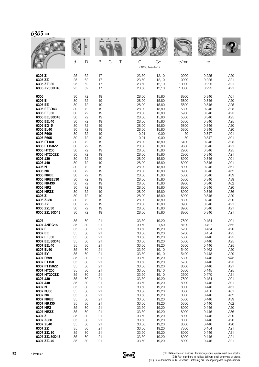| 630 <sup>5</sup> |  |
|------------------|--|
|------------------|--|

|                  |    | D  |    |        |                    |       |       |       |                          |
|------------------|----|----|----|--------|--------------------|-------|-------|-------|--------------------------|
|                  | d  | D  | B  | C<br>Τ | C<br>x1000 Newtons | Co    | tr/mn | kg    |                          |
| 6305 Z           | 25 | 62 | 17 |        | 23,60              | 12,10 | 10000 | 0,225 | A20                      |
| 6305 ZZ          | 25 | 62 | 17 |        | 23,60              | 12,10 | 10000 | 0,225 | A21                      |
| 6305 ZZJ30       | 25 | 62 | 17 |        | 23,60              | 12,10 | 10000 | 0,225 | A21                      |
| 6305 ZZJ30D43    | 25 | 62 | 17 |        | 23,60              | 12,10 | 10000 | 0,225 | A21                      |
| 6306             | 30 | 72 | 19 |        | 28,00              | 15,80 | 8900  | 0,346 | A01                      |
| 6306 E           | 30 | 72 | 19 |        | 28,00              | 15,80 | 5800  | 0,346 | A20                      |
| 6306 EE          | 30 | 72 | 19 |        | 28,00              | 15,80 | 5800  | 0,346 | A25                      |
| 6306 EE3D43      | 30 | 72 | 19 |        | 28,00              | 15,80 | 5800  | 0,346 | A25                      |
| 6306 EEJ30       | 30 | 72 | 19 |        | 28,00              | 15,80 | 5900  | 0,346 | A25                      |
| 6306 EEJ30D43    | 30 | 72 | 19 |        | 28,00              | 15,80 | 5800  | 0,346 | A25                      |
| 6306 EEJ40       | 30 | 72 | 19 |        | 28,00              | 15,80 | 5800  | 0,346 | A25                      |
| 6306 EG15        | 30 | 72 | 19 |        | 28,00              | 15,80 | 5800  | 0,346 | A20                      |
| 6306 EJ40        | 30 | 72 | 19 |        | 28,00              | 15,80 | 5800  | 0,346 | A20                      |
| 6306 F600        | 30 | 72 | 19 |        | 0,01               | 0,00  | 50    | 0,347 | A01                      |
| 6306 F605        | 30 | 72 | 19 |        | 0,01               | 0,00  | 50    | 0,347 | A01                      |
| 6306 FT150       | 30 | 72 | 19 |        | 28,00              | 15,80 | 6400  | 0,346 | A25                      |
| 6306 FT150ZZ     | 30 | 72 | 19 |        | 28,00              | 15,80 | 9600  | 0,346 | A21                      |
| 6306 HT200       | 30 | 72 | 19 |        | 28,00              | 15,80 | 2900  | 0,346 | A25                      |
| 6306 HT200ZZ     | 30 | 72 | 19 |        | 28,00              | 15,80 | 2900  | 0,346 | A21                      |
| 6306 J30         | 30 | 72 | 19 |        | 28,00              | 15,80 | 8900  | 0,346 | A01                      |
| 6306 J40         | 30 | 72 | 19 |        | 28,00              | 15,80 | 8900  | 0,346 | A01                      |
| 6306 N           | 30 | 72 | 19 |        | 28,00              | 15,80 | 8900  | 0,346 | A61                      |
| 6306 NR          | 30 | 72 | 19 |        | 28,00              | 15,80 | 8900  | 0,346 | A62                      |
| <b>6306 NREE</b> | 30 | 72 | 19 |        | 28,00              | 15,80 | 5800  | 0,346 | A39                      |
| 6306 NREEJ30     | 30 | 72 | 19 |        | 28,00              | 15,80 | 5800  | 0,346 | A39                      |
| 6306 NRJ30       | 30 | 72 | 19 |        | 28,00              | 15,80 | 8900  | 0,346 | A62                      |
| 6306 NRZ         | 30 | 72 | 19 |        | 28,00              | 15,80 | 8900  | 0,346 | A20                      |
| 6306 NRZZ        | 30 | 72 | 19 |        | 28,00              | 15,80 | 8900  | 0,346 | A36                      |
| 6306 Z           | 30 | 72 | 19 |        | 28,00              | 15,80 | 8900  | 0,346 | A20                      |
| 6306 ZJ30        | 30 | 72 | 19 |        | 28,00              | 15,80 | 8800  | 0,346 | A20                      |
| 6306 ZZ          | 30 | 72 | 19 |        | 28,00              | 15,80 | 8900  | 0,346 | A21                      |
| 6306 ZZJ30       | 30 | 72 | 19 |        | 28,00              | 15,80 | 8900  | 0,346 | A21                      |
| 6306 ZZJ30D43    | 30 | 72 | 19 |        | 28,00              | 15,80 | 8900  | 0,346 | A21                      |
| 6307             | 35 | 80 | 21 |        | 33,50              | 19,20 | 7800  | 0,454 | A01                      |
| 6307 ANRG15      | 35 | 80 | 21 |        | 39,50              | 21,50 | 8100  | 0,427 | A62                      |
| 6307 E           | 35 | 80 | 21 |        | 33,50              | 19,20 | 5200  | 0,454 | A20                      |
| 6307 EE          | 35 | 80 | 21 |        | 33,50              | 19,20 | 5200  | 0,454 | A25                      |
| 6307 EEJ30       | 35 | 80 | 21 |        | 33,50              | 19,20 | 5300  | 0,446 | A25                      |
| 6307 EEJ30D43    | 35 | 80 | 21 |        | 33,50              | 19,20 | 5300  | 0,446 | A25                      |
| 6307 EEJ40       | 35 | 80 | 21 |        | 33,50              | 19,20 | 5300  | 0,446 | A25                      |
| 6307 EJ40        | 35 | 80 | 21 |        | 33,50              | 19,10 | 5400  | 0,462 | A20                      |
| 6307 EY          | 35 | 80 | 21 |        | 33,50              | 19,10 | 5400  | 0,448 | A20                      |
| 6307 F699        | 35 | 80 | 21 |        | 33,50              | 19,20 | 5300  | 0,446 | $\overline{\phantom{a}}$ |
| 6307 FT150       | 35 | 80 | 21 |        | 33,50              | 19,20 | 5700  | 0,446 | A25                      |
| 6307 FT150ZZ     | 35 | 80 | 21 |        | 33,50              | 19,20 | 8600  | 0,446 | A21                      |
| 6307 HT200       | 35 | 80 | 21 |        | 33,50              | 19,10 | 5300  | 0,445 | A25                      |
| 6307 HT200ZZ     | 35 | 80 | 21 |        | 33,50              | 19,10 | 2600  | 0,470 | A21                      |
| 6307 J30         | 35 | 80 | 21 |        | 33,50              | 19,20 | 7800  | 0,454 | A01                      |
| 6307 J40         | 35 | 80 | 21 |        | 33,50              | 19,20 | 8000  | 0,446 | A01                      |
| 6307 N           | 35 | 80 | 21 |        | 33,50              | 19,20 | 8000  | 0,446 | A61                      |
| 6307 NJ30        | 35 | 80 | 21 |        | 33,50              | 19,20 | 8000  | 0,456 | A61                      |
| 6307 NR          | 35 | 80 | 21 |        | 33,50              | 19,20 | 8000  | 0,446 | A62                      |
| <b>6307 NREE</b> | 35 | 80 | 21 |        | 33,50              | 19,20 | 5300  | 0,446 | A39                      |
| 6307 NRJ30       | 35 | 80 | 21 |        | 33,50              | 19,20 | 5300  | 0,446 | A62                      |
| 6307 NRZ         | 35 | 80 | 21 |        | 33,50              | 19,20 | 8000  | 0,446 | A20                      |
| 6307 NRZZ        | 35 | 80 | 21 |        | 33,50              | 19,20 | 8000  | 0,446 | A36                      |
| 6307 Z           | 35 | 80 | 21 |        | 33,50              | 19,20 | 8000  | 0,446 | A20                      |
| 6307 ZJ30        | 35 | 80 | 21 |        | 33,50              | 19,20 | 8000  | 0,446 | A20                      |
| 6307 ZJ40        | 35 | 80 | 21 |        | 33,50              | 19,20 | 8000  | 0,446 | A20                      |
| 6307 ZZ          | 35 | 80 | 21 |        | 33,50              | 19,20 | 7800  | 0,454 | A21                      |
| 6307 ZZJ30       | 35 | 80 | 21 |        | 33,50              | 19,20 | 8000  | 0,446 | A21                      |
| 6307 ZZJ30D43    | 35 | 80 | 21 |        | 33,50              | 19,20 | 8000  | 0,446 | A21                      |
| 6307 ZZJ40       | 35 | 80 | 21 |        | 33,50              | 19,20 | 8000  | 0,446 | A21                      |

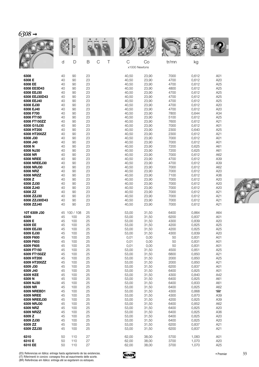|                                                                            |                                  |                                          |                                  |                    |                                                    |                                                    | <b>WALL</b>                                  |                                                    |                                        |
|----------------------------------------------------------------------------|----------------------------------|------------------------------------------|----------------------------------|--------------------|----------------------------------------------------|----------------------------------------------------|----------------------------------------------|----------------------------------------------------|----------------------------------------|
|                                                                            | d                                | D                                        | B                                | $\mathcal{C}$<br>Τ | C<br>x1000 Newtons                                 | Co                                                 | tr/mn                                        | kg                                                 |                                        |
| 6308                                                                       | 40                               | 90                                       | 23                               |                    | 40,50                                              | 23,90                                              | 7000                                         | 0,612                                              | A01                                    |
| 6308 E                                                                     | 40                               | 90                                       | 23                               |                    | 40,50                                              | 23,90                                              | 4700                                         | 0,612                                              | A20                                    |
| 6308 EE                                                                    | 40                               | 90                                       | 23                               |                    | 40,50                                              | 23,90                                              | 4700                                         | 0,612                                              | A25                                    |
| 6308 EE3D43                                                                | 40                               | 90                                       | 23                               |                    | 40,50                                              | 23,90                                              | 4800                                         | 0,612                                              | A25                                    |
| 6308 EEJ30                                                                 | 40                               | 90                                       | 23                               |                    | 40,50                                              | 23,90                                              | 4700                                         | 0,612                                              | A25                                    |
| 6308 EEJ30D43                                                              | 40                               | 90                                       | 23                               |                    | 40,50                                              | 23,90                                              | 4700                                         | 0,612                                              | A25                                    |
| 6308 EEJ40                                                                 | 40                               | 90                                       | 23                               |                    | 40,50                                              | 23,90                                              | 4700                                         | 0,612                                              | A25                                    |
| 6308 EJ30                                                                  | 40                               | 90                                       | 23                               |                    | 40,50                                              | 23,90                                              | 4700                                         | 0,612                                              | A20                                    |
| 6308 EJ40                                                                  | 40                               | 90                                       | 23                               |                    | 40,50                                              | 23,90                                              | 4700                                         | 0,612                                              | A20                                    |
| 6308 F700                                                                  | 40                               | 90                                       | 23                               |                    | 40,50                                              | 23,90                                              | 7800                                         | 0,644                                              | A34                                    |
| 6308 FT150<br>6308 FT150ZZ<br>6308 G15J30<br>6308 HT200<br>6308 HT200ZZ    | 40<br>40<br>40<br>40<br>40       | 90<br>90<br>90<br>90<br>90               | 23<br>23<br>23<br>23<br>23       |                    | 40,50<br>40,50<br>40,50<br>40,50<br>40,50          | 23,90<br>23,90<br>23,90<br>23,90<br>23,90          | 5100<br>7600<br>7000<br>2300<br>2300<br>7000 | 0,612<br>0,612<br>0,612<br>0,640<br>0,612          | A25<br>A21<br>A01<br>A25<br>A21        |
| 6308 J30<br>6308 J40<br>6308 N<br>6308 NJ30<br>6308 NR<br><b>6308 NREE</b> | 40<br>40<br>40<br>40<br>40<br>40 | 90<br>90<br>90<br>90<br>90<br>90         | 23<br>23<br>23<br>23<br>23<br>23 |                    | 40,50<br>40,50<br>40,50<br>40,50<br>40,50<br>40,50 | 23,90<br>23,90<br>23,90<br>23,90<br>23,90<br>23,90 | 7000<br>7200<br>7200<br>7000<br>4700         | 0,612<br>0,612<br>0,625<br>0,625<br>0,612<br>0,612 | A01<br>A01<br>A61<br>A61<br>A62<br>A39 |
| 6308 NREEJ30                                                               | 40                               | 90                                       | 23                               |                    | 40,50                                              | 23,90                                              | 4700                                         | 0,612                                              | A39                                    |
| 6308 NRJ30                                                                 | 40                               | 90                                       | 23                               |                    | 40,50                                              | 23,90                                              | 7000                                         | 0,612                                              | A62                                    |
| 6308 NRZ                                                                   | 40                               | 90                                       | 23                               |                    | 40,50                                              | 23,90                                              | 7000                                         | 0,612                                              | A20                                    |
| 6308 NRZZ                                                                  | 40                               | 90                                       | 23                               |                    | 40,50                                              | 23,90                                              | 7100                                         | 0,612                                              | A36                                    |
| 6308 Z                                                                     | 40                               | 90                                       | 23                               |                    | 40,50                                              | 23,90                                              | 7000                                         | 0,612                                              | A20                                    |
| 6308 ZJ30                                                                  | 40                               | 90                                       | 23                               |                    | 40,50                                              | 23,90                                              | 7000                                         | 0,612                                              | A20                                    |
| 6308 ZJ40                                                                  | 40                               | 90                                       | 23                               |                    | 40,50                                              | 23,90                                              | 7000                                         | 0,612                                              | A20                                    |
| 6308 ZZ                                                                    | 40                               | 90                                       | 23                               |                    | 40,50                                              | 23,90                                              | 7000                                         | 0,612                                              | A21                                    |
| 6308 ZZJ30                                                                 | 40                               | 90                                       | 23                               |                    | 40,50                                              | 23,90                                              | 7000                                         | 0,612                                              | A21                                    |
| 6308 ZZJ30D43                                                              | 40                               | 90                                       | 23                               |                    | 40,50                                              | 23,90                                              | 7000                                         | 0,612                                              | A21                                    |
| 6308 ZZJ40                                                                 | 40                               | 90                                       | 23                               |                    | 40,50                                              | 23,90                                              | 7000                                         | 0,612                                              | A21                                    |
| 10T 6309 J30<br>6309<br>6309 E<br>6309 EE<br>6309 EEJ30                    | 45<br>45<br>45<br>45             | 45 100 / 108<br>100<br>100<br>100<br>100 | 25<br>25<br>25<br>25<br>25       |                    | 53,00<br>53,00<br>53,00<br>53,00<br>53,00          | 31,50<br>31,50<br>31,50<br>31,50<br>31,50          | 6400<br>6200<br>4300<br>4200<br>4200         | 0,864<br>0,837<br>0,839<br>0,825<br>0,825          | A64<br>A01<br>A20<br>A25<br>A25        |
| 6309 EJ30                                                                  | 45                               | 100                                      | 25                               |                    | 53,00                                              | 31,50                                              | 4300                                         | 0,839                                              | A20                                    |
| 6309 F600                                                                  | 45                               | 100                                      | 25                               |                    | 0,01                                               | 0,00                                               | 50                                           | 0,831                                              | A01                                    |
| 6309 F603                                                                  | 45                               | 100                                      | 25                               |                    | 0,01                                               | 0,00                                               | 50                                           | 0,831                                              | A01                                    |
| 6309 F605                                                                  | 45                               | 100                                      | 25                               |                    | 0,01                                               | 0,00                                               | 50                                           | 0,831                                              | A01                                    |
| 6309 FT150                                                                 | 45                               | 100                                      | 25                               |                    | 53,00                                              | 31,50                                              | 4500                                         | 0,851                                              | A25                                    |
| 6309 FT150ZZ                                                               | 45                               | 100                                      | 25                               |                    | 53,00                                              | 31,50                                              | 6800                                         | 0,850                                              | A21                                    |
| 6309 HT200                                                                 | 45                               | 100                                      | 25                               |                    | 53,00                                              | 31,50                                              | 2000                                         | 0,850                                              | A25                                    |
| 6309 HT200ZZ                                                               | 45                               | 100                                      | 25                               |                    | 53,00                                              | 31,50                                              | 2000                                         | 0,850                                              | A21                                    |
| 6309 J30                                                                   | 45                               | 100                                      | 25                               |                    | 53,00                                              | 31,50                                              | 6200                                         | 0,837                                              | A01                                    |
| 6309 J40                                                                   | 45                               | 100                                      | 25                               |                    | 53,00                                              | 31,50                                              | 6400                                         | 0,825                                              | A01                                    |
| 6309 KEE                                                                   | 45                               | 100                                      | 25                               |                    | 53,00                                              | 31,50                                              | 4300                                         | 0,840                                              | A42                                    |
| 6309 N                                                                     | 45                               | 100                                      | 25                               |                    | 53,00                                              | 31,50                                              | 6400                                         | 0,825                                              | A61                                    |
| 6309 NJ30                                                                  | 45                               | 100                                      | 25                               |                    | 53,00                                              | 31,50                                              | 6400                                         | 0,833                                              | A61                                    |
| 6309 NR                                                                    | 45                               | 100                                      | 25                               |                    | 53,00                                              | 31,50                                              | 6400                                         | 0,825                                              | A62                                    |
| 6309 NREBD1                                                                | 45                               | 100                                      | 25                               |                    | 53,00                                              | 31,50                                              | 4300                                         | 0,868                                              | $\Box$                                 |
| <b>6309 NREE</b>                                                           | 45                               | 100                                      | 25                               |                    | 53,00                                              | 31,50                                              | 4300                                         | 0,870                                              | A39                                    |
| 6309 NREEJ30                                                               | 45                               | 100                                      | 25                               |                    | 53,00                                              | 31,50                                              | 4200                                         | 0,825                                              | A39                                    |
| 6309 NRJ30                                                                 | 45                               | 100                                      | 25                               |                    | 53,00                                              | 31,50                                              | 6400                                         | 0,852                                              | A62                                    |
| 6309 NRZ                                                                   | 45                               | 100                                      | 25                               |                    | 53,00                                              | 31,50                                              | 6400                                         | 0,825                                              | A20                                    |
| 6309 NRZZ                                                                  | 45                               | 100                                      | 25                               |                    | 53,00                                              | 31,50                                              | 6400                                         | 0,825                                              | A36                                    |
| 6309 Z                                                                     | 45                               | 100                                      | 25                               |                    | 53,00                                              | 31,50                                              | 6400                                         | 0,825                                              | A20                                    |
| 6309 ZJ30                                                                  | 45                               | 100                                      | 25                               |                    | 53,00                                              | 31,50                                              | 6400                                         | 0,825                                              | A20                                    |
| 6309 ZZ                                                                    | 45                               | 100                                      | 25                               |                    | 53,00                                              | 31,50                                              | 6200                                         | 0,837                                              | A21                                    |
| 6309 ZZJ30                                                                 | 45                               | 100                                      | 25                               |                    | 53,00                                              | 31,50                                              | 6200                                         | 0,837                                              | A21                                    |
| 6310                                                                       | 50                               | 110                                      | 27                               |                    | 62,00                                              | 38,00                                              | 5700                                         | 1,083                                              | A01                                    |
| 6310 E                                                                     | 50                               | 110                                      | 27                               |                    | 62,00                                              | 38,00                                              | 3700                                         | 1,070                                              | A20                                    |
| 6310 EE                                                                    | 50                               | 110                                      | 27                               |                    | 62,00                                              | 38,00                                              | 3700                                         | 1,070                                              | A25                                    |



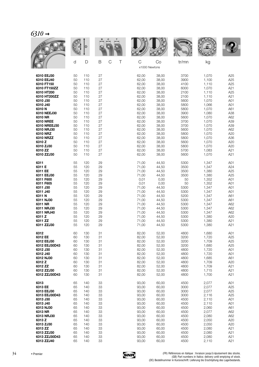| $\mathcal{C}_\mathcal{J}$ is $\mathcal{C}_\mathcal{J}$ |    |     |    |        |                              |       |              |       |     |
|--------------------------------------------------------|----|-----|----|--------|------------------------------|-------|--------------|-------|-----|
|                                                        |    | D   |    |        |                              |       | <b>VOLUE</b> |       |     |
|                                                        | d  | D   | B  | C<br>Τ | $\mathsf C$<br>x1000 Newtons | Co    | tr/mn        | kg    |     |
| 6310 EEJ30                                             | 50 | 110 | 27 |        | 62,00                        | 38,00 | 3700         | 1,070 | A25 |
| 6310 EEJ40                                             | 50 | 110 | 27 |        | 62,00                        | 38,00 | 3900         | 1,100 | A25 |
| 6310 FT150                                             | 50 | 110 | 27 |        | 62,00                        | 38,00 | 4100         | 1,110 | A25 |
| 6310 FT150ZZ                                           | 50 | 110 | 27 |        | 62,00                        | 38,00 | 6000         | 1,070 | A21 |
| 6310 HT200                                             | 50 | 110 | 27 |        | 62,00                        | 38,00 | 2100         | 1,110 | A25 |
| 6310 HT200ZZ                                           | 50 | 110 | 27 |        | 62,00                        | 38,00 | 2100         | 1,110 | A21 |
| 6310 J30                                               | 50 | 110 | 27 |        | 62,00                        | 38,00 | 5600         | 1,070 | A01 |
| 6310 J40                                               | 50 | 110 | 27 |        | 62,00                        | 38,00 | 5800         | 1,066 | A01 |
| 6310N                                                  | 50 | 110 | 27 |        | 62,00                        | 38,00 | 5800         | 1,070 | A61 |
| 6310 NEEJ30                                            | 50 | 110 | 27 |        | 62,00                        | 38,00 | 3900         | 1,080 | A38 |
| 6310 NR                                                | 50 | 110 | 27 |        | 62,00                        | 38,00 | 5600         | 1,070 | A62 |
| <b>6310 NREE</b>                                       | 50 | 110 | 27 |        | 62,00                        | 38,00 | 3700         | 1,070 | A39 |
| 6310 NREEJ30                                           | 50 | 110 | 27 |        | 62,00                        | 38,00 | 3700         | 1,070 | A39 |
| 6310 NRJ30                                             | 50 | 110 | 27 |        | 62,00                        | 38,00 | 5600         | 1,070 | A62 |
| 6310 NRZ                                               | 50 | 110 | 27 |        | 62,00                        | 38,00 | 5800         | 1,070 | A20 |
| 6310 NRZZ                                              | 50 | 110 | 27 |        | 62,00                        | 38,00 | 5800         | 1,070 | A36 |
| 6310 Z                                                 | 50 | 110 | 27 |        | 62,00                        | 38,00 | 5600         | 1,070 | A20 |
| 6310 ZJ30                                              | 50 | 110 | 27 |        | 62,00                        | 38,00 | 5800         | 1,070 | A20 |
| 6310 ZZ                                                | 50 | 110 | 27 |        | 62,00                        | 38,00 | 5700         | 1,083 | A21 |
| 6310 ZZJ30                                             | 50 | 110 | 27 |        | 62,00                        | 38,00 | 5600         | 1,070 | A21 |
| 6311                                                   | 55 | 120 | 29 |        | 71,00                        | 44,50 | 5300         | 1,347 | A01 |
| 6311 E                                                 | 55 | 120 | 29 |        | 71,00                        | 44,50 | 3500         | 1,347 | A24 |
| 6311 EE                                                | 55 | 120 | 29 |        | 71,00                        | 44,50 | 3500         | 1,380 | A25 |
| 6311 EEJ30                                             | 55 | 120 | 29 |        | 71,00                        | 44,50 | 3500         | 1,380 | A25 |
| 6311 F600                                              | 55 | 120 | 29 |        | 0,01                         | 0,00  | 50           | 1,352 | A01 |
| 6311 F605                                              | 55 | 120 | 29 |        | 0,01                         | 0,00  | 50           | 1,352 | A01 |
| 6311 J30                                               | 55 | 120 | 29 |        | 71,00                        | 44,50 | 5300         | 1,347 | A01 |
| 6311 J40                                               | 55 | 120 | 29 |        | 71,00                        | 44,50 | 5300         | 1,347 | A01 |
| 6311N                                                  | 55 | 120 | 29 |        | 71,00                        | 44,50 | 5200         | 1,347 | A61 |
| 6311 NJ30                                              | 55 | 120 | 29 |        | 71,00                        | 44,50 | 5300         | 1,347 | A61 |
| 6311 NR                                                | 55 | 120 | 29 |        | 71,00                        | 44,50 | 5300         | 1,347 | A62 |
| 6311 NRJ30                                             | 55 | 120 | 29 |        | 71,00                        | 44,50 | 5300         | 1,347 | A62 |
| 6311 NRJ40                                             | 55 | 120 | 29 |        | 71,00                        | 44,50 | 5300         | 1,347 | A62 |
| 6311 Z                                                 | 55 | 120 | 29 |        | 71,00                        | 44,50 | 5300         | 1,380 | A20 |
| 6311 ZZ                                                | 55 | 120 | 29 |        | 71,00                        | 44,50 | 5300         | 1,380 | A21 |
| 6311 ZZJ30                                             | 55 | 120 | 29 |        | 71,00                        | 44,50 | 5300         | 1,380 | A21 |
| 6312                                                   | 60 | 130 | 31 |        | 82,00                        | 52,00 | 4800         | 1,680 | A01 |
| 6312 EE                                                | 60 | 130 | 31 |        | 82,00                        | 52,00 | 3200         | 1,720 | A25 |
| 6312 EEJ30                                             | 60 | 130 | 31 |        | 82,00                        | 52,00 | 3200         | 1,709 | A25 |
| 6312 EEJ30D43                                          | 60 | 130 | 31 |        | 82,00                        | 52,00 | 3200         | 1,680 | A25 |
| 6312 J30                                               | 60 | 130 | 31 |        | 82,00                        | 52,00 | 4800         | 1,720 | A01 |
| 6312 J40                                               | 60 | 130 | 31 |        | 82,00                        | 52,00 | 4800         | 1,720 | A01 |
| 6312 NJ30                                              | 60 | 130 | 31 |        | 82,00                        | 52,00 | 4800         | 1,685 | A61 |
| 6312 Z                                                 | 60 | 130 | 31 |        | 82,00                        | 52,00 | 4800         | 1,709 | A20 |
| 6312 ZZ                                                | 60 | 130 | 31 |        | 82,00                        | 52,00 | 4800         | 1,709 | A21 |
| 6312 ZZJ30                                             | 60 | 130 | 31 |        | 82,00                        | 52,00 | 4800         | 1,715 | A21 |
| 6312 ZZJ30D43                                          | 60 | 130 | 31 |        | 82,00                        | 52,00 | 4800         | 1,700 | A21 |
| 6313                                                   | 65 | 140 | 33 |        | 93,00                        | 60,00 | 4500         | 2,077 | A01 |
| 6313 EE                                                | 65 | 140 | 33 |        | 93,00                        | 60,00 | 3000         | 2,077 | A25 |
| 6313 EEJ30                                             | 65 | 140 | 33 |        | 93,00                        | 60,00 | 3000         | 2,077 | A25 |
| 6313 EEJ30D43                                          | 65 | 140 | 33 |        | 93,00                        | 60,00 | 3000         | 2,116 | A25 |
| 6313 J30                                               | 65 | 140 | 33 |        | 93,00                        | 60,00 | 4500         | 2,110 | A01 |
| 6313 J40                                               | 65 | 140 | 33 |        | 93,00                        | 60,00 | 4500         | 2,110 | A01 |
| 6313 NJ30                                              | 65 | 140 | 33 |        | 93,00                        | 60,00 | 4500         | 2,060 | A61 |
| 6313 NR                                                | 65 | 140 | 33 |        | 93,00                        | 60,00 | 4500         | 2,077 | A62 |
| 6313 NRJ30                                             | 65 | 140 | 33 |        | 93,00                        | 60,00 | 4500         | 2,080 | A62 |
| 6313 Z                                                 | 65 | 140 | 33 |        | 93,00                        | 60,00 | 4500         | 2,050 | A20 |
| 6313 ZJ30                                              | 65 | 140 | 33 |        | 93,00                        | 60,00 | 4500         | 2,050 | A20 |
| 6313 ZZ                                                | 65 | 140 | 33 |        | 93,00                        | 60,00 | 4500         | 2,080 | A21 |
| 6313 ZZJ30                                             | 65 | 140 | 33 |        | 93,00                        | 60,00 | 4500         | 2,080 | A21 |
| 6313 ZZJ30D43                                          | 65 | 140 | 33 |        | 93,00                        | 60,00 | 4500         | 2,080 | A21 |
| 6313 ZZJ40                                             | 65 | 140 | 33 |        | 93,00                        | 60,00 | 4500         | 2,110 | A21 |

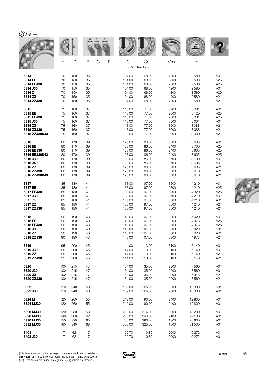|               |        | D   |             |                  |             |                     | <b>WALL</b> |        |     |
|---------------|--------|-----|-------------|------------------|-------------|---------------------|-------------|--------|-----|
|               | d      | D   | $\mathsf B$ | $\mathsf C$<br>Τ | $\mathsf C$ | Co<br>x1000 Newtons | tr/mn       | kg     |     |
| 6314          | 70     | 150 | 35          |                  | 104,00      | 68,00               | 4200        | 2,580  | A01 |
| 6314 EE       | 70     | 150 | 35          |                  | 104,00      | 68,00               | 2800        | 2,580  | A25 |
| 6314 EEJ30    | 70     | 150 | 35          |                  | 104,00      | 68,00               | 2800        | 2,580  | A25 |
| 6314 J30      | 70     | 150 | 35          |                  | 104,00      | 68,00               | 4200        | 2,580  | A01 |
| 6314 Z        | 70     | 150 | 35          |                  | 104,00      | 68,00               | 4200        | 2,580  | A20 |
| 6314 ZZ       | 70     | 150 | 35          |                  | 104,00      | 68,00               | 4200        | 2,580  | A21 |
| 6314 ZZJ30    | 70     | 150 | 35          |                  | 104,00      | 68,00               | 4200        | 2,580  | A21 |
| 6315          | 75     | 160 | 37          |                  | 113,00      | 77,00               | 3900        | 3,031  | A01 |
| 6315 EE       | 75     | 160 | 37          |                  | 113,00      | 77,00               | 2600        | 3,120  | A25 |
| 6315 EEJ30    | 75     | 160 | 37          |                  | 113,00      | 77,00               | 2600        | 3,031  | A25 |
| 6315 J30      | 75     | 160 | 37          |                  | 113,00      | 77,00               | 3900        | 3,031  | A01 |
| 6315 ZZ       | 75     | 160 | 37          |                  | 113,00      | 77,00               | 3900        | 3,086  | A21 |
| 6315 ZZJ30    | 75     | 160 | 37          |                  | 113,00      | 77,00               | 3900        | 3,086  | A21 |
| 6315 ZZJ30D43 | 75     | 160 | 37          |                  | 113,00      | 77,00               | 3900        | 3,030  | A21 |
| 6316          | 80     | 170 | 39          |                  | 123,00      | 86,00               | 3700        | 3,605  | A01 |
| 6316 EE       | 80     | 170 | 39          |                  | 123,00      | 86,00               | 2400        | 3,700  | A25 |
| 6316 EEJ30    | 80     | 170 | 39          |                  | 123,00      | 86,00               | 2400        | 3,605  | A25 |
| 6316 EEJ30D43 | 80     | 170 | 39          |                  | 123,00      | 86,00               | 2400        | 3,605  | A25 |
| 6316 J30      | 80     | 170 | 39          |                  | 123,00      | 86,00               | 3700        | 3,700  | A01 |
| 6316 J40      | 80     | 170 | 39          |                  | 123,00      | 86,00               | 3700        | 3,605  | A01 |
| 6316 ZZ       | 80     | 170 | 39          |                  | 123,00      | 86,00               | 3700        | 3,605  | A21 |
| 6316 ZZJ30    | 80     | 170 | 39          |                  | 123,00      | 86,00               | 3700        | 3,670  | A21 |
| 6316 ZZJ30D43 | 80     | 170 | 39          |                  | 123,00      | 86,00               | 3700        | 3,670  | A21 |
| 6317          | 85     | 180 | 41          |                  | 133,00      | 97,00               | 3500        | 4,210  | A01 |
| 6317 EE       | 85     | 180 | 41          |                  | 133,00      | 97,00               | 2300        | 4,210  | A25 |
| 6317 EEJ30    | 85     | 180 | 41          |                  | 133,00      | 97,00               | 2300        | 4,320  | A25 |
| 6317 J30      | 85     | 180 | 41          |                  | 133,00      | 97,00               | 3500        | 4,210  | A01 |
| 6317 J40      | 85     | 180 | 41          |                  | 133,00      | 97,00               | 3500        | 4,210  | A01 |
| 6317 ZZ       | 85     | 180 | 41          |                  | 133,00      | 97,00               | 3500        | 4,210  | A21 |
| 6317 ZZJ30    | 85     | 180 | 41          |                  | 133,00      | 97,00               | 3500        | 4,210  | A21 |
| 6318          | 90     | 190 | 43          |                  | 143,00      | 107,00              | 3300        | 5,020  | A01 |
| 6318 EE       | 90     | 190 | 43          |                  | 143,00      | 107,00              | 2200        | 4,973  | A25 |
| 6318 EEJ30    | 90     | 190 | 43          |                  | 143,00      | 107,00              | 2200        | 4,973  | A25 |
| 6318 J30      | 90     | 190 | 43          |                  | 143,00      | 107.00              | 3300        | 5,020  | A01 |
| 6318 ZZ       | $90\,$ | 190 | 43          |                  | 143,00      | 107,00              | 3300        | 5,020  | A21 |
| 6318 ZZJ30    | 90     | 190 | 43          |                  | 143,00      | 107,00              | 3300        | 4,973  | A21 |
| 6319          | 95     | 200 | 45          |                  | 144,00      | 113,00              | 3100        | 6,140  | A01 |
| 6319 J30      | 95     | 200 | 45          |                  | 144,00      | 113,00              | 3100        | 6,140  | A01 |
| 6319 ZZ       | 95     | 200 | 45          |                  | 144,00      | 113,00              | 3100        | 6,140  | A21 |
| 6319 ZZJ30    | 95     | 200 | 45          |                  | 144,00      | 113,00              | 3100        | 6,140  | A21 |
| 6320          | 100    | 215 | 47          |                  | 164,00      | 135,00              | 2900        | 7,560  | A01 |
| 6320 J30      | 100    | 215 | 47          |                  | 164,00      | 135,00              | 2900        | 7,560  | A01 |
| 6320 ZZ       | 100    | 215 | 47          |                  | 164,00      | 135,00              | 2900        | 7,346  | A21 |
| 6320 ZZJ30    | 100    | 215 | 47          |                  | 164,00      | 135,00              | 2900        | 7,560  | A21 |
| 6322          | 110    | 240 | 50          |                  | 189,00      | 165,00              | 2600        | 10,300 | A01 |
| 6322 J30      | 110    | 240 | 50          |                  | 189,00      | 165,00              | 2600        | 10,300 | A01 |
| 6324 M        | 120    | 260 | 55          |                  | 212,00      | 190,00              | 2400        | 12,800 | A01 |
| 6324 MJ30     | 120    | 260 | 55          |                  | 212,00      | 190,00              | 2400        | 12,800 | A01 |
| 6326 MJ30     | 130    | 280 | 58          |                  | 229,00      | 214,00              | 2200        | 18,200 | A01 |
| 6328 MJ30     | 140    | 300 | 62          |                  | 255,00      | 246,00              | 2100        | 22,100 | A01 |
| 6330 MJ30     | 150    | 320 | 65          |                  | 280,00      | 290,00              | 1900        | 26,600 | A01 |
| 6332 MJ30     | 160    | 340 | 68          |                  | 300,00      | 325,00              | 1800        | 31,500 | A01 |
| 6403          | 17     | 62  | 17          |                  | 22,70       | 10,80               | 12000       | 0,272  | A01 |
| 6403 J30      | 17     | 62  | 17          |                  | 22,70       | 10,80               | 12000       | 0,272  | A01 |



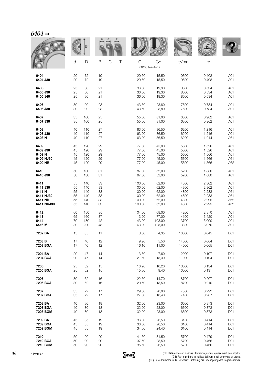| $6404 \rightarrow$ |    |        |                            |   |                    |        |               |       |                 |
|--------------------|----|--------|----------------------------|---|--------------------|--------|---------------|-------|-----------------|
|                    |    |        |                            |   |                    |        | <b>WILLIA</b> |       |                 |
|                    | d  | D      | $\mathsf B$<br>$\mathsf C$ | Τ | C<br>x1000 Newtons | Co     | tr/mn         | kg    |                 |
| 6404               | 20 | 72     | 19                         |   | 29,50              | 15,50  | 9600          | 0,408 | A01             |
| 6404 J30           | 20 | 72     | 19                         |   | 29,50              | 15,50  | 9600          | 0,408 | A01             |
| 6405               | 25 | 80     | 21                         |   | 36,00              | 19,30  | 8600          | 0,534 | A01             |
| 6405 J30           | 25 | 80     | 21                         |   | 36,00              | 19,30  | 8600          | 0,534 | A01             |
| 6405 J40           | 25 | 80     | 21                         |   | 36,00              | 19,30  | 8600          | 0,534 | A01             |
| 6406               | 30 | 90     | 23                         |   | 43,50              | 23,80  | 7600          | 0,734 | A01             |
| 6406 J30           | 30 | 90     | 23                         |   | 43,50              | 23,80  | 7600          | 0,734 | A01             |
| 6407               | 35 | 100    | 25                         |   | 55,00              | 31,00  | 6800          | 0,962 | A01             |
| 6407 J30           | 35 | 100    | 25                         |   | 55,00              | 31,00  | 6800          | 0,962 | A01             |
| 6408               | 40 | 110    | 27                         |   | 63,00              | 36,50  | 6200          | 1,216 | A01             |
| 6408 J30           | 40 | 110    | 27                         |   | 63,00              | 36,50  | 6200          | 1,216 | A01             |
| 6408 N             | 40 | 110    | 27                         |   | 63,00              | 36,50  | 6200          | 1,214 | A61             |
| 6409               | 45 | 120    | 29                         |   | 77,00              | 45,00  | 5600          | 1,526 | A01             |
| 6409 J30           | 45 | 120    | 29                         |   | 77,00              | 45,00  | 5600          | 1,526 | A01             |
| 6409 N             | 45 | 120    | 29                         |   | 77,00              | 45,00  | 5600          | 1,566 | A61             |
| 6409 NJ30          | 45 | 120    | 29                         |   | 77,00              | 45,00  | 5600          | 1,566 | A61             |
| 6409 NR            | 45 | 120    | 29                         |   | 77,00              | 45,00  | 5600          | 1,566 | A62             |
| 6410               | 50 | 130    | 31                         |   | 87,00              | 52,00  | 5200          | 1,880 | A01             |
| 6410 J30           | 50 | 130    | 31                         |   | 87,00              | 52,00  | 5200          | 1,880 | A01             |
| 6411               | 55 | 140    | 33                         |   | 100,00             | 62,00  | 4800          | 2,302 | A01             |
| 6411 J30           | 55 | 140    | 33                         |   | 100,00             | 62,00  | 4800          | 2,302 | A01             |
| 6411N              | 55 | 140    | 33                         |   | 100,00             | 62,00  | 4800          | 2,283 | A61             |
| 6411 NJ30          | 55 | 140    | 33                         |   | 100,00             | 62,00  | 4800          | 2,283 | A61             |
| 6411 NR            | 55 | 140    | 33                         |   | 100,00             | 62,00  | 4800          | 2,295 | A62             |
| 6411 NRJ30         | 55 | 140    | 33                         |   | 100,00             | 62,00  | 4800          | 2,295 | A62             |
| 6412               | 60 | 150    | 35                         |   | 104,00             | 68,00  | 4200          | 2,870 | A01             |
| 6413               | 65 | 160    | 37                         |   | 113,00             | 77,00  | 4100          | 3,420 | A01             |
| 6414               | 70 | 180    | 42                         |   | 143,00             | 103,00 | 3700          | 5,090 | A01             |
| 6416 M             | 80 | 200    | 48                         |   | 163,00             | 125,00 | 3300          | 8,070 | A01             |
| 7202 BA            | 15 | 35     | 11                         |   | 8,00               | 4,35   | 16000         | 0,045 | D01             |
| 7203 B             | 17 | 40     | 12                         |   | 9,90               | 5,50   | 14000         | 0,064 | D <sub>01</sub> |
| 7203 BGA           | 17 | 40     | 12                         |   | 16,10              | 11,00  | 14000         | 0,065 | D01             |
| 7204 BA            | 20 | 47     | 14                         |   | 13,30              | 7,60   | 12000         | 0,107 | D01             |
| 7204 BGA           | 20 | 47     | 14                         |   | 21,60              | 15,30  | 11000         | 0,104 | D01             |
| 7205               | 25 | 52     | 15                         |   | 16,20              | 10,20  | 10000         | 0,134 | D01             |
| 7205 BGA           | 25 | 52     | 15                         |   | 15,80              | 9,40   | 10000         | 0,131 | D01             |
| 7206               | 30 | 62     | 16                         |   | 22,50              | 14,70  | 8700          | 0,207 | D01             |
| 7206 BGA           | 30 | 62     | 16                         |   | 20,50              | 13,50  | 8700          | 0,210 | D01             |
| 7207               | 35 | $72\,$ | 17                         |   | 29,50              | 20,00  | 7500          | 0,292 | D01             |
| 7207 BGA           | 35 | 72     | 17                         |   | 27,00              | 18,40  | 7400          | 0,287 | D01             |
| 7208 BA            | 40 | 80     | 18                         |   | 32,00              | 23,00  | 6600          | 0,373 | D <sub>01</sub> |
| 7208 BGA           | 40 | 80     | 18                         |   | 32,00              | 23,00  | 6600          | 0,373 | D01             |
| 7208 BGM           | 40 | 80     | 18                         |   | 32,00              | 23,00  | 6600          | 0,373 | D01             |
| 7209 BA            | 45 | 85     | 19                         |   | 36,00              | 26,50  | 6100          | 0,414 | D01             |
| 7209 BGA           | 45 | 85     | 19                         |   | 36,00              | 26,50  | 6100          | 0,414 | D01             |
| 7209 BGM           | 45 | 85     | 19                         |   | 34,50              | 24,40  | 6100          | 0,414 | D01             |
| 7210               | 50 | 90     | 20                         |   | 41,50              | 31,50  | 5700          | 0,479 | D01             |
| 7210 BGA           | 50 | 90     | 20                         |   | 37,50              | 28,50  | 5700          | 0,466 | D01             |



**7210 BGM** 50 90 20 35,50 26,50 5700 0,466 D01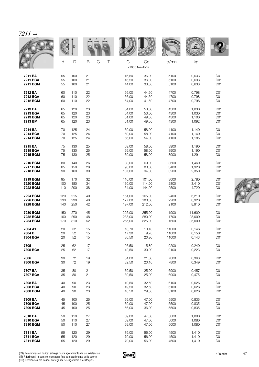| i |  |
|---|--|
|   |  |

|                 |     |     |                       |        |                     | <b>WALLE</b> |        |                 |
|-----------------|-----|-----|-----------------------|--------|---------------------|--------------|--------|-----------------|
|                 | d   | D   | $\mathsf C$<br>Τ<br>B | C      | Co<br>x1000 Newtons | tr/mn        | kg     |                 |
| 7211 BA         | 55  | 100 | 21                    | 46,50  | 36,00               | 5100         | 0,633  | D01             |
| 7211 BGA        | 55  | 100 | 21                    | 46,50  | 36,00               | 5100         | 0,633  | D01             |
| 7211 BGM        | 55  | 100 | 21                    | 44,00  | 33,50               | 5100         | 0,633  | D01             |
| 7212 BA         | 60  | 110 | 22                    | 56,00  | 44,50               | 4700         | 0,798  | D <sub>01</sub> |
| 7212 BGA        | 60  | 110 | 22                    | 56,00  | 44,50               | 4700         | 0,798  | D01             |
| 7212 BGM        | 60  | 110 | 22                    | 54,00  | 41,50               | 4700         | 0,798  | D01             |
| 7213 BA         | 65  | 120 | 23                    | 64,00  | 53,00               | 4300         | 1,030  | D01             |
| 7213 BGA        | 65  | 120 | 23                    | 64,00  | 53,00               | 4300         | 1,030  | D01             |
| <b>7213 BGM</b> | 65  | 120 | 23                    | 61,00  | 49,50               | 4300         | 1,100  | D01             |
| 7213 BM         | 65  | 120 | 23                    | 61,00  | 49,50               | 4300         | 1,092  | D01             |
| 7214 BA         | 70  | 125 | 24                    | 69,00  | 58,00               | 4100         | 1,140  | D01             |
| 7214 BGA        | 70  | 125 | 24                    | 69,00  | 58,00               | 4100         | 1,140  | D01             |
| 7214 BGM        | 70  | 125 | 24                    | 66,00  | 54,00               | 4100         | 1,185  | D01             |
| 7215 BA         | 75  | 130 | 25                    | 69,00  | 58,00               | 3900         | 1,190  | D01             |
| 7215 BGA        | 75  | 130 | 25                    | 69,00  | 58,00               | 3900         | 1,190  | D01             |
| 7215 BGM        | 75  | 130 | 25                    | 69,00  | 58,00               | 3900         | 1,291  | D01             |
| 7216 BGM        | 80  | 140 | 26                    | 80,00  | 69,00               | 3600         | 1,460  | D01             |
| 7217 BGM        | 85  | 150 | 28                    | 90,00  | 80,00               | 3400         | 1,920  | D01             |
| 7218 BGM        | 90  | 160 | 30                    | 107,00 | 94,00               | 3200         | 2,350  | D01             |
| 7219 BGM        | 95  | 170 | 32                    | 116,00 | 101,00              | 3000         | 2,780  | D01             |
| 7220 BGM        | 100 | 180 | 34                    | 130,00 | 114,00              | 2800         | 3,410  | D01             |
| 7222 BGM        | 110 | 200 | 38                    | 154,00 | 144,00              | 2500         | 4,720  | D01             |
| 7224 BGM        | 120 | 215 | 40                    | 161,00 | 165,00              | 2400         | 6,210  | D01             |
| 7226 BGM        | 130 | 230 | 40                    | 177,00 | 180,00              | 2200         | 6,920  | D01             |
| 7228 BGM        | 140 | 250 | 42                    | 197,00 | 212,00              | 2100         | 8,910  | D01             |
| 7230 BGM        | 150 | 270 | 45                    | 225,00 | 255,00              | 1900         | 11,600 | D01             |
| 7232 BGM        | 160 | 290 | 48                    | 238,00 | 280,00              | 1700         | 28,000 | D01             |
| 7234 BGM        | 170 | 310 | 52                    | 265,00 | 325,00              | 1600         | 35,000 | D01             |
| 7304 A1         | 20  | 52  | 15                    | 18,70  | 10,40               | 11000        | 0,146  | D01             |
| 7304 B          | 20  | 52  | 15                    | 17,30  | 9,70                | 11000        | 0,150  | D01             |
| 7304 BGA        | 20  | 52  | 15                    | 30,50  | 20,90               | 11000        | 0,143  | D01             |
| 7305            | 25  | 62  | 17                    | 26,50  | 15,80               | 9200         | 0,240  | D01             |
| 7305 BGA        | 25  | 62  | 17                    | 42,50  | 30,00               | 9100         | 0,223  | D01             |
| 7306            | 30  | 72  | 19                    | 34,00  | 21,60               | 7800         | 0,363  | D01             |
| 7306 BGA        | 30  | 72  | 19                    | 32,50  | 20,10               | 7800         | 0,349  | D01             |
| 7307 BA         | 35  | 80  | 21                    | 39,50  | 25,00               | 6900         | 0,457  | D01             |
| 7307 BGA        | 35  | 80  | 21                    | 39,50  | 25,00               | 6900         | 0,475  | D01             |
| 7308 BA         | 40  | 90  | 23                    | 49,50  | 32,50               | 6100         | 0,626  | D01             |
| 7308 BGA        | 40  | 90  | 23                    | 49,50  | 32,50               | 6100         | 0,626  | D01             |
| 7308 BGM        | 40  | 90  | 23                    | 46,50  | 29,50               | 6100         | 0,626  | D01             |
| 7309 BA         | 45  | 100 | 25                    | 69,00  | 47,00               | 5500         | 0,835  | D <sub>01</sub> |
| 7309 BGA        | 45  | 100 | 25                    | 69,00  | 47,00               | 5500         | 0,835  | D01             |
| 7309 BGM        | 45  | 100 | 25                    | 56,00  | 36,00               | 5500         | 0,835  | D01             |
| 7310 BA         | 50  | 110 | 27                    | 69,00  | 47,00               | 5000         | 1,080  | D01             |
| 7310 BGA        | 50  | 110 | 27                    | 69,00  | 47,00               | 5000         | 1,080  | D <sub>01</sub> |
| 7310 BGM        | 50  | 110 | 27                    | 69,00  | 47,00               | 5000         | 1,080  | D01             |
| 7311 BA         | 55  | 120 | 29                    | 79,00  | 56,00               | 4500         | 1,410  | D01             |
| 7311 BGA        | 55  | 120 | 29                    | 79,00  | 56,00               | 4500         | 1,410  | D01             |
| 7311 BGM        | 55  | 120 | 29                    | 79,00  | 56,00               | 4500         | 1,410  | D01             |

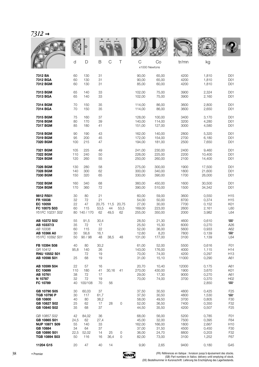| $7312 \rightarrow$                                                                                |                                      |                                          |                                    |                    |                     |                                                     |                                                     |                                              |                                                    |                                                                                |
|---------------------------------------------------------------------------------------------------|--------------------------------------|------------------------------------------|------------------------------------|--------------------|---------------------|-----------------------------------------------------|-----------------------------------------------------|----------------------------------------------|----------------------------------------------------|--------------------------------------------------------------------------------|
|                                                                                                   |                                      | D                                        |                                    |                    |                     |                                                     |                                                     | <b>WALES</b>                                 |                                                    |                                                                                |
|                                                                                                   | d                                    | D                                        | B                                  | $\mathsf C$        | Τ                   | C<br>x1000 Newtons                                  | Co                                                  | tr/mn                                        | kg                                                 |                                                                                |
| 7312 BA<br>7312 BGA<br>7312 BGM                                                                   | 60<br>60<br>60                       | 130<br>130<br>130                        | 31<br>31<br>31                     |                    |                     | 90,00<br>90,00<br>85,00                             | 65,00<br>65,00<br>60,00                             | 4200<br>4200<br>4200                         | 1,810<br>1,810<br>1,810                            | D01<br>D01<br>D <sub>01</sub>                                                  |
| 7313 BGM<br>7313 BGA                                                                              | 65<br>65                             | 140<br>140                               | 33<br>33                           |                    |                     | 102,00<br>102,00                                    | 75.00<br>75,00                                      | 3900<br>3900                                 | 2,324<br>2,160                                     | D <sub>01</sub><br>D <sub>01</sub>                                             |
| 7314 BGM<br>7314 BGA                                                                              | 70<br>70                             | 150<br>150                               | 35<br>35                           |                    |                     | 114,00<br>114,00                                    | 86,00<br>86,00                                      | 3600<br>3600                                 | 2,800<br>2,650                                     | D01<br>D <sub>01</sub>                                                         |
| <b>7315 BGM</b><br>7316 BGM<br>7317 BGM                                                           | 75<br>80<br>85                       | 160<br>170<br>180                        | 37<br>39<br>41                     |                    |                     | 128,00<br>140,00<br>151,00                          | 100,00<br>114,00<br>127,00                          | 3400<br>3200<br>3000                         | 3,170<br>4,280<br>4,580                            | D <sub>01</sub><br>D01<br>D <sub>01</sub>                                      |
| 7318 BGM<br>7319 BGM<br>7320 BGM                                                                  | 90<br>95<br>100                      | 190<br>200<br>215                        | 43<br>45<br>47                     |                    |                     | 162,00<br>172,00<br>194,00                          | 140,00<br>154,00<br>181,00                          | 2800<br>2700<br>2500                         | 5,320<br>6,180<br>7,650                            | D01<br>D <sub>01</sub><br>D <sub>01</sub>                                      |
| 7321 BGM<br>7322 BGM<br>7324 BGM                                                                  | 105<br>110<br>120                    | 225<br>240<br>260                        | 49<br>50<br>55                     |                    |                     | 241,00<br>226,00<br>250,00                          | 230,00<br>225,00<br>260,00                          | 2400<br>2200<br>2100                         | 9,460<br>10,400<br>14,400                          | D01<br>D01<br>D <sub>01</sub>                                                  |
| 7326 BGM<br>7328 BGM<br>7330 BGM                                                                  | 130<br>140<br>150                    | 280<br>300<br>320                        | 58<br>62<br>65                     |                    |                     | 275,00<br>300,00<br>330,00                          | 300,00<br>340,00<br>390,00                          | 1900<br>1800<br>1700                         | 17,500<br>21,600<br>26,000                         | D <sub>01</sub><br>D01<br>D <sub>01</sub>                                      |
| 7332 BGM<br>7334 BGM                                                                              | 160<br>170                           | 340<br>360                               | 68<br>72                           |                    |                     | 360,00<br>390,00                                    | 450,00<br>510,00                                    | 1600<br>1500                                 | 30,500<br>34,342                                   | D <sub>01</sub><br>D <sub>01</sub>                                             |
| 9812 RS01<br>FR 10038<br>EC 10059<br>FC 10075 S03<br>Y51FC 10231 S02                              | 30<br>32<br>22<br>60<br>80           | 80<br>72<br>47<br>115<br>140 / 170       | 21<br>21<br>20,75<br>53,5<br>62    | 11,5<br>44<br>49,5 | 20,75<br>53,5<br>62 | 60,00<br>54,00<br>27,00<br>169,00<br>255,00         | 59,00<br>50,00<br>30,00<br>223,00<br>350,00         | 3600<br>8700<br>7700<br>2600<br>2000         | 0,550<br>0,374<br>0,152<br>2,161<br>3,982          | H <sub>15</sub><br>H <sub>15</sub><br>K01<br>L60<br>L64                        |
| AB 10272 S02<br>AB 10337/3<br>AB 10338<br>AB 10366 A0<br>Y51FC 10392 S01                          | 55<br>35<br>60<br>30<br>50           | 91,5<br>72<br>115<br>56,6<br>90/98       | 30,4<br>17<br>22<br>16,1<br>48     | 38,5               | 48                  | 28,50<br>25,50<br>52,00<br>12,60<br>131,00          | 21,30<br>15,30<br>36,00<br>8,20<br>177,00           | 4600<br>6000<br>5600<br>7800<br>3100         | 0,610<br>0,270<br>0,933<br>0,139<br>1,139          | $\blacksquare$<br>A26<br>A62<br>$\Box$<br>L64                                  |
| FB 10394 S08<br>GR 10412<br>RNU 10552 S01<br>AB 10598 S01                                         | 40<br>95,8<br>25                     | 80<br>140<br>72<br>68                    | 30,2<br>26<br>19<br>19             |                    |                     | 61,00<br>143,00<br>70,00<br>31,00                   | 52,00<br>176,00<br>74,00<br>15,10                   | 5500<br>4000<br>4200<br>11000                | 0,616<br>1,115<br>0,297<br>0,290                   | F <sub>0</sub> 1<br>H <sub>14</sub><br>H <sub>13</sub><br>A61                  |
| AB 10599 S04<br>EC 10699<br>AB 10761<br>N 10787<br>FC 10789                                       | 22<br>110<br>38<br>32<br>40          | 57<br>180<br>72<br>72<br>100/108         | 16<br>41<br>17<br>19<br>70         | 30.16<br>56        | 41                  | 20,70<br>270,00<br>29,00<br>70,00                   | 10,40<br>430,00<br>17,30<br>74,00                   | 12000<br>1900<br>9000<br>3700                | 0,175<br>3,670<br>0,270<br>0,370<br>2,850          | A61<br>K01<br>A61<br>H <sub>02</sub><br>$\overline{\phantom{a}}$               |
| GB 10790 S05<br>TGB 10790 P<br>GB 10800<br>GB 10827 S02<br>GB 10840 S02                           | 30<br>30<br>40<br>25<br>35           | 60,03<br>117<br>80<br>62<br>68           | 37<br>61,7<br>38,2<br>17<br>37     | 28                 | 0                   | 37,50<br>37,50<br>58,00<br>52,00<br>44,50           | 30,50<br>30,50<br>49,50<br>36,50<br>35,50           | 4800<br>4800<br>3700<br>7400<br>4200         | 0,425<br>1,530<br>0,805<br>0,350<br>0,507          | F <sub>25</sub><br>$\blacksquare$<br>F30<br>F <sub>32</sub><br>F <sub>25</sub> |
| GB 10857 S02<br>GB 10865 S01<br><b>NUP 10871 S09</b><br>GB 10884<br>GB 10890 S01<br>TGB 10894 S03 | 42<br>24,5<br>55<br>34<br>22,5<br>50 | 84,02<br>62<br>140<br>64<br>52,02<br>116 | 36<br>27,4<br>33<br>37<br>14<br>16 | 25<br>36,4         | 0<br>0              | 68,00<br>45,00<br>162,00<br>37,00<br>36,00<br>82,00 | 56,00<br>32,00<br>166,00<br>31,50<br>24,70<br>73,00 | 5200<br>7500<br>1800<br>4500<br>8800<br>3100 | 0,785<br>0,395<br>2,667<br>0,450<br>0,203<br>1,252 | F <sub>0</sub> 1<br>F64<br>H <sub>10</sub><br>F30<br>F32<br>F67                |
| 11204 G15                                                                                         | 20                                   | 47                                       | 40                                 | 14                 |                     | 9,90                                                | 2,65                                                | 9400                                         | 0,180                                              | G45                                                                            |

.FR) Références en italique : livraison jusqu'à épuisement des stocks) (FR) Premier (FR) Pertiernes en italique<br>.(GB) Part numbers in Italics: delivery until emptying of stock)<br>.DE) Bestellnummer in Kursivschrift: Lieferun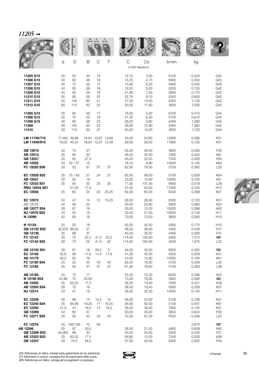|                                                                                                      | d                                            | D                                              | B                                            | $\mathsf C$                                  | Τ                                      | C                                                                    | Co<br>x1000 Newtons                                            | tr/mn                                                        | kg                                                                   |                                                                  |
|------------------------------------------------------------------------------------------------------|----------------------------------------------|------------------------------------------------|----------------------------------------------|----------------------------------------------|----------------------------------------|----------------------------------------------------------------------|----------------------------------------------------------------|--------------------------------------------------------------|----------------------------------------------------------------------|------------------------------------------------------------------|
| 11205 G15<br>11206 G15<br>11207 G15<br>11208 G15<br>11209 G15<br>11210 G15<br>11211 G15<br>11212 G15 | 25<br>30<br>35<br>40<br>45<br>50<br>55<br>60 | 52<br>62<br>72<br>80<br>85<br>90<br>100<br>110 | 44<br>48<br>52<br>56<br>58<br>58<br>60<br>62 | 15<br>16<br>17<br>18<br>19<br>20<br>21<br>22 |                                        | 12,10<br>15,70<br>15,80<br>19,20<br>21,80<br>22,70<br>27,00<br>30,00 | 3,30<br>4,70<br>5,20<br>6,50<br>7,40<br>8,10<br>10,00<br>11,60 | 8100<br>6900<br>5900<br>5200<br>4800<br>4500<br>4000<br>3600 | 0,220<br>0,350<br>0,540<br>0,720<br>0,770<br>0,850<br>1,130<br>1,500 | G45<br>G45<br>G45<br>G45<br>G45<br>G45<br>G45<br>G45             |
| 11305 G15<br>11306 G15<br>11308 G15<br>11309<br>11310                                                | 25<br>30<br>40<br>45<br>50                   | 62<br>72<br>90<br>100<br>110                   | 48<br>52<br>58<br>60<br>62                   | 17<br>19<br>23<br>25<br>27                   |                                        | 18,00<br>21,30<br>29,50<br>38,00<br>43,50                            | 5,00<br>6,30<br>9,80<br>12,90<br>14,20                         | 6700<br>5700<br>4400<br>4000<br>3600                         | 0,410<br>0,610<br>1,080<br>1,380<br>1,720                            | G45<br>G45<br>G45<br>G45<br>G45                                  |
| LM 11749/710<br>LM 11949/910                                                                         |                                              | 17,462 39,88<br>19,05 45,24                    |                                              |                                              | 14,61 10,67 13,84<br>16,64 12,07 15,49 | 25,00<br>29,50                                                       | 24,60<br>29,50                                                 | 13000<br>11900                                               | 0,086<br>0,125                                                       | K01<br>K01                                                       |
| GB 12010<br>AB 12013<br>GB 12021<br>AB 12022<br>FC 12025 S09                                         | 42<br>35<br>25<br>20<br>25                   | 75<br>85<br>62<br>52/57<br>52                  | 37<br>20<br>27,4<br>15<br>37                 | 37                                           | 37                                     | 52,00<br>46,50<br>45,00<br>18,10<br>62,00                            | 46,50<br>25,50<br>32,00<br>8,90<br>79,00                       | 3800<br>7900<br>7500<br>13000<br>5700                        | 0,580<br>0,455<br>0,383<br>0,140<br>0,362                            | F30<br>A61<br>F64<br>A64<br>L25                                  |
| EC 12028 S02<br>AB 12031<br>FC 12033 S01<br><b>RNU 12044 S01</b><br>EC 12050                         | 35<br>32<br>35<br>25                         | 75 / 83<br>62<br>65<br>51,05<br>62             | 27<br>16<br>35<br>17,5<br>24                 | 24<br>35<br>20                               | 27<br>35<br>25,25                      | 82,00<br>23,50<br>71,00<br>37,50<br>62,00                            | 99,00<br>12,90<br>101,00<br>43,00<br>65,00                     | 5100<br>10000<br>4600<br>11000<br>6400                       | 0,638<br>0,163<br>0,518<br>0,104<br>0,369                            | K64<br>A61<br>L <sub>28</sub><br>H <sub>13</sub><br>K01          |
| EC 12073<br>AB 12076<br>AB 12077 S04<br>NJ 12078 S02<br>N 12099                                      | 20<br>40<br>28<br>20<br>42                   | 47<br>90<br>67<br>52<br>80                     | 14<br>25<br>18<br>15<br>18                   | 12                                           | 15,25                                  | 28,50<br>40,50<br>29,50<br>32,50<br>70,00                            | 28,00<br>23,90<br>15,30<br>27,00<br>73,00                      | 8300<br>4800<br>10000<br>12000<br>3600                       | 0,120<br>0,680<br>0,268<br>0,148<br>0,383                            | K01<br>A24<br>A62<br>H11<br>H <sub>15</sub>                      |
| N 12124<br>GB 12132 S02<br>GB 12136<br>FC 12142<br>FC 12142 S02                                      | 25<br>35<br>30<br>30                         | 52<br>34,976 68,02<br>66<br>72<br>72           | 18<br>37<br>37<br>52,2<br>52                 | 41,5<br>41,5                                 | 52,2<br>52                             | 42,00<br>46,00<br>43,00<br>114,00<br>114,00                          | 42,50<br>38,00<br>36,50<br>162,00<br>162,00                    | 4900<br>4200<br>4400<br>4200<br>4200                         | 0,170<br>0,528<br>0,483<br>1,075<br>1,075                            | H <sub>15</sub><br>F31<br>F31<br>$\overline{\phantom{a}}$<br>L32 |
| GB 12152 S01<br>EC 12162<br>AB 12179<br>FC 12180 S04<br>FC 12182                                     | 28<br>35,6<br>28,5<br>25<br>25               | 67<br>66<br>62<br>52<br>52                     | 18<br>17,9<br>16<br>43<br>37                 | 28,2<br>14,4<br>43<br>37                     | 0<br>17,9<br>43<br>37                  | 54,00<br>41,00<br>23,50<br>62,00<br>61,00                            | 40,00<br>55,00<br>12,90<br>79,00<br>78,00                      | 6900<br>5500<br>10000<br>5700<br>5700                        | 0,405<br>0,259<br>0,184<br>0,426<br>0,383                            | $\overline{\phantom{1}}$<br>K01<br>A01<br>L25<br>L <sub>28</sub> |
| AB 12183<br>N 12190 S03<br>AB 12202<br>AB 12203 S04<br>NJ 12214                                      | 35<br>34,99<br>25<br>28<br>20                | 72<br>72<br>62,02<br>75<br>47                  | 17<br>20,63<br>17,5<br>19<br>19              |                                              |                                        | 25,50<br>73,00<br>26,50<br>36,00<br>36,00                            | 15,30<br>79,00<br>13,50<br>19,40<br>32,50                      | 6000<br>3900<br>7000<br>5600<br>13000                        | 0,286<br>0,385<br>0,221<br>0,358<br>0,142                            | A25<br>$\Box$<br>A38<br>A37<br>H11                               |
| EC 12238<br>EC 12245 S04<br>EC 12250<br>GB 12269<br>FC 12271 S03                                     | 42<br>35<br>21,5<br>42<br>25                 | 68<br>84,99<br>47<br>82<br>55                  | 14<br>18,25<br>16,5<br>37<br>43              | 10,5<br>17<br>13<br>43                       | 14<br>18,25<br>16,5<br>43              | 36,00<br>58,00<br>35,50<br>50,00<br>72,00                            | 43,00<br>62,00<br>39,00<br>45,00<br>91,00                      | 5100<br>5100<br>7800<br>3800<br>5500                         | 0,166<br>0,547<br>0,135<br>0,824<br>0,496                            | K01<br>K61<br>K01<br>F30<br>L25                                  |
| FC 12278<br>AB 12296<br>GB 12306 S02<br>AB 12323 S03<br>GB 12337                                     | 45<br>55<br>34,992<br>25<br>28               | 100/108<br>97<br>66<br>62,02<br>70,5           | 70<br>30,5<br>33<br>17,5<br>28,2             | 56                                           |                                        | 28,50<br>40,50<br>26,60<br>57,00                                     | 21,30<br>34,50<br>13,50<br>45,50                               | 4600<br>4400<br>7000<br>6300                                 | 2,670<br>0,639<br>0,435<br>0,220<br>0,502                            | $\Box$<br>A82<br>F31<br>A38<br>F64                               |



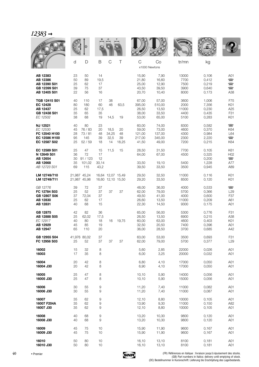|                                                                               |                            |                                        |                                 |                                        |                         |                                             |                                             | <b>WALLE</b>                          |                                           |                                                                           |
|-------------------------------------------------------------------------------|----------------------------|----------------------------------------|---------------------------------|----------------------------------------|-------------------------|---------------------------------------------|---------------------------------------------|---------------------------------------|-------------------------------------------|---------------------------------------------------------------------------|
|                                                                               | d                          | D                                      | B                               | C                                      | Τ                       | C<br>x1000 Newtons                          | Co                                          | tr/mn                                 | kg                                        |                                                                           |
| AB 12383<br>AB 12386<br>AB 12390 S01<br>GB 12399 S01<br>AB 12405 S01          | 23<br>50<br>25<br>39<br>22 | 50<br>89<br>62<br>75<br>56             | 14<br>19,5<br>17<br>37<br>16    |                                        |                         | 15,90<br>21,80<br>25,00<br>43,50<br>20,70   | 7,90<br>16,60<br>12,90<br>39,50<br>10,40    | 13000<br>7700<br>7500<br>3900<br>8000 | 0,106<br>0,412<br>0,219<br>0,640<br>0,173 | A01<br>$\Box$<br>$\equiv$<br>$\overline{\phantom{a}}$<br>A38              |
| TGB 12415 S01<br>EC 12428<br>AB 12437<br>GB 12438 S01<br>EC 12502             | 40<br>80<br>25<br>35<br>38 | 110<br>180<br>62<br>65<br>68           | 17<br>60<br>17,5<br>35<br>19    | 38<br>46<br>14,5                       | 63,5<br>19              | 67,00<br>395,00<br>26,50<br>38,00<br>53,00  | 57,00<br>510,00<br>13,50<br>33,50<br>65,00  | 3600<br>2000<br>11000<br>4400<br>5100 | 1,006<br>7,356<br>0,230<br>0,435<br>0,283 | F75<br>K01<br>A <sub>25</sub><br>F31<br>K01                               |
| <b>NJ 12521</b><br>EC 12530<br>FC 12540 H100<br>EC 12586 H100<br>EC 12587 S02 | 40<br>45<br>28<br>95<br>25 | 80<br>76 / 83<br>73/81<br>145<br>52/59 | 23<br>20<br>48<br>39<br>18      | 18,5<br>34,25<br>32,5<br>14            | 20<br>48<br>39<br>18,25 | 60,00<br>59,00<br>121,00<br>217,00<br>41,50 | 74,00<br>73,00<br>137,00<br>345,00<br>49,00 | 8300<br>4600<br>4300<br>2300<br>7200  | 0,582<br>0,370<br>0,984<br>2,220<br>0,215 | $\overline{\phantom{a}}$<br>K64<br>L64<br>$\overline{\phantom{a}}$<br>K64 |
| EC 12589 S01<br>N 12649 S01<br>AB 12654<br>AB 12668<br>AB 12723 S01           | 25<br>36<br>30<br>35<br>69 | 47<br>72<br>91 / 123<br>101,02<br>115  | 15<br>17<br>12<br>30,14<br>43,2 | 11,5                                   | 15                      | 28,50<br>64,00<br>33,50<br>39,50            | 31,50<br>67,00<br>19,10<br>33,50            | 7700<br>4500<br>5400<br>3500          | 0,105<br>0,325<br>0,200<br>1,228<br>0,945 | K61<br>H <sub>02</sub><br>$\overline{\phantom{a}}$<br>A77<br>A89          |
| LM 12749/710<br>LM 12749/711                                                  |                            | 21,987 45,24<br>21,987 45,98           |                                 | 16,64 12,07 15,49<br>16,60 12,10 15,50 |                         | 29,50<br>29,20                              | 32,50<br>33,50                              | 11000<br>8500                         | 0,116<br>0,120                            | K01<br>K01                                                                |
| GB 12776<br>FC 12784 S03<br>GB 12807 S06<br>AB 12830<br>AB 12831              | 39<br>25<br>37<br>25<br>40 | 72<br>52<br>72,04<br>62<br>68          | 37<br>37<br>37<br>17<br>15      | 37                                     | 37                      | 48,00<br>62,00<br>49,50<br>26,60<br>22,30   | 36,00<br>79,00<br>41,00<br>13,50<br>14,50   | 4000<br>5700<br>4000<br>11000<br>9300 | 0,533<br>0,366<br>0,600<br>0,209<br>0,175 | $\blacksquare$<br>L <sub>29</sub><br>F37<br>A61<br>A01                    |
| GB 12875<br>AB 12888 S05<br>EC 12917<br>AB 12929<br>AB 12947                  | 42<br>25<br>40<br>45<br>65 | 82<br>62,02<br>80<br>85<br>110         | 36<br>17,5<br>18<br>19<br>20    | 16                                     | 19,75                   | 65,00<br>26,50<br>60,00<br>32,50<br>36,00   | 56,00<br>13,50<br>63,00<br>20,50<br>28,50   | 5300<br>6900<br>4600<br>7400<br>3700  | 0,776<br>0,215<br>0,403<br>0,396<br>0,685 | F31<br>A38<br>K01<br>A01<br>A42                                           |
| GB 12955 S04<br>FC 12956 S03                                                  | 25                         | 41,976 80,02<br>52                     | 37<br>37                        | 37                                     | 37                      | 63,00<br>62,00                              | 53,00<br>79,00                              | 3500<br>5700                          | 0,693<br>0,377                            | F31<br>L <sub>29</sub>                                                    |
| 16002<br>16003                                                                | 15<br>17                   | 32<br>35                               | 8<br>8                          |                                        |                         | 5,60<br>6,00                                | 2,85<br>3,25                                | 22000<br>20000                        | 0,026<br>0,032                            | A01<br>A01                                                                |
| 16004<br>16004 J30                                                            | 20<br>20                   | 42<br>42                               | 8<br>8                          |                                        |                         | 6,80<br>6,90                                | 4,10<br>4,10                                | 17000<br>17000                        | 0,050<br>0,050                            | A01<br>A01                                                                |
| 16005<br>16005 J30                                                            | 25<br>25                   | 47<br>47                               | 8<br>8                          |                                        |                         | 10,10<br>10,10                              | 5,90<br>5,90                                | 14000<br>15000                        | 0,056<br>0,056                            | A01<br>A01                                                                |
| 16006<br>16006 J30                                                            | 30<br>30                   | 55<br>55                               | 9<br>9                          |                                        |                         | 11,20<br>11,20                              | 7,40<br>7,40                                | 11000<br>11000                        | 0,082<br>0,087                            | A01<br>A01                                                                |
| 16007<br>16007 F204A<br>16007 J30                                             | 35<br>35<br>35             | 62<br>62<br>62                         | 9<br>9<br>9                     |                                        |                         | 12,10<br>13,90<br>12,10                     | 8,80<br>9,30<br>8,80                        | 10000<br>11000<br>10000               | 0,105<br>0,150<br>0,105                   | A01<br>A82<br>A01                                                         |
| 16008<br>16008 J30                                                            | 40<br>40                   | 68<br>68                               | 9<br>$\hbox{9}$                 |                                        |                         | 13,20<br>13,20                              | 10,30<br>10,30                              | 9800<br>9800                          | 0,120<br>0,120                            | A01<br>A01                                                                |
| 16009<br>16009 J30                                                            | 45<br>45                   | 75<br>75                               | 10<br>10                        |                                        |                         | 15,90<br>15,90                              | 11,90<br>11,90                              | 9600<br>9600                          | 0,167<br>0,167                            | A01<br>A01                                                                |
| 16010<br>16010 J30                                                            | 50<br>50                   | 80<br>80                               | 10<br>10                        |                                        |                         | 16,10<br>16,10                              | 13,10<br>13,10                              | 8100<br>8100                          | 0,181<br>0,181                            | A01<br>A01                                                                |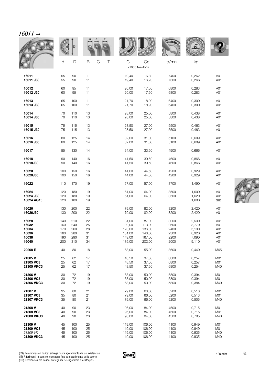| 77<br>hU<br>, , |  |
|-----------------|--|
|                 |  |

|                                  |                   | D                 |                                      |                |                     | <b>WALLE</b> |                         |                                        |
|----------------------------------|-------------------|-------------------|--------------------------------------|----------------|---------------------|--------------|-------------------------|----------------------------------------|
|                                  | d                 | D                 | $\mathsf B$<br>$\mathsf C$<br>$\top$ | $\mathsf{C}$   | Co<br>x1000 Newtons | tr/mn        | kg                      |                                        |
| 16011                            | 55                | 90                | 11                                   | 19,40          | 16,30               | 7400         | 0,262                   | A01                                    |
| 16011 J30                        | 55                | 90                | 11                                   | 19,40          | 16,20               | 7300         | 0,266                   | A01                                    |
| 16012                            | 60                | 95                | 11                                   | 20,00          | 17,50               | 6800         | 0,283                   | A01                                    |
| 16012 J30                        | 60                | 95                | 11                                   | 20,00          | 17,50               | 6800         | 0,283                   | A01                                    |
| 16013                            | 65                | 100               | 11                                   | 21,70          | 18,90               | 6400         | 0,300                   | A01                                    |
| 16013 J30                        | 65                | 100               | 11                                   | 21,70          | 18,90               | 6400         | 0,300                   | A01                                    |
| 16014                            | 70                | 110               | 13                                   | 28,00          | 25,00               | 5800         | 0,438                   | A01                                    |
| 16014 J30                        | 70                | 110               | 13                                   | 28,00          | 25,00               | 5800         | 0,438                   | A01                                    |
| 16015                            | 75                | 115               | 13                                   | 28,50          | 27,00               | 5500         | 0,463                   | A01                                    |
| 16015 J30                        | 75                | 115               | 13                                   | 28,50          | 27,00               | 5500         | 0,463                   | A01                                    |
| 16016                            | 80                | 125               | 14                                   | 32,00          | 31,00               | 5100         | 0,609                   | A01                                    |
| 16016 J30                        | 80                | 125               | 14                                   | 32,00          | 31,00               | 5100         | 0,609                   | A01                                    |
| 16017                            | 85                | 130               | 14                                   | 34,00          | 33,50               | 4900         | 0,666                   | A01                                    |
| 16018                            | 90                | 140               | 16                                   | 41,50          | 39,50               | 4600         | 0,866                   | A01                                    |
| 16018J30                         | 90                | 140               | 16                                   | 41,50          | 39,50               | 4600         | 0,866                   | A01                                    |
| 16020                            | 100               | 150               | 16                                   | 44,00          | 44,50               | 4200         | 0,929                   | A01                                    |
| 16020J30                         | 100               | 150               | 16                                   | 44,00          | 44,50               | 4200         | 0,929                   | A01                                    |
| 16022                            | 110               | 170               | 19                                   | 57,00          | 57,00               | 3700         | 1,490                   | A01                                    |
| 16024<br>16024 J30<br>16024 AG15 | 120<br>120<br>120 | 180<br>180<br>180 | 19<br>19<br>19                       | 61,00<br>61,00 | 64,00<br>64,00      | 3500<br>3500 | 1,600<br>1,620<br>1,600 | A01<br>A01<br>$\overline{\phantom{1}}$ |
| 16026                            | 130               | 200               | 22                                   | 79,00          | 82,00               | 3200         | 2,420                   | A01                                    |
| 16026J30                         | 130               | 200               | 22                                   | 79,00          | 82,00               | 3200         | 2,420                   | A01                                    |
| 16028                            | 140               | 210               | 22                                   | 81,00          | 87,00               | 3000         | 2,530                   | A01                                    |
| 16032                            | 160               | 240               | 25                                   | 102,00         | 113,00              | 2600         | 3,770                   | A01                                    |
| 16034                            | 170               | 260               | 28                                   | 123,00         | 136,00              | 2400         | 5,130                   | A01                                    |
| 16036                            | 180               | 280               | 31                                   | 131,00         | 146,00              | 2300         | 6,920                   | A01                                    |
| 16038                            | 190               | 290               | 31                                   | 149,00         | 167,00              | 2200         | 7,090                   | A01                                    |
| 16040                            | 200               | 310               | 34                                   | 175,00         | 202,00              | 2000         | 9,110                   | A01                                    |
| 20208 E                          | 40                | 80                | 18                                   | 63,00          | 55,00               | 3600         | 0,440                   | M65                                    |
| 21305 V                          | 25                | 62                | 17                                   | 48,50          | 37,50               | 6800         | 0,257                   | M01                                    |
| 21305 VC3                        | 25                | 62                | 17                                   | 48,50          | 37,50               | 6800         | 0,257                   | M <sub>01</sub>                        |
| 21305 VKC3                       | 25                | 62                | 17                                   | 48,50          | 37,50               | 6800         | 0,254                   | M40                                    |
| 21306 V                          | 30                | 72                | 19                                   | 63,00          | 50,00               | 5800         | 0,394                   | M01                                    |
| 21306 VC3                        | 30                | 72                | 19                                   | 63,00          | 50,00               | 5800         | 0,394                   | M01                                    |
| 21306 VKC3                       | 30                | 72                | 19                                   | 63,00          | 50,00               | 5800         | 0,384                   | M40                                    |
| 21307 V                          | 35                | 80                | 21                                   | 79,00          | 66,00               | 5200         | 0,513                   | M <sub>01</sub>                        |
| 21307 VC3                        | 35                | 80                | 21                                   | 79,00          | 66,00               | 5200         | 0,513                   | M <sub>01</sub>                        |
| 21307 VKC3                       | 35                | 80                | 21                                   | 79,00          | 66,00               | 5200         | 0,505                   | M40                                    |
| 21308 V                          | 40                | 90                | 23                                   | 96,00          | 84,00               | 4500         | 0,715                   | M <sub>01</sub>                        |
| 21308 VC3                        | 40                | 90                | 23                                   | 96,00          | 84,00               | 4500         | 0,715                   | M <sub>01</sub>                        |
| 21308 VKC3                       | 40                | 90                | 23                                   | 96,00          | 84,00               | 4500         | 0,705                   | M40                                    |
| 21309 V                          | 45                | 100               | 25                                   | 119,00         | 106,00              | 4100         | 0,949                   | M01                                    |
| 21309 VC3                        | 45                | 100               | 25                                   | 119,00         | 106,00              | 4100         | 0,949                   | M01                                    |
| 21309 VK                         | 45                | 100               | 25                                   | 119,00         | 106,00              | 4100         | 0,935                   | M40                                    |
| 21309 VKC3                       | 45                | 100               | 25                                   | 119,00         | 106,00              | 4100         | 0,935                   | M40                                    |



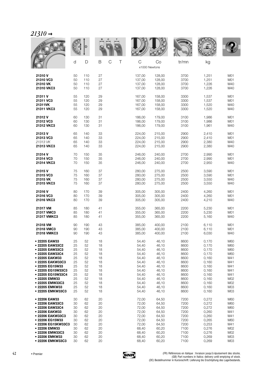| $21310 \rightarrow$ |  |
|---------------------|--|
|---------------------|--|

|                    |    | D   |        |        |                     | <b>WALLE</b> |       |     |
|--------------------|----|-----|--------|--------|---------------------|--------------|-------|-----|
|                    | d  | D   | B<br>C | C<br>Τ | Co<br>x1000 Newtons | tr/mn        | kg    |     |
|                    |    |     |        |        |                     |              |       |     |
| 21310 V            | 50 | 110 | 27     | 137,00 | 128,00              | 3700         | 1,251 | M01 |
| 21310 VC3          | 50 | 110 | 27     | 137,00 | 128,00              | 3700         | 1,251 | M01 |
|                    |    |     |        |        |                     |              |       |     |
| 21310 VK           | 50 | 110 | 27     | 137,00 | 128,00              | 3700         | 1,226 | M40 |
| 21310 VKC3         | 50 | 110 | 27     | 137,00 | 128,00              | 3700         | 1,226 | M40 |
|                    |    |     |        |        |                     |              |       |     |
| 21311 V            | 55 | 120 | 29     | 167,00 | 158,00              | 3300         | 1,537 | M01 |
| 21311 VC3          | 55 | 120 | 29     | 167,00 | 158,00              | 3300         | 1,537 | M01 |
| 21311VK            | 55 | 120 | 29     | 167,00 | 158,00              | 3300         | 1,520 | M40 |
| 21311 VKC3         | 55 | 120 | 29     | 167,00 | 158,00              | 3300         | 1,520 | M40 |
|                    |    |     |        |        |                     |              |       |     |
| 21312 V            | 60 | 130 | 31     | 186,00 | 179,00              | 3100         | 1,986 | M01 |
|                    |    |     |        |        |                     |              |       |     |
| 21312 VC3          | 60 | 130 | 31     | 186,00 | 179,00              | 3100         | 1,986 | M01 |
| 21312 VKC3         | 60 | 130 | 31     | 186,00 | 179,00              | 3100         | 1,961 | M40 |
|                    |    |     |        |        |                     |              |       |     |
| 21313 V            | 65 | 140 | 33     | 224,00 | 215,00              | 2900         | 2,410 | M01 |
| 21313 VC3          | 65 | 140 | 33     | 224,00 | 215,00              | 2900         | 2,410 | M01 |
| 21313 VK           | 65 | 140 | 33     | 224,00 | 215,00              | 2900         | 2,380 | M40 |
| 21313 VKC3         | 65 | 140 | 33     | 224,00 | 215,00              | 2900         | 2,380 | M40 |
|                    |    |     |        |        |                     |              |       |     |
| 21314 V            | 70 | 150 | 35     | 246,00 | 240,00              | 2700         | 2,990 | M01 |
| 21314 VC3          | 70 | 150 | 35     | 246,00 | 240,00              | 2700         | 2,990 | M01 |
| 21314 VKC3         | 70 | 150 | 35     | 246,00 | 240,00              | 2700         | 2,950 | M40 |
|                    |    |     |        |        |                     |              |       |     |
| 21315 V            | 75 | 160 | 37     | 280,00 | 275,00              | 2500         | 3,590 | M01 |
| 21315 VC3          | 75 | 160 | 37     | 280,00 | 275,00              | 2500         | 3,590 | M01 |
|                    | 75 | 160 |        |        |                     |              |       |     |
| 21315 VK           |    |     | 37     | 280,00 | 275,00              | 2500         | 3,550 | M40 |
| 21315 VKC3         | 75 | 160 | 37     | 280,00 | 275,00              | 2500         | 3,550 | M40 |
|                    |    |     |        |        |                     |              |       |     |
| 21316 V            | 80 | 170 | 39     | 305,00 | 305,00              | 2400         | 4,260 | M01 |
| 21316 VC3          | 80 | 170 | 39     | 305,00 | 305,00              | 2400         | 4,260 | M01 |
| 21316 VKC3         | 80 | 170 | 39     | 305,00 | 305,00              | 2400         | 4,210 | M40 |
|                    |    |     |        |        |                     |              |       |     |
| 21317 VM           | 85 | 180 | 41     | 355,00 | 365,00              | 2200         | 5,230 | M01 |
| 21317 VMC3         | 85 | 180 | 41     | 355,00 | 365,00              | 2200         | 5,230 | M01 |
| 21317 VMKC3        | 85 | 180 | 41     | 355,00 | 365,00              | 2200         | 5,160 | M40 |
|                    |    |     |        |        |                     |              |       |     |
| 21318 VM           | 90 | 190 | 43     | 385,00 | 400,00              | 2100         | 6,110 | M01 |
| 21318 VMC3         | 90 | 190 | 43     | 385,00 | 400,00              | 2100         | 6,110 | M01 |
| 21318 VMKC3        | 90 | 190 | 43     | 385,00 | 400,00              | 2100         | 6,030 | M40 |
|                    |    |     |        |        |                     |              |       |     |
| • 22205 EAW33      | 25 | 52  | 18     | 54,40  | 46,10               | 8600         | 0,170 | M60 |
| ● 22205 EAW33C2    | 25 | 52  | 18     | 54,40  | 46,10               | 8600         | 0,170 | M60 |
| • 22205 EAW33C3    | 25 | 52  | 18     | 54,40  | 46,10               | 8600         | 0,170 | M60 |
| • 22205 EAW33C4    | 25 | 52  | 18     | 54,40  | 46,10               | 8600         | 0,170 | M60 |
| • 22205 EAKW33     | 25 | 52  | 18     | 54,40  | 46,10               | 8600         | 0,160 | M41 |
|                    |    |     |        |        |                     |              |       |     |
| • 22205 EAKW33C3   | 25 | 52  | 18     | 54,40  | 46,10               | 8600         | 0,160 | M41 |
| • 22205 EG15W33    | 25 | 52  | 18     | 54,40  | 46,10               | 8600         | 0,160 | M41 |
| • 22205 EG15W33C3  | 25 | 52  | 18     | 54,40  | 46,10               | 8600         | 0,160 | M41 |
| ● 22205 EG15W33C4  | 25 | 52  | 18     | 54,40  | 46,10               | 8600         | 0,160 | M41 |
| • 22205 EMW33      | 25 | 52  | 18     | 54,40  | 46,10               | 8600         | 0,160 | M02 |
| • 22205 EMW33C3    | 25 | 52  | 18     | 54,40  | 46,10               | 8600         | 0,160 | M02 |
| • 22205 EMKW33     | 25 | 52  | 18     | 54,40  | 46,10               | 8600         | 0,160 | M03 |
| • 22205 EMKW33C3   | 25 | 52  | 18     | 54,40  | 46,10               | 8600         | 0,160 | M03 |
|                    |    |     |        |        |                     |              |       |     |
| • 22206 EAW33      | 30 | 62  | 20     | 72,00  | 64,50               | 7200         | 0,272 | M60 |
| ● 22206 EAW33C3    | 30 | 62  | 20     | 72,00  | 64,50               | 7200         | 0,272 | M60 |
| • 22206 EAW33C4    | 30 | 62  | 20     | 72,00  | 64,50               | 7200         | 0,272 | M60 |
| · 22206 EAKW33     | 30 | 62  | 20     | 72,00  | 64,50               | 7200         | 0,260 | M41 |
| • 22206 EAKW33C3   | 30 | 62  | 20     | 72,00  | 64,50               | 7200         | 0,260 | M41 |
|                    |    |     |        |        |                     |              |       |     |
| ● 22206 EG15W33    | 30 | 62  | 20     | 72,00  | 64,50               | 7200         | 0,265 | M60 |
| • 22206 EG15KW33C3 | 30 | 62  | 20     | 72,00  | 64,50               | 7200         | 0,253 | M41 |
| ● 22206 EMW33      | 30 | 62  | 20     | 68,40  | 60,20               | 7100         | 0,276 | M02 |
| • 22206 EMW33C3    | 30 | 62  | 20     | 68,40  | 60,20               | 7100         | 0,276 | M02 |
| • 22206 EMKW33     | 30 | 62  | 20     | 68,40  | 60,20               | 7100         | 0,269 | M03 |
| • 22206 EMKW33C3   | 30 | 62  | 20     | 68,40  | 60,20               | 7100         | 0,269 | M03 |

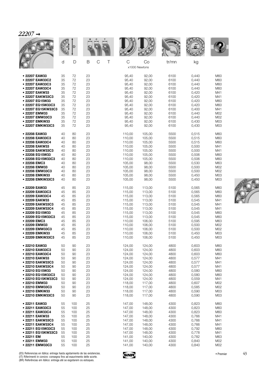|                    |    | D   |                       |        |                     |       |       |                 |
|--------------------|----|-----|-----------------------|--------|---------------------|-------|-------|-----------------|
|                    | d  | D   | $\mathsf C$<br>B<br>Τ | C      | Co<br>x1000 Newtons | tr/mn | kg    |                 |
| • 22207 EAW33      | 35 | 72  | 23                    | 95,40  | 92,00               | 6100  | 0,440 | M60             |
| • 22207 EAW33C2    | 35 | 72  | 23                    | 95,40  | 92,00               | 6100  | 0,440 | M60             |
| • 22207 EAW33C3    | 35 | 72  | 23                    | 95,40  | 92,00               | 6100  | 0,440 | M60             |
| • 22207 EAW33C4    | 35 | 72  | 23                    | 95,40  | 92,00               | 6100  | 0,440 | M60             |
| • 22207 EAKW33     | 35 | 72  | 23                    | 95,40  | 92,00               | 6100  | 0,420 | M41             |
| • 22207 EAKW33C3   | 35 | 72  | 23                    | 95,40  | 92,00               | 6100  | 0,420 | M41             |
| • 22207 EG15W33    | 35 | 72  | 23                    | 95,40  | 92,00               | 6100  | 0,420 | M60             |
| • 22207 EG15W33C3  | 35 | 72  | 23                    | 95,40  | 92,00               | 6100  | 0,420 | M60             |
| • 22207 EG15KW33C3 | 35 | 72  | 23                    | 95,40  | 92,00               | 6100  | 0,400 | M41             |
| • 22207 EMW33      | 35 | 72  | 23                    | 95,40  | 92,00               | 6100  | 0,440 | M02             |
| • 22207 EMW33C3    | 35 | 72  | 23                    | 95,40  | 92,00               | 6100  | 0,440 | M02             |
| • 22207 EMKW33     | 35 | 72  | 23                    | 95,40  | 92,00               | 6100  | 0,430 | M03             |
| • 22207 EMKW33C3   | 35 | 72  | 23                    | 95,40  | 92,00               | 6100  | 0,430 | M03             |
| • 22208 EAW33      | 40 | 80  | 23                    | 110,00 | 105,00              | 5500  | 0,515 | M60             |
| • 22208 EAW33C3    | 40 | 80  | 23                    | 110,00 | 105,00              | 5500  | 0,515 | M60             |
| • 22208 EAW33C4    | 40 | 80  | 23                    | 110,00 | 105,00              | 5500  | 0,515 | M60             |
| • 22208 EAKW33     | 40 | 80  | 23                    | 110,00 | 105,00              | 5500  | 0,500 | M41             |
| • 22208 EAKW33C3   | 40 | 80  | 23                    | 110,00 | 105,00              | 5500  | 0,500 | M41             |
| • 22208 EG15W33    | 40 | 80  | 23                    | 110,00 | 105,00              | 5500  | 0,506 | M60             |
| • 22208 EG15W33C3  | 40 | 80  | 23                    | 110,00 | 105,00              | 5500  | 0,506 | M60             |
| • 22208 EMC3       | 40 | 80  | 23                    | 105,00 | 98,00               | 5500  | 0,530 | M63             |
| • 22208 EMW33      | 40 | 80  | 23                    | 105,00 | 98,00               | 5500  | 0,500 | M02             |
| • 22208 EMW33C3    | 40 | 80  | 23                    | 105,00 | 98,00               | 5500  | 0,500 | M02             |
| • 22208 EMKW33     | 40 | 80  | 23                    | 105,00 | 98,00               | 5500  | 0,450 | M03             |
| • 22208 EMKW33C3   | 40 | 80  | 23                    | 105,00 | 98,00               | 5500  | 0,450 | M03             |
| • 22209 EAW33      | 45 | 85  | 23                    | 115,00 | 113,00              | 5100  | 0,565 | M60             |
| • 22209 EAW33C3    | 45 | 85  | 23                    | 115,00 | 113,00              | 5100  | 0,565 | M60             |
| • 22209 EAW33C4    | 45 | 85  | 23                    | 115,00 | 113,00              | 5100  | 0,565 | M60             |
| • 22209 EAKW33     | 45 | 85  | 23                    | 115,00 | 113,00              | 5100  | 0,545 | M41             |
| • 22209 EAKW33C3   | 45 | 85  | 23                    | 115,00 | 113,00              | 5100  | 0,545 | M41             |
| • 22209 EAKW33C4   | 45 | 85  | 23                    | 115,00 | 113,00              | 5100  | 0,545 | M41             |
| • 22209 EG15W33    | 45 | 85  | 23                    | 115,00 | 113,00              | 5100  | 0,545 | M60             |
| • 22209 EG15W33C3  | 45 | 85  | 23                    | 115,00 | 113,00              | 5100  | 0,545 | M60             |
| • 22209 EMC3       | 45 | 85  | 23                    | 110,00 | 106,00              | 5100  | 0,595 | M63             |
| • 22209 EMW33      | 45 | 85  | 23                    | 110,00 | 106,00              | 5100  | 0,500 | M02             |
| • 22209 EMW33C3    | 45 | 85  | 23                    | 110,00 | 106,00              | 5100  | 0,500 | M02             |
| • 22209 FMKW33     | 45 | 85  | 23                    | 110,00 | 106,00              | 5100  | 0,450 | M <sub>03</sub> |
| • 22209 EMKW33C3   | 45 | 85  | 23                    | 110,00 | 106,00              | 5100  | 0,450 | M <sub>03</sub> |
| · 22210 EAW33      | 50 | 90  | 23                    | 124,00 | 124,00              | 4800  | 0,603 | M60             |
| · 22210 EAW33C3    | 50 | 90  | 23                    | 124,00 | 124,00              | 4800  | 0,603 | M60             |
| • 22210 EAW33C4    | 50 | 90  | 23                    | 124,00 | 124,00              | 4800  | 0,603 | M60             |
| • 22210 EAKW33     | 50 | 90  | 23                    | 124,00 | 124,00              | 4800  | 0,577 | M41             |
| • 22210 EAKW33C3   | 50 | 90  | 23                    | 124,00 | 124,00              | 4800  | 0,577 | M41             |
| • 22210 EAKW33C4   | 50 | 90  | 23                    | 124,00 | 124,00              | 4800  | 0,577 | M41             |
| • 22210 EG15W33    | 50 | 90  | 23                    | 124,00 | 124,00              | 4800  | 0,580 | M60             |
| ● 22210 EG15W33C3  | 50 | 90  | 23                    | 124,00 | 124,00              | 4800  | 0,580 | M60             |
| • 22210 EG15KW33C3 | 50 | 90  | 23                    | 124,00 | 124,00              | 4800  | 0,559 | M41             |
| • 22210 EMW33      | 50 | 90  | 23                    | 118,00 | 117,00              | 4800  | 0,607 | M02             |
| • 22210 EMW33C3    | 50 | 90  | 23                    | 118,00 | 117,00              | 4800  | 0,585 | M02             |
| • 22210 EMKW33     | 50 | 90  | 23                    | 118,00 | 117,00              | 4800  | 0,590 | M <sub>03</sub> |
| • 22210 EMKW33C3   | 50 | 90  | 23                    | 118,00 | 117,00              | 4800  | 0,590 | M03             |
| • 22211 EAW33      | 55 | 100 | 25                    | 147,00 | 148,00              | 4300  | 0,823 | M60             |
| • 22211 EAW33C3    | 55 | 100 | 25                    | 147,00 | 148,00              | 4300  | 0,823 | M60             |
| • 22211 EAW33C4    | 55 | 100 | 25                    | 147,00 | 148,00              | 4300  | 0,823 | M60             |
| • 22211 EAKW33     | 55 | 100 | 25                    | 147,00 | 148,00              | 4300  | 0,766 | M41             |
| • 22211 EAKW33C3   | 55 | 100 | 25                    | 147,00 | 148,00              | 4300  | 0,766 | M41             |
| • 22211 EAKW33C4   | 55 | 100 | 25                    | 147,00 | 148,00              | 4300  | 0,766 | M41             |
| • 22211 EG15W33C3  | 55 | 100 | 25                    | 147,00 | 148,00              | 4300  | 0,792 | M60             |
| • 22211 EG15KW33C3 | 55 | 100 | 25                    | 147,00 | 148,00              | 4300  | 0,778 | M41             |
| • 22211 EM         | 55 | 100 | 25                    | 141,00 | 140,00              | 4300  | 0,782 | M63             |
| • 22211 EMW33      | 55 | 100 | 25                    | 141,00 | 140,00              | 4300  | 0,840 | M02             |
| • 22211 EMW33C3    | 55 | 100 | 25                    | 141,00 | 140,00              | 4300  | 0,840 | M02             |



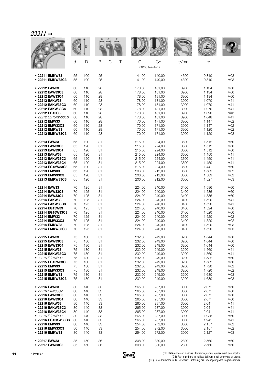|                    |    |     |    |        |                    |        | <b>MALLE</b> |       |                 |
|--------------------|----|-----|----|--------|--------------------|--------|--------------|-------|-----------------|
|                    | d  | D   | B  | C<br>Τ | C<br>x1000 Newtons | Co     | tr/mn        | kg    |                 |
| • 22211 EMKW33     | 55 | 100 | 25 |        | 141,00             | 140,00 | 4300         | 0,810 | M03             |
| • 22211 EMKW33C3   | 55 | 100 | 25 |        | 141,00             | 140,00 | 4300         | 0,810 | M03             |
| • 22212 EAW33      | 60 | 110 | 28 |        | 178,00             | 181,00 | 3900         | 1,134 | M60             |
| • 22212 EAW33C3    | 60 | 110 | 28 |        | 178,00             | 181,00 | 3900         | 1,134 | M60             |
| • 22212 EAW33C4    | 60 | 110 | 28 |        | 178,00             | 181,00 | 3900         | 1,134 | M60             |
| • 22212 EAKW33     | 60 | 110 | 28 |        | 178,00             | 181,00 | 3900         | 1,070 | M41             |
| • 22212 EAKW33C3   | 60 | 110 | 28 |        | 178,00             | 181,00 | 3900         | 1,070 | M41             |
| • 22212 EAKW33C4   | 60 | 110 | 28 |        | 178,00             | 181,00 | 3900         | 1,070 | M41             |
| • 22212 EG15C3     | 60 | 110 | 28 |        | 178,00             | 181,00 | 3900         | 1,090 | $\equiv$        |
| · 22212 EG15KW33C3 | 60 | 110 | 28 |        | 178,00             | 181,00 | 3900         | 1,048 | M41             |
| • 22212 EMW33      | 60 | 110 | 28 |        | 170,00             | 171,00 | 3900         | 1,147 | M02             |
| • 22212 EMW33C3    | 60 | 110 | 28 |        | 170,00             | 171,00 | 3900         | 1,147 | M02             |
| • 22212 EMKW33     | 60 | 110 | 28 |        | 170,00             | 171,00 | 3900         | 1,120 | M02             |
| • 22212 EMKW33C3   | 60 | 110 | 28 |        | 170,00             | 171,00 | 3900         | 1,120 | M03             |
| • 22213 EAW33      | 65 | 120 | 31 |        | 215,00             | 224,00 | 3600         | 1,512 | M60             |
| ● 22213 EAW33C3    | 65 | 120 | 31 |        | 215,00             | 224,00 | 3600         | 1,512 | M60             |
| • 22213 EAW33C4    | 65 | 120 | 31 |        | 215,00             | 224,00 | 3600         | 1,512 | M60             |
| • 22213 EAKW33     | 65 | 120 | 31 |        | 215,00             | 224,00 | 3600         | 1,450 | M41             |
| • 22213 EAKW33C3   | 65 | 120 | 31 |        | 215,00             | 224,00 | 3600         | 1,450 | M41             |
| • 22213 EAKW33C4   | 65 | 120 | 31 |        | 215,00             | 224,00 | 3600         | 1,450 | M41             |
| ● 22213 EG15W33C3  | 65 | 120 | 31 |        | 215,00             | 224,00 | 3600         | 1,441 | M60             |
| • 22213 EMW33      | 65 | 120 | 31 |        | 206,00             | 212,00 | 3600         | 1,589 | M02             |
| • 22213 EMW33C3    | 65 | 120 | 31 |        | 206,00             | 212,00 | 3600         | 1,589 | M02             |
| • 22213 EMKW33C3   | 65 | 120 | 31 |        | 206,00             | 212,00 | 3600         | 1,527 | M03             |
| • 22214 EAW33      | 70 | 125 | 31 |        | 224,00             | 240,00 | 3400         | 1,586 | M60             |
| • 22214 EAW33C3    | 70 | 125 | 31 |        | 224,00             | 240,00 | 3400         | 1,586 | M60             |
| • 22214 EAW33C4    | 70 | 125 | 31 |        | 224,00             | 240,00 | 3400         | 1,586 | M60             |
| • 22214 EAKW33     | 70 | 125 | 31 |        | 224,00             | 240,00 | 3400         | 1,520 | M41             |
| • 22214 EAKW33C3   | 70 | 125 | 31 |        | 224,00             | 240,00 | 3400         | 1,520 | M41             |
| • 22214 EG15W33    | 70 | 125 | 31 |        | 224,00             | 240,00 | 3400         | 1,524 | M60             |
| • 22214 EG15W33C3  | 70 | 125 | 31 |        | 224,00             | 240,00 | 3400         | 1,520 | M60             |
| • 22214 EMW33      | 70 | 125 | 31 |        | 224,00             | 240,00 | 3300         | 1,520 | M02             |
| • 22214 EMW33C3    | 70 | 125 | 31 |        | 224,00             | 240,00 | 3400         | 1,520 | M02             |
| • 22214 EMKW33     | 70 | 125 | 31 |        | 224,00             | 240,00 | 3400         | 1,520 | M03             |
| • 22214 EMKW33C3   | 70 | 125 | 31 |        | 224,00             | 240,00 | 3400         | 1,520 | M03             |
| • 22215 EAW33      | 75 | 130 | 31 |        | 232,00             | 249,00 | 3200         | 1,644 | M60             |
| • 22215 EAW33C3    | 75 | 130 | 31 |        | 232,00             | 249,00 | 3200         | 1,644 | M60             |
| • 22215 EAW33C4    | 75 | 130 | 31 |        | 232,00             | 249,00 | 3200         | 1,644 | M60             |
| • 22215 EAKW33     | 75 | 130 | 31 |        | 232,00             | 249,00 | 3200         | 1,560 | M41             |
| • 22215 EAKW33C3   | 75 | 130 | 31 |        | 232,00             | 249,00 | 3200         | 1,560 | M41             |
| • 22215 EG15W33    | 75 | 130 | 31 |        | 232,00             | 249,00 | 3200         | 1,582 | M60             |
| • 22215 EG15W33C3  | 75 | 130 | 31 |        | 232,00             | 249,00 | 3200         | 1,582 | M60             |
| • 22215 EMW33      | 75 | 130 | 31 |        | 232,00             | 249,00 | 3200         | 1,720 | M02             |
| • 22215 EMW33C3    | 75 | 130 | 31 |        | 232,00             | 249,00 | 3200         | 1,720 | M02             |
| • 22215 EMKW33     | 75 | 130 | 31 |        | 232,00             | 249,00 | 3200         | 1,680 | M <sub>03</sub> |
| • 22215 EMKW33C3   | 75 | 130 | 31 |        | 232,00             | 249,00 | 3200         | 1,680 | M <sub>03</sub> |
| • 22216 EAW33      | 80 | 140 | 33 |        | 265,00             | 287,00 | 3000         | 2,071 | M60             |
| · 22216 EAW33C2    | 80 | 140 | 33 |        | 265,00             | 287,00 | 3000         | 2,071 | M60             |
| • 22216 EAW33C3    | 80 | 140 | 33 |        | 265,00             | 287,00 | 3000         | 2,071 | M60             |
| • 22216 EAW33C4    | 80 | 140 | 33 |        | 265,00             | 287,00 | 3000         | 2,071 | M60             |
| • 22216 EAKW33     | 80 | 140 | 33 |        | 265,00             | 287,00 | 3000         | 2,041 | M41             |
| • 22216 EAKW33C3   | 80 | 140 | 33 |        | 265,00             | 287,00 | 3000         | 2,041 | M41             |
| • 22216 EAKW33C4   | 80 | 140 | 33 |        | 265,00             | 287,00 | 3000         | 2,041 | M41             |
| · 22216 EG15W33    | 80 | 140 | 33 |        | 265,00             | 287,00 | 3000         | 1,988 | M60             |
| • 22216 EG15KW33C3 | 80 | 140 | 33 |        | 265,00             | 287,00 | 3000         | 1,941 | M41             |
| • 22216 EMW33      | 80 | 140 | 33 |        | 254,00             | 272,00 | 3000         | 2,157 | M02             |
| • 22216 EMW33C3    | 80 | 140 | 33 |        | 254,00             | 272,00 | 3000         | 2,157 | M02             |
| • 22216 EMKW33     | 80 | 140 | 33 |        | 254,00             | 272,00 | 3000         | 2,127 | M <sub>03</sub> |
| • 22217 EAW33      | 85 | 150 | 36 |        | 308,00             | 330,00 | 2800         | 2,560 | M60             |
| • 22217 EAW33C3    | 85 | 150 | 36 |        | 308,00             | 330,00 | 2800         | 2,560 | M60             |

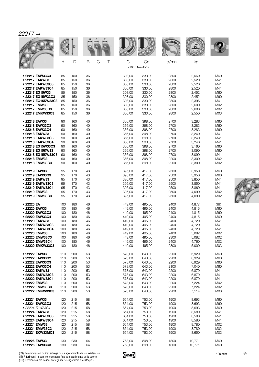|                    |     | D   |                    |        |                     | <b>MALE</b> |        |        |
|--------------------|-----|-----|--------------------|--------|---------------------|-------------|--------|--------|
|                    | d   | D   | B<br>$\mathcal{C}$ | C<br>Τ | Co<br>x1000 Newtons | tr/mn       | kg     |        |
| • 22217 EAW33C4    | 85  | 150 | 36                 | 308,00 | 330,00              | 2800        | 2,560  | M60    |
| • 22217 EAKW33     | 85  | 150 | 36                 | 308,00 | 330,00              | 2800        | 2,520  | M41    |
| • 22217 EAKW33C3   | 85  | 150 | 36                 | 308,00 | 330,00              | 2800        | 2,520  | M41    |
| • 22217 EAKW33C4   | 85  | 150 | 36                 | 308,00 | 330,00              | 2800        | 2,520  | M41    |
| • 22217 EG15W33    | 85  | 150 | 36                 | 308,00 | 330,00              | 2800        | 2,452  | M60    |
| • 22217 EG15W33C3  | 85  | 150 | 36                 | 308,00 | 330,00              | 2800        | 2,452  | M60    |
| • 22217 EG15KW33C3 | 85  | 150 | 36                 | 308,00 | 330,00              | 2800        | 2,396  | M41    |
| • 22217 EMW33      | 85  | 150 | 36                 | 308,00 | 330,00              | 2800        | 2,600  | M02    |
| • 22217 EMW33C3    | 85  | 150 | 36                 | 308,00 | 330,00              | 2800        | 2,600  | M02    |
| • 22217 EMKW33C3   | 85  | 150 | 36                 | 308,00 | 330,00              | 2800        | 2,550  | M03    |
| • 22218 EAW33      | 90  | 160 | 40                 | 366,00 | 398,00              | 2700        | 3,283  | M60    |
| • 22218 EAW33C3    | 90  | 160 | 40                 | 366,00 | 398,00              | 2700        | 3,283  | M60    |
| • 22218 EAW33C4    | 90  | 160 | 40                 | 366,00 | 398,00              | 2700        | 3,283  | M60    |
| • 22218 EAKW33     | 90  | 160 | 40                 | 366,00 | 398,00              | 2700        | 3,240  | M41    |
| • 22218 EAKW33C3   | 90  | 160 | 40                 | 366,00 | 398,00              | 2700        | 3,240  | M41    |
| • 22218 EAKW33C4   | 90  | 160 | 40                 | 366,00 | 398,00              | 2700        | 3,240  | M41    |
| ● 22218 EG15W33C3  | 90  | 160 | 40                 | 366,00 | 398,00              | 2700        | 3,160  | M60    |
| • 22218 EG15KW33   | 90  | 160 | 40                 | 366,00 | 398,00              | 2700        | 3,090  | M60    |
| • 22218 EG15KW33C3 | 90  | 160 | 40                 | 366,00 | 398,00              | 2700        | 3,090  | M41    |
| • 22218 EMW33      | 90  | 160 | 40                 | 366,00 | 398,00              | 2200        | 3,300  | M02    |
| • 22218 EMW33C3    | 90  | 160 | 40                 | 366,00 | 398,00              | 2200        | 3,300  | M02    |
| • 22219 EAW33      | 95  | 170 | 43                 | 395,00 | 417,00              | 2500        | 3,950  | M60    |
| • 22219 EAW33C3    | 95  | 170 | 43                 | 395,00 | 417,00              | 2500        | 3,950  | M60    |
| • 22219 EAKW33     | 95  | 170 | 43                 | 395,00 | 417,00              | 2500        | 3,850  | M41    |
| • 22219 EAKW33C3   | 95  | 170 | 43                 | 395,00 | 417,00              | 2500        | 3,850  | M41    |
| • 22219 EAKW33C4   | 95  | 170 | 43                 | 395,00 | 417,00              | 2500        | 3,860  | M41    |
| • 22219 EMW33      | 95  | 170 | 43                 | 395,00 | 417,00              | 2500        | 4,090  | M02    |
| • 22219 EMW33C3    | 95  | 170 | 43                 | 395,00 | 417,00              | 2500        | 4,090  | M02    |
| • 22220 EA         | 100 | 180 | 46                 | 449,00 | 495,00              | 2400        | 4,877  | $\Box$ |
| · 22220 EAW33      | 100 | 180 | 46                 | 449,00 | 495,00              | 2400        | 4,815  | M60    |
| • 22220 EAW33C3    | 100 | 180 | 46                 | 449,00 | 495,00              | 2400        | 4,815  | M60    |
| ● 22220 EAW33C4    | 100 | 180 | 46                 | 449,00 | 495,00              | 2400        | 4,815  | M60    |
| • 22220 EAKW33     | 100 | 180 | 46                 | 449,00 | 495,00              | 2400        | 4,720  | M41    |
| • 22220 EAKW33C3   | 100 | 180 | 46                 | 449,00 | 495,00              | 2400        | 4,720  | M41    |
| • 22220 EAKW33C4   | 100 | 180 | 46                 | 449,00 | 495,00              | 2400        | 4,720  | M41    |
| • 22220 EMW33      | 100 | 180 | 46                 | 449,00 | 495,00              | 2400        | 5,082  | M02    |
| • 22220 EMW33C3    | 100 | 180 | 46                 | 449,00 | 495,00              | 2300        | 5,082  | M02    |
| • 22220 EMW33C4    | 100 | 180 | 46                 | 449,00 | 495,00              | 2400        | 4,760  | M02    |
| • 22220 EMKW33C3   | 100 | 180 | 46                 | 449,00 | 495,00              | 2300        | 5,000  | M03    |
| • 22222 EAW33      | 110 | 200 | 53                 | 573,00 | 643,00              | 2200        | 6,929  | M60    |
| · 22222 EAW33C2    | 110 | 200 | 53                 | 573,00 | 643,00              | 2200        | 6,929  | M60    |
| • 22222 EAW33C3    | 110 | 200 | 53                 | 573,00 | 643,00              | 2200        | 6,929  | M60    |
| • 22222 EAW33C4    | 110 | 200 | 53                 | 573,00 | 643,00              | 2100        | 7,040  | M60    |
| • 22222 EAKW33     | 110 | 200 | 53                 | 573,00 | 643,00              | 2200        | 6,879  | M41    |
| • 22222 EAKW33C3   | 110 | 200 | 53                 | 573,00 | 643,00              | 2200        | 6,879  | M41    |
| • 22222 EAKW33C4   | 110 | 200 | 53                 | 573,00 | 643,00              | 2200        | 6,879  | M41    |
| • 22222 EMW33      | 110 | 200 | 53                 | 573,00 | 643,00              | 2200        | 7,224  | M02    |
| • 22222 EMW33C3    | 110 | 200 | 53                 | 573,00 | 643,00              | 2200        | 7,224  | M02    |
| • 22222 EMKW33C3   | 110 | 200 | 53                 | 573,00 | 643,00              | 2200        | 7,114  | M03    |
| • 22224 EAW33      | 120 | 215 | 58                 | 654,00 | 753,00              | 1900        | 8,693  | M60    |
| · 22224 EAW33C3    | 120 | 215 | 58                 | 654,00 | 753,00              | 1900        | 8,693  | M60    |
| • 22224 EAW33C4    | 120 | 215 | 58                 | 654,00 | 753,00              | 1900        | 8,693  | M60    |
| • 22224 EAKW33     | 120 | 215 | 58                 | 654,00 | 753,00              | 1900        | 8,580  | M41    |
| • 22224 EAKW33C3   | 120 | 215 | 58                 | 654,00 | 753,00              | 1900        | 8,580  | M41    |
| • 22224 EAKW33C4   | 120 | 215 | 58                 | 654,00 | 753,00              | 1900        | 8,580  | M41    |
| • 22224 EMW33      | 120 | 215 | 58                 | 654,00 | 753,00              | 1900        | 8,780  | M02    |
| • 22224 EMW33C3    | 120 | 215 | 58                 | 654,00 | 753,00              | 1900        | 8,780  | M02    |
| • 22224 EKW33MC3   | 120 | 215 | 58                 | 654,00 | 753,00              | 1900        | 8,650  | M03    |
| • 22226 EAW33      | 130 | 230 | 64                 | 768,00 | 898,00              | 1800        | 10,771 | M60    |
| • 22226 EAW33C3    | 130 | 230 | 64                 | 768,00 | 898,00              | 1800        | 10,771 | M60    |

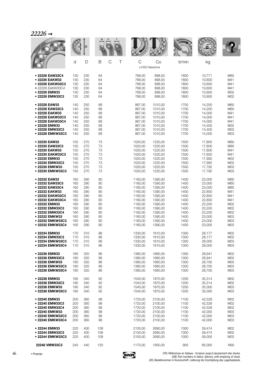|                  |     |     |                       |         |                     | <b>WALLE</b> |        |     |
|------------------|-----|-----|-----------------------|---------|---------------------|--------------|--------|-----|
|                  | d   | D   | $\mathsf C$<br>B<br>Τ | C       | Co<br>x1000 Newtons | tr/mn        | kg     |     |
| • 22226 EAW33C4  | 130 | 230 | 64                    | 768,00  | 898,00              | 1800         | 10,771 | M60 |
| • 22226 EAKW33   | 130 | 230 | 64                    | 768,00  | 898,00              | 1800         | 10,600 | M41 |
| • 22226 EAKW33C3 | 130 | 230 | 64                    | 768,00  | 898,00              | 1800         | 10,600 | M41 |
| • 22226 EAKW33C4 | 130 | 230 | 64                    | 768,00  | 898,00              | 1800         | 10,600 | M41 |
| • 22226 EMW33    | 130 | 230 | 64                    | 768,00  | 898,00              | 1800         | 10.900 | M02 |
| • 22226 EMW33C3  | 130 | 230 | 64                    | 768,00  | 898,00              | 1800         | 10,900 | M02 |
| • 22228 EAW33    | 140 | 250 | 68                    | 867,00  | 1010,00             | 1700         | 14,200 | M60 |
| • 22228 EAW33C3  | 140 | 250 | 68                    | 867,00  | 1010,00             | 1700         | 14,200 | M60 |
| • 22228 EAKW33   | 140 | 250 | 68                    | 867,00  | 1010,00             | 1700         | 14,000 | M41 |
| • 22228 EAKW33C3 | 140 | 250 | 68                    | 867,00  | 1010,00             | 1700         | 14,000 | M41 |
| • 22228 EAKW33C4 | 140 | 250 | 68                    | 867,00  | 1010,00             | 1700         | 14,000 | M41 |
| • 22228 EMW33    | 140 | 250 | 68                    | 867,00  | 1010,00             | 1700         | 14,400 | M02 |
| • 22228 EMW33C3  | 140 | 250 | 68                    | 867,00  | 1010,00             | 1700         | 14.400 | M02 |
| • 22228 EMKW33C3 | 140 | 250 | 68                    | 867,00  | 1010.00             | 1700         | 14,000 | M03 |
| • 22230 EAW33    | 150 | 270 | 73                    | 1020.00 | 1220,00             | 1500         | 17,800 | M60 |
| • 22230 EAW33C3  | 150 | 270 | 73                    | 1020,00 | 1220,00             | 1500         | 17,800 | M60 |
| • 22230 EAKW33   | 150 | 270 | 73                    | 1020,00 | 1220,00             | 1500         | 17,600 | M41 |
| • 22230 EAKW33C3 | 150 | 270 | 73                    | 1020,00 | 1220,00             | 1500         | 17,600 | M41 |
| • 22230 EMW33    | 150 | 270 | 73                    | 1020,00 | 1220,00             | 1500         | 17,992 | M02 |
| • 22230 EMW33C3  | 150 | 270 | 73                    | 1020,00 | 1220,00             | 1500         | 17,992 | M02 |
| • 22230 EMKW33   | 150 | 270 | 73                    | 1020,00 | 1220,00             | 1500         | 17,792 | M03 |
| • 22230 EMKW33C3 | 150 | 270 | 73                    | 1020,00 | 1220,00             | 1500         | 17,792 | M03 |
| • 22232 EAW33    | 160 | 290 | 80                    | 1160,00 | 1390,00             | 1400         | 23,000 | M60 |
| • 22232 EAW33C3  | 160 | 290 | 80                    | 1160,00 | 1390,00             | 1400         | 23,000 | M60 |
| • 22232 EAW33C4  | 160 | 290 | 80                    | 1160,00 | 1390,00             | 1400         | 23,000 | M60 |
| • 22232 EAKW33   | 160 | 290 | 80                    | 1160,00 | 1390,00             | 1400         | 22,800 | M41 |
| • 22232 EAKW33C3 | 160 | 290 | 80                    | 1160,00 | 1390,00             | 1400         | 22,800 | M41 |
| • 22232 EAKW33C4 | 160 | 290 | 80                    | 1160,00 | 1390,00             | 1400         | 22,800 | M41 |
| • 22232 EMW33    | 160 | 290 | 80                    | 1160,00 | 1390,00             | 1400         | 23,200 | M02 |
| • 22232 EMW33C3  | 160 | 290 | 80                    | 1160,00 | 1390,00             | 1400         | 23,200 | M02 |
| • 22232 EMW33C4  | 160 | 290 | 80                    | 1160,00 | 1390,00             | 1400         | 23,200 | M02 |
| • 22232 EMKW33   | 160 | 290 | 80                    | 1160,00 | 1390,00             | 1400         | 23,000 | M03 |
| • 22232 EMKW33C3 | 160 | 290 | 80                    | 1160,00 | 1390,00             | 1400         | 23,000 | M03 |
| · 22232 EMKW33C4 | 160 | 290 | 80                    | 1160,00 | 1390,00             | 1400         | 23,000 | M03 |
| • 22234 EMW33    | 170 | 310 | 86                    | 1330,00 | 1610,00             | 1300         | 28,177 | M02 |
| • 22234 EMW33C3  | 170 | 310 | 86                    | 1330,00 | 1610,00             | 1300         | 28,177 | M02 |
| • 22234 EMKW33C3 | 170 | 310 | 86                    | 1330,00 | 1610,00             | 1300         | 28,000 | M03 |
| • 22234 EMKW33C4 | 170 | 310 | 86                    | 1330,00 | 1610,00             | 1300         | 28,000 | M03 |
| • 22236 EMW33    | 180 | 320 | 86                    | 1380,00 | 1660,00             | 1300         | 28,941 | M02 |
| • 22236 EMW33C3  | 180 | 320 | 86                    | 1380,00 | 1660,00             | 1300         | 28,941 | M02 |
| • 22236 EMKW33   | 180 | 320 | 86                    | 1380,00 | 1660,00             | 1300         | 28,700 | M03 |
| • 22236 EMKW33C3 | 180 | 320 | 86                    | 1380,00 | 1660,00             | 1300         | 28,700 | M03 |
| • 22236 EMKW33C4 | 180 | 320 | 86                    | 1380,00 | 1660,00             | 1300         | 28,700 | M03 |
| • 22238 EMW33    | 190 | 340 | 92                    | 1540,00 | 1870,00             | 1200         | 35,314 | M02 |
| • 22238 EMW33C3  | 190 | 340 | 92                    | 1540,00 | 1870,00             | 1200         | 35,314 | M02 |
| • 22238 EMKW33   | 190 | 340 | 92                    | 1540,00 | 1870,00             | 1200         | 35,000 | M03 |
| • 22238 EMKW33C3 | 190 | 340 | 92                    | 1540,00 | 1870,00             | 1200         | 35,000 | M03 |
| • 22240 EMW33    | 200 | 360 | 98                    | 1720,00 | 2100,00             | 1100         | 42,528 | M02 |
| • 22240 EMW33C3  | 200 | 360 | 98                    | 1720,00 | 2100,00             | 1100         | 42,528 | M02 |
| • 22240 EMW33C4  | 200 | 360 | 98                    | 1720,00 | 2100,00             | 1100         | 42,528 | M02 |
| • 22240 EMKW33   | 200 | 360 | 98                    | 1720,00 | 2100,00             | 1100         | 42,000 | M03 |
| • 22240 EMKW33C3 | 200 | 360 | 98                    | 1720,00 | 2100,00             | 1100         | 42,000 | M03 |
| • 22240 EMKW33C4 | 200 | 360 | 98                    | 1720,00 | 2100,00             | 1100         | 42,000 | M03 |
| • 22244 EMW33    | 220 | 400 | 108                   | 2100,00 | 2690,00             | 1000         | 59,474 | M02 |
| • 22244 EMW33C3  | 220 | 400 | 108                   | 2100,00 | 2690,00             | 1000         | 59,474 | M02 |
| • 22244 EMKW33C3 | 220 | 400 | 108                   | 2100,00 | 2690,00             | 1000         | 59,000 | M03 |
| 22248 VMW33C3    | 240 | 440 | 120                   | 1170,00 | 1950,00             | 900          | 85,000 | N60 |
|                  |     |     |                       |         |                     |              |        |     |

46

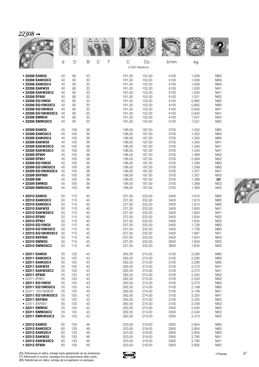|                                                                       |                      | D                    |                      |        |                                      |                                      |                              |                                  |                          |
|-----------------------------------------------------------------------|----------------------|----------------------|----------------------|--------|--------------------------------------|--------------------------------------|------------------------------|----------------------------------|--------------------------|
|                                                                       | d                    | D                    | B                    | C<br>Τ | C                                    | Co<br>x1000 Newtons                  | tr/mn                        | kg                               |                          |
| • 22308 EAW33<br>• 22308 EAW33C3<br>• 22308 EAW33C4<br>• 22308 EAKW33 | 40<br>40<br>40<br>40 | 90<br>90<br>90<br>90 | 33<br>33<br>33<br>33 |        | 161,00<br>161,00<br>161,00<br>161,00 | 152,00<br>152,00<br>152,00<br>152,00 | 4100<br>4100<br>4100<br>4100 | 1,006<br>1,006<br>1,006<br>1,000 | M60<br>M60<br>M60<br>M41 |
| • 22308 EAKW33C3<br>• 22308 EF800                                     | 40<br>40             | 90<br>90             | 33<br>33             |        | 161,00<br>161,00                     | 152,00<br>152,00                     | 4100<br>4100                 | 1,000<br>1,021                   | M41<br>M02               |
| • 22308 EG15W33<br>● 22308 EG15W33C3                                  | 40<br>40             | 90<br>90             | 33<br>33             |        | 161,00<br>161,00                     | 152,00<br>152,00                     | 4100<br>4100                 | 0,962<br>0,962                   | M60<br>M60               |
| • 22308 EG15KW33                                                      | 40                   | 90                   | 33                   |        | 161,00                               | 152,00                               | 4100                         | 0,940                            | M41                      |
| • 22308 EG15KW33C3<br>• 22308 EMW33                                   | 40<br>40             | 90<br>90             | 33<br>33             |        | 161,00<br>161,00                     | 152,00<br>152,00                     | 4100<br>4100                 | 0,940<br>1,021                   | M41<br>M02               |
| • 22308 EMW33C3                                                       | 40                   | 90                   | 33                   |        | 161,00                               | 152,00                               | 4100                         | 1,021                            | M02                      |
| • 22309 EAW33<br>• 22309 EAW33C3                                      | 45<br>45             | 100<br>100           | 36<br>36             |        | 196,00<br>196,00                     | 187,00<br>187,00                     | 3700<br>3700                 | 1,352<br>1,352                   | M60<br>M60               |
| • 22309 EAW33C4<br>• 22309 EAKW33                                     | 45<br>45             | 100<br>100           | 36<br>36             |        | 196,00<br>196,00                     | 187,00<br>187,00                     | 3700<br>3700                 | 1,352<br>1,340                   | M60<br>M41               |
| • 22309 EAKW33C3                                                      | 45                   | 100                  | 36                   |        | 196,00                               | 187,00                               | 3700                         | 1,340                            | M41                      |
| • 22309 EAKW33C4                                                      | 45                   | 100                  | 36                   |        | 196,00                               | 187,00                               | 3700                         | 1,340                            | M41                      |
| • 22309 EF800<br>• 22309 EF801                                        | 45<br>45             | 100<br>100           | 36<br>36             |        | 196,00<br>196,00                     | 187,00<br>187,00                     | 3700<br>3700                 | 1,369<br>2,369                   | M02<br>M02               |
| • 22309 EG15W33                                                       | 45                   | 100                  | 36                   |        | 196,00                               | 187,00                               | 3700                         | 1,289                            | M60                      |
| ● 22309 EG15W33C3<br>• 22309 EG15KW33C3                               | 45<br>45             | 100<br>100           | 36<br>36             |        | 196,00<br>196,00                     | 187,00<br>187,00                     | 3700<br>3700                 | 1,289<br>1,257                   | M60<br>M41               |
| • 22309 EKF800                                                        | 45                   | 100                  | 36                   |        | 196,00                               | 187,00                               | 3700                         | 1,357                            | M03                      |
| • 22309 EM                                                            | 45                   | 100                  | 36                   |        | 196,00                               | 187,00                               | 3700                         | 1,386                            | $\overline{\phantom{0}}$ |
| • 22309 EMW33<br>• 22309 EMW33C3                                      | 45<br>45             | 100<br>100           | 36<br>36             |        | 196,00<br>196,00                     | 187,00<br>187,00                     | 3700<br>3700                 | 1,369<br>1,369                   | M02<br>M02               |
| • 22310 EAW33                                                         | 50                   | 110                  | 40                   |        | 237,00                               | 232,00                               | 3400                         | 1,810                            | M60                      |
| • 22310 EAW33C3<br>• 22310 EAW33C4                                    | 50<br>50             | 110<br>110           | 40<br>40             |        | 237,00<br>237,00                     | 232,00<br>232,00                     | 3400<br>3400                 | 1,810<br>1,810                   | M60<br>M60               |
| • 22310 EAKW33                                                        | 50                   | 110                  | 40                   |        | 237,00                               | 232,00                               | 3400                         | 1,800                            | M41                      |
| • 22310 EAKW33C3<br>• 22310 EF800                                     | 50<br>50             | 110<br>110           | 40<br>40             |        | 237,00<br>237,00                     | 232,00<br>232,00                     | 3400<br>3400                 | 1,800<br>1,834                   | M41<br>M02               |
| • 22310 EF801                                                         | 50                   | 110                  | 40                   |        | 237,00                               | 232,00                               | 3400                         | 1,834                            | M02                      |
| • 22310 EG15W33                                                       | 50                   | 110                  | 40                   |        | 237,00                               | 232,00                               | 3400                         | 1,728                            | M60                      |
| ● 22310 EG15W33C3<br>• 22310 EG15KW33C3                               | 50<br>50             | 110<br>110           | 40<br>40             |        | 237,00<br>237,00                     | 232,00<br>232,00                     | 3400<br>3400                 | 1,728<br>1,687                   | M60<br>M41               |
| ● 22310 EKF800                                                        | 50                   | 110                  | 40                   |        | 237,00                               | 232,00                               | 3400                         | 1,824                            | M <sub>03</sub>          |
| • 22310 EMW33<br>• 22310 EMW33C3                                      | 50<br>50             | 110<br>110           | 40<br>40             |        | 237,00<br>237,00                     | 232,00<br>232,00                     | 3600<br>3600                 | 1,834<br>1,834                   | M02<br>M02               |
|                                                                       |                      |                      |                      |        |                                      |                                      |                              |                                  |                          |
| • 22311 EAW33<br>• 22311 EAW33C3                                      | 55<br>55             | 120<br>120           | 43<br>43             |        | 282,00<br>282,00                     | 274,00<br>274,00                     | 3100<br>3100                 | 2,290<br>2,290                   | M60<br>M60               |
| • 22311 EAW33C4                                                       | 55                   | 120                  | 43                   |        | 282,00                               | 274,00                               | 3100                         | 2,290                            | M60                      |
| • 22311 EAKW33                                                        | 55                   | 120                  | 43                   |        | 282,00                               | 274,00                               | 3100                         | 2,270                            | M41                      |
| • 22311 EAKW33C3<br>• 22311 EF800                                     | 55<br>55             | 120<br>120           | 43<br>43             |        | 282,00<br>282,00                     | 274,00<br>274,00                     | 3100<br>3100                 | 2,270<br>2,340                   | M41<br>M02               |
| • 22311 EF801                                                         | 55                   | 120                  | 43                   |        | 282,00                               | 274,00                               | 3100                         | 2,340                            | M02                      |
| • 22311 EG15W33<br>• 22311 EG15W33C3                                  | 55                   | 120                  | 43                   |        | 282,00                               | 274,00                               | 3100                         | 2,270                            | M60                      |
| • 22311 EG15KW33                                                      | 55<br>55             | 120<br>120           | 43<br>43             |        | 282,00<br>282,00                     | 274,00<br>274,00                     | 3100<br>3100                 | 2,199<br>2,146                   | M60<br>M41               |
| • 22311 EG15KW33C3                                                    | 55                   | 120                  | 43                   |        | 282,00                               | 274,00                               | 3100                         | 2,250                            | M41                      |
| • 22311 EKF800<br>• 22311 EKF801                                      | 55<br>55             | 120<br>120           | 43<br>43             |        | 282,00<br>282,00                     | 274,00<br>274,00                     | 3100                         | 2,320                            | M <sub>03</sub><br>M03   |
| • 22311 EMW33                                                         | 55                   | 120                  | 43                   |        | 282,00                               | 274,00                               | 3100<br>3300                 | 2,249<br>2,340                   | M02                      |
| • 22311 EMW33C3                                                       | 55                   | 120                  | 43                   |        | 282,00                               | 274,00                               | 3300                         | 2,340                            | M02                      |
| • 22311 EMKW33C3                                                      | 55                   | 120                  | 43                   |        | 282,00                               | 274,00                               | 3300                         | 2,310                            | M <sub>03</sub>          |
| • 22312 EAW33<br>· 22312 EAW33C3                                      | 60<br>60             | 130<br>130           | 46<br>46             |        | 323,00                               | 319,00<br>319,00                     | 2900<br>2900                 | 2,804<br>2,804                   | M60<br>M60               |
| • 22312 EAW33C4                                                       | 60                   | 130                  | 46                   |        | 323,00<br>323,00                     | 319,00                               | 2900                         | 2,804                            | M60                      |
| • 22312 EAKW33                                                        | 60                   | 130                  | 46                   |        | 323,00                               | 319,00                               | 2900                         | 2,780                            | M41                      |
| • 22312 EAKW33C3                                                      | 60                   | 130                  | 46                   |        | 323,00                               | 319,00                               | 2900                         | 2,780                            | M41                      |
| • 22312 EF800                                                         | 60                   | 130                  | 46                   |        | 323,00                               | 319,00                               | 2900                         | 2,892                            | M02                      |

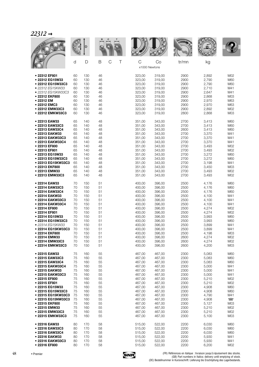|                                    |          |            |                       |                              |                  | <b>MALLE</b> |                |                          |
|------------------------------------|----------|------------|-----------------------|------------------------------|------------------|--------------|----------------|--------------------------|
|                                    | d        | D          | B<br>$\mathsf C$<br>Τ | $\mathsf C$<br>x1000 Newtons | Co               | tr/mn        | kg             |                          |
| • 22312 EF801                      | 60       | 130        | 46                    | 323,00                       | 319,00           | 2900         | 2,892          | M02                      |
| • 22312 EG15W33                    | 60       | 130        | 46                    | 323,00                       | 319,00           | 2900         | 2,790          | M60                      |
| • 22312 EG15W33C3                  | 60       | 130        | 46                    | 323,00                       | 319,00           | 2900         | 2,790          | M60                      |
| • 22312 EG15KW33                   | 60       | 130        | 46                    | 323,00                       | 319,00           | 2900         | 2,710          | M41                      |
| • 22312 EG15KW33C3                 | 60       | 130        | 46                    | 323,00                       | 319,00           | 2900         | 2,647          | M41                      |
| • 22312 EKF800<br>• 22312 EM       | 60<br>60 | 130<br>130 | 46<br>46              | 323,00<br>323,00             | 319,00<br>319,00 | 2900<br>2900 | 2,868<br>2,970 | M03<br>M63               |
| • 22312 EMC3                       | 60       | 130        | 46                    | 323,00                       | 319,00           | 2900         | 2,970          | M63                      |
| • 22312 EMW33C3                    | 60       | 130        | 46                    | 323,00                       | 319,00           | 2900         | 2,892          | M02                      |
| • 22312 EMKW33C3                   | 60       | 130        | 46                    | 323,00                       | 319,00           | 2800         | 2,868          | M03                      |
| • 22313 EAW33                      | 65       | 140        | 48                    | 351,00                       | 343,00           | 2700         | 3,413          | M60                      |
| • 22313 EAW33C3                    | 65       | 140        | 48                    | 351,00                       | 343,00           | 2700         | 3,413          | M60                      |
| • 22313 EAW33C4<br>• 22313 EAKW33  | 65<br>65 | 140<br>140 | 48<br>48              | 351,00<br>351,00             | 343,00<br>343,00 | 2600<br>2700 | 3,413<br>3,370 | M60<br>M41               |
| • 22313 EAKW33C3                   | 65       | 140        | 48                    | 351,00                       | 343,00           | 2700         | 3,370          | M41                      |
| • 22313 EAKW33C4                   | 65       | 140        | 48                    | 351,00                       | 343,00           | 2700         | 3,370          | M41                      |
| • 22313 EF800                      | 65       | 140        | 48                    | 351,00                       | 343,00           | 2700         | 3,493          | M02                      |
| • 22313 EF801                      | 65       | 140        | 48                    | 351,00                       | 343,00           | 2700         | 3,493          | M02                      |
| • 22313 EG15W33                    | 65       | 140        | 48                    | 351,00                       | 343,00           | 2700         | 3,272          | M60                      |
| • 22313 EG15W33C3                  | 65       | 140        | 48                    | 351,00                       | 343,00           | 2700         | 3,272          | M60                      |
| • 22313 EG15KW33C3                 | 65       | 140        | 48                    | 351,00                       | 343,00           | 2700<br>2700 | 3,198          | M41                      |
| • 22313 EKF800<br>• 22313 EMW33    | 65<br>65 | 140<br>140 | 48<br>48              | 351,00<br>351,00             | 343,00<br>343,00 | 2700         | 3,450<br>3,493 | M <sub>03</sub><br>M02   |
| • 22313 EMW33C3                    | 65       | 140        | 48                    | 351,00                       | 343,00           | 2700         | 3,493          | M02                      |
| • 22314 EAW33                      | 70       | 150        | 51                    | 400,00                       | 396,00           | 2500         | 4,176          | M60                      |
| • 22314 EAW33C3                    | 70       | 150        | 51                    | 400,00                       | 396,00           | 2500         | 4,176          | M60                      |
| • 22314 EAW33C4                    | 70       | 150        | 51                    | 400,00                       | 396,00           | 2500         | 4,176          | M60                      |
| • 22314 EAKW33                     | 70       | 150        | 51                    | 400,00                       | 396,00           | 2500         | 4,100          | M41                      |
| • 22314 EAKW33C3                   | 70<br>70 | 150        | 51                    | 400,00                       | 396,00           | 2500         | 4,100          | M41                      |
| • 22314 EAKW33C4<br>• 22314 EF800  | 70       | 150<br>150 | 51<br>51              | 400,00<br>400,00             | 396,00<br>396,00 | 2500<br>2500 | 4,100<br>4,274 | M41<br>M02               |
| • 22314 EF801                      | 70       | 150        | 51                    | 400,00                       | 396.00           | 2500         | 4,274          | M02                      |
| • 22314 EG15W33                    | 70       | 150        | 51                    | 400,00                       | 396,00           | 2500         | 3,993          | M60                      |
| • 22314 EG15W33C3                  | 70       | 150        | 51                    | 400,00                       | 396,00           | 2500         | 3,993          | M60                      |
| • 22314 EG15KW33                   | 70       | 150        | 51                    | 400,00                       | 396,00           | 2500         | 3,899          | M41                      |
| • 22314 EG15KW33C3                 | 70       | 150        | 51                    | 400,00                       | 396,00           | 2500         | 3,899          | M41                      |
| • 22314 EKF800<br>• 22314 EMW33    | 70<br>70 | 150<br>150 | 51<br>51              | 400,00<br>400,00             | 396,00<br>396,00 | 2500<br>2600 | 4,198<br>4,274 | M03<br>M02               |
| • 22314 EMW33C3                    | 70       | 150        | 51                    | 400,00                       | 396,00           | 2600         | 4,274          | M02                      |
| • 22314 EMKW33C3                   | 70       | 150        | 51                    | 400,00                       | 396,00           | 2600         | 4,200          | M03                      |
| • 22315 EAW33                      | 75       | 160        | 55                    | 467,00                       | 467,00           | 2300         | 5,083          | M60                      |
| • 22315 EAW33C3                    | 75       | 160        | 55                    | 467,00                       | 467,00           | 2300         | 5,083          | M60                      |
| • 22315 EAW33C4                    | 75       | 160        | 55                    | 467,00                       | 467,00           | 2300         | 5,083          | M60                      |
| • 22315 EAKW33C4                   | 75       | 160        | 55                    | 467,00                       | 467,00           | 2300         | 5,000          | M41                      |
| • 22315 EAKW33<br>• 22315 EAKW33C3 | 75<br>75 | 160<br>160 | 55<br>55              | 467,00<br>467,00             | 467,00<br>467,00 | 2300<br>2300 | 5,000<br>5,000 | M41<br>M41               |
| • 22315 EF800                      | 75       | 160        | 55                    | 467,00                       | 467,00           | 2300         | 5,210          | M02                      |
| • 22315 EF801                      | 75       | 160        | 55                    | 467,00                       | 467,00           | 2300         | 5,210          | M02                      |
| • 22315 EG15W33                    | 75       | 160        | 55                    | 467,00                       | 467,00           | 2300         | 4,908          | M60                      |
| • 22315 EG15W33C3                  | 75       | 160        | 55                    | 467,00                       | 467,00           | 2300         | 4,908          | M60                      |
| ● 22315 EG15KW33C3                 | 75       | 160        | 55                    | 467,00                       | 467,00           | 2300         | 4,790          | M41                      |
| ● 22315 EG15NW33C3                 | 75       | 160        | 55                    | 467,00                       | 467,00           | 2300         | 4,908          | $\overline{\phantom{a}}$ |
| • 22315 EKF800<br>• 22315 EMW33    | 75<br>75 | 160<br>160 | 55<br>55              | 467,00<br>467,00             | 467,00<br>467,00 | 2300<br>2300 | 5,127<br>5,210 | M03<br>M02               |
| • 22315 EMW33C3                    | 75       | 160        | 55                    | 467,00                       | 467,00           | 2300         | 5,210          | M02                      |
| • 22315 EMKW33C3                   | 75       | 160        | 55                    | 467,00                       | 467,00           | 2300         | 5,100          | M <sub>03</sub>          |
| • 22316 EAW33                      | 80       | 170        | 58                    | 515,00                       | 522,00           | 2200         | 6,030          | M60                      |
| • 22316 EAW33C3                    | 80       | 170        | 58                    | 515,00                       | 522,00           | 2200         | 6,030          | M60                      |
| • 22316 EAW33C4                    | 80       | 170        | 58                    | 515,00                       | 522,00           | 2200         | 6,030          | M60                      |
| • 22316 EAKW33                     | 80       | 170        | 58                    | 515,00                       | 522,00           | 2200         | 5,930          | M41                      |
| • 22316 EAKW33C3<br>• 22316 EF800  | 80<br>80 | 170<br>170 | 58<br>58              | 515,00<br>515,00             | 522,00<br>522,00 | 2200<br>2200 | 5,930<br>6,200 | M41<br>M02               |
|                                    |          |            |                       |                              |                  |              |                |                          |

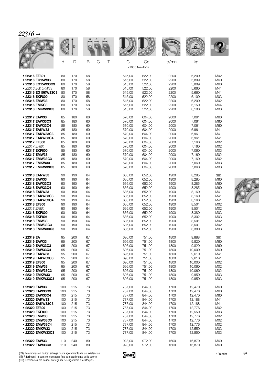| $\gamma$<br>$\mathbf{I}$<br>ו ש<br>- |  |
|--------------------------------------|--|
|                                      |  |

|                                                       |                |                   |                |        |                            |                            | <b>WALLER</b>        |                         |                                 |
|-------------------------------------------------------|----------------|-------------------|----------------|--------|----------------------------|----------------------------|----------------------|-------------------------|---------------------------------|
|                                                       | d              | D                 | B              | C<br>Τ | C                          | Co<br>x1000 Newtons        | tr/mn                | kg                      |                                 |
| • 22316 EF801<br>• 22316 EG15W33<br>• 22316 EG15W33C3 | 80<br>80<br>80 | 170<br>170<br>170 | 58<br>58<br>58 |        | 515,00<br>515,00<br>515,00 | 522,00<br>522,00<br>522,00 | 2200<br>2200<br>2200 | 6,200<br>5,809<br>5,809 | M02<br>M60<br>M60               |
| • 22316 EG15KW33<br>• 22316 EG15KW33C3                | 80<br>80       | 170<br>170        | 58<br>58       |        | 515,00<br>515,00           | 522,00<br>522,00           | 2200<br>2200         | 5,660<br>5,660          | M41<br>M41                      |
| • 22316 EKF800<br>• 22316 EMW33                       | 80<br>80       | 170<br>170        | 58<br>58       |        | 515,00<br>515,00           | 522,00<br>522,00           | 2200<br>2200         | 6,100<br>6,200          | M03<br>M02                      |
| • 22316 EMKC3<br>• 22316 EMKW33C3                     | 80<br>80       | 170<br>170        | 58<br>58       |        | 515,00<br>515,00           | 522,00<br>522,00           | 2200<br>2200         | 6,150<br>6,100          | M64<br>M03                      |
| • 22317 EAW33<br>• 22317 EAW33C3                      | 85<br>85       | 180<br>180        | 60<br>60       |        | 570,00<br>570,00           | 604,00<br>604,00           | 2000<br>2000         | 7,061<br>7,061          | M60<br>M60                      |
| • 22317 EAW33C4<br>• 22317 EAKW33                     | 85<br>85       | 180<br>180        | 60<br>60       |        | 570,00                     | 604,00<br>604,00           | 2000<br>2000         | 7,061<br>6,961          | M60<br>M41                      |
| • 22317 EAKW33C3                                      | 85             | 180               | 60             |        | 570,00<br>570,00           | 604,00                     | 2000                 | 6,961                   | M41                             |
| • 22317 EAKW33C4                                      | 85             | 180               | 60             |        | 570,00                     | 604,00                     | 2000                 | 6,961                   | M41                             |
| • 22317 EF800<br>• 22317 EF801                        | 85<br>85       | 180<br>180        | 60<br>60       |        | 570,00<br>570,00           | 604,00<br>604,00           | 2000<br>2000         | 7,160<br>7,160          | M02<br>M02                      |
| • 22317 EKF800                                        | 85             | 180               | 60             |        | 570,00                     | 604,00                     | 2000                 | 7,060                   | M03                             |
| • 22317 EMW33<br>• 22317 EMW33C3                      | 85<br>85       | 180<br>180        | 60<br>60       |        | 570,00<br>570,00           | 604,00<br>604.00           | 2000<br>2000         | 7,160<br>7,160          | M02<br>M02                      |
| • 22317 EMKW33<br>• 22317 EMKW33C3                    | 85<br>85       | 180<br>180        | 60<br>60       |        | 570,00<br>570,00           | 604,00<br>604,00           | 2000<br>2000         | 7,060<br>7,060          | M03<br>M03                      |
| • 22318 EANW33<br>• 22318 EAW33                       | 90<br>90       | 190<br>190        | 64<br>64       |        | 636,00<br>636,00           | 652,00<br>652,00           | 1900<br>1900         | 8,285<br>8,285          | $\overline{\phantom{1}}$<br>M60 |
| • 22318 EAW33C3                                       | 90             | 190               | 64             |        | 636,00                     | 652,00                     | 1900                 | 8,285                   | M60                             |
| • 22318 EAW33C4<br>• 22318 EAKW33                     | 90<br>90       | 190<br>190        | 64<br>64       |        | 636,00<br>636,00           | 652,00<br>652,00           | 1900<br>1900         | 8,285<br>8,160          | M60<br>M41                      |
| • 22318 EAKW33C3                                      | 90             | 190               | 64             |        | 636,00                     | 652,00                     | 1900                 | 8,160                   | M41                             |
| • 22318 EAKW33C4                                      | 90             | 190               | 64             |        | 636,00                     | 652,00                     | 1900                 | 8,160                   | M41                             |
| • 22318 EF800<br>• 22318 EF801                        | 90<br>90       | 190<br>190        | 64<br>64       |        | 636,00<br>636,00           | 652,00<br>652,00           | 1900<br>1900         | 8,501<br>8,501          | M02<br>M02                      |
| • 22318 EKF800                                        | 90             | 190               | 64             |        | 636,00                     | 652,00                     | 1900                 | 8,380                   | M03                             |
| • 22318 EKF801<br>• 22318 EMW33                       | 90<br>90       | 190<br>190        | 64<br>64       |        | 636,00<br>636,00           | 652,00<br>652,00           | 1900<br>1900         | 8,302<br>8,501          | M03<br>M02                      |
| • 22318 EMW33C3<br>• 22318 EMKW33C3                   | 90<br>90       | 190<br>190        | 64<br>64       |        | 636,00<br>636,00           | 652,00<br>652,00           | 1900<br>1900         | 8,501<br>8,380          | M02<br>M03                      |
| • 22319 EA                                            | 95             | 200               | 67             |        | 696,00                     | 751,00                     | 1800                 | 9,888                   | $\overline{\phantom{1}}$        |
| • 22319 EAW33                                         | 95             | 200               | 67             |        | 696,00                     | 751,00                     | 1800                 | 9,820                   | M60                             |
| • 22319 EAW33C3<br>· 22319 EAW33C4                    | 95<br>95       | 200<br>200        | 67<br>67       |        | 696,00<br>696,00           | 751.00<br>751,00           | 1800<br>1800         | 9,820<br>10,000         | M60<br>M60                      |
| • 22319 EAKW33                                        | 95             | 200               | 67             |        | 696,00                     | 751,00                     | 1800                 | 9,610                   | M41                             |
| • 22319 EAKW33C3<br>• 22319 EF800                     | 95<br>95       | 200<br>200        | 67<br>67       |        | 696,00<br>696,00           | 751,00<br>751,00           | 1800<br>1800         | 9,610<br>10,000         | M41<br>M02                      |
| • 22319 EMW33                                         | 95             | 200               | 67             |        | 696,00                     | 751,00                     | 1800                 | 10,060                  | M02                             |
| ● 22319 EMW33C3                                       | 95             | 200               | 67             |        | 696,00                     | 751,00                     | 1800                 | 10,060                  | M02                             |
| • 22319 EMKW33<br>• 22319 EMKW33C3                    | 95<br>95       | 200<br>200        | 67<br>67       |        | 696,00<br>696,00           | 751,00<br>751,00           | 1800<br>1800         | 9,950<br>9,950          | M03<br>M03                      |
| • 22320 EAW33                                         | 100            | 215               | 73             |        | 787,00                     | 844,00                     | 1700                 | 12,470                  | M60                             |
| · 22320 EAW33C3<br>• 22320 EAW33C4                    | 100<br>100     | 215<br>215        | 73<br>73       |        | 787,00<br>787,00           | 844,00<br>844,00           | 1700<br>1700         | 12,470<br>12,470        | M60<br>M60                      |
| • 22320 EAKW33                                        | 100            | 215               | 73             |        | 787,00                     | 844,00                     | 1700                 | 12,188                  | M41                             |
| • 22320 EAKW33C3<br>• 22320 EF800                     | 100<br>100     | 215<br>215        | 73<br>73       |        | 787,00<br>787,00           | 844,00<br>844,00           | 1700<br>1700         | 12,188<br>12,776        | M41<br>M02                      |
| • 22320 EKF800                                        | 100            | 215               | 73             |        | 787,00                     | 844,00                     | 1700                 | 12,550                  | M03                             |
| ● 22320 EMW33                                         | 100            | 215               | 73             |        | 787,00                     | 844,00                     | 1700                 | 12,776                  | M02                             |
| • 22320 EMW33C3<br>• 22320 EMW33C4                    | 100<br>100     | 215<br>215        | 73<br>73       |        | 787,00<br>787,00           | 844,00<br>844,00           | 1700<br>1700         | 12,776<br>12,776        | M02<br>M02                      |
| • 22320 EMKW33                                        | 100            | 215               | 73             |        | 787,00                     | 844,00                     | 1700                 | 12,550                  | M <sub>03</sub>                 |
| • 22320 EMKW33C3                                      | 100            | 215               | 73             |        | 787,00                     | 844,00                     | 1700                 | 12,550                  | M03                             |
| • 22322 EAW33<br>• 22322 EAW33C3                      | 110<br>110     | 240<br>240        | 80<br>80       |        | 928,00<br>928,00           | 972,00<br>972,00           | 1600<br>1600         | 16,870<br>16,870        | M60<br>M60                      |

(ES) Referencias en itálica: entrega hasta agotamiento de las existencias.<br>(IT) Riferimenti in corsivo: consegna fino ad esaurimento delle scorte.<br>(BR) Referências em itálico: entrega até se esgotarem os estoques.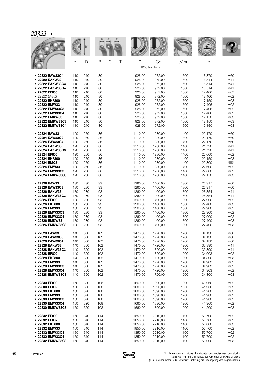|                  |     |     |     |        |         |               | <b>WALLE</b> |        |        |
|------------------|-----|-----|-----|--------|---------|---------------|--------------|--------|--------|
|                  | d   | D   | B   | C<br>Τ | C       | Co            | tr/mn        | kg     |        |
|                  |     |     |     |        |         | x1000 Newtons |              |        |        |
| • 22322 EAW33C4  | 110 | 240 | 80  |        | 928,00  | 972,00        | 1600         | 16,870 | M60    |
| • 22322 EAKW33   | 110 | 240 | 80  |        | 928,00  | 972,00        | 1600         | 16,514 | M41    |
| • 22322 EAKW33C3 | 110 | 240 | 80  |        | 928,00  | 972,00        | 1600         | 16,514 | M41    |
| • 22322 EAKW33C4 | 110 | 240 | 80  |        | 928,00  | 972,00        | 1600         | 16,514 | M41    |
| · 22322 EF800    | 110 | 240 | 80  |        | 928,00  | 972,00        | 1600         | 17,406 | M02    |
| • 22322 EF803    | 110 | 240 | 80  |        | 928,00  | 972,00        | 1600         | 17,406 | M02    |
| • 22322 EKF800   | 110 | 240 | 80  |        | 928,00  | 972,00        | 1600         | 17,150 | M03    |
| • 22322 EMW33    | 110 | 240 | 80  |        | 928,00  | 972,00        | 1600         | 17,406 | M02    |
| • 22322 EMW33C3  | 110 | 240 | 80  |        | 928,00  | 972,00        | 1600         | 17,406 | M02    |
| • 22322 EMW33C4  | 110 | 240 | 80  |        | 928,00  | 972,00        | 1600         | 17,406 | M02    |
| • 22322 EMKW33   | 110 | 240 | 80  |        | 928,00  | 972,00        | 1600         | 17,150 | M03    |
| • 22322 EMKW33C3 | 110 | 240 | 80  |        | 928,00  | 972,00        | 1600         | 17,150 | M03    |
| • 22322 EMKW33C4 | 110 | 240 | 80  |        | 928,00  | 972,00        | 1500         | 17,150 | M03    |
| • 22324 EAW33    | 120 | 260 | 86  |        | 1110,00 | 1280,00       | 1400         | 22,170 | M60    |
| • 22324 EAW33C3  | 120 | 260 | 86  |        | 1110,00 | 1280.00       | 1400         | 22,170 | M60    |
| • 22324 EAW33C4  | 120 | 260 | 86  |        | 1110,00 | 1280,00       | 1400         | 22,170 | M60    |
| • 22324 EAKW33   | 120 | 260 | 86  |        | 1110,00 | 1280,00       | 1400         | 21,720 | M41    |
| • 22324 EAKW33C3 | 120 | 260 | 86  |        | 1110,00 | 1280,00       | 1400         | 21,720 | M41    |
| • 22324 EF800    | 120 | 260 | 86  |        | 1110,00 | 1280,00       | 1400         | 22,600 | M02    |
| • 22324 EKF800   | 120 | 260 | 86  |        | 1110,00 | 1280,00       | 1400         | 22,150 | M03    |
| • 22324 EMC3     | 120 | 260 | 86  |        | 1110,00 | 1280,00       | 1400         | 22,800 | $\Box$ |
| • 22324 EMW33    | 120 | 260 | 86  |        | 1110,00 | 1280,00       | 1400         | 22,600 | M02    |
| • 22324 EMW33C3  | 120 | 260 | 86  |        | 1110,00 | 1280,00       | 1400         | 22,600 | M02    |
| • 22324 EMKW33C3 | 120 | 260 | 86  |        | 1110,00 | 1280,00       | 1400         | 22,150 | M03    |
| • 22326 EAW33    | 130 | 280 | 93  |        | 1260,00 | 1400,00       | 1300         | 26,917 | M60    |
| • 22326 EAW33C3  | 130 | 280 | 93  |        | 1260,00 | 1400,00       | 1300         | 26,917 | M60    |
| • 22326 EAKW33   | 130 | 280 | 93  |        | 1260,00 | 1400,00       | 1300         | 26,354 | M41    |
| • 22326 EAKW33C3 | 130 | 280 | 93  |        | 1260,00 | 1400,00       | 1300         | 26,354 | M41    |
| • 22326 EF800    | 130 | 280 | 93  |        | 1260,00 | 1400,00       | 1300         | 27,900 | M02    |
| • 22326 EKF800   | 130 | 280 | 93  |        | 1260.00 | 1400,00       | 1300         | 27,400 | M03    |
| • 22326 EMW33    | 130 | 280 | 93  |        | 1260,00 | 1400,00       | 1300         | 27,900 | M02    |
| • 22326 EMW33C3  | 130 | 280 | 93  |        | 1260,00 | 1400,00       | 1300         | 27,900 | M02    |
| • 22326 EMW33C4  | 130 | 280 | 93  |        | 1260,00 | 1400,00       | 1300         | 27,900 | M02    |
| • 22326 EMKW33   | 130 | 280 | 93  |        | 1260,00 | 1400,00       | 1300         | 27,400 | M03    |
| • 22326 EMKW33C3 | 130 | 280 | 93  |        | 1260,00 | 1400,00       | 1300         | 27,400 | M03    |
| • 22328 EAW33    | 140 | 300 | 102 |        | 1470,00 | 1720,00       | 1200         | 34,130 | M60    |
| ● 22328 EAW33C3  | 140 | 300 | 102 |        | 1470,00 | 1720,00       | 1200         | 34,130 | M60    |
| • 22328 EAW33C4  | 140 | 300 | 102 |        | 1470,00 | 1720,00       | 1200         | 34,130 | M60    |
| • 22328 EAKW33   | 140 | 300 | 102 |        | 1470,00 | 1720,00       | 1200         | 33,390 | M41    |
| • 22328 EAKW33C3 | 140 | 300 | 102 |        | 1470,00 | 1720,00       | 1200         | 33,390 | M41    |
| • 22328 EF800    | 140 | 300 | 102 |        | 1470,00 | 1720,00       | 1200         | 34,903 | M02    |
| • 22328 EKF800   | 140 | 300 | 102 |        | 1470,00 | 1720,00       | 1200         | 34,300 | M03    |
| • 22328 EMW33    | 140 | 300 | 102 |        | 1470,00 | 1720,00       | 1200         | 34,903 | M02    |
| • 22328 EMW33C3  | 140 | 300 | 102 |        | 1470,00 | 1720,00       | 1200         | 34,903 | M02    |
| • 22328 EMW33C4  | 140 | 300 | 102 |        | 1470,00 | 1720,00       | 1200         | 34,903 | M02    |
| • 22328 EMKW33C3 | 140 | 300 | 102 |        | 1470,00 | 1720,00       | 1200         | 34,300 | M03    |
| • 22330 EF800    | 150 | 320 | 108 |        | 1660,00 | 1890,00       | 1200         | 41,960 | M02    |
| ● 22330 EF802    | 150 | 320 | 108 |        | 1660,00 | 1890,00       | 1200         | 41,960 | M02    |
| • 22330 EKF800   | 150 | 320 | 108 |        | 1660,00 | 1890,00       | 1200         | 41,200 | M03    |
| • 22330 EMW33    | 150 | 320 | 108 |        | 1660,00 | 1890,00       | 1200         | 41,960 | M02    |
| • 22330 EMW33C3  | 150 | 320 | 108 |        | 1660,00 | 1890,00       | 1200         | 41,960 | M02    |
| • 22330 EMW33C4  | 150 | 320 | 108 |        | 1660,00 | 1890,00       | 1200         | 41,960 | M02    |
| • 22330 EMKW33C3 | 150 | 320 | 108 |        | 1660,00 | 1890,00       | 1200         | 41,200 | M03    |
| • 22332 EF800    | 160 | 340 | 114 |        | 1850,00 | 2210,00       | 1100         | 50,700 | M02    |
| • 22332 EF802    | 160 | 340 | 114 |        | 1850,00 | 2210,00       | 1100         | 50,700 | M02    |
| • 22332 EKF800   | 160 | 340 | 114 |        | 1850,00 | 2210,00       | 1100         | 50,000 | M03    |
| • 22332 EMW33    | 160 | 340 | 114 |        | 1850,00 | 2210,00       | 1100         | 50,700 | M02    |
| • 22332 EMW33C3  | 160 | 340 | 114 |        | 1850,00 | 2210,00       | 1100         | 50,700 | M02    |
| • 22332 EMW33C4  | 160 | 340 | 114 |        | 1850,00 | 2210,00       | 1100         | 50,700 | M02    |
| • 22332 EMKW33C3 | 160 | 340 | 114 |        | 1850,00 | 2210,00       | 1100         | 50,000 | M03    |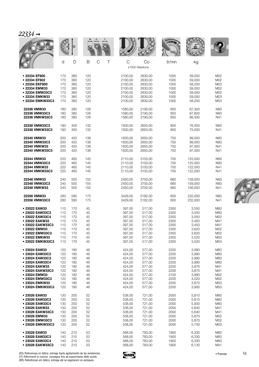| , 7<br>,<br>- 1<br>. .<br>ı |  |
|-----------------------------|--|
|                             |  |

|                  |     |     |                       |              |                     | <b>WALLE</b> |         |                 |
|------------------|-----|-----|-----------------------|--------------|---------------------|--------------|---------|-----------------|
|                  | d   | D   | $\mathsf B$<br>C<br>Τ | $\mathsf{C}$ | Co<br>x1000 Newtons | tr/mn        | kg      |                 |
| • 22334 EF800    | 170 | 360 | 120                   | 2100,00      | 2630,00             | 1000         | 59,000  | M02             |
| • 22334 EF802    | 170 | 360 | 120                   | 2100,00      | 2630,00             | 1000         | 59,000  | M02             |
| • 22334 EKF800   | 170 | 360 | 120                   | 2100,00      | 2630,00             | 1000         | 58,200  | M03             |
| • 22334 EMW33    | 170 | 360 | 120                   | 2100,00      | 2630,00             | 1000         | 59,000  | M02             |
| • 22334 EMW33C3  | 170 | 360 | 120                   | 2100,00      | 2630,00             | 1000         | 59,000  | M02             |
| • 22334 EMKW33   | 170 | 360 | 120                   | 2100,00      | 2630,00             | 1000         | 59,000  | M <sub>03</sub> |
| • 22334 EMKW33C3 | 170 | 360 | 120                   | 2100,00      | 2630,00             | 1000         | 58,200  | M03             |
| 22336 VMW33      | 180 | 380 | 126                   | 1580,00      | 2190,00             | 850          | 67,300  | N60             |
| 22336 VMW33C3    | 180 | 380 | 126                   | 1580,00      | 2190,00             | 850          | 67,600  | N60             |
| 22336 VMKW33C3   | 180 | 380 | 126                   | 1580,00      | 2190,00             | 850          | 66,300  | N41             |
| 22338 VMW33C3    | 190 | 400 | 132                   | 1830,00      | 2650,00             | 800          | 76,400  | N60             |
| 22338 VMKW33C3   | 190 | 400 | 132                   | 1830,00      | 2650,00             | 800          | 75,000  | N41             |
| 22340 VMW33      | 200 | 420 | 138                   | 1830,00      | 2650,00             | 750          | 99.000  | <b>N60</b>      |
| 22340 VMW33C3    | 200 | 420 | 138                   | 1830,00      | 2650,00             | 750          | 99,000  | <b>N60</b>      |
| 22340 VMKW33     | 200 | 420 | 138                   | 1830,00      | 2650,00             | 750          | 97,000  | N41             |
| 22340 VMKW33C3   | 200 | 420 | 138                   | 1830,00      | 2650,00             | 750          | 97,000  | N41             |
| 22344 VMW33      | 220 | 460 | 145                   | 2110,00      | 3150,00             | 700          | 125,000 | N60             |
| 22344 VMW33C3    | 220 | 460 | 145                   | 2110,00      | 3150,00             | 700          | 125,000 | <b>N60</b>      |
| 22344 VMKW33     | 220 | 460 | 145                   | 2110,00      | 3150,00             | 700          | 122,000 | N41             |
| 22344 VMKW33C3   | 220 | 460 | 145                   | 2110,00      | 3150,00             | 700          | 122,000 | N41             |
| 22348 VMW33      | 240 | 500 | 155                   | 2450,00      | 3700,00             | 660          | 159,000 | <b>N60</b>      |
| 22348 VMW33C3    | 240 | 500 | 155                   | 2450,00      | 3700,00             | 660          | 159,000 | N60             |
| 22348 VMKW33     | 240 | 500 | 155                   | 2450,00      | 3700,00             | 660          | 156,000 | N41             |
| 22356 VMW33      | 280 | 580 | 175                   | 3429,00      | 5182,00             | 600          | 232,000 | N60             |
| 22356 VMW33C3    | 280 | 580 | 175                   | 3429,00      | 5182,00             | 600          | 232,000 | N41             |
| • 23022 EAW33    | 110 | 170 | 45                    | 397,00       | 517,00              | 2300         | 3,550   | M60             |
| • 23022 EAW33C3  | 110 | 170 | 45                    | 397,00       | 517,00              | 2300         | 3,550   | M60             |
| • 23022 EAW33C4  | 110 | 170 | 45                    | 397,00       | 517,00              | 2300         | 3,550   | M02             |
| • 23022 EAKW33   | 110 | 170 | 45                    | 397,00       | 517,00              | 2300         | 3,450   | M41             |
| • 23022 EAKW33C3 | 110 | 170 | 45                    | 397,00       | 517,00              | 2300         | 3,450   | M41             |
| • 23022 EMW33    | 110 | 170 | 45                    | 397,00       | 517,00              | 2300         | 3,620   | M02             |
| 23022 EMW33C3    | 110 | 170 | 45                    | 397,00       | 517,00              | 2300         | 3,620   | M02             |
| • 23022 EMKW33   | 110 | 170 | 45                    | 397,00       | 517,00              | 2300         | 3,520   | M03             |
| • 23022 EMKW33C3 | 110 | 170 | 45                    | 397,00       | 517,00              | 2300         | 3,520   | M03             |
| • 23024 EAW33    | 120 | 180 | 46                    | 424,00       | 577,00              | 2200         | 3,990   | M60             |
| • 23024 EAW33C2  | 120 | 180 | 46                    | 424,00       | 577,00              | 2200         | 3,990   | M60             |
| • 23024 EAW33C3  | 120 | 180 | 46                    | 424,00       | 577,00              | 2200         | 3,990   | M60             |
| • 23024 EAW33C4  | 120 | 180 | 46                    | 424,00       | 577,00              | 2200         | 3,990   | M60             |
| • 23024 EAKW33   | 120 | 180 | 46                    | 424,00       | 577,00              | 2200         | 3,870   | M41             |
| • 23024 EAKW33C3 | 120 | 180 | 46                    | 424,00       | 577,00              | 2200         | 3,870   | M41             |
| • 23024 EMW33    | 120 | 180 | 46                    | 424,00       | 577,00              | 2100         | 3,990   | M02             |
| • 23024 EMW33C3  | 120 | 180 | 46                    | 424,00       | 577,00              | 2200         | 4,020   | M02             |
| • 23024 EMKW33   | 120 | 180 | 46                    | 424,00       | 577,00              | 2200         | 3,870   | M03             |
| • 23024 EMKW33C3 | 120 | 180 | 46                    | 424,00       | 577,00              | 2200         | 3,900   | M03             |
| • 23026 EAW33    | 130 | 200 | 52                    | 538,00       | 721,00              | 2000         | 5,810   | M60             |
| • 23026 EAW33C3  | 130 | 200 | 52                    | 538,00       | 721,00              | 2000         | 5,810   | M60             |
| • 23026 EAW33C4  | 130 | 200 | 52                    | 538,00       | 721,00              | 2000         | 5,930   | M60             |
| • 23026 EAKW33   | 130 | 200 | 52                    | 538,00       | 721,00              | 2000         | 5,640   | M41             |
| • 23026 EAKW33C3 | 130 | 200 | 52                    | 538,00       | 721,00              | 2000         | 5,640   | M41             |
| • 23026 EMW33    | 130 | 200 | 52                    | 538,00       | 721,00              | 2000         | 5,870   | M02             |
| • 23026 EMW33C3  | 130 | 200 | 52                    | 538,00       | 721,00              | 2000         | 5,870   | M02             |
| • 23026 EMKW33C3 | 130 | 200 | 52                    | 538,00       | 721,00              | 2000         | 5,700   | M03             |
| · 23028 EAW33    | 140 | 210 | 53                    | 568,00       | 783,00              | 1900         | 6,330   | M60             |
| • 23028 EAW33C3  | 140 | 210 | 53                    | 568,00       | 783,00              | 1900         | 6,330   | M60             |
| • 23028 EAW33C4  | 140 | 210 | 53                    | 568,00       | 783,00              | 1900         | 6,330   | M60             |
| • 23028 EAKW33C3 | 140 | 210 | 53                    | 568,00       | 783,00              | 1900         | 6,130   | M41             |

(ES) Referencias en itálica: entrega hasta agotamiento de las existencias.<br>(IT) Riferimenti in corsivo: consegna fino ad esaurimento delle scorte.<br>(BR) Referências em itálico: entrega até se esgotarem os estoques.

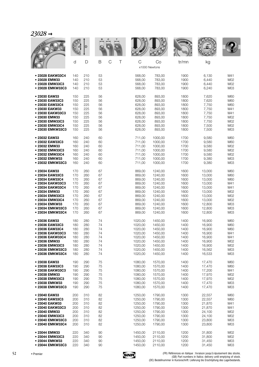|                  |     |     |                  |         |                     | <b>WALLE</b> |        |                 |
|------------------|-----|-----|------------------|---------|---------------------|--------------|--------|-----------------|
|                  | d   | D   | $\top$<br>B<br>C | C       | Co<br>x1000 Newtons | tr/mn        | kg     |                 |
| • 23028 EAKW33C4 | 140 | 210 | 53               | 568,00  | 783,00              | 1900         | 6,130  | M41             |
| • 23028 EMW33    | 140 | 210 | 53               | 568,00  | 783,00              | 1900         | 6,440  | M02             |
| • 23028 EMW33C3  | 140 | 210 | 53               | 568,00  | 783,00              | 1900         | 6,440  | M02             |
| • 23028 EMKW33C3 | 140 | 210 | 53               | 568,00  | 783,00              | 1900         | 6,240  | M03             |
| • 23030 EAW33    | 150 | 225 | 56               | 628,00  | 893,00              | 1800         | 7,620  | M60             |
| • 23030 EAW33C3  | 150 | 225 | 56               | 628,00  | 893,00              | 1800         | 7,620  | M60             |
| ● 23030 EAW33C4  | 150 | 225 | 56               | 628,00  | 893,00              | 1800         | 7,750  | M60             |
| • 23030 EAKW33   | 150 | 225 | 56               | 628,00  | 893,00              | 1800         | 7,750  | M41             |
| • 23030 EAKW33C3 | 150 | 225 | 56               | 628,00  | 893,00              | 1800         | 7,750  | M41             |
| • 23030 EMW33    | 150 | 225 | 56               | 628,00  | 893,00              | 1800         | 7,750  | M02             |
| • 23030 EMW33C3  | 150 | 225 | 56               | 628,00  | 893,00              | 1800         | 7,750  | M02             |
| • 23030 EMW33C4  | 150 | 225 | 56               | 628,00  | 893,00              | 1800         | 7,500  | M02             |
| • 23030 EMKW33C3 | 150 | 225 | 56               | 628,00  | 893,00              | 1800         | 7,500  | M03             |
| • 23032 EAW33    | 160 | 240 | 60               | 711,00  | 1000,00             | 1700         | 9,580  | M60             |
| • 23032 EAW33C3  | 160 | 240 | 60               | 711,00  | 1000,00             | 1700         | 9,580  | M60             |
| · 23032 EMW33    | 160 | 240 | 60               | 711,00  | 1000,00             | 1700         | 9,580  | M02             |
| • 23032 EMW33C3  | 160 | 240 | 60               | 711,00  | 1000,00             | 1700         | 9,580  | M02             |
| • 23032 EMW33C4  | 160 | 240 | 60               | 711,00  | 1000,00             | 1700         | 9,580  | M02             |
| • 23032 EMKW33   | 160 | 240 | 60               | 711,00  | 1000,00             | 1700         | 9,380  | M03             |
| • 23032 EMKW33C3 | 160 | 240 | 60               | 711,00  | 1000,00             | 1700         | 9,380  | M03             |
| • 23034 EAW33    | 170 | 260 | 67               | 869,00  | 1240,00             | 1600         | 13,000 | M60             |
| · 23034 EAW33C3  | 170 | 260 | 67               | 869,00  | 1240,00             | 1600         | 13,000 | M60             |
| • 23034 EAW33C4  | 170 | 260 | 67               | 869,00  | 1240,00             | 1600         | 13,000 | M60             |
| • 23034 EAKW33C3 | 170 | 260 | 67               | 869,00  | 1240,00             | 1600         | 13,000 | M41             |
| • 23034 EAKW33C4 | 170 | 260 | 67               | 869,00  | 1240,00             | 1600         | 13,000 | M41             |
| • 23034 EMW33    | 170 | 260 | 67               | 869,00  | 1240,00             | 1600         | 13,000 | M02             |
| • 23034 EMW33C3  | 170 | 260 | 67               | 869,00  | 1240,00             | 1600         | 13,000 | M02             |
| • 23034 EMW33C4  | 170 | 260 | 67               | 869,00  | 1240,00             | 1600         | 13,000 | M02             |
| • 23034 EMKW33   | 170 | 260 | 67               | 869,00  | 1240,00             | 1600         | 12,800 | M03             |
| • 23034 EMKW33C3 | 170 | 260 | 67               | 869,00  | 1240,00             | 1600         | 12,800 | M03             |
| • 23034 EMKW33C4 | 170 | 260 | 67               | 869,00  | 1240,00             | 1600         | 12,800 | M03             |
| • 23036 EAW33    | 180 | 280 | 74               | 1020,00 | 1450,00             | 1400         | 16,900 | M60             |
| ● 23036 EAW33C3  | 180 | 280 | 74               | 1020,00 | 1450,00             | 1400         | 16,900 | M60             |
| ● 23036 EAW33C4  | 180 | 280 | 74               | 1020,00 | 1450,00             | 1400         | 16,900 | M60             |
| • 23036 EAKW33C3 | 180 | 280 | 74               | 1020,00 | 1450,00             | 1400         | 16,900 | M41             |
| • 23036 EAKW33C4 | 180 | 280 | 74               | 1020,00 | 1450,00             | 1400         | 16,900 | M41             |
| • 23036 EMW33    | 180 | 280 | 74               | 1020,00 | 1450,00             | 1400         | 16,900 | M02             |
| • 23036 EMW33C3  | 180 | 280 | 74               | 1020,00 | 1450,00             | 1400         | 16,900 | M02             |
| • 23036 EMKW33C3 | 180 | 280 | 74               | 1020,00 | 1450,00             | 1400         | 16,562 | M <sub>03</sub> |
| • 23036 EMKW33C4 | 180 | 280 | 74               | 1020,00 | 1450,00             | 1400         | 16,533 | M03             |
| • 23038 EAW33    | 190 | 290 | 75               | 1080,00 | 1570,00             | 1400         | 17,470 | M60             |
| · 23038 EAW33C3  | 190 | 290 | 75               | 1080,00 | 1570,00             | 1400         | 17,470 | M60             |
| • 23038 EAKW33C3 | 190 | 290 | 75               | 1080,00 | 1570,00             | 1400         | 17,200 | M41             |
| • 23038 EMW33    | 190 | 290 | 75               | 1080,00 | 1570,00             | 1400         | 17,970 | M02             |
| • 23038 EMW33C3  | 190 | 290 | 75               | 1080,00 | 1570,00             | 1400         | 17,970 | M02             |
| • 23038 EMKW33   | 190 | 290 | 75               | 1080,00 | 1570,00             | 1400         | 17,470 | M <sub>03</sub> |
| • 23038 EMKW33C3 | 190 | 290 | 75               | 1080,00 | 1570,00             | 1400         | 17,470 | M03             |
| • 23040 EAW33    | 200 | 310 | 82               | 1250,00 | 1790,00             | 1300         | 22,557 | M60             |
| • 23040 EAW33C3  | 200 | 310 | 82               | 1250,00 | 1790,00             | 1300         | 22,557 | M60             |
| • 23040 EAKW33   | 200 | 310 | 82               | 1250,00 | 1790,00             | 1300         | 21,870 | M41             |
| • 23040 EAKW33C3 | 200 | 310 | 82               | 1250,00 | 1790,00             | 1300         | 21,870 | M41             |
| • 23040 EMW33    | 200 | 310 | 82               | 1250,00 | 1790,00             | 1300         | 24,100 | M02             |
| • 23040 EMW33C3  | 200 | 310 | 82               | 1250,00 | 1790,00             | 1300         | 24,100 | M02             |
| • 23040 EMKW33C3 | 200 | 310 | 82               | 1250,00 | 1790,00             | 1300         | 23,800 | M03             |
| • 23040 EMKW33C4 | 200 | 310 | 82               | 1250,00 | 1790,00             | 1300         | 23,800 | M03             |
| • 23044 EMW33    | 220 | 340 | 90               | 1450,00 | 2110,00             | 1200         | 31,800 | M02             |
| • 23044 EMW33C3  | 220 | 340 | 90               | 1450,00 | 2110,00             | 1200         | 31,800 | M02             |
| • 23044 EMKW33   | 220 | 340 | 90               | 1450,00 | 2110,00             | 1200         | 31,450 | M <sub>03</sub> |
| • 23044 EMKW33C3 | 220 | 340 | 90               | 1450,00 | 2110,00             | 1200         | 31,450 | M03             |

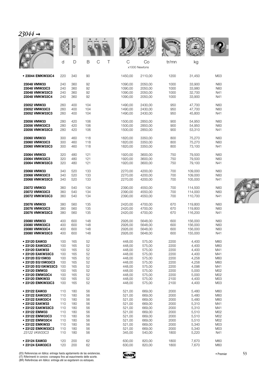| 30 | ☑<br>≁ |  |
|----|--------|--|
|    |        |  |

|                                    |            | D          |                              |                    |                     | <b>WALLE</b> |                    |            |
|------------------------------------|------------|------------|------------------------------|--------------------|---------------------|--------------|--------------------|------------|
|                                    | d          | D          | $\mathcal{C}$<br>B<br>$\top$ | C                  | Co<br>x1000 Newtons | tr/mn        | kg                 |            |
| • 23044 EMKW33C4                   | 220        | 340        | 90                           | 1450,00            | 2110,00             | 1200         | 31,450             | M03        |
| 23048 VMW33                        | 240        | 360        | 92                           | 1090.00            | 2050,00             | 1000         | 33,900             | <b>N60</b> |
| 23048 VMW33C3                      | 240        | 360        | 92                           | 1090,00            | 2050,00             | 1000         | 33,980             | <b>N60</b> |
| 23048 VMKW33C3<br>23048 VMKW33C4   | 240<br>240 | 360<br>360 | 92<br>92                     | 1090,00<br>1090,00 | 2050,00<br>2050,00  | 1000<br>1000 | 32,700<br>33,900   | N41<br>N41 |
| 23052 VMW33                        | 260        | 400        | 104                          | 1490,00            | 2430,00             | 950          | 47,700             | N60        |
| 23052 VMW33C3<br>23052 VMKW33C3    | 260<br>260 | 400<br>400 | 104<br>104                   | 1490,00<br>1490,00 | 2430,00<br>2430,00  | 950<br>950   | 47,700<br>45,800   | N60<br>N41 |
|                                    |            |            |                              |                    |                     |              |                    |            |
| 23056 VMW33<br>23056 VMW33C3       | 280<br>280 | 420<br>420 | 106<br>106                   | 1500,00<br>1500,00 | 2850,00<br>2850,00  | 900<br>900   | 54,950<br>54,950   | N60<br>N60 |
| 23056 VMKW33C3                     | 280        | 420        | 106                          | 1500,00            | 2850,00             | 900          | 53,310             | N41        |
| 23060 VMW33                        | 300        | 460        | 118                          | 1820,00            | 3350,00             | 800          | 75,270             | N60        |
| 23060 VMW33C3                      | 300        | 460        | 118                          | 1820,00            | 3350,00             | 800          | 75,270             | N60        |
| 23060 VMKW33C3                     | 300        | 460        | 118                          | 1820,00            | 3350,00             | 800          | 73,100             | N41        |
| 23064 VMW33                        | 320        | 480        | 121                          | 1920,00            | 3600,00             | 750          | 79,500             | N60        |
| 23064 VMW33C3<br>23064 VMKW33C3    | 320<br>320 | 480<br>480 | 121<br>121                   | 1920.00<br>1920,00 | 3600,00<br>3600,00  | 750<br>750   | 79.500<br>79,100   | N60<br>N41 |
|                                    |            |            |                              |                    |                     |              |                    |            |
| 23068 VMW33<br>23068 VMW33C3       | 340<br>340 | 520<br>520 | 133<br>133                   | 2270,00<br>2270,00 | 4200,00<br>4200,00  | 700<br>700   | 109,000<br>109,000 | N60<br>N60 |
| 23068 VMKW33C3                     | 340        | 520        | 133                          | 2270,00            | 4200,00             | 700          | 105,000            | N41        |
| 23072 VMW33                        | 360        | 540        | 134                          | 2390,00            | 4550,00             | 700          | 114,500            | N60        |
| 23072 VMW33C3                      | 360        | 540        | 134                          | 2390,00            | 4550,00             | 700          | 114,000            | N60        |
| 23072 VMKW33C3                     | 360        | 540        | 134                          | 2390,00            | 4550,00             | 700          | 110,700            | N41        |
| 23076 VMW33                        | 380        | 560        | 135                          | 2420,00            | 4700,00             | 670          | 119,800            | N60        |
| 23076 VMW33C3<br>23076 VMKW33C3    | 380<br>380 | 560<br>560 | 135<br>135                   | 2420,00<br>2420.00 | 4700,00<br>4700,00  | 670<br>670   | 119,800<br>116,200 | N60<br>N41 |
|                                    |            |            |                              |                    |                     |              |                    |            |
| 23080 VMW33<br>23080 VMW33C3       | 400<br>400 | 600<br>600 | 148<br>148                   | 2926,00<br>2926,00 | 5648,00<br>5648,00  | 600<br>600   | 156,000<br>156,000 | N60<br>N60 |
| 23080 VMW33C4                      | 400        | 600        | 148                          | 2926,00            | 5648,00             | 600          | 156,000            | N60        |
| 23080 VMKW33C3                     | 400        | 600        | 148                          | 2926,00            | 5648,00             | 600          | 155,000            | N41        |
| • 23120 EAW33                      | 100        | 165        | 52                           | 448,00             | 575,00              | 2200         | 4,400              | M60        |
| • 23120 EAW33C3                    | 100        | 165        | 52                           | 448,00             | 575,00              | 2200         | 4,400              | M60        |
| • 23120 EAKW33<br>• 23120 EAKW33C3 | 100<br>100 | 165<br>165 | 52<br>52                     | 448,00<br>448,00   | 575,00<br>575,00    | 2200<br>2200 | 4,400<br>4,400     | M41<br>M41 |
| • 23120 EG15W33                    | 100        | 165        | 52                           | 448,00             | 575,00              | 2200         | 4,258              | M60        |
| • 23120 EG15W33C3                  | 100        | 165        | 52                           | 448,00             | 575,00              | 2200         | 4,258              | M60        |
| • 23120 EG15KW33C3                 | 100        | 165        | 52                           | 448,00             | 575,00              | 2200         | 4,098              | M41        |
| • 23120 EMW33<br>• 23120 EMW33C4   | 100<br>100 | 165<br>165 | 52<br>52                     | 448,00<br>448,00   | 575,00<br>575,00    | 2200<br>2200 | 5,000<br>5,000     | M02<br>M02 |
| • 23120 EMKW33                     | 100        | 165        | 52                           | 448,00             | 575,00              | 2100         | 4,400              | M03        |
| • 23120 EMKW33C3                   | 100        | 165        | 52                           | 448,00             | 575,00              | 2100         | 4,400              | M03        |
| • 23122 EAW33                      | 110        | 180        | 56                           | 521,00             | 669,00              | 2000         | 5,480              | M60        |
| • 23122 EAW33C3                    | 110        | 180        | 56                           | 521,00             | 669,00              | 2000         | 5,480              | M60        |
| • 23122 EAW33C4                    | 110        | 180        | 56                           | 521,00             | 669,00              | 2000         | 5,480              | M60        |
| • 23122 EAKW33                     | 110        | 180        | 56                           | 521,00             | 669,00              | 2000         | 5,310              | M41        |
| • 23122 EAKW33C3<br>• 23122 EMW33  | 110<br>110 | 180<br>180 | 56<br>56                     | 521,00<br>521,00   | 669,00<br>669,00    | 2000<br>2000 | 5,310<br>5,510     | M41<br>M02 |
| • 23122 EMW33C3                    | 110        | 180        | 56                           | 521,00             | 669,00              | 2000         | 5,510              | M02        |
| • 23122 EMW33C4                    | 110        | 180        | 56                           | 521,00             | 669,00              | 2000         | 5,510              | M02        |
| • 23122 EMKW33                     | 110        | 180        | 56                           | 521,00             | 669,00              | 2000         | 5,340              | M03        |
| • 23122 EMKW33C3                   | 110        | 180        | 56                           | 521,00             | 669,00              | 2000         | 5,340              | M03        |
| 23122 VKW33C3                      | 110        | 180        | 56                           | 345,00             | 540,00              | 1800         | 5,220              | N41        |
| • 23124 EAW33                      | 120        | 200        | 62                           | 630,00             | 820,00              | 1800         | 7,670              | M60        |
| • 23124 EAW33C3                    | 120        | 200        | 62                           | 630,00             | 820,00              | 1800         | 7,670              | M60        |

(ES) Referencias en itálica: entrega hasta agotamiento de las existencias.<br>(IT) Riferimenti in corsivo: consegna fino ad esaurimento delle scorte.<br>(BR) Referências em itálico: entrega até se esgotarem os estoques.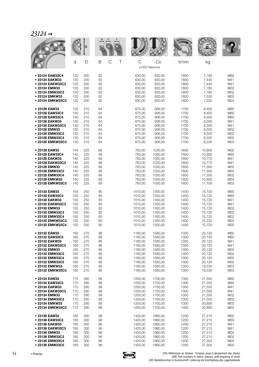|                  |     |     |    |                  |              |                     | <b>WAATE</b> |        |                 |
|------------------|-----|-----|----|------------------|--------------|---------------------|--------------|--------|-----------------|
|                  | d   | D   | B  | $\mathsf C$<br>Τ | $\mathsf{C}$ | Co<br>x1000 Newtons | tr/mn        | kg     |                 |
| • 23124 EAW33C4  | 120 | 200 | 62 |                  | 630,00       | 820,00              | 1800         | 7,760  | M60             |
| • 23124 EAKW33   | 120 | 200 | 62 |                  | 630,00       | 820,00              | 1800         | 7,440  | M41             |
| • 23124 EAKW33C3 | 120 | 200 | 62 |                  | 630,00       | 820,00              | 1800         | 7,440  | M41             |
| • 23124 EMW33    | 120 | 200 | 62 |                  | 630,00       | 820,00              | 1800         | 7,760  | M02             |
| • 23124 EMW33C3  | 120 | 200 | 62 |                  | 630,00       | 820,00              | 1800         | 7,760  | M02             |
| • 23124 EMKW33   | 120 | 200 | 62 |                  | 630,00       | 820,00              | 1800         | 7,530  | M03             |
| • 23124 EMKW33C3 | 120 | 200 | 62 |                  | 630,00       | 820,00              | 1800         | 7,530  | M03             |
| • 23126 EAW33    | 130 | 210 | 64 |                  | 675,00       | 906,00              | 1700         | 8,400  | M60             |
| • 23126 EAW33C3  | 130 | 210 | 64 |                  | 675,00       | 906,00              | 1700         | 8,400  | M60             |
| • 23126 EAW33C4  | 130 | 210 | 64 |                  | 675,00       | 906,00              | 1700         | 8,400  | M60             |
| • 23126 EAKW33   | 130 | 210 | 64 |                  | 675,00       | 906,00              | 1700         | 8,300  | M41             |
| • 23126 EAKW33C3 | 130 | 210 | 64 |                  | 675.00       | 906,00              | 1700         | 8,300  | M41             |
| • 23126 EMW33    | 130 | 210 | 64 |                  | 675,00       | 906,00              | 1700         | 8,500  | M02             |
| • 23126 EMW33C3  | 130 | 210 | 64 |                  | 675,00       | 906,00              | 1700         | 8,500  | M02             |
| · 23126 EMW33C4  | 130 | 210 | 64 |                  | 675,00       | 906,00              | 1700         | 8,500  | M02             |
| • 23126 EMKW33C3 | 130 | 210 | 64 |                  | 675,00       | 906,00              | 1700         | 8,230  | M <sub>03</sub> |
| • 23128 EAW33    | 140 | 225 | 68 |                  | 763,00       | 1030,00             | 1600         | 10,900 | M02             |
| • 23128 EAW33C4  | 140 | 225 | 68 |                  | 763,00       | 1030,00             | 1600         | 10,900 | M60             |
| • 23128 EAKW33   | 140 | 225 | 68 |                  | 763,00       | 1030,00             | 1600         | 10,770 | M41             |
| • 23128 EAKW33C3 | 140 | 225 | 68 |                  | 763,00       | 1030,00             | 1600         | 10.770 | M41             |
| • 23128 EMW33    | 140 | 225 | 68 |                  | 763,00       | 1030,00             | 1600         | 11,300 | M02             |
| • 23128 EMW33C3  | 140 | 225 | 68 |                  | 763,00       | 1030,00             | 1600         | 11,300 | M02             |
| • 23128 EMW33C4  | 140 | 225 | 68 |                  | 763,00       | 1030,00             | 1600         | 11,300 | M02             |
| • 23128 EMKW33   | 140 | 225 | 68 |                  | 763,00       | 1030,00             | 1600         | 10,900 | M03             |
| • 23128 EMKW33C3 | 140 | 225 | 68 |                  | 763,00       | 1030,00             | 1600         | 11,100 | M <sub>03</sub> |
| • 23130 EAW33    | 150 | 250 | 80 |                  | 1010,00      | 1350,00             | 1400         | 15,720 | M60             |
| • 23130 EAW33C3  | 150 | 250 | 80 |                  | 1010,00      | 1350,00             | 1400         | 15,720 | M60             |
| • 23130 EAKW33   | 150 | 250 | 80 |                  | 1010,00      | 1350,00             | 1400         | 15,720 | M41             |
| • 23130 EAKW33C3 | 150 | 250 | 80 |                  | 1010,00      | 1350,00             | 1400         | 15,720 | M41             |
| • 23130 EMW33    | 150 | 250 | 80 |                  | 1010,00      | 1350,00             | 1400         | 15,720 | M02             |
| • 23130 EMW33C3  | 150 | 250 | 80 |                  | 1010,00      | 1350,00             | 1400         | 15,720 | M02             |
| • 23130 EMW33C4  | 150 | 250 | 80 |                  | 1010,00      | 1350,00             | 1400         | 15,720 | M02             |
| • 23130 EMKW33C3 | 150 | 250 | 80 |                  | 1010,00      | 1350,00             | 1400         | 15,230 | M <sub>03</sub> |
| • 23130 EMKW33C4 | 150 | 250 | 80 |                  | 1010,00      | 1350,00             | 1400         | 15,720 | M03             |
| • 23132 EAW33    | 160 | 270 | 86 |                  | 1160,00      | 1580,00             | 1300         | 20,120 | M60             |
| • 23132 EAW33C3  | 160 | 270 | 86 |                  | 1160,00      | 1580,00             | 1300         | 20,120 | M60             |
| • 23132 EAKW33   | 160 | 270 | 86 |                  | 1160,00      | 1580,00             | 1300         | 20,120 | M41             |
| • 23132 EAKW33C3 | 160 | 270 | 86 |                  | 1160,00      | 1580,00             | 1300         | 20,120 | M41             |
| • 23132 EMW33    | 160 | 270 | 86 |                  | 1160,00      | 1580,00             | 1300         | 20,120 | M02             |
| • 23132 EMW33C3  | 160 | 270 | 86 |                  | 1160,00      | 1580,00             | 1300         | 20,120 | M02             |
| • 23132 EMW33C4  | 160 | 270 | 86 |                  | 1160,00      | 1580,00             | 1300         | 20,120 | M02             |
| • 23132 EMW33C5  | 160 | 270 | 86 |                  | 1160,00      | 1580,00             | 1300         | 20,120 | M02             |
| • 23132 EMKW33   | 160 | 270 | 86 |                  | 1160,00      | 1580,00             | 1300         | 19,530 | M <sub>03</sub> |
| • 23132 EMKW33C3 | 160 | 270 | 86 |                  | 1160,00      | 1580,00             | 1300         | 19,530 | M <sub>03</sub> |
| • 23134 EAW33    | 170 | 280 | 88 |                  | 1200,00      | 1700,00             | 1300         | 21,550 | M60             |
| • 23134 EAW33C3  | 170 | 280 | 88 |                  | 1200,00      | 1700.00             | 1300         | 21,550 | M60             |
| • 23134 EAKW33   | 170 | 280 | 88 |                  | 1200,00      | 1700,00             | 1300         | 21,550 | M41             |
| • 23134 EAKW33C3 | 170 | 280 | 88 |                  | 1200,00      | 1700,00             | 1300         | 21,550 | M41             |
| • 23134 EMW33    | 170 | 280 | 88 |                  | 1200,00      | 1700,00             | 1300         | 21,550 | M02             |
| • 23134 EMW33C3  | 170 | 280 | 88 |                  | 1200,00      | 1700,00             | 1300         | 21,550 | M02             |
| • 23134 EMKW33   | 170 | 280 | 88 |                  | 1200,00      | 1700,00             | 1300         | 20,890 | M03             |
| • 23134 EMKW33C3 | 170 | 280 | 88 |                  | 1200,00      | 1700,00             | 1300         | 20,890 | M <sub>03</sub> |
| • 23136 EAW33    | 180 | 300 | 96 |                  | 1420,00      | 1960,00             | 1200         | 27,210 | M60             |
| • 23136 EAW33C3  | 180 | 300 | 96 |                  | 1420,00      | 1960,00             | 1200         | 27,210 | M60             |
| • 23136 EAKW33   | 180 | 300 | 96 |                  | 1420,00      | 1960,00             | 1200         | 27,210 | M41             |
| • 23136 EAKW33C3 | 180 | 300 | 96 |                  | 1420,00      | 1960,00             | 1200         | 27,210 | M41             |
| • 23136 EMW33    | 180 | 300 | 96 |                  | 1420,00      | 1960,00             | 1200         | 27,210 | M02             |
| • 23136 EMW33C3  | 180 | 300 | 96 |                  | 1420,00      | 1960,00             | 1200         | 27,210 | M02             |
| • 23136 EMW33C4  | 180 | 300 | 96 |                  | 1420,00      | 1960,00             | 1200         | 27,302 | M <sub>03</sub> |
| • 23136 EMW33C5  | 180 | 300 | 96 |                  | 1420,00      | 1960,00             | 1200         | 27,302 | M03             |

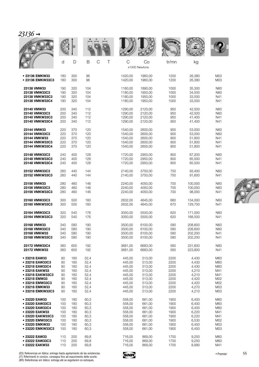| 21 | 0 ו<br>71 | O |  |
|----|-----------|---|--|
|    |           |   |  |

|                  |     | D   |                         |             |                     | <b>WALLE</b> |         |            |
|------------------|-----|-----|-------------------------|-------------|---------------------|--------------|---------|------------|
|                  | d   | D   | $\mathcal{C}$<br>B<br>Τ | $\mathsf C$ | Co<br>x1000 Newtons | tr/mn        | kg      |            |
| • 23136 EMKW33   | 180 | 300 | 96                      | 1420,00     | 1960,00             | 1200         | 26,380  | M03        |
| • 23136 EMKW33C3 | 180 | 300 | 96                      | 1420,00     | 1960,00             | 1200         | 26,380  | M03        |
| 23138 VMW33      | 190 | 320 | 104                     | 1160,00     | 1890,00             | 1000         | 35,300  | <b>N60</b> |
| 23138 VMW33C3    | 190 | 320 | 104                     | 1180,00     | 1950,00             | 1000         | 34,500  | N60        |
| 23138 VMKW33C3   | 190 | 320 | 104                     | 1180,00     | 1950.00             | 1000         | 33,500  | N41        |
| 23138 VMKW33C4   | 190 | 320 | 104                     | 1180,00     | 1950.00             | 1000         | 33.500  | N41        |
| 23140 VMW33      | 200 | 340 | 112                     | 1290,00     | 2120,00             | 950          | 42,500  | <b>N60</b> |
| 23140 VMW33C3    | 200 | 340 | 112                     | 1290,00     | 2120,00             | 950          | 42,500  | <b>N60</b> |
| 23140 VMKW33C3   | 200 | 340 | 112                     | 1290,00     | 2120,00             | 950          | 41,400  | N41        |
| 23140 VMKW33C4   | 200 | 340 | 112                     | 1290,00     | 2120,00             | 950          | 41,400  | N41        |
| 23144 VMW33      | 220 | 370 | 120                     | 1540,00     | 2600,00             | 900          | 53,000  | <b>N60</b> |
| 23144 VMW33C3    | 220 | 370 | 120                     | 1540,00     | 2600,00             | 900          | 53,000  | N60        |
| 23144 VMKW33     | 220 | 370 | 120                     | 1540,00     | 2600,00             | 900          | 51,800  | N41        |
| 23144 VMKW33C3   | 220 | 370 | 120                     | 1540,00     | 2600,00             | 900          | 51,800  | N41        |
| 23144 VMKW33C4   | 220 | 370 | 120                     | 1540,00     | 2600,00             | 900          | 51,800  | N41        |
| 23148 VMW33C3    | 240 | 400 | 128                     | 1720,00     | 2950,00             | 800          | 67,200  | <b>N60</b> |
| 23148 VMKW33C3   | 240 | 400 | 128                     | 1720,00     | 2950,00             | 800          | 65,500  | N41        |
| 23148 VMKW33C4   | 240 | 400 | 128                     | 1720,00     | 2950,00             | 800          | 65,500  | N41        |
| 23152 VMW33C3    | 260 | 440 | 144                     | 2140,00     | 3750,00             | 750          | 93,400  | <b>N60</b> |
| 23152 VMKW33C3   | 260 | 440 | 144                     | 2140,00     | 3750,00             | 750          | 91,600  | N41        |
| 23156 VMW33      | 280 | 460 | 146                     | 2240,00     | 4050,00             | 700          | 100,000 | <b>N60</b> |
| 23156 VMW33C3    | 280 | 460 | 146                     | 2240,00     | 4050,00             | 700          | 100,000 | <b>N60</b> |
| 23156 VMKW33C3   | 280 | 460 | 146                     | 2240,00     | 4050,00             | 700          | 98,000  | N41        |
| 23160 VMW33C3    | 300 | 500 | 160                     | 2632,00     | 4645,00             | 660          | 134,000 | <b>N60</b> |
| 23160 VMKW33C3   | 300 | 500 | 160                     | 2632,00     | 4645,00             | 670          | 129,700 | N41        |
| 23164 VMW33C3    | 320 | 540 | 176                     | 3050,00     | 5500,00             | 620          | 171,000 | <b>N60</b> |
| 23164 VMKW33C3   | 320 | 540 | 176                     | 3050,00     | 5500,00             | 620          | 168,500 | N41        |
| 23168 VMW33      | 340 | 580 | 190                     | 3500,00     | 6100,00             | 580          | 208,600 | <b>N60</b> |
| 23168 VMW33C3    | 340 | 580 | 190                     | 3500,00     | 6100,00             | 580          | 208,600 | <b>N60</b> |
| 23168 VMKW33     | 340 | 580 | 190                     | 3500,00     | 6100,00             | 580          | 202,200 | N41        |
| 23168 VMKW33C3   | 340 | 580 | 190                     | 3500,00     | 6100,00             | 580          | 202,200 | N41        |
| 23172 VMW33C4    | 360 | 600 | 192                     | 3681,00     | 6683.00             | 560          | 231,600 | <b>N60</b> |
| 23172 VMKW33     | 360 | 600 | 192                     | 3681,00     | 6683,00             | 560          | 223,800 | N41        |
| • 23218 EAW33    | 90  | 160 | 52,4                    | 445,00      | 513,00              | 2200         | 4,430   | M60        |
| • 23218 EAW33C3  | 90  | 160 | 52,4                    | 445,00      | 513,00              | 2200         | 4,430   | M60        |
| • 23218 EAW33C4  | 90  | 160 | 52,4                    | 445,00      | 513,00              | 2200         | 4,430   | M60        |
| • 23218 EAKW33   | 90  | 160 | 52,4                    | 445,00      | 513,00              | 2200         | 4,210   | M41        |
| • 23218 EAKW33C3 | 90  | 160 | 52,4                    | 445,00      | 513,00              | 2200         | 4,210   | M41        |
| • 23218 EMW33    | 90  | 160 | 52,4                    | 445,00      | 513,00              | 2200         | 4,420   | M02        |
| • 23218 EMW33C3  | 90  | 160 | 52,4                    | 445,00      | 513,00              | 2200         | 4,420   | M02        |
| • 23218 EMKW33   | 90  | 160 | 52,4                    | 445,00      | 513,00              | 2200         | 4,270   | M03        |
| • 23218 EMKW33C3 | 90  | 160 | 52,4                    | 445,00      | 513,00              | 2200         | 4,210   | M03        |
| • 23220 EAW33    | 100 | 180 | 60,3                    | 558,00      | 661,00              | 1900         | 6,400   | M60        |
| • 23220 EAW33C3  | 100 | 180 | 60,3                    | 558,00      | 661,00              | 1900         | 6,400   | M60        |
| • 23220 EAW33C4  | 100 | 180 | 60,3                    | 558,00      | 661,00              | 1900         | 6,400   | M60        |
| • 23220 EAKW33   | 100 | 180 | 60,3                    | 558,00      | 661,00              | 1900         | 6,220   | M41        |
| • 23220 EAKW33C3 | 100 | 180 | 60,3                    | 558,00      | 661,00              | 1900         | 6,220   | M41        |
| • 23220 EMW33C3  | 100 | 180 | 60,3                    | 558,00      | 661,00              | 1900         | 6,530   | M02        |
| • 23220 EMKW33   | 100 | 180 | 60,3                    | 558,00      | 661,00              | 1900         | 6,450   | M03        |
| • 23220 EMKW33C3 | 100 | 180 | 60,3                    | 558,00      | 661,00              | 1900         | 6,450   | M03        |
| • 23222 EAW33    | 110 | 200 | 69,8                    | 716,00      | 869,00              | 1700         | 9,250   | M60        |
| • 23222 EAW33C3  | 110 | 200 | 69,8                    | 716,00      | 869,00              | 1700         | 9,250   | M60        |
| • 23222 EAKW33   | 110 | 200 | 69,8                    | 716,00      | 869,00              | 1700         | 8,990   | M41        |

(ES) Referencias en itálica: entrega hasta agotamiento de las existencias.<br>(IT) Riferimenti in corsivo: consegna fino ad esaurimento delle scorte.<br>(BR) Referências em itálico: entrega até se esgotarem os estoques.

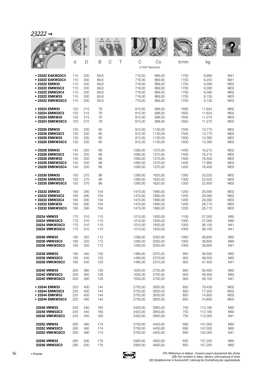### *23222* ➞

|                  |     |     |      |                    |         |                     | <b>WALLE</b> |         |            |
|------------------|-----|-----|------|--------------------|---------|---------------------|--------------|---------|------------|
|                  | d   | D   | Β    | $\mathcal{C}$<br>Τ | C       | Co<br>x1000 Newtons | tr/mn        | kg      |            |
| • 23222 EAKW33C3 | 110 | 200 | 69,8 |                    | 716,00  | 869,00              | 1700         | 8,990   | M41        |
| • 23222 EAKW33C4 | 110 | 200 | 69,8 |                    | 716,00  | 869,00              | 1700         | 9,250   | M41        |
| • 23222 EMW33    | 110 | 200 | 69,8 |                    | 716,00  | 869,00              | 1700         | 9,390   | M02        |
| • 23222 EMW33C3  | 110 | 200 | 69,8 |                    | 716,00  | 869,00              | 1700         | 9,390   | M02        |
| • 23222 EMW33C4  | 110 | 200 | 69,8 |                    | 716,00  | 869,00              | 1700         | 9,390   | M02        |
| • 23222 EMKW33   | 110 | 200 | 69,8 |                    | 716,00  | 869,00              | 1700         | 9,130   | M03        |
| • 23222 EMKW33C3 | 110 | 200 | 69,8 |                    | 716,00  | 869,00              | 1700         | 9,130   | M03        |
| • 23224 EMW33    | 120 | 215 | 76   |                    | 815,00  | 998,00              | 1600         | 11,624  | M02        |
| • 23224 EMW33C3  | 120 | 215 | 76   |                    | 815,00  | 998,00              | 1600         | 11,624  | M02        |
| • 23224 EMKW33   | 120 | 215 | 76   |                    | 815,00  | 998,00              | 1600         | 11,275  | M03        |
| • 23224 EMKW33C3 | 120 | 215 | 76   |                    | 815,00  | 998,00              | 1600         | 11,275  | M03        |
| • 23226 EMW33    | 130 | 230 | 80   |                    | 912,00  | 1130,00             | 1500         | 13,770  | M02        |
| • 23226 EMW33C3  | 130 | 230 | 80   |                    | 912,00  | 1130,00             | 1500         | 13,770  | M02        |
| • 23226 EMKW33   | 130 | 230 | 80   |                    | 912,00  | 1130,00             | 1500         | 13,380  | M03        |
| • 23226 EMKW33C3 | 130 | 230 | 80   |                    | 912,00  | 1130,00             | 1500         | 13,380  | M03        |
| • 23228 EMW33    | 140 | 250 | 88   |                    | 1090,00 | 1370,00             | 1400         | 18,215  | M02        |
| • 23228 EMW33C3  | 140 | 250 | 88   |                    | 1090,00 | 1370.00             | 1400         | 18,215  | M02        |
| • 23228 EMKW33   | 140 | 250 | 88   |                    | 1090,00 | 1370,00             | 1400         | 18,400  | M03        |
| • 23228 EMKW33C3 | 140 | 250 | 88   |                    | 1090,00 | 1370,00             | 1400         | 17,660  | M03        |
| • 23228 EMKW33C4 | 140 | 250 | 88   |                    | 1090,00 | 1370,00             | 1400         | 18,400  | M03        |
| • 23230 EMW33    | 150 | 270 | 96   |                    | 1280,00 | 1620,00             | 1300         | 23,520  | M02        |
| • 23230 EMW33C3  | 150 | 270 | 96   |                    | 1280,00 | 1620,00             | 1300         | 23,520  | M02        |
| • 23230 EMKW33C3 | 150 | 270 | 96   |                    | 1280,00 | 1620,00             | 1300         | 22,800  | M03        |
| • 23232 EMW33    | 160 | 290 | 104  |                    | 1470,00 | 1890,00             | 1200         | 29,580  | M02        |
| · 23232 EMW33C3  | 160 | 290 | 104  |                    | 1470,00 | 1890,00             | 1200         | 29,580  | M02        |
| • 23232 EMW33C4  | 160 | 290 | 104  |                    | 1470,00 | 1890,00             | 1200         | 29,580  | M02        |
| • 23232 EMKW33   | 160 | 290 | 104  |                    | 1470,00 | 1890,00             | 1200         | 28,710  | M03        |
| • 23232 EMKW33C3 | 160 | 290 | 104  |                    | 1470,00 | 1890,00             | 1200         | 28,710  | M03        |
| 23234 VMW33      | 170 | 310 | 110  |                    | 1210,00 | 1830,00             | 1100         | 37,000  | N60        |
| 23234 VMW33C3    | 170 | 310 | 110  |                    | 1210,00 | 1830,00             | 1000         | 37,000  | N60        |
| 23234 VMKW33C3   | 170 | 310 | 110  |                    | 1210,00 | 1830,00             | 1000         | 36,100  | N41        |
| 23234 VMKW33C4   | 170 | 310 | 110  |                    | 1210,00 | 1830,00             | 1000         | 36,100  | N41        |
| 23236 VMW33      | 180 | 320 | 112  |                    | 1290,00 | 2050,00             | 1000         | 39,800  | N60        |
| 23236 VMW33C3    | 180 | 320 | 112  |                    | 1290,00 | 2050,00             | 1000         | 39,800  | <b>N60</b> |
| 23236 VMKW33C3   | 180 | 320 | 112  |                    | 1290,00 | 2050,00             | 1000         | 39,600  | N41        |
| 23238 VMW33      | 190 | 340 | 120  |                    | 1480.00 | 2370,00             | 950          | 48,500  | N60        |
| 23238 VMW33C3    | 190 | 340 | 120  |                    | 1480,00 | 2370,00             | 950          | 48,500  | <b>N60</b> |
| 23238 VMKW33C3   | 190 | 340 | 120  |                    | 1480,00 | 2370,00             | 950          | 47,400  | N41        |
| 23240 VMW33      | 200 | 360 | 128  |                    | 1630,00 | 2700,00             | 900          | 58,400  | N60        |
| 23240 VMW33C3    | 200 | 360 | 128  |                    | 1630,00 | 2700,00             | 900          | 58,400  | N60        |
| 23240 VMKW33C3   | 200 | 360 | 128  |                    | 1630,00 | 2700,00             | 900          | 58,100  | N41        |
| • 23244 EMW33    | 220 | 400 | 144  |                    | 2750,00 | 3830,00             | 850          | 79,428  | M02        |
| • 23244 EMW33C3  | 220 | 400 | 144  |                    | 2750,00 | 3830,00             | 850          | 77,200  | M02        |
| • 23244 EMKW33   | 220 | 400 | 144  |                    | 2750,00 | 3830,00             | 850          | 74,800  | M03        |
| • 23244 EMKW33C3 | 220 | 400 | 144  |                    | 2750,00 | 3830,00             | 850          | 74,800  | M03        |
| 23248 VMW33      | 240 | 440 | 160  |                    | 2420,00 | 3950,00             | 750          | 113,180 | N60        |
| 23248 VMW33C3    | 240 | 440 | 160  |                    | 2420,00 | 3950,00             | 750          | 113,180 | N60        |
| 23248 VMKW33C3   | 240 | 440 | 160  |                    | 2420,00 | 3950,00             | 750          | 112,000 | N41        |
| 23252 VMW33      | 260 | 480 | 174  |                    | 2700,00 | 4450,00             | 690          | 147,000 | N60        |
| 23252 VMW33C3    | 260 | 480 | 174  |                    | 2700,00 | 4450,00             | 690          | 147,000 | <b>N60</b> |
| 23252 VMKW33C3   | 260 | 480 | 174  |                    | 2700,00 | 4450,00             | 690          | 142,000 | N41        |
| 23256 VMW33      | 280 | 500 | 176  |                    | 2900,00 | 4900,00             | 650          | 157,200 | N60        |
| 23256 VMW33C3    | 280 | 500 | 176  |                    | 2900,00 | 4900,00             | 650          | 157,200 | N60        |

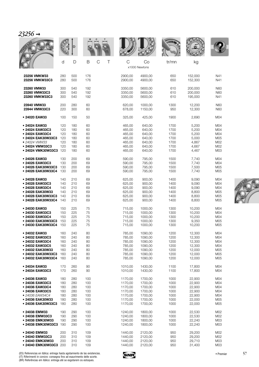| L |  |
|---|--|
|   |  |

|                                                                                |                   | D                        |                          |                                          |                                          | <b>WALLE</b>             |                                      |                          |
|--------------------------------------------------------------------------------|-------------------|--------------------------|--------------------------|------------------------------------------|------------------------------------------|--------------------------|--------------------------------------|--------------------------|
|                                                                                | d                 | D                        | B<br>$\mathcal{C}$<br>Τ  | C                                        | Co<br>x1000 Newtons                      | tr/mn                    | kg                                   |                          |
| 23256 VMKW33                                                                   | 280               | 500                      | 176                      | 2900,00                                  | 4900,00                                  | 650                      | 152,000                              | N41                      |
| 23256 VMKW33C3                                                                 | 280               | 500                      | 176                      | 2900,00                                  | 4900,00                                  | 650                      | 152,300                              | N41                      |
| 23260 VMW33                                                                    | 300               | 540                      | 192                      | 3350,00                                  | 5600,00                                  | 610                      | 200,000                              | N60                      |
| 23260 VMW33C3                                                                  | 300               | 540                      | 192                      | 3350,00                                  | 5600,00                                  | 610                      | 200,000                              | N60                      |
| 23260 VMKW33C3                                                                 | 300               | 540                      | 192                      | 3350,00                                  | 5600,00                                  | 610                      | 195,000                              | N41                      |
| 23940 VMW33                                                                    | 200               | 280                      | 60                       | 620,00                                   | 1000,00                                  | 1300                     | 12,200                               | <b>N60</b>               |
| 23944 VMW33C3                                                                  | 220               | 300                      | 60                       | 678,00                                   | 1150,00                                  | 950                      | 12,300                               | N60                      |
| • 24020 EAW33                                                                  | 100               | 150                      | 50                       | 325,00                                   | 425,00                                   | 1900                     | 2,690                                | M <sub>04</sub>          |
| • 24024 EAW33                                                                  | 120               | 180                      | 60                       | 465,00                                   | 640,00                                   | 1700                     | 5,200                                | M04                      |
| • 24024 EAW33C3                                                                | 120               | 180                      | 60                       | 465,00                                   | 640,00                                   | 1700                     | 5,200                                | M04                      |
| • 24024 EAW33C4                                                                | 120               | 180                      | 60                       | 465,00                                   | 640,00                                   | 1700                     | 5,200                                | M04                      |
| • 24024 EAK30W33C3                                                             | 120               | 180                      | 60                       | 465,00                                   | 640,00                                   | 1700                     | 5,000                                | M05                      |
| • 24024 VMW33                                                                  | 120               | 180                      | 60                       | 465,00                                   | 640,00                                   | 1700                     | 4,867                                | M02                      |
| • 24024 VMW33C3                                                                | 120               | 180                      | 60                       | 465.00                                   | 640,00                                   | 1700                     | 4,667                                | M02                      |
| • 24024 VMK30W33C3                                                             | 120               | 180                      | 60                       | 465,00                                   | 640,00                                   | 1700                     | 4,467                                | M03                      |
| • 24026 EAW33                                                                  | 130               | 200                      | 69                       | 590,00                                   | 795,00                                   | 1500                     | 7,740                                | M04                      |
| • 24026 EAW33C3                                                                | 130               | 200                      | 69                       | 590,00                                   | 795,00                                   | 1500                     | 7,740                                | M04                      |
| • 24026 EAK30W33C3                                                             | 130               | 200                      | 69                       | 590,00                                   | 795,00                                   | 1500                     | 7,500                                | M05                      |
| • 24026 EAK30W33C4                                                             | 130               | 200                      | 69                       | 590,00                                   | 795,00                                   | 1500                     | 7,740                                | M05                      |
| • 24028 EAW33                                                                  | 140               | 210                      | 69                       | 625,00                                   | 900,00                                   | 1400                     | 9,090                                | M04                      |
| • 24028 EAW33C3                                                                | 140               | 210                      | 69                       | 625,00                                   | 900,00                                   | 1400                     | 9,090                                | M04                      |
| • 24028 EAW33C4                                                                | 140               | 210                      | 69                       | 625,00                                   | 900,00                                   | 1400                     | 9,090                                | M <sub>04</sub>          |
| • 24028 EAK30W33                                                               | 140               | 210                      | 69                       | 625,00                                   | 900,00                                   | 1400                     | 8,800                                | M05                      |
| • 24028 EAK30W33C3                                                             | 140               | 210                      | 69                       | 625,00                                   | 900,00                                   | 1400                     | 8,800                                | M05                      |
| • 24028 EAK30W33C4                                                             | 140               | 210                      | 69                       | 625,00                                   | 900,00                                   | 1400                     | 8,800                                | M05                      |
| • 24030 EAW33                                                                  | 150               | 225                      | 75                       | 715,00                                   | 1000,00                                  | 1300                     | 10,200                               | M04                      |
| • 24030 EAW33C3                                                                | 150               | 225                      | 75                       | 715,00                                   | 1000,00                                  | 1300                     | 10,200                               | M04                      |
| • 24030 EAW33C4                                                                | 150               | 225                      | 75                       | 715,00                                   | 1000,00                                  | 1300                     | 10,200                               | M <sub>04</sub>          |
| • 24030 EAK30W33C3                                                             | 150               | 225                      | 75                       | 715,00                                   | 1000.00                                  | 1300                     | 9,350                                | M05                      |
| • 24030 EAK30W33C4                                                             | 150               | 225                      | 75                       | 715,00                                   | 1000,00                                  | 1300                     | 10,200                               | M05                      |
| • 24032 EAW33                                                                  | 160               | 240                      | 80                       | 785,00                                   | 1090,00                                  | 1200                     | 12,300                               | M <sub>04</sub>          |
| • 24032 EAW33C3                                                                | 160               | 240                      | 80                       | 785,00                                   | 1090,00                                  | 1200                     | 12,300                               | M04                      |
| • 24032 EAW33C4                                                                | 160               | 240                      | 80                       | 785,00                                   | 1090,00                                  | 1200                     | 12,300                               | M <sub>04</sub>          |
| • 24032 EAW33C5                                                                | 160               | 240                      | 80                       | 785,00                                   | 1090,00                                  | 1200                     | 12,300                               | M <sub>04</sub>          |
| • 24032 EAK30W33                                                               | 160               | 240                      | 80                       | 785,00                                   | 1090,00                                  | 1200                     | 12,000                               | M05                      |
| • 24032 EAK30W33C3                                                             | 160               | 240                      | 80                       | 785,00                                   | 1090,00                                  | 1200                     | 12,000                               | M05                      |
| • 24032 EAK30W33C4                                                             | 160               | 240                      | 80                       | 785,00                                   | 1090,00                                  | 1200                     | 12,000                               | M05                      |
| • 24034 EAW33                                                                  | 170               | 260                      | 90                       | 1010,00                                  | 1430,00                                  | 1100                     | 17,800                               | M04                      |
| • 24034 EAW33C3                                                                | 170               | 260                      | 90                       | 1010,00                                  | 1430,00                                  | 1100                     | 17,800                               | M04                      |
| • 24036 EAW33                                                                  | 180               | 280                      | 100                      | 1170,00                                  | 1700,00                                  | 1000                     | 22,900                               | M <sub>04</sub>          |
| • 24036 EAW33C3                                                                | 180               | 280                      | 100                      | 1170.00                                  | 1700,00                                  | 1000                     | 22,900                               | M <sub>04</sub>          |
| • 24036 EAW33C4                                                                | 180               | 280                      | 100                      | 1170,00                                  | 1700,00                                  | 1000                     | 22,900                               | M <sub>04</sub>          |
| ● 24036 EAW33C5                                                                | 180               | 280                      | 100                      | 1170,00                                  | 1700,00                                  | 1000                     | 22,900                               | M <sub>04</sub>          |
| • 24036 EAW34C4                                                                | 180               | 280                      | 100                      | 1170,00                                  | 1700,00                                  | 1000                     | 22,900                               | M <sub>04</sub>          |
| • 24036 EAK30W33                                                               | 180               | 280                      | 100                      | 1170,00                                  | 1700,00                                  | 1000                     | 22,000                               | M05                      |
| • 24036 EAK30W33C3                                                             | 180               | 280                      | 100                      | 1170,00                                  | 1700,00                                  | 1000                     | 22,000                               | M05                      |
| • 24038 EMW33                                                                  | 190               | 290                      | 100                      | 1240,00                                  | 1800,00                                  | 1000                     | 22,530                               | M02                      |
| • 24038 EMW33C3                                                                | 190               | 290                      | 100                      | 1240,00                                  | 1800,00                                  | 1000                     | 22,530                               | M02                      |
| • 24038 EMK30W33                                                               | 190               | 290                      | 100                      | 1240,00                                  | 1800,00                                  | 1000                     | 22,240                               | M <sub>03</sub>          |
| • 24038 EMK30W33C3                                                             | 190               | 290                      | 100                      | 1240,00                                  | 1800,00                                  | 1000                     | 22,240                               | M03                      |
| • 24040 EMW33<br>• 24040 EMW33C3<br>• 24040 EMK30W33<br>• 24040 EMK30W33C3 200 | 200<br>200<br>200 | 310<br>310<br>310<br>310 | 109<br>109<br>109<br>109 | 1440,00<br>1440,00<br>1440,00<br>1440,00 | 2120,00<br>2120,00<br>2120,00<br>2120,00 | 950<br>950<br>950<br>950 | 29,200<br>29,200<br>29,710<br>31,400 | M02<br>M02<br>M03<br>M03 |

(ES) Referencias en itálica: entrega hasta agotamiento de las existencias.<br>(IT) Riferimenti in corsivo: consegna fino ad esaurimento delle scorte.<br>(BR) Referências em itálico: entrega até se esgotarem os estoques.

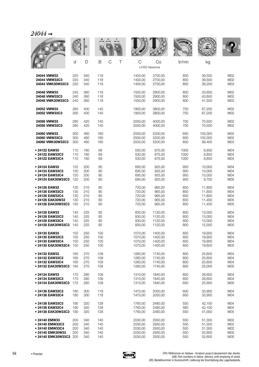|                                                                                                   |                          |                                 |                                 |                                                     |                                                     | <b>WALLE</b>                    |                                                |                                 |
|---------------------------------------------------------------------------------------------------|--------------------------|---------------------------------|---------------------------------|-----------------------------------------------------|-----------------------------------------------------|---------------------------------|------------------------------------------------|---------------------------------|
|                                                                                                   | d                        | D                               | C<br>B<br>Τ                     | $\mathsf{C}$                                        | Co<br>x1000 Newtons                                 | tr/mn                           | kg                                             |                                 |
| 24044 VMW33                                                                                       | 220                      | 340                             | 118                             | 1400,00                                             | 2700,00                                             | 850                             | 39,500                                         | M02                             |
| 24044 VMW33C3                                                                                     | 220                      | 340                             | 118                             | 1400,00                                             | 2700.00                                             | 850                             | 39,500                                         | M02                             |
| 24044 VMK30W33C3                                                                                  | 220                      | 340                             | 118                             | 1400,00                                             | 2700,00                                             | 850                             | 38,200                                         | M03                             |
| 24048 VMW33                                                                                       | 240                      | 360                             | 118                             | 1500.00                                             | 2900,00                                             | 800                             | 43,600                                         | M02                             |
| 24048 VMW33C3                                                                                     | 240                      | 360                             | 118                             | 1500,00                                             | 2900,00                                             | 800                             | 43,600                                         | M02                             |
| 24048 VMK30W33C3                                                                                  | 240                      | 360                             | 118                             | 1500,00                                             | 2900,00                                             | 800                             | 41,500                                         | M03                             |
| 24052 VMW33                                                                                       | 260                      | 400                             | 140                             | 1900,00                                             | 3800,00                                             | 750                             | 67,200                                         | M02                             |
| 24052 VMW33C3                                                                                     | 260                      | 400                             | 140                             | 1900,00                                             | 3800,00                                             | 750                             | 67,200                                         | M02                             |
| 24056 VMW33                                                                                       | 280                      | 420                             | 140                             | 2000,00                                             | 4000,00                                             | 700                             | 70,500                                         | M02                             |
| 24056 VMW33C3                                                                                     | 280                      | 420                             | 140                             | 2000,00                                             | 4000,00                                             | 700                             | 70,500                                         | M02                             |
| 24060 VMW33                                                                                       | 300                      | 460                             | 160                             | 2500,00                                             | 5200,00                                             | 650                             | 102,000                                        | M02                             |
| 24060 VMW33C3                                                                                     | 300                      | 460                             | 160                             | 2500,00                                             | 5200,00                                             | 650                             | 102,000                                        | M02                             |
| 24060 VMK30W33C3                                                                                  | 300                      | 460                             | 160                             | 2500,00                                             | 5200,00                                             | 650                             | 99,400                                         | M03                             |
| • 24122 EAW33                                                                                     | 110                      | 180                             | 69                              | 530,00                                              | 675,00                                              | 1000                            | 6,850                                          | M04                             |
| • 24122 EAW33C3                                                                                   | 110                      | 180                             | 69                              | 530,00                                              | 675,00                                              | 1000                            | 6,850                                          | M04                             |
| • 24122 EAW33C4                                                                                   | 110                      | 180                             | 69                              | 530,00                                              | 675,00                                              | 1000                            | 6,850                                          | M04                             |
| • 24124 EAW33                                                                                     | 120                      | 200                             | 80                              | 695,00                                              | 925,00                                              | 950                             | 10,000                                         | M04                             |
| • 24124 EAW33C3                                                                                   | 120                      | 200                             | 80                              | 695,00                                              | 925,00                                              | 950                             | 10,000                                         | M04                             |
| • 24124 EAW33C4                                                                                   | 120                      | 200                             | 80                              | 695,00                                              | 925,00                                              | 950                             | 10,000                                         | M04                             |
| • 24124 EAK30W33C3                                                                                | 120                      | 200                             | 80                              | 695,00                                              | 925,00                                              | 950                             | 9,700                                          | M05                             |
| • 24126 EAW33                                                                                     | 130                      | 210                             | 80                              | 720,00                                              | 965,00                                              | 850                             | 11,800                                         | M04                             |
| • 24126 EAW33C3                                                                                   | 130                      | 210                             | 80                              | 720,00                                              | 965,00                                              | 850                             | 11,800                                         | M04                             |
| • 24126 EAW33C4                                                                                   | 130                      | 210                             | 80                              | 720,00                                              | 965,00                                              | 850                             | 11,800                                         | M04                             |
| • 24126 EAK30W33                                                                                  | 130                      | 210                             | 80                              | 720,00                                              | 965,00                                              | 850                             | 11,400                                         | M05                             |
| • 24126 EAK30W33C3                                                                                | 130                      | 210                             | 80                              | 720,00                                              | 965,00                                              | 850                             | 11,400                                         | M05                             |
| • 24128 EAW33                                                                                     | 140                      | 225                             | 85                              | 830.00                                              | 1120,00                                             | 800                             | 13,000                                         | M04                             |
| • 24128 EAW33C3                                                                                   | 140                      | 225                             | 85                              | 830,00                                              | 1120,00                                             | 800                             | 13,000                                         | M04                             |
| • 24128 EAW33C4                                                                                   | 140                      | 225                             | 85                              | 830,00                                              | 1120,00                                             | 800                             | 13,000                                         | M04                             |
| • 24128 EAK30W33C3                                                                                | 140                      | 225                             | 85                              | 830,00                                              | 1120,00                                             | 800                             | 12,500                                         | M05                             |
| • 24130 EAW33                                                                                     | 150                      | 250                             | 100                             | 1070,00                                             | 1400,00                                             | 850                             | 19,900                                         | M04                             |
| • 24130 EAW33C3                                                                                   | 150                      | 250                             | 100                             | 1070,00                                             | 1400,00                                             | 850                             | 19,900                                         | M04                             |
| • 24130 EAW33C4                                                                                   | 150                      | 250                             | 100                             | 1070,00                                             | 1400,00                                             | 850                             | 19,900                                         | M04                             |
| • 24130 EAK30W33C4                                                                                | 150                      | 250                             | 100                             | 1070,00                                             | 1400,00                                             | 850                             | 19,600                                         | M05                             |
| • 24132 EAW33                                                                                     | 160                      | 270                             | 109                             | 1260,00                                             | 1740,00                                             | 800                             | 25,600                                         | M04                             |
| • 24132 EAW33C3                                                                                   | 160                      | 270                             | 109                             | 1260,00                                             | 1740,00                                             | 800                             | 25,600                                         | M04                             |
| • 24132 EAW33C4                                                                                   | 160                      | 270                             | 109                             | 1260,00                                             | 1740.00                                             | 800                             | 25,600                                         | M04                             |
| • 24132 EAK30W33C3                                                                                | 160                      | 270                             | 109                             | 1260,00                                             | 1740,00                                             | 800                             | 25,000                                         | M05                             |
| • 24134 EAW33                                                                                     | 170                      | 280                             | 109                             | 1310,00                                             | 1840,00                                             | 650                             | 26,600                                         | M04                             |
| • 24134 EAW33C3                                                                                   | 170                      | 280                             | 109                             | 1310,00                                             | 1840,00                                             | 650                             | 26,600                                         | M04                             |
| • 24134 EAK30W33C3                                                                                | 170                      | 280                             | 109                             | 1310,00                                             | 1840,00                                             | 650                             | 25,900                                         | M05                             |
| • 24136 EAW33C3                                                                                   | 180                      | 300                             | 118                             | 1470,00                                             | 2050,00                                             | 600                             | 33,900                                         | M04                             |
| • 24136 EAW33C4                                                                                   | 180                      | 300                             | 118                             | 1470,00                                             | 2050,00                                             | 600                             | 33,900                                         | M04                             |
| • 24138 EAW33C3                                                                                   | 190                      | 320                             | 128                             | 1760,00                                             | 2480,00                                             | 550                             | 42,100                                         | M04                             |
| • 24138 EAW33C4                                                                                   | 190                      | 320                             | 128                             | 1760,00                                             | 2480,00                                             | 580                             | 42,100                                         | M04                             |
| • 24138 EAK30W33C3                                                                                | 190                      | 320                             | 128                             | 1760,00                                             | 2480,00                                             | 550                             | 41,000                                         | M05                             |
| • 24140 EMW33<br>• 24140 EMW33C3<br>• 24140 EMW33C4<br>• 24140 EMK30W33<br>• 24140 EMK30W33C3 200 | 200<br>200<br>200<br>200 | 340<br>340<br>340<br>340<br>340 | 140<br>140<br>140<br>140<br>140 | 2030,00<br>2030,00<br>2030,00<br>2030,00<br>2030,00 | 2930,00<br>2930,00<br>2930,00<br>2930,00<br>2930,00 | 550<br>550<br>550<br>550<br>550 | 51,300<br>51,300<br>51,300<br>52,600<br>52,600 | M02<br>M02<br>M02<br>M05<br>M05 |

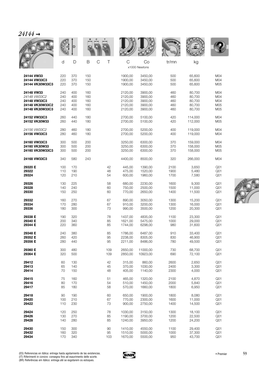|                 | d   | D   | $\mathsf C$<br>B | Τ   | $\mathsf{C}$ | Co<br>x1000 Newtons | tr/mn | kg      |                 |
|-----------------|-----|-----|------------------|-----|--------------|---------------------|-------|---------|-----------------|
| 24144 VW33      | 220 | 370 | 150              |     | 1900,00      | 3450,00             | 500   | 65,600  | M04             |
| 24144 VW33C3    | 220 | 370 | 150              |     | 1900,00      | 3450,00             | 500   | 65,600  | M04             |
| 24144 VK30W33C3 | 220 | 370 | 150              |     | 1900,00      | 3450,00             | 500   | 65.600  | M05             |
| 24148 VW33      | 240 | 400 | 160              |     | 2120,00      | 3900,00             | 460   | 80.700  | M04             |
| 24148 VW33C2    | 240 | 400 | 160              |     | 2120,00      | 3900,00             | 460   | 80,700  | M04             |
| 24148 VW33C3    | 240 | 400 | 160              |     | 2120,00      | 3900,00             | 460   | 80,700  | M <sub>04</sub> |
| 24148 VK30W33C2 | 240 | 400 | 160              |     | 2120,00      | 3900,00             | 460   | 80,700  | M05             |
| 24148 VK30W33C3 | 240 | 400 | 160              |     | 2120,00      | 3900,00             | 460   | 80,700  | M05             |
| 24152 VW33C3    | 260 | 440 | 180              |     | 2700,00      | 5100,00             | 420   | 114,000 | M04             |
| 24152 VK30W33   | 260 | 440 | 180              |     | 2700,00      | 5100,00             | 420   | 112,000 | M05             |
| 24156 VW33C2    | 280 | 460 | 180              |     | 2700,00      | 5200,00             | 400   | 119,000 | M04             |
| 24156 VW33C3    | 280 | 460 | 180              |     | 2700,00      | 5200,00             | 400   | 119,000 | M04             |
| 24160 VW33C3    | 300 | 500 | 200              |     | 3250,00      | 6300,00             | 370   | 159.000 | M04             |
| 24160 VK30W33   | 300 | 500 | 200              |     | 3250,00      | 6300,00             | 370   | 158,000 | M05             |
| 24160 VK30W33C3 | 300 | 500 | 200              |     | 3250,00      | 6300,00             | 370   | 158,000 | M05             |
| 24168 VW33C3    | 340 | 580 | 243              |     | 4400,00      | 8500,00             | 320   | 266,000 | M04             |
| 29320 E         | 100 | 170 |                  | 42  | 445,00       | 1390,00             | 2100  | 3,650   | Q01             |
| 29322           | 110 | 190 |                  | 48  | 475,00       | 1520,00             | 1900  | 5,480   | Q <sub>01</sub> |
| 29324           | 120 | 210 |                  | 54  | 600,00       | 1960,00             | 1700  | 7,580   | Q <sub>01</sub> |
| 29326           | 130 | 225 |                  | 58  | 680,00       | 2230,00             | 1600  | 9,300   | Q <sub>01</sub> |
| 29328           | 140 | 240 |                  | 60  | 750,00       | 2500,00             | 1500  | 11,000  | Q <sub>01</sub> |
| 29330           | 150 | 250 |                  | 60  | 770,00       | 2650,00             | 1400  | 11,500  | Q <sub>01</sub> |
| 29332           | 160 | 270 |                  | 67  | 890,00       | 3050,00             | 1300  | 15,200  | Q <sub>01</sub> |
| 29334           | 170 | 280 |                  | 67  | 910,00       | 3200,00             | 1300  | 16,000  | Q <sub>01</sub> |
| 29336           | 180 | 300 |                  | 73  | 990,00       | 3500,00             | 1200  | 20,300  | Q <sub>01</sub> |
| 29338 E         | 190 | 320 |                  | 78  | 1437,00      | 4835,00             | 1100  | 23,300  | Q <sub>01</sub> |
| 29340 E         | 200 | 340 |                  | 85  | 1621,00      | 5475,00             | 1000  | 29,000  | Q <sub>01</sub> |
| 29344 E         | 220 | 360 |                  | 85  | 1744,00      | 6298,00             | 980   | 31,600  | Q <sub>01</sub> |
| 29348 E         | 240 | 380 |                  | 85  | 1786,00      | 6487,00             | 910   | 33,400  | Q01             |
| 29352 E         | 260 | 420 |                  | 95  | 2238,00      | 8305,00             | 830   | 46,900  | Q <sub>01</sub> |
| 29356 E         | 280 | 440 |                  | 95  | 2211,00      | 8486,00             | 780   | 49,500  | Q <sub>01</sub> |
| 29360 E         | 300 | 480 |                  | 109 | 2650,00      | 11000,00            | 730   | 68,700  | Q <sub>01</sub> |
| 29364 E         | 320 | 500 |                  | 109 | 2850,00      | 10923,00            | 690   | 72,100  | Q <sub>01</sub> |
| 29412           | 60  | 130 |                  | 42  | 315,00       | 860,00              | 2600  | 2,650   | Q <sub>01</sub> |
| 29413           | 65  | 140 |                  | 45  | 370,00       | 1030,00             | 2400  | 3,300   | Q <sub>01</sub> |
| 29414           | 70  | 150 |                  | 48  | 405,00       | 1140,00             | 2300  | 4,000   | Q <sub>01</sub> |
| 29415           | 75  | 160 |                  | 51  | 465.00       | 1320,00             | 2100  | 4,870   | Q <sub>01</sub> |
| 29416           | 80  | 170 |                  | 54  | 510,00       | 1450,00             | 2000  | 5,840   | Q <sub>01</sub> |
| 29417           | 85  | 180 |                  | 58  | 570,00       | 1660,00             | 1800  | 6,950   | Q <sub>01</sub> |
| 29418           | 90  | 190 |                  | 60  | 650,00       | 1900,00             | 1800  | 8,080   | Q <sub>01</sub> |
| 29420           | 100 | 210 |                  | 67  | 770,00       | 2300,00             | 1600  | 11,000  | Q <sub>01</sub> |
| 29422           | 110 | 230 |                  | 73  | 900,00       | 2750,00             | 1400  | 14,500  | Q <sub>01</sub> |
| 29424           | 120 | 250 |                  | 78  | 1030,00      | 3150,00             | 1300  | 18,100  | Q <sub>01</sub> |
| 29426           | 130 | 270 |                  | 85  | 1190,00      | 3700,00             | 1200  | 22,500  | Q <sub>01</sub> |
| 29428           | 140 | 280 |                  | 85  | 1240,00      | 3950,00             | 1200  | 24,200  | Q <sub>01</sub> |
| 29430           | 150 | 300 |                  | 90  | 1410,00      | 4550,00             | 1100  | 29,400  | Q <sub>01</sub> |
| 29432           | 160 | 320 |                  | 95  | 1510,00      | 5000,00             | 1000  | 37,300  | Q <sub>01</sub> |
| 29434           | 170 | 340 |                  | 103 | 1670,00      | 5500,00             | 950   | 43,700  | Q <sub>01</sub> |



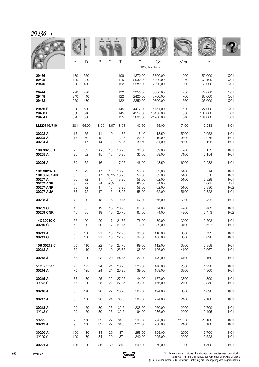| $29436 \rightarrow$                                                           |                                  |                                  |                                  |                              |                                                 |                                                    |                                                    |                                      |                                                    |                                                       |
|-------------------------------------------------------------------------------|----------------------------------|----------------------------------|----------------------------------|------------------------------|-------------------------------------------------|----------------------------------------------------|----------------------------------------------------|--------------------------------------|----------------------------------------------------|-------------------------------------------------------|
|                                                                               |                                  |                                  |                                  |                              |                                                 |                                                    |                                                    | <b>WALLE</b>                         |                                                    |                                                       |
|                                                                               | d                                | D                                | B                                | $\mathsf C$                  | Τ                                               | $\mathcal{C}$                                      | Co<br>x1000 Newtons                                | tr/mn                                | kg                                                 |                                                       |
| 29436<br>29438<br>29440                                                       | 180<br>190<br>200                | 360<br>380<br>400                |                                  |                              | 109<br>115<br>122                               | 1870,00<br>2030.00<br>2280,00                      | 6300,00<br>6900,00<br>7800,00                      | 900<br>850<br>800                    | 52,000<br>63,100<br>69,000                         | Q <sub>01</sub><br>Q <sub>01</sub><br>Q <sub>01</sub> |
| 29444<br>29448<br>29452                                                       | 220<br>240<br>260                | 420<br>440<br>480                |                                  |                              | 122<br>122<br>132                               | 2350,00<br>2420,00<br>2850,00                      | 8300,00<br>8700,00<br>10300,00                     | 750<br>700<br>660                    | 74,000<br>83,000<br>105,000                        | Q01<br>Q <sub>01</sub><br>Q <sub>01</sub>             |
| 29456 E<br>29460 E<br>29464 E                                                 | 280<br>300<br>320                | 520<br>540<br>580                |                                  |                              | 145<br>145<br>155                               | 4472,00<br>4512,00<br>5005,00                      | 15751,00<br>16458,00<br>21200,00                   | 620<br>580<br>540                    | 127,000<br>133,000<br>164,000                      | Q <sub>01</sub><br>Q <sub>01</sub><br>Q <sub>01</sub> |
| LM29749/710                                                                   | 38,1                             | 65,09                            |                                  |                              | 18,29 13,97 18,03                               | 43,50                                              | 55,00                                              | 7400                                 | 0,238                                              | K01                                                   |
| 30202 A<br>30203 A<br>30204 A                                                 | 15<br>17<br>20                   | 35<br>40<br>47                   | 11<br>12<br>14                   | 10<br>11<br>12               | 11,75<br>13,25<br>15,25                         | 15,40<br>20,80<br>30,50                            | 13,50<br>19,00<br>31,00                            | 15000<br>9700<br>8000                | 0,053<br>0,076<br>0,125                            | K01<br>K01<br>K01                                     |
| 10R 30205 A<br>30205 A                                                        | 25<br>25                         | 52<br>52                         | 16,25<br>15                      | 13<br>13                     | 16,25<br>16,25                                  | 35,50<br>35,50                                     | 39,00<br>39,00                                     | 7200<br>7100                         | 0,152<br>0,154                                     | K01<br>K01                                            |
| 30206 A                                                                       | 30                               | 62                               | 16                               | 14                           | 17,25                                           | 46,00                                              | 48,50                                              | 6000                                 | 0,238                                              | K01                                                   |
| 10Q 30207 A<br>10X 30207 AN<br>30207 A<br>30207 ADF<br>30207 ANR<br>30207 AUA | 37<br>35<br>35<br>35<br>35<br>35 | 72<br>85<br>72<br>72<br>72<br>72 | 17<br>17<br>17<br>34<br>17<br>17 | 15<br>15<br>36,5<br>15<br>15 | 18,25<br>18,25 18,25<br>18,25<br>18,25<br>18,25 | 58,00<br>58,00<br>58,00<br>90,00<br>58,00<br>58,00 | 62,00<br>62,00<br>62,00<br>74,00<br>62,00<br>62,00 | 5100<br>5100<br>5100<br>5100<br>5100 | 0,314<br>0,558<br>0,328<br>0,665<br>0,336<br>0,328 | K01<br>K61<br>K01<br>T91<br>K62<br>K01                |
| 30208 A                                                                       | 40                               | 80                               | 18                               | 16                           | 19,75                                           | 62,00                                              | 66,00                                              | 6300                                 | 0,422                                              | K01                                                   |
| 30209 C<br>30209 CNR                                                          | 45<br>45                         | 85<br>85                         | 19<br>19                         | 16<br>16                     | 20,75<br>20,75                                  | 67,00<br>67,00                                     | 74,00<br>74,00                                     | 4200<br>4200                         | 0,463<br>0,473                                     | K01<br>K62                                            |
| 14X 30210 C<br>30210 C                                                        | 52<br>50                         | 90<br>90                         | 20<br>20                         | 17<br>17                     | 21,75<br>21,75                                  | 76,00<br>76,00                                     | 89,00<br>89,00                                     | 3900<br>3100                         | 0,503<br>0,527                                     | K01<br>K01                                            |
| 30211 A<br>30211 C                                                            | 55<br>55                         | 100<br>100                       | 21<br>21                         | 18<br>18                     | 22,75<br>22,75                                  | 95,00<br>94,00                                     | 110,00<br>108,00                                   | 3600<br>3600                         | 0,732<br>0,698                                     | K01<br>K01                                            |
| 10R 30212 C<br>30212 A                                                        | 60<br>60                         | 110<br>110                       | 22<br>22                         | 19<br>19                     | 23,75<br>23,75                                  | 99,00<br>108,00                                    | 112,00<br>126,00                                   | 3300<br>4100                         | 0,858<br>0,967                                     | K01<br>K01                                            |
| 30213 A                                                                       | 65                               | 120                              | 23                               | 20                           | 24,75                                           | 127,00                                             | 149,00                                             | 4100                                 | 1,160                                              | K01                                                   |
| 51Y 30214 C<br>30214 A                                                        | 70<br>70                         | 125<br>125                       | 24<br>24                         | 21<br>21                     | 26,25<br>26,25                                  | 120,00<br>139,00                                   | 140,00<br>169,00                                   | 2800<br>3900                         | 1,220<br>1,300                                     | K01<br>K01                                            |
| 30215 A<br>30215 C                                                            | 75<br>75                         | 130<br>130                       | 25<br>25                         | 22<br>22                     | 27,25<br>27,25                                  | 144,00<br>136,00                                   | 177,00<br>166,00                                   | 3700<br>2700                         | 1,390<br>1,350                                     | K01<br>K01                                            |
| 30216 A                                                                       | 80                               | 140                              | 26                               | 22                           | 28,25                                           | 160,00                                             | 194,00                                             | 3500                                 | 1,690                                              | K01                                                   |
| 30217 A                                                                       | 85                               | 150                              | 28                               | 24                           | 30,5                                            | 183,00                                             | 224,00                                             | 2400                                 | 2,160                                              | K01                                                   |
| 30218 A<br>30218 C                                                            | 90<br>90                         | 160<br>160                       | 30<br>30                         | 26<br>26                     | 32,5<br>32,5                                    | 208,00<br>194,00                                   | 260,00<br>236,00                                   | 2200<br>2200                         | 2,700<br>2,495                                     | K01<br>K01                                            |
| 30219<br>30219 A                                                              | 95<br>95                         | 170<br>170                       | 32<br>32                         | 27<br>27                     | 34,5<br>34,5                                    | 193,00<br>225,00                                   | 228,00<br>280,00                                   | 2100,0<br>2100                       | 2,8180<br>3,160                                    | K01<br>K01                                            |
| 30220 A<br>30220 C                                                            | 100<br>100                       | 180<br>180                       | 34<br>34                         | 29<br>29                     | 37<br>37                                        | 255,00<br>240,00                                   | 325,00<br>295,00                                   | 2000<br>2000                         | 3,700<br>3,523                                     | K01<br>K01                                            |

**30221 A** 105 190 36 30 39 290,00 370,00 1900 4,500 K01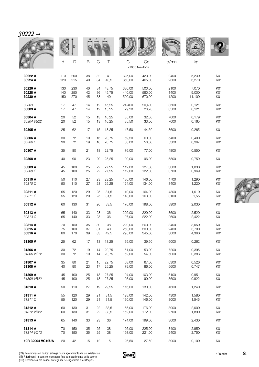| 0222 |  |
|------|--|
|      |  |

|                  |     |     |             |             |       |             |                     | <b>WALLE</b> |        |     |
|------------------|-----|-----|-------------|-------------|-------|-------------|---------------------|--------------|--------|-----|
|                  | d   | D   | $\mathsf B$ | $\mathsf C$ | Τ     | $\mathsf C$ | Co<br>x1000 Newtons | tr/mn        | kg     |     |
| 30222 A          | 110 | 200 | 38          | 32          | 41    | 325,00      | 420,00              | 2400         | 5,230  | K01 |
| 30224 A          | 120 | 215 | 40          | 34          | 43,5  | 350,00      | 465,00              | 2300         | 6,270  | K01 |
| 30226 A          | 130 | 230 | 40          | 34          | 43,75 | 380,00      | 500.00              | 2100         | 7,070  | K01 |
| 30228 A          | 140 | 250 | 42          | 36          | 45,75 | 440,00      | 580,00              | 1400         | 9,000  | K01 |
| 30230 A          | 150 | 270 | 45          | 38          | 49    | 500,00      | 670,00              | 1200         | 11,100 | K01 |
| 30303            | 17  | 47  | 14          | 12          | 15,25 | 24,400      | 20,400              | 8500         | 0,121  | K01 |
| 30303 A          | 17  | 47  | 14          | 12          | 15,25 | 29,20       | 26,70               | 8500         | 0,121  | K01 |
| 30304 A          | 20  | 52  | 15          | 13          | 16,25 | 35,00       | 32,50               | 7600         | 0,179  | K01 |
| 30304 VB22       | 20  | 52  | 15          | 13          | 16,25 | 35,50       | 33,00               | 7600         | 0,165  | K01 |
| 30305 A          | 25  | 62  | 17          | 15          | 18,25 | 47,50       | 44,50               | 8600         | 0,265  | K01 |
| 30306 A          | 30  | 72  | 19          | 16          | 20,75 | 59,50       | 60,00               | 5400         | 0,400  | K01 |
| 30306 C          | 30  | 72  | 19          | 16          | 20,75 | 58,00       | 56,00               | 5300         | 0,367  | K01 |
| 30307 A          | 35  | 80  | 21          | 18          | 22,75 | 76,00       | 77,00               | 4800         | 0,550  | K01 |
| 30308 A          | 40  | 90  | 23          | 20          | 25,25 | 90,00       | 96,00               | 5800         | 0,759  | K01 |
| 30309 A          | 45  | 100 | 25          | 22          | 27,25 | 112,00      | 127,00              | 3800         | 1,030  | K01 |
| 30309 C          | 45  | 100 | 25          | 22          | 27,25 | 112,00      | 122,00              | 3700         | 0,969  | K01 |
| 30310 A          | 50  | 110 | 27          | 23          | 29,25 | 136,00      | 146,00              | 4700         | 1,290  | K01 |
| 30310 C          | 50  | 110 | 27          | 23          | 29,25 | 124,00      | 134,00              | 3400         | 1,220  | K01 |
| 30311 A          | 55  | 120 | 29          | 25          | 31,5  | 149,00      | 164,00              | 4300         | 1,610  | K01 |
| 30311 C          | 55  | 120 | 29          | 25          | 31,5  | 148,00      | 163,00              | 3100         | 1,55   | K01 |
| 30312 A          | 60  | 130 | 31          | 26          | 33,5  | 176,00      | 198,00              | 3900         | 2,030  | K01 |
| 30313 A          | 65  | 140 | 33          | 28          | 36    | 202,00      | 229,00              | 3600         | 2.520  | K01 |
| 30313 C          | 65  | 140 | 33          | 28          | 36    | 197,00      | 222,00              | 2600         | 2,422  | K01 |
| 30314 A          | 70  | 150 | 35          | 30          | 38    | 229,00      | 260,00              | 3400         | 3,050  | K01 |
| 30315 A          | 75  | 160 | 37          | 31          | 40    | 253,00      | 300,00              | 2400         | 3,700  | K01 |
| 30316 A          | 80  | 170 | 39          | 33          | 42,5  | 295,00      | 345,00              | 3000         | 4,360  | K01 |
| 31305 V          | 25  | 62  | 17          | 13          | 18,25 | 39,00       | 39,50               | 6000         | 0,262  | K01 |
| 31306 A          | 30  | 72  | 19          | 14          | 20,75 | 51,00       | 53,00               | 7200         | 0,395  | K01 |
| 31306 VC12       | 30  | 72  | 19          | 14          | 20,75 | 52,00       | 54,00               | 5000         | 0,383  | K01 |
| 31307 A          | 35  | 80  | 21          | 15          | 22,75 | 63,00       | 67,00               | 6300         | 0,526  | K01 |
| 31308 A          | 40  | 90  | 23          | 17          | 25,25 | 79,00       | 86,00               | 5600         | 0,747  | K01 |
| 31309 A          | 45  | 100 | 25          | 18          | 27,25 | 94,00       | 103,00              | 5100         | 0,951  | K01 |
| 31309 VB22       | 45  | 100 | 25          | 18          | 27,25 | 93,00       | 99,00               | 3600         | 0,922  | K01 |
| 31310 A          | 50  | 110 | 27          | 19          | 29,25 | 116,00      | 130,00              | 4600         | 1,240  | K01 |
| 31311 A          | 55  | 120 | 29          | 21          | 31,5  | 128,00      | 142,00              | 4300         | 1,580  | K01 |
| 31311 C          | 55  | 120 | 29          | 21          | 31,5  | 130,00      | 146,00              | 3000         | 1,545  | K01 |
| 31312 A          | 60  | 130 | 31          | 22          | 33,5  | 155,00      | 176,00              | 3900         | 2,000  | K01 |
| 31312 VB22       | 60  | 130 | 31          | 22          | 33,5  | 152,00      | 172,00              | 2700         | 1,890  | K01 |
| 31313 A          | 65  | 140 | 33          | 23          | 36    | 174,00      | 199,00              | 3600         | 2,430  | K01 |
| 31314 A          | 70  | 150 | 35          | 25          | 38    | 195,00      | 225,00              | 3400         | 2,950  | K01 |
| 31314 VC12       | 70  | 150 | 35          | 25          | 38    | 193,00      | 221,00              | 2400         | 2,750  | K01 |
| 10R 32004 VC12UA | 20  | 42  | 15          | 12          | 15    | 26,50       | 27,50               | 8900         | 0,100  | K01 |



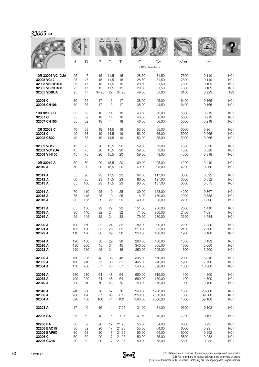|                  |     |     |       |               |       |                    |         | <b>MALLE</b> |        |            |
|------------------|-----|-----|-------|---------------|-------|--------------------|---------|--------------|--------|------------|
|                  | d   | D   | B     | $\mathcal{C}$ | Τ     | C<br>x1000 Newtons | Co      | tr/mn        | kg     |            |
| 10R 32005 VC12UA | 25  | 47  | 15    | 11,5          | 15    | 28,50              | 31,50   | 7600         | 0,110  | K01        |
| 32005 VC12       | 25  | 47  | 15    | 11,5          | 15    | 28,50              | 31,50   | 7600         | 0,110  | K01        |
| 32005 VS01H100   | 25  | 47  | 15    | 11,5          | 15    | 28,50              | 31,50   | 7600         | 0,109  | K01        |
| 32005 VS02H100   | 25  | 47  | 15    | 11,5          | 15    | 28,50              | 31,50   | 7600         | 0,109  | K01        |
| 32005 VDBUA      | 25  | 47  | 34,23 | 27            | 34,23 | 49,00              | 63,00   | 6100         | 0,223  | <b>T93</b> |
| 32006 C          | 30  | 55  | 17    | 13            | 17    | 38,00              | 45,00   | 6400         | 0,165  | K01        |
| 32006 CH106      | 30  | 55  | 17    | 13            | 17    | 38,00              | 44,50   | 6400         | 0,165  | K01        |
| 10R 32007 C      | 35  | 62  | 18    | 14            | 18    | 46,50              | 56,00   | 5600         | 0,219  | K01        |
| 32007 C          | 35  | 62  | 18    | 14            | 18    | 46,50              | 56,00   | 5600         | 0,219  | K01        |
| 32007 CH100      | 35  | 62  | 18    | 14            | 18    | 46,50              | 56,00   | 5600         | 0,219  | K01        |
| 12R 32008 C      | 40  | 68  | 19    | 14,5          | 19    | 53,00              | 65,00   | 5000         | 0,261  | K01        |
| 32008 C          | 40  | 68  | 19    | 14,5          | 19    | 53,00              | 65,00   | 5000         | 0,265  | K01        |
| 32008 CS02       | 40  | 68  | 19    | 14,5          | 19    | 53,00              | 65,00   | 5000         | 0,265  | K01        |
| 32009 VC12       | 45  | 75  | 20    | 15,5          | 20    | 59,00              | 73,00   | 4500         | 0,320  | K01        |
| 32009 VC12UA     | 45  | 75  | 20    | 15,5          | 20    | 59,00              | 73,00   | 4500         | 0,320  | K01        |
| 32009 V H106     | 45  | 75  | 20    | 15,5          | 20    | 59,00              | 73,00   | 4500         | 0,318  | K01        |
| 10R 32010 A      | 50  | 80  | 20    | 15,5          | 20    | 69,00              | 95,00   | 4200         | 0,440  | K01        |
| 32010 A          | 50  | 80  | 20    | 15,5          | 20    | 69,00              | 95,00   | 4200         | 0,360  | K01        |
| 32011 A          | 55  | 90  | 23    | 17,5          | 23    | 82,00              | 117,00  | 3800         | 0,592  | K01        |
| 32012 A          | 60  | 95  | 23    | 17,5          | 23    | 86,00              | 127,00  | 3600         | 0,632  | K01        |
| 32013 A          | 65  | 100 | 23    | 17,5          | 23    | 90,00              | 137,00  | 3300         | 0,675  | K01        |
| 32014 A          | 70  | 110 | 25    | 19            | 25    | 109,00             | 158,00  | 4200         | 0,867  | K01        |
| 32015 A          | 75  | 115 | 25    | 19            | 25    | 116,00             | 180,00  | 2900         | 0,858  | K01        |
| 32016 A          | 80  | 125 | 29    | 22            | 29    | 149,00             | 228,00  | 2700         | 1,300  | K01        |
| 32017 A          | 85  | 130 | 29    | 22            | 29    | 151,00             | 236,00  | 2600         | 1,410  | K01        |
| 32018 A          | 90  | 140 | 32    | 24            | 32    | 171,00             | 260,00  | 2400         | 1,691  | K01        |
| 32019 A          | 95  | 145 | 32    | 24            | 32    | 179,00             | 280,00  | 2300         | 1,784  | K01        |
| 32020 A          | 100 | 150 | 32    | 24            | 32    | 182,00             | 290,00  | 2200         | 1,880  | K01        |
| 32021 A          | 105 | 160 | 35    | 26            | 35    | 210,00             | 335,00  | 2100         | 2,500  | K01        |
| 32022 A          | 110 | 170 | 38    | 29            | 38    | 250,00             | 400,00  | 1900         | 3,100  | K01        |
| 32024 A          | 120 | 180 | 38    | 29            | 38    | 260,00             | 430,00  | 1800         | 3,183  | K01        |
| 32026 A          | 130 | 200 | 45    | 34            | 45    | 340,00             | 565,00  | 1600         | 5,060  | K01        |
| 32028 A          | 140 | 210 | 45    | 34            | 45    | 350,00             | 595,00  | 1600         | 5,200  | K01        |
| 32030 A          | 150 | 225 | 48    | 36            | 48    | 395,00             | 650.00  | 2000         | 6,310  | K01        |
| 32032 A          | 160 | 240 | 51    | 38            | 51    | 445,00             | 740.00  | 1900         | 7,700  | K01        |
| 32034 A          | 170 | 260 | 57    | 43            | 57    | 540,00             | 890,00  | 1800         | 10,300 | K01        |
| 32036 A          | 180 | 280 | 64    | 48            | 64    | 650,00             | 1115,00 | 1100         | 14,200 | K01        |
| 32038 A          | 190 | 290 | 64    | 48            | 64    | 660,00             | 1150,00 | 1100         | 14,800 | K01        |
| 32040 A          | 200 | 310 | 70    | 53            | 70    | 750,00             | 1350,00 | 1000         | 19,100 | K01        |
| 32048 A          | 240 | 360 | 76    | 57            | 76    | 940,00             | 1700,00 | 1300         | 26,000 | K01        |
| 32056 A          | 280 | 420 | 87    | 65            | 87    | 1250,00            | 2350,00 | 800          | 39,500 | K01        |
| 32064 A          | 320 | 480 | 100   | 74            | 100   | 1560,00            | 2800,00 | 1000         | 59,100 | K01        |
| 32203 A          | 17  | 40  | 16    | 14            | 17,25 | 31,00              | 31,00   | 9300         | 0,103  | K01        |
| 32205 BA         | 25  | 52  | 18    | 15            | 19,25 | 41,50              | 49,00   | 7200         | 0,192  | K01        |
| 32206 BA         | 30  | 62  | 20    | 17            | 21,25 | 55,00              | 64,00   | 6000         | 0,291  | K01        |
| 32206 BAC15      | 30  | 62  | 20    | 17            | 21,25 | 55,00              | 64,00   | 6000         | 0,291  | K01        |
| 32206 BAP6X      | 30  | 62  | 20    | 17            | 21,25 | 55,00              | 64,00   | 6000         | 0,292  | K01        |
| 32206 C          | 30  | 62  | 20    | 17            | 21,25 | 50,00              | 55,00   | 5800         | 0,282  | K01        |
| 32206 CC15       | 30  | 62  | 20    | 17            | 21,25 | 50,00              | 55,00   | 5800         | 0,282  | K01        |

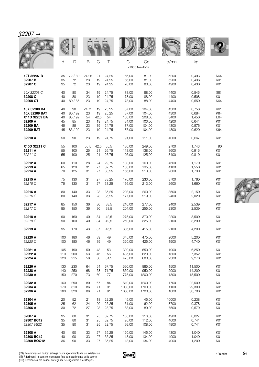$32207 \rightarrow$ 

|               |     |         |             |             |        |         |                     | <b>WALLE</b> |        |                          |
|---------------|-----|---------|-------------|-------------|--------|---------|---------------------|--------------|--------|--------------------------|
|               | d   | D       | $\mathsf B$ | $\mathsf C$ | $\top$ | C       | Co<br>x1000 Newtons | tr/mn        | kg     |                          |
| 12T 32207 B   | 35  | 72 / 80 | 24,25       | 21          | 24,25  | 66,00   | 81,00               | 5200         | 0,493  | K64                      |
| 32207 B       | 35  | 72      | 23          | 19          | 24,25  | 66,00   | 81,00               | 5200         | 0,436  | K01                      |
| 32207 C       | 35  | 72      | 23          | 19          | 24,25  | 70,00   | 80,00               | 4900         | 0,430  | K01                      |
| 10X 32208 C   | 40  | 80      | 34          | 19          | 24,75  | 78,00   | 88,00               | 4400         | 0,545  | $\overline{\phantom{1}}$ |
| 32208 C       | 40  | 80      | 23          | 19          | 24,75  | 78,00   | 88,00               | 4400         | 0,508  | K01                      |
| 32208 CT      | 40  | 80 / 85 | 23          | 19          | 24,75  | 78,00   | 88,00               | 4400         | 0,550  | K64                      |
| 10X 32209 BA  | 40  | 90      | 24,75       | 19          | 25,25  | 87,00   | 104,00              | 4300         | 0,758  | K61                      |
| 10X 32209 BAT | 40  | 80 / 92 | 23          | 19          | 25,25  | 87,00   | 104,00              | 4300         | 0,684  | K64                      |
| X11D 32209 BA | 40  | 85 / 92 | 54          | 42,5        | 54     | 150,00  | 208,00              | 3400         | 1,450  | L64                      |
| 32209 A       | 45  | 85      | 23          | 19          | 24,75  | 84,00   | 100,00              | 4200         | 0,641  | K01                      |
| 32209 BA      | 45  | 85      | 23          | 19          | 24,75  | 87,00   | 104,00              | 4300         | 0,576  | K01                      |
| 32209 BAT     | 45  | 85 / 92 | 23          | 19          | 24,75  | 87,00   | 104,00              | 4300         | 0,620  | K64                      |
| 32210 A       | 50  | 90      | 23          | 19          | 24,75  | 91,00   | 111,00              | 4000         | 0,667  | K01                      |
| X10D 32211 C  | 55  | 100     | 55,5        | 42,5        | 55,5   | 180,00  | 249,00              | 2700         | 1,743  | T90                      |
| 32211 A       | 55  | 100     | 25          | 21          | 26,75  | 113,00  | 138,00              | 3600         | 0,915  | K01                      |
| 32211 C       | 55  | 100     | 25          | 21          | 26,75  | 105,00  | 125,00              | 3400         | 0,819  | K01                      |
| 32212 A       | 60  | 110     | 28          | 24          | 29,75  | 130,00  | 160,00              | 4500         | 1,170  | K01                      |
| 32213 A       | 65  | 120     | 31          | 27          | 32,75  | 156,00  | 195,00              | 4100         | 1,550  | K01                      |
| 32214 A       | 70  | 125     | 31          | 27          | 33,25  | 166,00  | 213,00              | 2800         | 1,730  | K01                      |
| 32215 A       | 75  | 130     | 31          | 27          | 33,25  | 176,00  | 230,00              | 3700         | 1,760  | K01                      |
| 32215 C       | 75  | 130     | 31          | 27          | 33,25  | 166,00  | 213,00              | 2600         | 1,660  | K01                      |
| 32216 A       | 80  | 140     | 33          | 28          | 35,25  | 203,00  | 260,00              | 3500         | 2,150  | K01                      |
| 32216 C       | 80  | 140     | 33          | 28          | 35,25  | 177,00  | 219,00              | 2400         | 2,020  | K01                      |
| 32217 A       | 85  | 150     | 36          | 30          | 38,5   | 210,00  | 277,00              | 2400         | 2,539  | K01                      |
| 32217 C       | 85  | 150     | 36          | 30          | 38,5   | 204,00  | 255,00              | 2300         | 2,539  | K01                      |
| 32218 A       | 90  | 160     | 40          | 34          | 42,5   | 275,00  | 370,00              | 2200         | 3,500  | K01                      |
| 32218 C       | 90  | 160     | 40          | 34          | 42,5   | 250,00  | 325,00              | 2100         | 3,290  | K01                      |
| 32219 A       | 95  | 170     | 43          | 37          | 45,5   | 305,00  | 415,00              | 2100         | 4,200  | K01                      |
| 32220 A       | 100 | 180     | 46          | 39          | 49     | 345,00  | 475,00              | 2000         | 5,200  | K01                      |
| 32220 C       | 100 | 180     | 46          | 39          | 49     | 320,00  | 425,00              | 1900         | 4,740  | K01                      |
| 32221 A       | 105 | 190     | 50          | 43          | 53     | 390,00  | 550,00              | 1900         | 6,250  | K01                      |
| 32222 A       | 110 | 200     | 53          | 46          | 56     | 435,00  | 620,00              | 1800         | 7,352  | K01                      |
| 32224 A       | 120 | 215     | 58          | 50          | 61,5   | 475,00  | 680,00              | 2300         | 9,270  | K01                      |
| 32226 A       | 130 | 230     | 64          | 54          | 67,75  | 590,00  | 885,00              | 1500         | 11,500 | K01                      |
| 32228 A       | 140 | 250     | 68          | 58          | 71,75  | 650,00  | 950,00              | 2000         | 14,200 | K01                      |
| 32230 A       | 150 | 270     | 73          | 60          | 77     | 775,00  | 1200,00             | 1300         | 18,500 | K01                      |
| 32232 A       | 160 | 290     | 80          | 67          | 84     | 810,00  | 1200,00             | 1700         | 22,500 | K01                      |
| 32234 A       | 170 | 310     | 86          | 71          | 91     | 1030,00 | 1700,00             | 1100         | 29,300 | K01                      |
| 32236 A       | 180 | 320     | 86          | 71          | 91     | 1060,00 | 1700,00             | 1000         | 30,700 | K01                      |
| 32304 A       | 20  | 52      | 21          | 18          | 22,25  | 45,00   | 45,00               | 10000        | 0,238  | K01                      |
| 32305 A       | 25  | 62      | 24          | 20          | 25,25  | 61,00   | 62,00               | 8700         | 0,378  | K01                      |
| 32306 A       | 30  | 72      | 27          | 23          | 28,75  | 83,00   | 89,00               | 7500         | 0,579  | K01                      |
| 32307 A       | 35  | 80      | 31          | 25          | 32,75  | 105,00  | 116,00              | 4900         | 0,827  | K01                      |
| 32307 BC12    | 35  | 80      | 31          | 25          | 32,75  | 95,00   | 112,00              | 4600         | 0,741  | K01                      |
| 32307 VB22    | 35  | 80      | 31          | 25          | 32,75  | 99,00   | 108,00              | 4800         | 0,741  | K01                      |
| 32308 A       | 40  | 90      | 33          | 27          | 35,25  | 120,00  | 145,00              | 4300         | 1,040  | K01                      |
| 32308 BC12    | 40  | 90      | 33          | 27          | 35,25  | 113,00  | 134,00              | 4000         | 1,040  | K01                      |
| 32308 BQC12   | 36  | 90      | 33          | 27          | 35,25  | 113,00  | 134,00              | 4000         | 1,200  | K01                      |



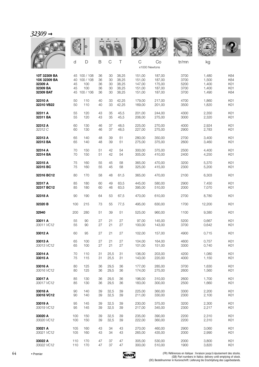# *32309* ➞

|                                                                  |                |                                                         |                            |                            |                                           |                                                |                                                | <b>WALLE</b>                         |                                           |                                 |
|------------------------------------------------------------------|----------------|---------------------------------------------------------|----------------------------|----------------------------|-------------------------------------------|------------------------------------------------|------------------------------------------------|--------------------------------------|-------------------------------------------|---------------------------------|
|                                                                  | d              | D                                                       | B                          | C                          | Τ                                         | $\mathsf{C}$<br>x1000 Newtons                  | Co                                             | tr/mn                                | kg                                        |                                 |
| 10T 32309 BA<br>10X 32309 BA<br>32309 A<br>32309 BA<br>32309 BAT | 40<br>45<br>45 | 45 100 / 108<br>100 / 108<br>100<br>100<br>45 100 / 106 | 36<br>36<br>36<br>36<br>36 | 30<br>30<br>30<br>30<br>30 | 38,25<br>38,25<br>38,25<br>38,25<br>38,25 | 151,00<br>151.00<br>147,00<br>151,00<br>151,00 | 187,00<br>187,00<br>175,00<br>187,00<br>187,00 | 3700<br>3700<br>5200<br>3700<br>3700 | 1,480<br>1,500<br>1,400<br>1,400<br>1,490 | K64<br>K64<br>K01<br>K01<br>K64 |
| 32310 A                                                          | 50             | 110                                                     | 40                         | 33                         | 42,25                                     | 179,00                                         | 217,00                                         | 4700                                 | 1,860                                     | K01                             |
| 32310 VB22                                                       | 50             | 110                                                     | 40                         | 33                         | 42,25                                     | 169,00                                         | 201,00                                         | 3500                                 | 1,820                                     | K01                             |
| 32311 A                                                          | 55             | 120                                                     | 43                         | 35                         | 45,5                                      | 201,00                                         | 244,00                                         | 4300                                 | 2,350                                     | K01                             |
| 32311 BA                                                         | 55             | 120                                                     | 43                         | 35                         | 45,5                                      | 206,00                                         | 275,00                                         | 3000                                 | 2,320                                     | K01                             |
| 32312 A                                                          | 60             | 130                                                     | 46                         | 37                         | 48,5                                      | 225,00                                         | 270,00                                         | 4000                                 | 2,924                                     | K01                             |
| 32312 C                                                          | 60             | 130                                                     | 46                         | 37                         | 48,5                                      | 227,00                                         | 275,00                                         | 2900                                 | 2,783                                     | K01                             |
| 32313 A                                                          | 65             | 140                                                     | 48                         | 39                         | 51                                        | 280,00                                         | 350,00                                         | 2700                                 | 3,400                                     | K01                             |
| 32313 BA                                                         | 65             | 140                                                     | 48                         | 39                         | 51                                        | 275,00                                         | 375,00                                         | 2600                                 | 3,460                                     | K01                             |
| 32314 A                                                          | 70             | 150                                                     | 51                         | 42                         | 54                                        | 300,00                                         | 375,00                                         | 2500                                 | 4,400                                     | K01                             |
| 32314 BA                                                         | 70             | 150                                                     | 51                         | 42                         | 54                                        | 305,00                                         | 410,00                                         | 2400                                 | 4,250                                     | K01                             |
| 32315 A                                                          | 75             | 160                                                     | 55                         | 45                         | 58                                        | 365,00                                         | 470,00                                         | 3200                                 | 5,370                                     | K01                             |
| 32315 BC                                                         | 75             | 160                                                     | 55                         | 45                         | 58                                        | 325,00                                         | 415,00                                         | 2300                                 | 5,200                                     | K01                             |
| 32316 BC12                                                       | 80             | 170                                                     | 58                         | 48                         | 61,5                                      | 365,00                                         | 470,00                                         | 2100                                 | 6,303                                     | K01                             |
| 32317 A                                                          | 85             | 180                                                     | 60                         | 49                         | 63,5                                      | 445,00                                         | 580,00                                         | 2900                                 | 7,450                                     | K01                             |
| 32317 BC12                                                       | 85             | 180                                                     | 60                         | 46                         | 63,5                                      | 395,00                                         | 510,00                                         | 2000                                 | 7,070                                     | K01                             |
| 32318 A                                                          | 90             | 190                                                     | 64                         | 53                         | 67,5                                      | 470,00                                         | 610,00                                         | 2700                                 | 8,780                                     | K01                             |
| 32320 B                                                          | 100            | 215                                                     | 73                         | 55                         | 77,5                                      | 495,00                                         | 630,00                                         | 1700                                 | 12,200                                    | K01                             |
| 32940                                                            | 200            | 280                                                     | 51                         | 39                         | 51                                        | 525,00                                         | 960,00                                         | 1100                                 | 9,380                                     | K01                             |
| 33011 A                                                          | 55             | 90                                                      | 27                         | 21                         | 27                                        | 97,00                                          | 145,00                                         | 5200                                 | 0,667                                     | K01                             |
| 33011 VC12                                                       | 55             | 90                                                      | 27                         | 21                         | 27                                        | 100,00                                         | 143,00                                         | 3700                                 | 0,642                                     | K01                             |
| 33012 A                                                          | 60             | 95                                                      | 27                         | 21                         | 27                                        | 102,00                                         | 157,00                                         | 4900                                 | 0,715                                     | K01                             |
| 33013 A                                                          | 65             | 100                                                     | 27                         | 21                         | 27                                        | 104,00                                         | 164,00                                         | 4600                                 | 0,757                                     | K01                             |
| 33013 VC12                                                       | 65             | 100                                                     | 27                         | 21                         | 27                                        | 101,00                                         | 151,00                                         | 3300                                 | 0,740                                     | K01                             |
| 33014 A                                                          | 70             | 110                                                     | 31                         | 25,5                       | 31                                        | 136,00                                         | 203,00                                         | 4200                                 | 1,080                                     | K01                             |
| 33015 A                                                          | 75             | 115                                                     | 31                         | 25,5                       | 31                                        | 143,00                                         | 220,00                                         | 4000                                 | 1,150                                     | K01                             |
| 33016 A                                                          | 80             | 125                                                     | 36                         | 29,5                       | 36                                        | 177,00                                         | 285,00                                         | 3700                                 | 1,630                                     | K01                             |
| 33016 VC12                                                       | 80             | 125                                                     | 36                         | 29,5                       | 36                                        | 174,00                                         | 275,00                                         | 2600                                 | 1,560                                     | K01                             |
| 33017 A                                                          | 85             | 130                                                     | 36                         | 29,5                       | 36                                        | 196,00                                         | 310,00                                         | 2600                                 | 1,700                                     | K01                             |
| 33017 VC12                                                       | 85             | 130                                                     | 36                         | 29,5                       | 36                                        | 183,00                                         | 300,00                                         | 2500                                 | 1,660                                     | K01                             |
| 33018 A                                                          | 90             | 140                                                     | 39                         | 32,5                       | 39                                        | 225,00                                         | 360,00                                         | 3300                                 | 2,200                                     | K01                             |
| 33018 VC12                                                       | 90             | 140                                                     | 39                         | 32,5                       | 39                                        | 211,00                                         | 330,00                                         | 2300                                 | 2,100                                     | K01                             |
| 33019 A                                                          | 95             | 145                                                     | 39                         | 32,5                       | 39                                        | 230,00                                         | 375,00                                         | 3200                                 | 2,300                                     | K01                             |
| 33019 VC12                                                       | 95             | 145                                                     | 39                         | 32,5                       | 39                                        | 217,00                                         | 345,00                                         | 2300                                 | 2,217                                     | K01                             |
| 33020 A                                                          | 100            | 150                                                     | 39                         | 32,5                       | 39                                        | 235,00                                         | 390,00                                         | 2200                                 | 2,310                                     | K01                             |
| 33020 VC12                                                       | 100            | 150                                                     | 39                         | 32,5                       | 39                                        | 222,00                                         | 360,00                                         | 2200                                 | 2,310                                     | K01                             |
| 33021 A                                                          | 105            | 160                                                     | 43                         | 34                         | 43                                        | 270,00                                         | 460,00                                         | 2900                                 | 3,060                                     | K01                             |
| 33021 VC12                                                       | 105            | 160                                                     | 43                         | 34                         | 43                                        | 265,00                                         | 435,00                                         | 2000                                 | 2,990                                     | K01                             |
| 33022 A                                                          | 110            | 170                                                     | 47                         | 37                         | 47                                        | 305,00                                         | 530,00                                         | 2000                                 | 3,800                                     | K01                             |
| 33022 VC12                                                       | 110            | 170                                                     | 47                         | 37                         | 47                                        | 300,00                                         | 510,00                                         | 1900                                 | 3,820                                     | K01                             |

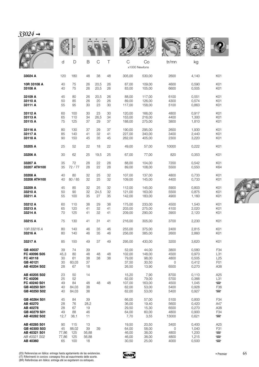| 302 |  |
|-----|--|
|     |  |

|                                                                          |                                  |                                   |                                  |                  |                |                                            |                                            | <b>WALLE</b>                          |                                           |                                                                                |
|--------------------------------------------------------------------------|----------------------------------|-----------------------------------|----------------------------------|------------------|----------------|--------------------------------------------|--------------------------------------------|---------------------------------------|-------------------------------------------|--------------------------------------------------------------------------------|
|                                                                          | d                                | D                                 | B                                | $\mathsf C$      | Τ              | $\mathsf{C}$                               | Co                                         | tr/mn                                 | kg                                        |                                                                                |
|                                                                          |                                  |                                   |                                  |                  |                |                                            | x1000 Newtons                              |                                       |                                           |                                                                                |
| 33024 A                                                                  | 120                              | 180                               | 48                               | 38               | 48             | 305,00                                     | 530,00                                     | 2600                                  | 4,140                                     | K01                                                                            |
| 10R 33108 A<br>33108 A                                                   | 40<br>40                         | 75<br>75                          | 26<br>26                         | 20,5<br>20,5     | 26<br>26       | 87,00<br>83,00                             | 109,00<br>105,00                           | 4600<br>6600                          | 0,590<br>0,505                            | K01<br>K01                                                                     |
| 33109 A<br>33110 A<br>33111 A                                            | 45<br>50<br>55                   | 80<br>85<br>95                    | 26<br>26<br>30                   | 20,5<br>20<br>23 | 26<br>26<br>30 | 88,00<br>89,00<br>117,00                   | 117,00<br>126,00<br>158,00                 | 6100<br>4300<br>5100                  | 0,551<br>0,574<br>0,863                   | K01<br>K01<br>K01                                                              |
| 33112 A<br>33113 A<br>33115 A                                            | 60<br>65<br>75                   | 100<br>110<br>125                 | 30<br>34<br>37                   | 23<br>26,5<br>29 | 30<br>34<br>37 | 120,00<br>153,00<br>188,00                 | 166,00<br>216,00<br>275,00                 | 4800<br>4400<br>3800                  | 0,917<br>1,300<br>1,810                   | K01<br>K01<br>K01                                                              |
| 33116 A<br>33117 A<br>33118 A                                            | 80<br>85<br>90                   | 130<br>140<br>150                 | 37<br>41<br>45                   | 29<br>32<br>35   | 37<br>41<br>45 | 190,00<br>227,00<br>262,00                 | 295,00<br>340,00<br>405,00                 | 2600<br>3400<br>2300                  | 1,930<br>2,440<br>3,220                   | K01<br>K01<br>K01                                                              |
| 33205 A                                                                  | 25                               | 52                                | 22                               | 18               | 22             | 49,00                                      | 57,00                                      | 10000                                 | 0,222                                     | K01                                                                            |
| 33206 A                                                                  | 30                               | 62                                | 25                               | 19,5             | 25             | 67,00                                      | 77,00                                      | 820                                   | 0,353                                     | K01                                                                            |
| 33207 A<br>33207 ATH100                                                  | 35<br>35                         | 72<br>72/77                       | 28<br>28                         | 22<br>22         | 28<br>28       | 88.00<br>89,00                             | 104,00<br>108,00                           | 7200<br>5500                          | 0,542<br>0,550                            | K01<br>K64                                                                     |
| 33208 A<br>33208 ATH100                                                  | 40<br>40                         | 80<br>80 / 85                     | 32<br>32                         | 25<br>25         | 32<br>32       | 107,00<br>109,00                           | 137,00<br>145,00                           | 4800<br>4400                          | 0,733<br>0,733                            | K01<br>K01                                                                     |
| 33209 A<br>33210 A                                                       | 45<br>50                         | 85<br>90                          | 32<br>32                         | 25               | 32<br>32       | 112,00<br>121,00                           | 145,00<br>163,00                           | 5900<br>5500                          | 0,803<br>0,875                            | K01<br>K01                                                                     |
| 33211 A                                                                  | 55                               | 100                               | 35                               | 24,5<br>27       | 35             | 142,00                                     | 183,00                                     | 4900                                  | 1,160                                     | K01                                                                            |
| 33212 A                                                                  | 60                               | 110                               | 38                               | 29               | 38             | 175,00                                     | 233,00                                     | 4500                                  | 1,540                                     | K01                                                                            |
| 33213 A<br>33214 A                                                       | 65<br>70                         | 120<br>125                        | 41<br>41                         | 32<br>32         | 41<br>41       | 203,00<br>209,00                           | 275,00<br>290,00                           | 4100<br>3900                          | 2,020<br>2,120                            | K01<br>K01                                                                     |
| 33215 A                                                                  | 75                               | 130                               | 41                               | 31               | 41             | 216,00                                     | 305,00                                     | 3700                                  | 2,230                                     | K01                                                                            |
| 10R 33216 A                                                              | 80                               | 140                               | 46                               | 35               | 46             | 255,00                                     | 375,00                                     | 2400                                  | 2,815                                     | K01                                                                            |
| 33216 A                                                                  | 80                               | 140                               | 46                               | 35               | 46             | 256,00                                     | 385,00                                     | 2600                                  | 2,860                                     | K01                                                                            |
| 33217 A                                                                  | 85                               | 150                               | 49                               | 37               | 49             | 295.00                                     | 430,00                                     | 3200                                  | 3,620                                     | K01                                                                            |
| GB 40037<br>FC 40096 S05<br>FC 40118<br>GB 40121<br>AB 40204 S02         | 39<br>45,3<br>30<br>$30\,$<br>28 | 74<br>80<br>61<br>60,03<br>67     | 39<br>48<br>38<br>37<br>18       | 48<br>38         | 48<br>38       | 52,00<br>102,00<br>79,00<br>37,50<br>26,50 | 44,00<br>148,00<br>98,00<br>30,50<br>13,90 | 3800<br>4500<br>4800<br>0<br>6500     | 0,580<br>0,970<br>0,505<br>0,412<br>0,270 | F34<br>L31<br>L25<br>F <sub>0</sub> 1<br>A38                                   |
| AB 40205 S02<br>FC 40206                                                 | 23<br>25                         | 50<br>52                          | 14                               |                  |                | 15,20<br>62,00                             | 7,90<br>79,00                              | 8700<br>5700                          | 0,110<br>0,366                            | A25<br>L31                                                                     |
| FC 40240 S01<br>GB 40250 S01<br>GB 40250 S02                             | 49<br>40<br>40                   | 84<br>84,03<br>84,03              | 48<br>38<br>38                   | 48               | 48             | 107,00<br>62,00<br>62,00                   | 163,00<br>53,00<br>53,00                   | 4500<br>5400<br>5400                  | 1,045<br>0,928<br>0,927                   | $\Box$<br>F36<br>$\Box$                                                        |
| GB 40264 S01<br>AB 40270<br>AB 40278<br>GB 40279 S01<br>AB 40282 S02     | 45<br>28<br>28<br>49<br>12,7     | 84<br>76<br>67<br>88<br>38,1      | 39<br>28,2<br>19<br>46<br>11     |                  |                | 66,00<br>36,00<br>29,50<br>64,00<br>7,70   | 57,00<br>19,40<br>15,30<br>60,00<br>3,55   | 5100<br>5600<br>6500<br>4800<br>13000 | 0,800<br>0,420<br>0,270<br>0,900<br>0,621 | F34<br>A47<br>A38<br>F34<br>$\Box$                                             |
| AB 40285 S01<br>GB 40300 S03<br>AB 40321 S01<br>AB 40321 S02<br>AB 40360 | 90<br>45<br>77,86<br>77,86<br>65 | 115<br>88,02<br>125<br>125<br>100 | 13<br>39<br>56,88<br>56,88<br>18 | 39               |                | 19,50<br>64,00<br>46,00<br>46,00<br>30,50  | 20,50<br>58,00<br>38,00<br>38,00<br>25,00  | 3400<br>0<br>4800<br>4800<br>4000     | 0,400<br>1,040<br>1,200<br>1,215<br>0,500 | A25<br>F31<br>$\overline{\phantom{0}}$<br>$\overline{\phantom{0}}$<br>$\equiv$ |

9

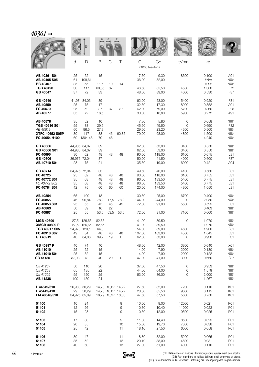# $40361 →$

|                                                                                      | d                          | D                                                        | B                                    | C                        | Τ                                                           | C<br>x1000 Newtons                         | Co                                            | tr/mn                                | kg                                        |                                                                                          |
|--------------------------------------------------------------------------------------|----------------------------|----------------------------------------------------------|--------------------------------------|--------------------------|-------------------------------------------------------------|--------------------------------------------|-----------------------------------------------|--------------------------------------|-------------------------------------------|------------------------------------------------------------------------------------------|
| AB 40361 S01<br>AB 40405 S05<br><b>BB 40467</b>                                      | 25<br>61<br>35             | 52<br>109,61<br>55                                       | 15<br>11,5                           | 10                       | 14                                                          | 17,60<br>36,00                             | 9,30<br>52,00                                 | 8300                                 | 0,100<br>#N/A<br>0,092                    | A91<br>$\Box$<br>$\overline{\phantom{a}}$                                                |
| <b>TGB 40490</b><br>GB 40547                                                         | 30<br>37                   | 117<br>72                                                | 60,85<br>33                          | 37                       |                                                             | 46,50<br>48,50                             | 35,50<br>39,00                                | 4500<br>4000                         | 1,300<br>0,530                            | F72<br>F37                                                                               |
| GB 40549<br>AB 40559<br>FC 40570<br>AB 40577                                         | 41,97<br>25<br>25<br>35    | 84,03<br>75<br>52<br>72                                  | 39<br>17<br>37<br>18,5               | 37                       | 37                                                          | 62,00<br>32,50<br>62,00<br>30,00           | 53,00<br>17,30<br>79,00<br>16,80              | 5400<br>8900<br>5700<br>5900         | 0,920<br>0,352<br>0,360<br>0,272          | F31<br>A91<br>L25<br>A91                                                                 |
| AB 40578<br>TGB 40616 S01<br>AB 40619<br><b>XTFC 40652 S05P</b><br>FC 40654 H100     | 35<br>55<br>60<br>30<br>60 | 52<br>88<br>96,5<br>117<br>130/146                       | 10<br>29,5<br>27,8<br>38<br>70       | 43<br>46                 | 60,85                                                       | 7,80<br>45,50<br>29,50<br>79,00            | 5,80<br>49,50<br>23,20<br>98,00               | 0<br>0<br>4300<br>4800               | 0,058<br>0,690<br>0,500<br>1,500<br>4,240 | $\equiv$<br>F82<br>$\overline{\phantom{a}}$<br>$\equiv$<br>$\overline{\phantom{a}}$      |
| GB 40666<br>GB 40666 S01<br>FC 40696<br>GB 40706<br>AB 40710 S01                     | 30<br>28                   | 44,985 84,07<br>44,985 84,07<br>62<br>36,976 72,04<br>75 | 39<br>39<br>48<br>37<br>21           | 48                       | 48                                                          | 62,00<br>62,00<br>90,00<br>50,00<br>35,50  | 53,00<br>53,00<br>118,00<br>41,50<br>19,00    | 3400<br>3400<br>6100<br>4000<br>6000 | 0,850<br>0,850<br>0,675<br>0,600<br>0,421 | $\blacksquare$<br>$\equiv$<br>L31<br>F37<br>A94                                          |
| GB 40714<br>FC 40725<br>FC 40772 S01<br>FC 40772 S02<br>FC 40784 S01                 | 25<br>35<br>35<br>42       | 34,976 72,04<br>62<br>68<br>68<br>75                     | 33<br>48<br>48<br>48<br>60           | 48<br>48<br>48<br>60     | 48<br>48<br>48<br>60                                        | 49,50<br>90,00<br>96,50<br>96,50<br>120,00 | 40,00<br>118,00<br>133,50<br>133,50<br>174,00 | 4100<br>6100<br>5400<br>5400<br>4800 | 0,560<br>0,755<br>0,775<br>0,775<br>1,050 | F31<br>L31<br>L31<br>L31<br>L31                                                          |
| AB 40854<br>FC 40855<br>FC 40858 S01<br>AB 40863<br>FC 40887                         | 65<br>46<br>25<br>50<br>25 | 100<br>96,84<br>55<br>89<br>55                           | 18<br>78,2<br>45<br>16<br>53,5       | 17,5<br>45<br>22<br>53,5 | 78,2<br>45<br>53,5                                          | 30,50<br>144,00<br>72,00<br>72,00          | 25,00<br>244,00<br>91,00<br>91,00             | 6700<br>0<br>5500<br>7100            | 0,490<br>2,050<br>0,525<br>0,463<br>0,600 | $\overline{\phantom{a}}$<br>$\blacksquare$<br>L31<br>$\equiv$<br>$\mathbf{\color{red}C}$ |
| <b>MGB 40899</b><br><b>XMGB 40899 P</b><br>TGB 40917 S05<br>FC 40918 S02<br>GB 40919 | 27,5<br>49<br>40           | 27,5 126,65<br>126,65<br>24,973 129,1<br>84<br>84,06     | 82,65<br>82,65<br>64,3<br>48<br>39,7 | 48<br>19                 | 48<br>0                                                     | 41,00<br>41,00<br>54,00<br>107,00<br>62,00 | 39,50<br>39,50<br>39,00<br>163,00<br>53,00    | 0<br>4600<br>4500<br>0               | 1,970<br>1,970<br>1,900<br>1,045<br>0,938 | $\blacksquare$<br>$\mathbf{\color{red}C}$<br>F81<br>L31<br>F31                           |
| GB 40997 P<br>AB 41010<br>AB 41010 S01<br>GB 41135                                   | 40<br>25<br>25<br>37,98    | 74<br>52<br>52<br>73                                     | 40<br>15<br>15<br>40                 | 20                       | 0                                                           | 48,50<br>14,00<br>14,00<br>47,00           | 42,00<br>7,90<br>7,90<br>41,00                | 3800<br>12000<br>12000<br>3900       | 0,640<br>0,130<br>0,122<br>0,660          | X01<br>$\overline{\phantom{a}}$<br>$\overline{\phantom{a}}$<br>F37                       |
| QJ 41207<br>QJ 41208<br>QJ 41209<br>AB 41238                                         | 50<br>65<br>55<br>100      | 110<br>135<br>150<br>150                                 | 20<br>22<br>25<br>24                 |                          |                                                             | 37,00<br>44,00<br>63,00                    | 47,50<br>64,00<br>86,00                       | 0<br>0<br>0                          | 0,953<br>1,579<br>2,000<br>1,267          | $\overline{\phantom{a}}$<br>$\equiv$<br>$\overline{\phantom{0}}$<br>$\equiv$             |
| L 44649/610<br>L 45449/410<br>LM 48548/510                                           | 29                         | 26,988 50,29<br>50,29<br>34,925 65,09                    |                                      |                          | 14,73 10,67 14,22<br>14,73 10,67 14,22<br>18,29 13,97 18,03 | 27,60<br>28,50<br>47,50                    | 32,00<br>35,50<br>57,50                       | 7200<br>9600<br>5600                 | 0,110<br>0,115<br>0,250                   | K01<br>K01<br>K01                                                                        |
| 51100<br>51101<br>51102                                                              | 10<br>12<br>15             | 24<br>26<br>28                                           |                                      |                          | 9<br>9<br>9                                                 | 10,00<br>10,30<br>10,50                    | 9,00<br>10,40<br>12,00                        | 12000<br>11000<br>9500               | 0,021<br>0,023<br>0,025                   | P01<br>P01<br>P01                                                                        |
| 51103<br>51104<br>51105                                                              | 17<br>20<br>25             | 30<br>35<br>42                                           |                                      |                          | $\hbox{9}$<br>10<br>11                                      | 11,30<br>15,00<br>18,10                    | 14,40<br>19,70<br>27,50                       | 8500<br>7300<br>6000                 | 0,025<br>0,038<br>0,058                   | P01<br>P01<br>P01                                                                        |
| 51106<br>51107<br>51108                                                              | 30<br>35<br>40             | 47<br>52<br>60                                           |                                      |                          | 11<br>12<br>13                                              | 18,80<br>20,10<br>27,00                    | 32,00<br>38,00<br>51,00                       | 5200<br>4600<br>4000                 | 0,065<br>0,081<br>0,110                   | P01<br>P01<br>P01                                                                        |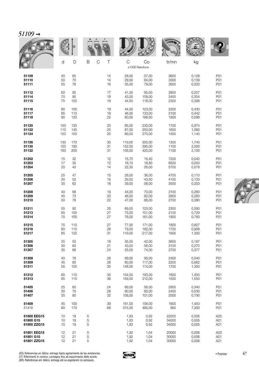|             |     | D   |                                      |        |                     | <b>NOTAL A</b> |       |     |
|-------------|-----|-----|--------------------------------------|--------|---------------------|----------------|-------|-----|
|             | d   | D   | $\top$<br>$\mathsf B$<br>$\mathsf C$ | C      | Co<br>x1000 Newtons | tr/mn          | kg    |     |
| 51109       | 45  | 65  | 14                                   | 28,00  | 57,00               | 3600           | 0,128 | P01 |
| 51110       | 50  | 70  | 14                                   | 29,00  | 64,00               | 3300           | 0,139 | P01 |
| 51111       | 55  | 78  | 16                                   | 35,00  | 79,00               | 3000           | 0,220 | P01 |
| 51112       | 60  | 85  | 17                                   | 41,50  | 95,00               | 2800           | 0,257 | P01 |
| 51114       | 70  | 95  | 18                                   | 43,00  | 109,00              | 2400           | 0,354 | P01 |
| 51115       | 75  | 100 | 19                                   | 44,50  | 118,00              | 2300           | 0,398 | P01 |
| 51116       | 80  | 105 | 19                                   | 44,50  | 123,00              | 2200           | 0,430 | P01 |
| 51117       | 85  | 110 | 19                                   | 46,00  | 133,00              | 2100           | 0,442 | P01 |
| 51118       | 90  | 120 | 22                                   | 60,00  | 166,00              | 1900           | 0,598 | P01 |
| 51120       | 100 | 135 | 25                                   | 85,00  | 230,00              | 1700           | 0,974 | P01 |
| 51122       | 110 | 145 | 25                                   | 87,00  | 250,00              | 1600           | 1,060 | P01 |
| 51124       | 120 | 155 | 25                                   | 89,00  | 270,00              | 1500           | 1,140 | P01 |
| 51126       | 130 | 170 | 30                                   | 119,00 | 355,00              | 1300           | 1,740 | P01 |
| 51130       | 150 | 190 | 31                                   | 152,00 | 395,00              | 1100           | 2,000 | P01 |
| 51132       | 160 | 200 | 31                                   | 156,00 | 425,00              | 1100           | 2,100 | P01 |
| 51202       | 15  | 32  | 12                                   | 15,70  | 16,40               | 7200           | 0,042 | P01 |
| 51203       | 17  | 35  | 12                                   | 16,10  | 18,80               | 6500           | 0,050 | P01 |
| 51204       | 20  | 40  | 14                                   | 22,30  | 26,00               | 5700           | 0,078 | P01 |
| 51205       | 25  | 47  | 15                                   | 28,00  | 36,00               | 4700           | 0,110 | P01 |
| 51206       | 30  | 52  | 16                                   | 29,50  | 43,50               | 4100           | 0,133 | P01 |
| 51207       | 35  | 62  | 18                                   | 39,00  | 58,00               | 3500           | 0,203 | P01 |
| 51208       | 40  | 68  | 19                                   | 44,00  | 70,00               | 3100           | 0,260 | P01 |
| 51209       | 45  | 73  | 20                                   | 46,50  | 82,00               | 2900           | 0,283 | P01 |
| 51210       | 50  | 78  | 22                                   | 47,00  | 88,00               | 2700           | 0,380 | P01 |
| 51211       | 55  | 90  | 25                                   | 69,00  | 123,00              | 2300           | 0,590 | P01 |
| 51213       | 65  | 100 | 27                                   | 75,00  | 151,00              | 2100           | 0,729 | P01 |
| 51214       | 70  | 105 | 27                                   | 76,00  | 161,00              | 1900           | 0,783 | P01 |
| 51215       | 75  | 110 | 27                                   | 77,00  | 171.00              | 1800           | 0,827 | P01 |
| 51216       | 80  | 115 | 28                                   | 79,00  | 182,00              | 1700           | 0,908 | P01 |
| 51217       | 85  | 125 | 31                                   | 119,00 | 217,00              | 1600           | 1,300 | P01 |
| 51305       | 25  | 52  | 18                                   | 35,50  | 42,00               | 3600           | 0,167 | P01 |
| 51306       | 30  | 60  | 21                                   | 43,00  | 56,00               | 3100           | 0,270 | P01 |
| 51307       | 35  | 68  | 24                                   | 55,00  | 74,00               | 2700           | 0,377 | P01 |
| 51308       | 40  | 78  | 26                                   | 69,00  | 95,00               | 2400           | 0,540 | P01 |
| 51309       | 45  | 85  | 28                                   | 80,00  | 117,00              | 2200           | 0,662 | P01 |
| 51311       | 55  | 105 | 35                                   | 148,00 | 174,00              | 1700           | 1,350 | P01 |
| 51312       | 60  | 110 | 35                                   | 154,00 | 193,00              | 1600           | 1,450 | P01 |
| 51313       | 65  | 115 | 36                                   | 159,00 | 212,00              | 1500           | 1,550 | P01 |
| 51405       | 25  | 60  | 24                                   | 69,00  | 56,00               | 2800           | 0,340 | P01 |
| 51406       | 30  | 70  | 28                                   | 90,00  | 80,00               | 2400           | 0,530 | P01 |
| 51407       | 35  | 80  | 32                                   | 108,00 | 101,00              | 2000           | 0,790 | P01 |
| 51409       | 45  | 100 | 39                                   | 161,00 | 158,00              | 1600           | 1,450 | P01 |
| 51416       | 80  | 170 | 68                                   | 315,00 | 485,00              | 960            | 7,300 | P01 |
| 61800 EEG15 | 10  | 19  | 5                                    | 1,83   | 0,92                | 22000          | 0,005 | A25 |
| 61800 G15   | 10  | 19  | 5                                    | 1,83   | 0,92                | 34000          | 0,005 | A01 |
| 61800 ZZG15 | 10  | 19  | 5                                    | 1,83   | 0,92                | 34000          | 0,005 | A21 |
| 61801 EEG15 | 12  | 21  | $\mathbf 5$                          | 1,92   | 1,04                | 20000          | 0,006 | A25 |
| 61801 G15   | 12  | 21  | 5                                    | 1,92   | 1,04                | 30000          | 0,006 | A01 |
| 61801 ZZG15 | 12  | 21  | 5                                    | 1,92   | 1,04                | 30000          | 0,006 | A21 |



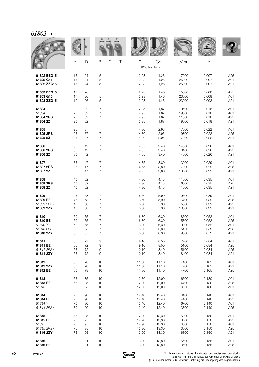|             |    |     |                         |                    |       | <b>WALLE</b> |       |                 |
|-------------|----|-----|-------------------------|--------------------|-------|--------------|-------|-----------------|
|             | d  | D   | B<br>$\mathcal{C}$<br>Τ | C<br>x1000 Newtons | Co    | tr/mn        | kg    |                 |
| 61802 EEG15 | 15 | 24  | 5                       | 2,08               | 1,26  | 17000        | 0,007 | A25             |
| 61802 G15   | 15 | 24  | 5                       | 2,08               | 1,26  | 25000        | 0,007 | A01             |
| 61802 ZZG15 | 15 | 24  | 5                       | 2,08               | 1,26  | 25000        | 0,007 | A21             |
| 61803 EEG15 | 17 | 26  | 5                       | 2,23               | 1,46  | 15000        | 0,008 | A25             |
| 61803 G15   | 17 | 26  | 5                       | 2,23               | 1,46  | 23000        | 0,008 | A01             |
| 61803 ZZG15 | 17 | 26  | 5                       | 2,23               | 1,46  | 23000        | 0,008 | A21             |
| 61804       | 20 | 32  | $\overline{7}$          | 2,95               | 1,87  | 19500        | 0,018 | A01             |
| 61804 Y     | 20 | 32  | 7                       | 2,95               | 1,87  | 19500        | 0,018 | A01             |
| 61804 2RS   | 20 | 32  | $\overline{7}$          | 2,95               | 1,87  | 11500        | 0,018 | A25             |
| 61804 2Z    | 20 | 32  | $\overline{7}$          | 2,95               | 1,87  | 19500        | 0,018 | A21             |
| 61805       | 25 | 37  | $\overline{7}$          | 4,30               | 2,95  | 17000        | 0,022 | A01             |
| 61805 2RS   | 25 | 37  | 7                       | 4,30               | 2,95  | 9800         | 0,022 | A <sub>25</sub> |
| 61805 2Z    | 25 | 37  | $\overline{7}$          | 4,30               | 2,95  | 17000        | 0,022 | A21             |
| 61806       | 30 | 42  | 7                       | 4,55               | 3,40  | 14500        | 0,026 | A01             |
| 61806 2RS   | 30 | 42  | $\overline{7}$          | 4,55               | 3,40  | 8400         | 0,026 | A25             |
| 61806 2Z    | 30 | 42  | $\overline{7}$          | 4,55               | 3,40  | 14500        | 0,026 | A21             |
| 61807       | 35 | 47  | 7                       | 4,75               | 3,80  | 13000        | 0,029 | A01             |
| 61807 2RS   | 35 | 47  | $\overline{7}$          | 4,75               | 3,80  | 7300         | 0,029 | A <sub>25</sub> |
| 61807 2Z    | 35 | 47  | $\overline{7}$          | 4,75               | 3,80  | 13000        | 0,029 | A21             |
| 61808       | 40 | 52  | $\overline{7}$          | 4,90               | 4,15  | 11500        | 0,035 | A01             |
| 61808 2RS   | 40 | 52  | 7                       | 4,90               | 4,15  | 6500         | 0,035 | A25             |
| 61808 2Z    | 40 | 52  | $\overline{7}$          | 4,90               | 4,15  | 11500        | 0,035 | A21             |
| 61809       | 45 | 58  | 7                       | 6,60               | 5,90  | 9600         | 0,039 | A01             |
| 61809 EE    | 45 | 58  | $\overline{7}$          | 6,60               | 5,90  | 6400         | 0,039 | A25             |
| 61809 2RSY  | 45 | 58  | $\overline{7}$          | 6,60               | 5,90  | 5800         | 0,039 | A25             |
| 61809 2ZY   | 45 | 58  | $\overline{7}$          | 6,60               | 5,90  | 10500        | 0,039 | A21             |
| 61810       | 50 | 65  | 7                       | 6,80               | 6,30  | 8600         | 0,052 | A01             |
| 61810 EE    | 50 | 65  | 7                       | 6,80               | 6,30  | 5700         | 0,052 | A25             |
| 61810Y      | 50 | 65  | 7                       | 6,80               | 6,30  | 9300         | 0,052 | A01             |
| 61810 2RSY  | 50 | 65  | 7                       | 6,80               | 6,30  | 5100         | 0,052 | A25             |
| 61810 2ZY   | 50 | 65  | 7                       | 6,80               | 6,30  | 9300         | 0,052 | A21             |
| 61811       | 55 | 72  | 9                       | 9,10               | 8,50  | 7700         | 0,084 | A01             |
| 61811 EE    | 55 | 72  | 9                       | 9,10               | 8,50  | 5100         | 0,084 | A25             |
| 61811 2RSY  | 55 | 72  | 9                       | 9,10               | 8,40  | 5100         | 0,084 | A25             |
| 61811 2ZY   | 55 | 72  | 9                       | 9,10               | 8,40  | 8400         | 0,084 | A21             |
| 61812       | 60 | 78  | 10                      | 11,80              | 11,10 | 7100         | 0,105 | A01             |
| 61812 2ZY   | 60 | 78  | 10                      | 11,80              | 11,10 | 7700         | 0,105 | A21             |
| 61812 EE    | 60 | 78  | 10                      | 11,80              | 11,10 | 4700         | 0,105 | A25             |
| 61813       | 65 | 85  | 10                      | 12,30              | 12,00 | 6600         | 0,130 | A01             |
| 61813 EE    | 65 | 85  | 10                      | 12,30              | 12,00 | 4400         | 0,130 | A25             |
| 61813Y      | 65 | 85  | 10                      | 12,30              | 12,00 | 6600         | 0,130 | A01             |
| 61814       | 70 | 90  | 10                      | 12,40              | 12,40 | 6100         | 0,140 | A01             |
| 61814 EE    | 70 | 90  | 10                      | 12,40              | 12,40 | 4100         | 0,140 | A <sub>25</sub> |
| 61814 Y     | 70 | 90  | 10                      | 12,40              | 12,40 | 6700         | 0,140 | A01             |
| 61814 2RSY  | 70 | 90  | 10                      | 12,40              | 12,40 | 3700         | 0,140 | A25             |
| 61815       | 75 | 95  | 10                      | 12,90              | 13,30 | 5800         | 0,150 | A01             |
| 61815 EE    | 75 | 95  | 10                      | 12,90              | 13,30 | 3800         | 0,150 | A <sub>25</sub> |
| 61815Y      | 75 | 95  | 10                      | 12,90              | 13,30 | 6300         | 0,150 | A01             |
| 61815 2RSY  | 75 | 95  | 10                      | 12,90              | 13,30 | 3500         | 0,150 | A25             |
| 61815 2ZY   | 75 | 95  | 10                      | 12,90              | 13,30 | 6300         | 0,150 | A21             |
| 61816       | 80 | 100 | 10                      | 13,00              | 13,80 | 5500         | 0,155 | A01             |
| 61816 EE    | 80 | 100 | 10                      | 13,00              | 13,80 | 3600         | 0,155 | A25             |

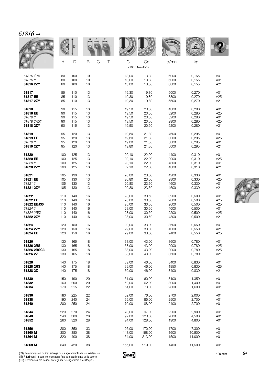| 0787 |  |
|------|--|
|      |  |

|             |     |     |                       |        |                     | <b>WALLE</b> |        |     |
|-------------|-----|-----|-----------------------|--------|---------------------|--------------|--------|-----|
|             | d   | D   | $\mathsf C$<br>B<br>Τ | C      | Co<br>x1000 Newtons | tr/mn        | kg     |     |
| 61816 G15   | 80  | 100 | 10                    | 13,00  | 13,80               | 6000         | 0,155  | A01 |
| 61816Y      | 80  | 100 | 10                    | 13,00  | 13,80               | 6000         | 0,155  | A01 |
| 61816 2ZY   | 80  | 100 | 10                    | 13,00  | 13,80               | 6000         | 0,155  | A21 |
| 61817       | 85  | 110 | 13                    | 19,30  | 19,80               | 5000         | 0,270  | A01 |
| 61817 EE    | 85  | 110 | 13                    | 19,30  | 19,80               | 3300         | 0,270  | A25 |
| 61817 2ZY   | 85  | 110 | 13                    | 19,30  | 19,80               | 5500         | 0,270  | A21 |
| 61818       | 90  | 115 | 13                    | 19,50  | 20,50               | 4800         | 0,280  | A01 |
| 61818 EE    | 90  | 115 | 13                    | 19,50  | 20,50               | 3200         | 0,280  | A25 |
| 61818 Y     | 90  | 115 | 13                    | 19,50  | 20,50               | 5200         | 0,280  | A01 |
| 61818 2RSY  | 90  | 115 | 13                    | 19,50  | 20,50               | 2900         | 0,280  | A25 |
| 61818 2ZY   | 90  | 115 | 13                    | 19,50  | 20,50               | 5200         | 0,280  | A21 |
| 61819       | 95  | 120 | 13                    | 19,80  | 21,30               | 4600         | 0,295  | A01 |
| 61819 EE    | 95  | 120 | 13                    | 19,80  | 21,30               | 3000         | 0,295  | A25 |
| 61819Y      | 95  | 120 | 13                    | 19,80  | 21,30               | 5000         | 0,295  | A01 |
| 61819 2ZY   | 95  | 120 | 13                    | 19,80  | 21,30               | 5000         | 0,295  | A21 |
| 61820       | 100 | 125 | 13                    | 20,10  | 22,00               | 4400         | 0,310  | A01 |
| 61820 EE    | 100 | 125 | 13                    | 20,10  | 22,00               | 2900         | 0,310  | A25 |
| 61820 Y     | 100 | 125 | 13                    | 20,10  | 22,00               | 4800         | 0,310  | A01 |
| 61820 2ZY   | 100 | 125 | 13                    | 2,10   | 22,00               | 4800         | 0,310  | A21 |
| 61821       | 105 | 130 | 13                    | 20,80  | 23,60               | 4200         | 0,330  | A01 |
| 61821 EE    | 105 | 130 | 13                    | 20,80  | 23,60               | 2800         | 0,330  | A25 |
| 61821 Y     | 105 | 130 | 13                    | 20,80  | 23,60               | 4600         | 0,330  | A01 |
| 61821 2ZY   | 105 | 130 | 13                    | 20,80  | 23,60               | 4600         | 0,330  | A21 |
| 61822       | 110 | 140 | 16                    | 28,00  | 30,50               | 3900         | 0,500  | A01 |
| 61822 EE    | 110 | 140 | 16                    | 28,00  | 30,50               | 2600         | 0,500  | A25 |
| 61822 EEJ30 | 110 | 140 | 16                    | 28,00  | 30,50               | 2600         | 0,500  | A25 |
| 61824 Y     | 110 | 140 | 16                    | 28,00  | 30,50               | 4000         | 0,500  | A01 |
| 61824 2RSY  | 110 | 140 | 16                    | 28,00  | 30,50               | 2200         | 0,500  | A25 |
| 61822 2ZY   | 110 | 140 | 16                    | 28,00  | 30,50               | 4300         | 0,500  | A21 |
| 61824       | 120 | 150 | 16                    | 29,00  | 33,00               | 3600         | 0,550  | A01 |
| 61824 2ZY   | 120 | 150 | 16                    | 29,00  | 33,00               | 4000         | 0,550  | A21 |
| 61824 EE    | 120 | 150 | 16                    | 29,00  | 33,00               | 2400         | 0,550  | A25 |
| 61826       | 130 | 165 | 18                    | 38,00  | 43,00               | 3600         | 0,780  | A01 |
| 61826 2RS   | 130 | 165 | 18                    | 38,00  | 43,00               | 2000         | 0,780  | A25 |
| 61826 2RSC3 | 130 | 165 | 18                    | 38,00  | 43,00               | 2000         | 0,780  | A25 |
| 61826 2Z    | 130 | 165 | 18                    | 38,00  | 43,00               | 3600         | 0,780  | A21 |
| 61828       | 140 | 175 | 18                    | 39,00  | 46,00               | 3400         | 0,830  | A01 |
| 61828 2RS   | 140 | 175 | 18                    | 39,00  | 46,00               | 1850         | 0,830  | A25 |
| 61828 2Z    | 140 | 175 | 18                    | 39,00  | 46,00               | 3400         | 0,830  | A21 |
| 61830       | 150 | 190 | 20                    | 51,00  | 60,00               | 3100         | 1,350  | A01 |
| 61832       | 160 | 200 | 20                    | 52,00  | 62,00               | 3000         | 1,400  | A01 |
| 61834       | 170 | 215 | 22                    | 61,00  | 73,00               | 2800         | 1,600  | A01 |
| 61836       | 180 | 225 | 22                    | 62,00  | 76,00               | 2700         | 2,000  | A01 |
| 61838       | 190 | 240 | 24                    | 69,00  | 85,00               | 2500         | 2,700  | A01 |
| 61840       | 200 | 250 | 24                    | 70,00  | 88,00               | 2400         | 2,700  | A01 |
| 61844       | 220 | 270 | 24                    | 73,00  | 97,00               | 2200         | 2,900  | A01 |
| 61848       | 240 | 300 | 28                    | 92,00  | 120,00              | 2000         | 4,500  | A01 |
| 61852       | 260 | 320 | 28                    | 94,00  | 128,00              | 1900         | 4,800  | A01 |
| 61856       | 280 | 350 | 33                    | 126,00 | 170,00              | 1700         | 7,300  | A01 |
| 61860 M     | 300 | 380 | 38                    | 148,00 | 198,00              | 1600         | 10,500 | A01 |
| 61864 M     | 320 | 400 | 38                    | 154,00 | 213,00              | 1500         | 11,000 | A01 |
| 61868 M     | 340 | 420 | 38                    | 155,00 | 219,00              | 1400         | 11,500 | A01 |

y

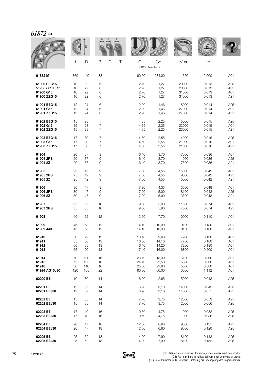|                |     |     |                  |        |                    |        | WOMEN |        |                 |
|----------------|-----|-----|------------------|--------|--------------------|--------|-------|--------|-----------------|
|                | d   | D   | B                | C<br>Τ | С<br>x1000 Newtons | Co     | tr/mn | kg     |                 |
| 61872 M        | 360 | 440 | 38               |        | 160,00             | 234,00 | 1350  | 12,000 | A01             |
| 61900 EEG15    | 10  | 22  | 6                |        | 2,70               | 1,27   | 20000 | 0,013  | A25             |
| 61900 EEG15J30 | 10  | 22  | 6                |        | 2,70               | 1,27   | 20000 | 0,013  | A <sub>25</sub> |
| 61900 G15      | 10  | 22  | 6                |        | 2,70               | 1,27   | 31000 | 0,013  | A01             |
| 61900 ZZG15    | 10  | 22  | 6                |        | 2,70               | 1,27   | 31000 | 0,013  | A21             |
| 61901 EEG15    | 12  | 24  | 6                |        | 2,90               | 1,46   | 18000 | 0,014  | A25             |
| 61901 G15      | 12  | 24  | 6                |        | 2,90               | 1,46   | 27000 | 0,014  | A01             |
| 61901 ZZG15    | 12  | 24  | 6                |        | 2,90               | 1,46   | 27000 | 0,014  | A21             |
| 61902 EEG15    | 15  | 28  | $\overline{7}$   |        | 4,35               | 2,25   | 15000 | 0,015  | A25             |
| 61902 G15      | 15  | 28  | $\boldsymbol{7}$ |        | 4,35               | 2,25   | 23000 | 0,015  | A01             |
| 61902 ZZG15    | 15  | 28  | $\overline{7}$   |        | 4,35               | 2,25   | 23000 | 0,015  | A21             |
| 61903 EEG15    | 17  | 30  | $\overline{7}$   |        | 4,60               | 2,55   | 14000 | 0,016  | A <sub>25</sub> |
| 61903 G15      | 17  | 30  | $\boldsymbol{7}$ |        | 4,60               | 2,55   | 21000 | 0,016  | A01             |
| 61903 ZZG15    | 17  | 30  | $\overline{7}$   |        | 4,60               | 2,55   | 21000 | 0,016  | A21             |
| 61904          | 20  | 37  | 9                |        | 6,40               | 3,70   | 17500 | 0,036  | A01             |
| 61904 2RS      | 20  | 37  | $\hbox{9}$       |        | 6,40               | 3,70   | 11000 | 0,036  | A25             |
| 61904 2Z       | 20  | 37  | 9                |        | 6,40               | 3,70   | 17500 | 0,036  | A21             |
| 61905          | 25  | 42  | 9                |        | 7,00               | 4,55   | 15000 | 0,042  | A01             |
| 61905 2RS      | 25  | 42  | 9                |        | 7,00               | 4,55   | 9800  | 0,042  | A25             |
| 61905 2Z       | 25  | 42  | 9                |        | 7,00               | 4,55   | 15000 | 0,042  | A21             |
| 61906          | 30  | 47  | 9                |        | 7,20               | 4,35   | 13500 | 0,048  | A01             |
| 61906 2RS      | 30  | 47  | 9                |        | 7,20               | 5,00   | 8100  | 0,048  | A25             |
| 61906 2Z       | 30  | 47  | 9                |        | 7,20               | 5,00   | 13500 | 0,048  | A21             |
| 61907          | 35  | 55  | 10               |        | 9,60               | 5,90   | 11500 | 0,074  | A01             |
| 61907 2RS      | 35  | 55  | 10               |        | 9,60               | 5,90   | 7500  | 0,074  | A25             |
| 61908          | 40  | 62  | 12               |        | 12,20              | 7,70   | 10000 | 0,110  | A01             |
| 61909          | 45  | 68  | 12               |        | 14,10              | 10,90  | 9100  | 0,130  | A01             |
| 61909 J40      | 45  | 68  | 12               |        | 14,10              | 10,90  | 9100  | 0,130  | A01             |
| 61910          | 50  | 72  | 12               |        | 13,40              | 9,60   | 7900  | 0,130  | A01             |
| 61911          | 55  | 80  | 13               |        | 16,60              | 14,10  | 7700  | 0,180  | A01             |
| 61912          | 60  | 85  | 13               |        | 16,40              | 14,20  | 7200  | 0,190  | A01             |
| 61913          | 65  | 90  | 13               |        | 17,40              | 16,00  | 6800  | 0,200  | A01             |
| 61914          | 70  | 100 | 16               |        | 23,70              | 18,30  | 6100  | 0,360  | A01             |
| 61915          | 75  | 105 | 16               |        | 24,40              | 22,50  | 5800  | 0,360  | A01             |
| 61916          | 80  | 110 | 16               |        | 25,00              | 23,90  | 5500  | 0,380  | A01             |
| 61924 AG15J30  | 120 | 165 | 22               |        | 60,00              | 60,00  | 3500  | 1,112  | A01             |
| 62200 EE       | 10  | 30  | 14               |        | 6,00               | 2,65   | 15000 | 0,048  | A <sub>25</sub> |
| 62201 EE       | 12  | 32  | 14               |        | 6,90               | 3,10   | 14000 | 0,049  | A25             |
| 62201 EEJ30    | 12  | 32  | 14               |        | 6,90               | 3,10   | 14000 | 0,051  | A25             |
| 62202 EE       | 15  | 35  | 14               |        | 7,70               | 3,75   | 12000 | 0,053  | A <sub>25</sub> |
| 62202 EEJ30    | 15  | 35  | 14               |        | 7,70               | 3,75   | 12000 | 0,056  | A25             |
| 62203 EE       | 17  | 40  | 16               |        | 9,50               | 4,75   | 11000 | 0,082  | A25             |
| 62203 EEJ30    | 17  | 40  | 16               |        | 9,50               | 4,75   | 11000 | 0,086  | A25             |
| 62204 EE       | 20  | 47  | 18               |        | 12,80              | 6,60   | 9500  | 0,131  | A <sub>25</sub> |
| 62204 EEJ30    | 20  | 47  | 18               |        | 12,80              | 6,60   | 9500  | 0,120  | A25             |
| 62205 EE       | 25  | 52  | 18               |        | 14,00              | 7,90   | 8100  | 0,148  | A25             |
| 62205 EEJ30    | 25  | 52  | 18               |        | 14,00              | 7,90   | 8100  | 0,152  | A25             |

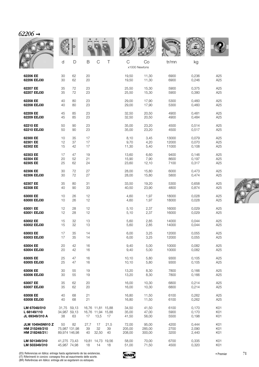| 62206 |  |
|-------|--|
|       |  |

|                                                           |                                      |                |                  |                                                |                  |                           |                           | <b>WALLE</b>            |                         |                                           |
|-----------------------------------------------------------|--------------------------------------|----------------|------------------|------------------------------------------------|------------------|---------------------------|---------------------------|-------------------------|-------------------------|-------------------------------------------|
|                                                           | d                                    | D              | B                | $\mathcal{C}$                                  | $\top$           | C                         | Co<br>x1000 Newtons       | tr/mn                   | kg                      |                                           |
| 62206 EE<br>62206 EEJ30                                   | 30<br>30                             | 62<br>62       | 20<br>20         |                                                |                  | 19,50<br>19,50            | 11,30<br>11,30            | 6900<br>6900            | 0,236<br>0,246          | A25<br>A25                                |
| 62207 EE<br>62207 EEJ30                                   | 35<br>35                             | 72<br>72       | 23<br>23         |                                                |                  | 25,50<br>25,50            | 15,30<br>15,30            | 5900<br>5900            | 0,375<br>0,380          | A25<br>A25                                |
| 62208 EE<br>62208 EEJ30                                   | 40<br>40                             | 80<br>80       | 23<br>23         |                                                |                  | 29,00<br>29,00            | 17,90<br>17,90            | 5300<br>5300            | 0,460<br>0,460          | A <sub>25</sub><br>A25                    |
| 62209 EE<br>62209 EEJ30                                   | 45<br>45                             | 85<br>85       | 23<br>23         |                                                |                  | 32,50<br>32,50            | 20,50<br>20,50            | 4900<br>4900            | 0,481<br>0,484          | A <sub>25</sub><br>A25                    |
| 62210 EE<br>62210 EEJ30                                   | 50<br>50                             | 90<br>90       | 23<br>23         |                                                |                  | 35,00<br>35,00            | 23,20<br>23,20            | 4500<br>4500            | 0,514<br>0,517          | A <sub>25</sub><br>A25                    |
| 62300 EE<br>62301 EE<br>62302 EE                          | 10<br>12<br>15                       | 35<br>37<br>42 | 17<br>17<br>17   |                                                |                  | 8,10<br>9,70<br>11,30     | 3,45<br>4,20<br>5,40      | 13000<br>12000<br>11000 | 0,079<br>0,070<br>0,108 | A <sub>25</sub><br>A <sub>25</sub><br>A25 |
| 62303 EE<br>62304 EE<br>62305 EE                          | 17<br>20<br>25                       | 47<br>52<br>62 | 19<br>21<br>24   |                                                |                  | 13,60<br>15,90<br>23,60   | 6,60<br>7,90<br>12,10     | 9400<br>8600<br>7100    | 0,146<br>0,197<br>0,317 | A <sub>25</sub><br>A25<br>A25             |
| 62306 EE<br>62306 EEJ30                                   | 30<br>30                             | 72<br>72       | 27<br>27         |                                                |                  | 28,00<br>28,00            | 15,80<br>15,80            | 6000<br>5800            | 0,473<br>0,474          | A25<br>A25                                |
| 62307 EE<br>62308 EE                                      | 35<br>40                             | 80<br>90       | 31<br>33         |                                                |                  | 33,50<br>40,50            | 19,20<br>23,90            | 5300<br>4800            | 0,658<br>0,874          | A25<br>A25                                |
| 63000 EE<br>63000 EEJ30                                   | 10<br>10                             | 26<br>26       | 12<br>12         |                                                |                  | 4,60<br>4,60              | 1,97<br>1,97              | 18000<br>18000          | 0,028<br>0,028          | A25<br>A25                                |
| 63001 EE<br>63001 EEJ30                                   | 12<br>12                             | 28<br>28       | 12<br>12         |                                                |                  | 5,10<br>5,10              | 2,37<br>2,37              | 16000<br>16000          | 0,029<br>0,029          | A25<br>A <sub>25</sub>                    |
| 63002 EE<br>63002 EEJ30                                   | 15<br>15                             | 32<br>32       | 13<br>13         |                                                |                  | 5,60<br>5,60              | 2,85<br>2,85              | 14000<br>14000          | 0,044<br>0,044          | A25<br>A25                                |
| 63003 EE<br>63003 EEJ30                                   | 17<br>17                             | 35<br>35       | 14<br>14         |                                                |                  | 6,00<br>6,00              | 3,25<br>3,25              | 12000<br>12000          | 0,055<br>0,055          | A25<br>A25                                |
| 63004 EE<br>63004 EEJ30                                   | 20<br>20                             | 42<br>42       | 16<br>16         |                                                |                  | 9,40<br>9,40              | 5,00<br>5,00              | 10000<br>10000          | 0,082<br>0,082          | A25<br>A25                                |
| 63005 EE<br>63005 EEJ30                                   | 25<br>25                             | 47<br>47       | 16<br>16         |                                                |                  | 10, 10<br>10, 10          | 5,80<br>5,80              | 9300<br>9300            | 0,105<br>0,105          | A25<br>A25                                |
| 63006 EE<br>63006 EEJ30                                   | 30<br>30                             | 55<br>55       | 19<br>19         |                                                |                  | 13,20<br>13,20            | 8,30<br>8,30              | 7800<br>7800            | 0,166<br>0,166          | A25<br>A25                                |
| 63007 EE<br>63007 EEJ30                                   | 35<br>35                             | 62<br>62       | 20<br>20         |                                                |                  | 16,00<br>16,00            | 10,30<br>10,30            | 6800<br>6800            | 0,214<br>0,214          | A25<br>A25                                |
| 63008 EE<br>63008 EEJ30                                   | 40<br>40                             | 68<br>68       | 21<br>21         |                                                |                  | 16,80<br>16,80            | 11,50<br>11,50            | 6100<br>6100            | 0,262<br>0,262          | A25<br>A25                                |
| LM 67048/010<br>L 68149/110<br>JL 69349/310 A             | 31,75 59,13<br>34,987 59,13<br>38    | 63             | 17               | 16,76 11,81 15,88<br>16,76 11,94 15,88<br>13,5 | 17               | 34,50<br>35,00<br>41,50   | 41,50<br>47,00<br>56,00   | 6100<br>5900<br>5500    | 0,170<br>0,170<br>0,198 | K01<br>K01<br>K01                         |
| <b>JLM 104945N910 Z</b><br>HM 215249/210<br>HM 218248/210 | 50<br>75,987 131,98<br>89,974 146,98 | 82             | 27,7<br>39<br>40 | 17<br>32<br>32,50                              | 21,5<br>39<br>40 | 72,00<br>205,00<br>208,00 | 95,00<br>285,00<br>300,00 | 4200<br>2700<br>3200    | 0,444<br>2,090<br>2,440 | K01<br>K01<br>K01                         |
| LM 501349/310<br>LM 503349/310                            | 41,275 73,43<br>45,987 74,98         |                | 18               | 19,81 14,73 19,56<br>14                        | 18               | 58,00<br>51,00            | 70,00<br>71,50            | 6700<br>4500            | 0,335<br>0,320          | K01<br>K01                                |